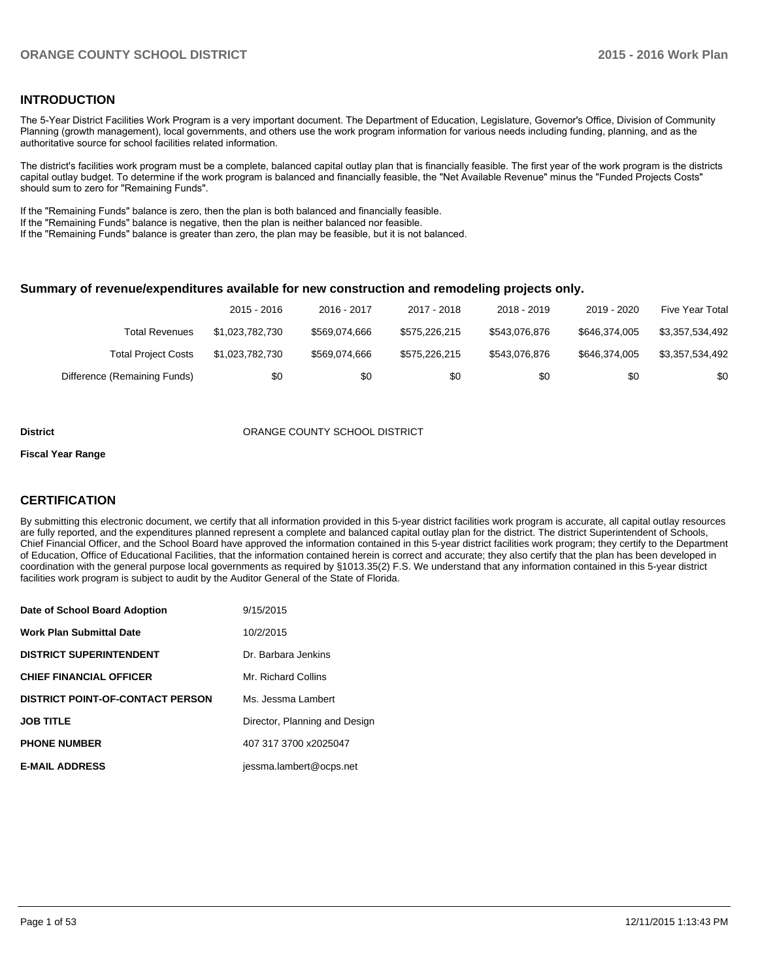### **INTRODUCTION**

The 5-Year District Facilities Work Program is a very important document. The Department of Education, Legislature, Governor's Office, Division of Community Planning (growth management), local governments, and others use the work program information for various needs including funding, planning, and as the authoritative source for school facilities related information.

The district's facilities work program must be a complete, balanced capital outlay plan that is financially feasible. The first year of the work program is the districts capital outlay budget. To determine if the work program is balanced and financially feasible, the "Net Available Revenue" minus the "Funded Projects Costs" should sum to zero for "Remaining Funds".

If the "Remaining Funds" balance is zero, then the plan is both balanced and financially feasible.

If the "Remaining Funds" balance is negative, then the plan is neither balanced nor feasible.

If the "Remaining Funds" balance is greater than zero, the plan may be feasible, but it is not balanced.

### **Summary of revenue/expenditures available for new construction and remodeling projects only.**

|                              | 2015 - 2016     | 2016 - 2017   | 2017 - 2018   | 2018 - 2019   | 2019 - 2020   | Five Year Total |
|------------------------------|-----------------|---------------|---------------|---------------|---------------|-----------------|
| <b>Total Revenues</b>        | \$1.023.782.730 | \$569.074.666 | \$575,226,215 | \$543.076.876 | \$646,374,005 | \$3.357.534.492 |
| <b>Total Project Costs</b>   | \$1,023,782,730 | \$569,074,666 | \$575,226,215 | \$543.076.876 | \$646.374.005 | \$3.357.534.492 |
| Difference (Remaining Funds) | \$0             | \$0           | \$0           | \$0           | \$0           | \$0             |

#### **District COUNTY SCHOOL DISTRICT**

#### **Fiscal Year Range**

### **CERTIFICATION**

By submitting this electronic document, we certify that all information provided in this 5-year district facilities work program is accurate, all capital outlay resources are fully reported, and the expenditures planned represent a complete and balanced capital outlay plan for the district. The district Superintendent of Schools, Chief Financial Officer, and the School Board have approved the information contained in this 5-year district facilities work program; they certify to the Department of Education, Office of Educational Facilities, that the information contained herein is correct and accurate; they also certify that the plan has been developed in coordination with the general purpose local governments as required by §1013.35(2) F.S. We understand that any information contained in this 5-year district facilities work program is subject to audit by the Auditor General of the State of Florida.

| Date of School Board Adoption           | 9/15/2015                     |
|-----------------------------------------|-------------------------------|
| <b>Work Plan Submittal Date</b>         | 10/2/2015                     |
| <b>DISTRICT SUPERINTENDENT</b>          | Dr. Barbara Jenkins           |
| <b>CHIEF FINANCIAL OFFICER</b>          | Mr. Richard Collins           |
| <b>DISTRICT POINT-OF-CONTACT PERSON</b> | Ms. Jessma Lambert            |
| <b>JOB TITLE</b>                        | Director, Planning and Design |
| <b>PHONE NUMBER</b>                     | 407 317 3700 x2025047         |
| <b>E-MAIL ADDRESS</b>                   | jessma.lambert@ocps.net       |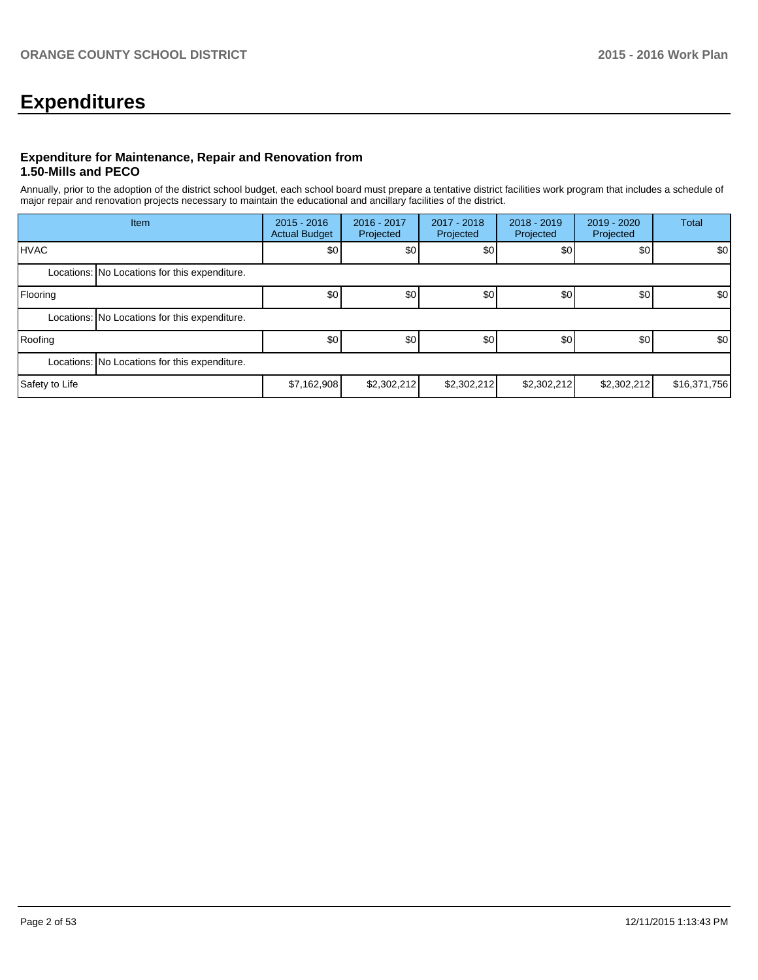# **Expenditures**

### **Expenditure for Maintenance, Repair and Renovation from 1.50-Mills and PECO**

Annually, prior to the adoption of the district school budget, each school board must prepare a tentative district facilities work program that includes a schedule of major repair and renovation projects necessary to maintain the educational and ancillary facilities of the district.

|                | Item                                          | $2015 - 2016$<br><b>Actual Budget</b> | 2016 - 2017<br>Projected | 2017 - 2018<br>Projected | $2018 - 2019$<br>Projected | $2019 - 2020$<br>Projected | Total            |  |
|----------------|-----------------------------------------------|---------------------------------------|--------------------------|--------------------------|----------------------------|----------------------------|------------------|--|
| <b>IHVAC</b>   |                                               | \$0 <sub>1</sub>                      | \$0                      | \$0                      | \$0                        | \$0                        | \$0              |  |
|                | Locations: No Locations for this expenditure. |                                       |                          |                          |                            |                            |                  |  |
| Flooring       |                                               | \$0                                   | \$0                      | \$0                      | \$0                        | \$0                        | \$0              |  |
|                | Locations: No Locations for this expenditure. |                                       |                          |                          |                            |                            |                  |  |
| Roofing        |                                               | \$0                                   | \$0                      | \$0                      | \$0                        | \$0                        | \$0 <sub>1</sub> |  |
|                | Locations: No Locations for this expenditure. |                                       |                          |                          |                            |                            |                  |  |
| Safety to Life |                                               | \$7,162,908                           | \$2,302,212              | \$2,302,212              | \$2,302,212                | \$2,302,212                | \$16,371,756     |  |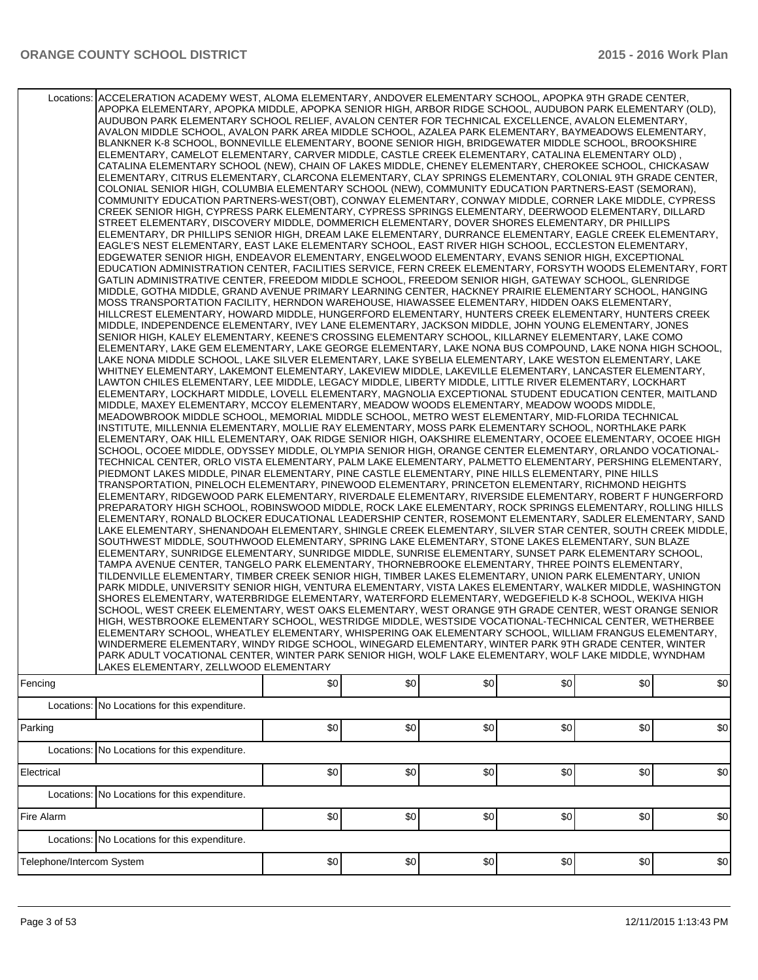|                           | Locations: ACCELERATION ACADEMY WEST, ALOMA ELEMENTARY, ANDOVER ELEMENTARY SCHOOL, APOPKA 9TH GRADE CENTER,<br>APOPKA ELEMENTARY, APOPKA MIDDLE, APOPKA SENIOR HIGH, ARBOR RIDGE SCHOOL, AUDUBON PARK ELEMENTARY (OLD),<br>AUDUBON PARK ELEMENTARY SCHOOL RELIEF. AVALON CENTER FOR TECHNICAL EXCELLENCE. AVALON ELEMENTARY.<br>AVALON MIDDLE SCHOOL. AVALON PARK AREA MIDDLE SCHOOL. AZALEA PARK ELEMENTARY. BAYMEADOWS ELEMENTARY.<br>BLANKNER K-8 SCHOOL, BONNEVILLE ELEMENTARY, BOONE SENIOR HIGH, BRIDGEWATER MIDDLE SCHOOL, BROOKSHIRE<br>, ELEMENTARY, CAMELOT ELEMENTARY, CARVER MIDDLE, CASTLE CREEK ELEMENTARY, CATALINA ELEMENTARY OLD)<br>CATALINA ELEMENTARY SCHOOL (NEW), CHAIN OF LAKES MIDDLE, CHENEY ELEMENTARY, CHEROKEE SCHOOL, CHICKASAW<br>ELEMENTARY, CITRUS ELEMENTARY, CLARCONA ELEMENTARY, CLAY SPRINGS ELEMENTARY, COLONIAL 9TH GRADE CENTER,<br>COLONIAL SENIOR HIGH, COLUMBIA ELEMENTARY SCHOOL (NEW), COMMUNITY EDUCATION PARTNERS-EAST (SEMORAN),<br>COMMUNITY EDUCATION PARTNERS-WEST(OBT), CONWAY ELEMENTARY, CONWAY MIDDLE, CORNER LAKE MIDDLE, CYPRESS<br>CREEK SENIOR HIGH, CYPRESS PARK ELEMENTARY, CYPRESS SPRINGS ELEMENTARY, DEERWOOD ELEMENTARY, DILLARD<br>STREET ELEMENTARY, DISCOVERY MIDDLE, DOMMERICH ELEMENTARY, DOVER SHORES ELEMENTARY, DR PHILLIPS<br>ELEMENTARY, DR PHILLIPS SENIOR HIGH, DREAM LAKE ELEMENTARY, DURRANCE ELEMENTARY, EAGLE CREEK ELEMENTARY,<br>EAGLE'S NEST ELEMENTARY, EAST LAKE ELEMENTARY SCHOOL, EAST RIVER HIGH SCHOOL, ECCLESTON ELEMENTARY,<br>EDGEWATER SENIOR HIGH, ENDEAVOR ELEMENTARY, ENGELWOOD ELEMENTARY, EVANS SENIOR HIGH, EXCEPTIONAL<br>EDUCATION ADMINISTRATION CENTER, FACILITIES SERVICE, FERN CREEK ELEMENTARY, FORSYTH WOODS ELEMENTARY, FORT<br>GATLIN ADMINISTRATIVE CENTER, FREEDOM MIDDLE SCHOOL, FREEDOM SENIOR HIGH, GATEWAY SCHOOL, GLENRIDGE<br>MIDDLE, GOTHA MIDDLE, GRAND AVENUE PRIMARY LEARNING CENTER, HACKNEY PRAIRIE ELEMENTARY SCHOOL, HANGING<br>MOSS TRANSPORTATION FACILITY, HERNDON WAREHOUSE, HIAWASSEE ELEMENTARY, HIDDEN OAKS ELEMENTARY,<br>HIILLCREST ELEMENTARY, HOWARD MIDDLE, HUNGERFORD ELEMENTARY, HUNTERS CREEK ELEMENTARY, HUNTERS CREEK<br>MIDDLE, INDEPENDENCE ELEMENTARY, IVEY LANE ELEMENTARY, JACKSON MIDDLE, JOHN YOUNG ELEMENTARY, JONES<br>SENIOR HIGH, KALEY ELEMENTARY, KEENE'S CROSSING ELEMENTARY SCHOOL, KILLARNEY ELEMENTARY, LAKE COMO<br>ELEMENTARY, LAKE GEM ELEMENTARY, LAKE GEORGE ELEMENTARY, LAKE NONA BUS COMPOUND, LAKE NONA HIGH SCHOOL,<br>LAKE NONA MIDDLE SCHOOL, LAKE SILVER ELEMENTARY, LAKE SYBELIA ELEMENTARY, LAKE WESTON ELEMENTARY, LAKE<br>WHITNEY ELEMENTARY, LAKEMONT ELEMENTARY, LAKEVIEW MIDDLE, LAKEVILLE ELEMENTARY, LANCASTER ELEMENTARY,<br>LAWTON CHILES ELEMENTARY, LEE MIDDLE, LEGACY MIDDLE, LIBERTY MIDDLE, LITTLE RIVER ELEMENTARY, LOCKHART <br>ELEMENTARY. LOCKHART MIDDLE. LOVELL ELEMENTARY. MAGNOLIA EXCEPTIONAL STUDENT EDUCATION CENTER. MAITLAND<br>MIDDLE, MAXEY ELEMENTARY, MCCOY ELEMENTARY, MEADOW WOODS ELEMENTARY, MEADOW WOODS MIDDLE,<br>MEADOWBROOK MIDDLE SCHOOL, MEMORIAL MIDDLE SCHOOL, METRO WEST ELEMENTARY, MID-FLORIDA TECHNICAL<br>INSTITUTE, MILLENNIA ELEMENTARY, MOLLIE RAY ELEMENTARY, MOSS PARK ELEMENTARY SCHOOL, NORTHLAKE PARK<br>IELEMENTARY, OAK HILL ELEMENTARY, OAK RIDGE SENIOR HIGH, OAKSHIRE ELEMENTARY, OCOEE ELEMENTARY, OCOEE HIGH<br>SCHOOL, OCOEE MIDDLE, ODYSSEY MIDDLE, OLYMPIA SENIOR HIGH, ORANGE CENTER ELEMENTARY, ORLANDO VOCATIONAL-<br>TECHNICAL CENTER, ORLO VISTA ELEMENTARY, PALM LAKE ELEMENTARY, PALMETTO ELEMENTARY, PERSHING ELEMENTARY,<br>PIEDMONT LAKES MIDDLE, PINAR ELEMENTARY, PINE CASTLE ELEMENTARY, PINE HILLS ELEMENTARY, PINE HILLS<br>TRANSPORTATION, PINELOCH ELEMENTARY, PINEWOOD ELEMENTARY, PRINCETON ELEMENTARY, RICHMOND HEIGHTS<br>ELEMENTARY, RIDGEWOOD PARK ELEMENTARY, RIVERDALE ELEMENTARY, RIVERSIDE ELEMENTARY, ROBERT F HUNGERFORD<br>PREPARATORY HIGH SCHOOL, ROBINSWOOD MIDDLE, ROCK LAKE ELEMENTARY, ROCK SPRINGS ELEMENTARY, ROLLING HILLS<br>ELEMENTARY, RONALD BLOCKER EDUCATIONAL LEADERSHIP CENTER, ROSEMONT ELEMENTARY, SADLER ELEMENTARY, SAND<br>LAKE ELEMENTARY, SHENANDOAH ELEMENTARY, SHINGLE CREEK ELEMENTARY, SILVER STAR CENTER, SOUTH CREEK MIDDLE,<br>SOUTHWEST MIDDLE, SOUTHWOOD ELEMENTARY, SPRING LAKE ELEMENTARY, STONE LAKES ELEMENTARY, SUN BLAZE<br>ELEMENTARY, SUNRIDGE ELEMENTARY, SUNRIDGE MIDDLE, SUNRISE ELEMENTARY, SUNSET PARK ELEMENTARY SCHOOL,<br>TAMPA AVENUE CENTER, TANGELO PARK ELEMENTARY, THORNEBROOKE ELEMENTARY, THREE POINTS ELEMENTARY,<br>TILDENVILLE ELEMENTARY, TIMBER CREEK SENIOR HIGH, TIMBER LAKES ELEMENTARY, UNION PARK ELEMENTARY, UNION<br>PARK MIDDLE, UNIVERSITY SENIOR HIGH, VENTURA ELEMENTARY, VISTA LAKES ELEMENTARY, WALKER MIDDLE, WASHINGTON<br>SHORES ELEMENTARY, WATERBRIDGE ELEMENTARY, WATERFORD ELEMENTARY, WEDGEFIELD K-8 SCHOOL, WEKIVA HIGH<br>SCHOOL, WEST CREEK ELEMENTARY, WEST OAKS ELEMENTARY, WEST ORANGE 9TH GRADE CENTER, WEST ORANGE SENIOR<br>HIGH, WESTBROOKE ELEMENTARY SCHOOL, WESTRIDGE MIDDLE, WESTSIDE VOCATIONAL-TECHNICAL CENTER, WETHERBEE<br>ELEMENTARY SCHOOL, WHEATLEY ELEMENTARY, WHISPERING OAK ELEMENTARY SCHOOL, WILLIAM FRANGUS ELEMENTARY,<br>WINDERMERE ELEMENTARY, WINDY RIDGE SCHOOL, WINEGARD ELEMENTARY, WINTER PARK 9TH GRADE CENTER, WINTER<br>PARK ADULT VOCATIONAL CENTER, WINTER PARK SENIOR HIGH, WOLF LAKE ELEMENTARY, WOLF LAKE MIDDLE, WYNDHAM<br>LAKES ELEMENTARY, ZELLWOOD ELEMENTARY |     |     |     |     |     |     |
|---------------------------|--------------------------------------------------------------------------------------------------------------------------------------------------------------------------------------------------------------------------------------------------------------------------------------------------------------------------------------------------------------------------------------------------------------------------------------------------------------------------------------------------------------------------------------------------------------------------------------------------------------------------------------------------------------------------------------------------------------------------------------------------------------------------------------------------------------------------------------------------------------------------------------------------------------------------------------------------------------------------------------------------------------------------------------------------------------------------------------------------------------------------------------------------------------------------------------------------------------------------------------------------------------------------------------------------------------------------------------------------------------------------------------------------------------------------------------------------------------------------------------------------------------------------------------------------------------------------------------------------------------------------------------------------------------------------------------------------------------------------------------------------------------------------------------------------------------------------------------------------------------------------------------------------------------------------------------------------------------------------------------------------------------------------------------------------------------------------------------------------------------------------------------------------------------------------------------------------------------------------------------------------------------------------------------------------------------------------------------------------------------------------------------------------------------------------------------------------------------------------------------------------------------------------------------------------------------------------------------------------------------------------------------------------------------------------------------------------------------------------------------------------------------------------------------------------------------------------------------------------------------------------------------------------------------------------------------------------------------------------------------------------------------------------------------------------------------------------------------------------------------------------------------------------------------------------------------------------------------------------------------------------------------------------------------------------------------------------------------------------------------------------------------------------------------------------------------------------------------------------------------------------------------------------------------------------------------------------------------------------------------------------------------------------------------------------------------------------------------------------------------------------------------------------------------------------------------------------------------------------------------------------------------------------------------------------------------------------------------------------------------------------------------------------------------------------------------------------------------------------------------------------------------------------------------------------------------------------------------------------------------------------------------------------------------------------------------------------------------------------------------------------------------------------------------------------------------------------------------------------------------------------------------------------------------------------------------------------------------------------------------------------------------------------------------------------------------------------------------------------------------------------------------------------------------------------------------------------------------------------------------------------------------------------------------------------------------------------------------------------------------------------------------------------------------------------------------------------------------------------------------------------------------------------------------------------------------------------------------------------------------------------------------------------------------------------------------------------------------------------------------------------------------------------------------------------------------------------------------------------------|-----|-----|-----|-----|-----|-----|
| Fencing                   |                                                                                                                                                                                                                                                                                                                                                                                                                                                                                                                                                                                                                                                                                                                                                                                                                                                                                                                                                                                                                                                                                                                                                                                                                                                                                                                                                                                                                                                                                                                                                                                                                                                                                                                                                                                                                                                                                                                                                                                                                                                                                                                                                                                                                                                                                                                                                                                                                                                                                                                                                                                                                                                                                                                                                                                                                                                                                                                                                                                                                                                                                                                                                                                                                                                                                                                                                                                                                                                                                                                                                                                                                                                                                                                                                                                                                                                                                                                                                                                                                                                                                                                                                                                                                                                                                                                                                                                                                                                                                                                                                                                                                                                                                                                                                                                                                                                                                                                                                                                                                                                                                                                                                                                                                                                                                                                                                                                                                                                                                | \$0 | \$0 | \$0 | \$0 | \$0 | \$0 |
|                           | Locations: No Locations for this expenditure.                                                                                                                                                                                                                                                                                                                                                                                                                                                                                                                                                                                                                                                                                                                                                                                                                                                                                                                                                                                                                                                                                                                                                                                                                                                                                                                                                                                                                                                                                                                                                                                                                                                                                                                                                                                                                                                                                                                                                                                                                                                                                                                                                                                                                                                                                                                                                                                                                                                                                                                                                                                                                                                                                                                                                                                                                                                                                                                                                                                                                                                                                                                                                                                                                                                                                                                                                                                                                                                                                                                                                                                                                                                                                                                                                                                                                                                                                                                                                                                                                                                                                                                                                                                                                                                                                                                                                                                                                                                                                                                                                                                                                                                                                                                                                                                                                                                                                                                                                                                                                                                                                                                                                                                                                                                                                                                                                                                                                                  |     |     |     |     |     |     |
| Parking                   |                                                                                                                                                                                                                                                                                                                                                                                                                                                                                                                                                                                                                                                                                                                                                                                                                                                                                                                                                                                                                                                                                                                                                                                                                                                                                                                                                                                                                                                                                                                                                                                                                                                                                                                                                                                                                                                                                                                                                                                                                                                                                                                                                                                                                                                                                                                                                                                                                                                                                                                                                                                                                                                                                                                                                                                                                                                                                                                                                                                                                                                                                                                                                                                                                                                                                                                                                                                                                                                                                                                                                                                                                                                                                                                                                                                                                                                                                                                                                                                                                                                                                                                                                                                                                                                                                                                                                                                                                                                                                                                                                                                                                                                                                                                                                                                                                                                                                                                                                                                                                                                                                                                                                                                                                                                                                                                                                                                                                                                                                | \$0 | \$0 | \$0 | \$0 | \$0 | \$0 |
|                           | Locations: No Locations for this expenditure.                                                                                                                                                                                                                                                                                                                                                                                                                                                                                                                                                                                                                                                                                                                                                                                                                                                                                                                                                                                                                                                                                                                                                                                                                                                                                                                                                                                                                                                                                                                                                                                                                                                                                                                                                                                                                                                                                                                                                                                                                                                                                                                                                                                                                                                                                                                                                                                                                                                                                                                                                                                                                                                                                                                                                                                                                                                                                                                                                                                                                                                                                                                                                                                                                                                                                                                                                                                                                                                                                                                                                                                                                                                                                                                                                                                                                                                                                                                                                                                                                                                                                                                                                                                                                                                                                                                                                                                                                                                                                                                                                                                                                                                                                                                                                                                                                                                                                                                                                                                                                                                                                                                                                                                                                                                                                                                                                                                                                                  |     |     |     |     |     |     |
| Electrical                |                                                                                                                                                                                                                                                                                                                                                                                                                                                                                                                                                                                                                                                                                                                                                                                                                                                                                                                                                                                                                                                                                                                                                                                                                                                                                                                                                                                                                                                                                                                                                                                                                                                                                                                                                                                                                                                                                                                                                                                                                                                                                                                                                                                                                                                                                                                                                                                                                                                                                                                                                                                                                                                                                                                                                                                                                                                                                                                                                                                                                                                                                                                                                                                                                                                                                                                                                                                                                                                                                                                                                                                                                                                                                                                                                                                                                                                                                                                                                                                                                                                                                                                                                                                                                                                                                                                                                                                                                                                                                                                                                                                                                                                                                                                                                                                                                                                                                                                                                                                                                                                                                                                                                                                                                                                                                                                                                                                                                                                                                | \$0 | \$0 | \$0 | \$0 | \$0 | \$0 |
|                           | Locations: No Locations for this expenditure.                                                                                                                                                                                                                                                                                                                                                                                                                                                                                                                                                                                                                                                                                                                                                                                                                                                                                                                                                                                                                                                                                                                                                                                                                                                                                                                                                                                                                                                                                                                                                                                                                                                                                                                                                                                                                                                                                                                                                                                                                                                                                                                                                                                                                                                                                                                                                                                                                                                                                                                                                                                                                                                                                                                                                                                                                                                                                                                                                                                                                                                                                                                                                                                                                                                                                                                                                                                                                                                                                                                                                                                                                                                                                                                                                                                                                                                                                                                                                                                                                                                                                                                                                                                                                                                                                                                                                                                                                                                                                                                                                                                                                                                                                                                                                                                                                                                                                                                                                                                                                                                                                                                                                                                                                                                                                                                                                                                                                                  |     |     |     |     |     |     |
| Fire Alarm                |                                                                                                                                                                                                                                                                                                                                                                                                                                                                                                                                                                                                                                                                                                                                                                                                                                                                                                                                                                                                                                                                                                                                                                                                                                                                                                                                                                                                                                                                                                                                                                                                                                                                                                                                                                                                                                                                                                                                                                                                                                                                                                                                                                                                                                                                                                                                                                                                                                                                                                                                                                                                                                                                                                                                                                                                                                                                                                                                                                                                                                                                                                                                                                                                                                                                                                                                                                                                                                                                                                                                                                                                                                                                                                                                                                                                                                                                                                                                                                                                                                                                                                                                                                                                                                                                                                                                                                                                                                                                                                                                                                                                                                                                                                                                                                                                                                                                                                                                                                                                                                                                                                                                                                                                                                                                                                                                                                                                                                                                                | \$0 | \$0 | \$0 | \$0 | \$0 | \$0 |
|                           | Locations: No Locations for this expenditure.                                                                                                                                                                                                                                                                                                                                                                                                                                                                                                                                                                                                                                                                                                                                                                                                                                                                                                                                                                                                                                                                                                                                                                                                                                                                                                                                                                                                                                                                                                                                                                                                                                                                                                                                                                                                                                                                                                                                                                                                                                                                                                                                                                                                                                                                                                                                                                                                                                                                                                                                                                                                                                                                                                                                                                                                                                                                                                                                                                                                                                                                                                                                                                                                                                                                                                                                                                                                                                                                                                                                                                                                                                                                                                                                                                                                                                                                                                                                                                                                                                                                                                                                                                                                                                                                                                                                                                                                                                                                                                                                                                                                                                                                                                                                                                                                                                                                                                                                                                                                                                                                                                                                                                                                                                                                                                                                                                                                                                  |     |     |     |     |     |     |
| Telephone/Intercom System |                                                                                                                                                                                                                                                                                                                                                                                                                                                                                                                                                                                                                                                                                                                                                                                                                                                                                                                                                                                                                                                                                                                                                                                                                                                                                                                                                                                                                                                                                                                                                                                                                                                                                                                                                                                                                                                                                                                                                                                                                                                                                                                                                                                                                                                                                                                                                                                                                                                                                                                                                                                                                                                                                                                                                                                                                                                                                                                                                                                                                                                                                                                                                                                                                                                                                                                                                                                                                                                                                                                                                                                                                                                                                                                                                                                                                                                                                                                                                                                                                                                                                                                                                                                                                                                                                                                                                                                                                                                                                                                                                                                                                                                                                                                                                                                                                                                                                                                                                                                                                                                                                                                                                                                                                                                                                                                                                                                                                                                                                | \$0 | \$0 | \$0 | \$0 | \$0 | \$0 |
|                           |                                                                                                                                                                                                                                                                                                                                                                                                                                                                                                                                                                                                                                                                                                                                                                                                                                                                                                                                                                                                                                                                                                                                                                                                                                                                                                                                                                                                                                                                                                                                                                                                                                                                                                                                                                                                                                                                                                                                                                                                                                                                                                                                                                                                                                                                                                                                                                                                                                                                                                                                                                                                                                                                                                                                                                                                                                                                                                                                                                                                                                                                                                                                                                                                                                                                                                                                                                                                                                                                                                                                                                                                                                                                                                                                                                                                                                                                                                                                                                                                                                                                                                                                                                                                                                                                                                                                                                                                                                                                                                                                                                                                                                                                                                                                                                                                                                                                                                                                                                                                                                                                                                                                                                                                                                                                                                                                                                                                                                                                                |     |     |     |     |     |     |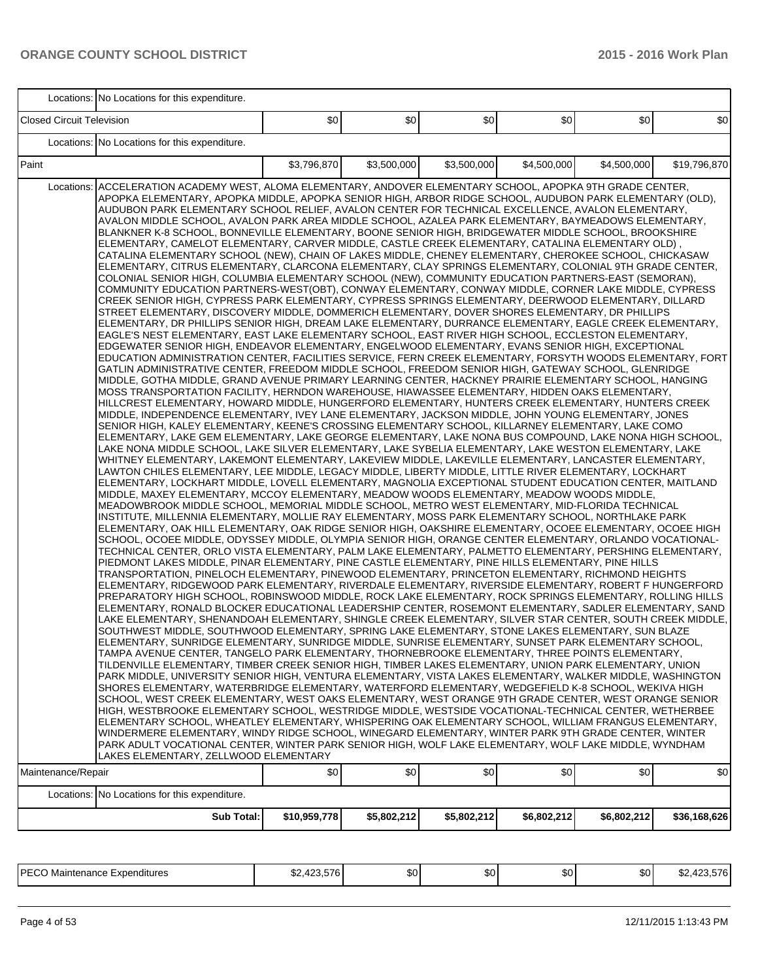|                                  | Locations: No Locations for this expenditure.                                                                                                                                                                                                                                                                                                                                                                                                                                                                                                                                                                                                                                                                                                                                                                                                                                                                                                                                                                                                                                                                                                                                                                                                                                                                                                                                                                                                                                                                                                                                                                                                                                                                                                                                                                                                                                                                                                                                                                                                                                                                                                                                                                                                                                                                                                                                                                                                                                                                                                                                                                                                                                                                                                                                                                                                                                                                                                                                                                                                                                                                                                                                                                                                                                                                                                                                                                                                                                                                                                                                                                                                                                                                                                                                                                                                                                                                                                                                                                                                                                                                                                                                                                                                                                                                                                                                                                                                                                                                                                                                                                                                                                                                                                                                                                                                                                                                                                                                                                                                                                                                                                                                                                                                                                                                                                                                                                                                                   |              |             |             |             |             |              |
|----------------------------------|-----------------------------------------------------------------------------------------------------------------------------------------------------------------------------------------------------------------------------------------------------------------------------------------------------------------------------------------------------------------------------------------------------------------------------------------------------------------------------------------------------------------------------------------------------------------------------------------------------------------------------------------------------------------------------------------------------------------------------------------------------------------------------------------------------------------------------------------------------------------------------------------------------------------------------------------------------------------------------------------------------------------------------------------------------------------------------------------------------------------------------------------------------------------------------------------------------------------------------------------------------------------------------------------------------------------------------------------------------------------------------------------------------------------------------------------------------------------------------------------------------------------------------------------------------------------------------------------------------------------------------------------------------------------------------------------------------------------------------------------------------------------------------------------------------------------------------------------------------------------------------------------------------------------------------------------------------------------------------------------------------------------------------------------------------------------------------------------------------------------------------------------------------------------------------------------------------------------------------------------------------------------------------------------------------------------------------------------------------------------------------------------------------------------------------------------------------------------------------------------------------------------------------------------------------------------------------------------------------------------------------------------------------------------------------------------------------------------------------------------------------------------------------------------------------------------------------------------------------------------------------------------------------------------------------------------------------------------------------------------------------------------------------------------------------------------------------------------------------------------------------------------------------------------------------------------------------------------------------------------------------------------------------------------------------------------------------------------------------------------------------------------------------------------------------------------------------------------------------------------------------------------------------------------------------------------------------------------------------------------------------------------------------------------------------------------------------------------------------------------------------------------------------------------------------------------------------------------------------------------------------------------------------------------------------------------------------------------------------------------------------------------------------------------------------------------------------------------------------------------------------------------------------------------------------------------------------------------------------------------------------------------------------------------------------------------------------------------------------------------------------------------------------------------------------------------------------------------------------------------------------------------------------------------------------------------------------------------------------------------------------------------------------------------------------------------------------------------------------------------------------------------------------------------------------------------------------------------------------------------------------------------------------------------------------------------------------------------------------------------------------------------------------------------------------------------------------------------------------------------------------------------------------------------------------------------------------------------------------------------------------------------------------------------------------------------------------------------------------------------------------------------------------------------------------------------------------------------|--------------|-------------|-------------|-------------|-------------|--------------|
| <b>Closed Circuit Television</b> |                                                                                                                                                                                                                                                                                                                                                                                                                                                                                                                                                                                                                                                                                                                                                                                                                                                                                                                                                                                                                                                                                                                                                                                                                                                                                                                                                                                                                                                                                                                                                                                                                                                                                                                                                                                                                                                                                                                                                                                                                                                                                                                                                                                                                                                                                                                                                                                                                                                                                                                                                                                                                                                                                                                                                                                                                                                                                                                                                                                                                                                                                                                                                                                                                                                                                                                                                                                                                                                                                                                                                                                                                                                                                                                                                                                                                                                                                                                                                                                                                                                                                                                                                                                                                                                                                                                                                                                                                                                                                                                                                                                                                                                                                                                                                                                                                                                                                                                                                                                                                                                                                                                                                                                                                                                                                                                                                                                                                                                                 | \$0          | \$0         | \$0         | \$0         | \$0         | \$0          |
|                                  | Locations: No Locations for this expenditure.                                                                                                                                                                                                                                                                                                                                                                                                                                                                                                                                                                                                                                                                                                                                                                                                                                                                                                                                                                                                                                                                                                                                                                                                                                                                                                                                                                                                                                                                                                                                                                                                                                                                                                                                                                                                                                                                                                                                                                                                                                                                                                                                                                                                                                                                                                                                                                                                                                                                                                                                                                                                                                                                                                                                                                                                                                                                                                                                                                                                                                                                                                                                                                                                                                                                                                                                                                                                                                                                                                                                                                                                                                                                                                                                                                                                                                                                                                                                                                                                                                                                                                                                                                                                                                                                                                                                                                                                                                                                                                                                                                                                                                                                                                                                                                                                                                                                                                                                                                                                                                                                                                                                                                                                                                                                                                                                                                                                                   |              |             |             |             |             |              |
| Paint                            |                                                                                                                                                                                                                                                                                                                                                                                                                                                                                                                                                                                                                                                                                                                                                                                                                                                                                                                                                                                                                                                                                                                                                                                                                                                                                                                                                                                                                                                                                                                                                                                                                                                                                                                                                                                                                                                                                                                                                                                                                                                                                                                                                                                                                                                                                                                                                                                                                                                                                                                                                                                                                                                                                                                                                                                                                                                                                                                                                                                                                                                                                                                                                                                                                                                                                                                                                                                                                                                                                                                                                                                                                                                                                                                                                                                                                                                                                                                                                                                                                                                                                                                                                                                                                                                                                                                                                                                                                                                                                                                                                                                                                                                                                                                                                                                                                                                                                                                                                                                                                                                                                                                                                                                                                                                                                                                                                                                                                                                                 | \$3.796.870  | \$3,500,000 | \$3,500,000 | \$4,500,000 | \$4,500,000 | \$19,796,870 |
| Locations:<br>Maintenance/Repair | ACCELERATION ACADEMY WEST, ALOMA ELEMENTARY, ANDOVER ELEMENTARY SCHOOL, APOPKA 9TH GRADE CENTER,<br>APOPKA ELEMENTARY, APOPKA MIDDLE, APOPKA SENIOR HIGH, ARBOR RIDGE SCHOOL, AUDUBON PARK ELEMENTARY (OLD),<br>AUDUBON PARK ELEMENTARY SCHOOL RELIEF, AVALON CENTER FOR TECHNICAL EXCELLENCE, AVALON ELEMENTARY,<br>AVALON MIDDLE SCHOOL, AVALON PARK AREA MIDDLE SCHOOL, AZALEA PARK ELEMENTARY, BAYMEADOWS ELEMENTARY,<br>BLANKNER K-8 SCHOOL, BONNEVILLE ELEMENTARY, BOONE SENIOR HIGH, BRIDGEWATER MIDDLE SCHOOL, BROOKSHIRE<br>, ELEMENTARY, CAMELOT ELEMENTARY, CARVER MIDDLE, CASTLE CREEK ELEMENTARY, CATALINA ELEMENTARY OLD)<br>CATALINA ELEMENTARY SCHOOL (NEW), CHAIN OF LAKES MIDDLE, CHENEY ELEMENTARY, CHEROKEE SCHOOL, CHICKASAW<br>ELEMENTARY, CITRUS ELEMENTARY, CLARCONA ELEMENTARY, CLAY SPRINGS ELEMENTARY, COLONIAL 9TH GRADE CENTER,<br>COLONIAL SENIOR HIGH, COLUMBIA ELEMENTARY SCHOOL (NEW), COMMUNITY EDUCATION PARTNERS-EAST (SEMORAN),<br>COMMUNITY EDUCATION PARTNERS-WEST(OBT), CONWAY ELEMENTARY, CONWAY MIDDLE, CORNER LAKE MIDDLE, CYPRESS<br>CREEK SENIOR HIGH, CYPRESS PARK ELEMENTARY, CYPRESS SPRINGS ELEMENTARY, DEERWOOD ELEMENTARY, DILLARD<br>STREET ELEMENTARY, DISCOVERY MIDDLE, DOMMERICH ELEMENTARY, DOVER SHORES ELEMENTARY, DR PHILLIPS<br>ELEMENTARY, DR PHILLIPS SENIOR HIGH, DREAM LAKE ELEMENTARY, DURRANCE ELEMENTARY, EAGLE CREEK ELEMENTARY,<br>EAGLE'S NEST ELEMENTARY, EAST LAKE ELEMENTARY SCHOOL, EAST RIVER HIGH SCHOOL, ECCLESTON ELEMENTARY,<br>EDGEWATER SENIOR HIGH, ENDEAVOR ELEMENTARY, ENGELWOOD ELEMENTARY, EVANS SENIOR HIGH, EXCEPTIONAL<br>EDUCATION ADMINISTRATION CENTER, FACILITIES SERVICE, FERN CREEK ELEMENTARY, FORSYTH WOODS ELEMENTARY, FORT<br>GATLIN ADMINISTRATIVE CENTER, FREEDOM MIDDLE SCHOOL, FREEDOM SENIOR HIGH, GATEWAY SCHOOL, GLENRIDGE<br>MIDDLE, GOTHA MIDDLE, GRAND AVENUE PRIMARY LEARNING CENTER, HACKNEY PRAIRIE ELEMENTARY SCHOOL, HANGING<br>MOSS TRANSPORTATION FACILITY, HERNDON WAREHOUSE, HIAWASSEE ELEMENTARY, HIDDEN OAKS ELEMENTARY,<br>HILLCREST ELEMENTARY, HOWARD MIDDLE, HUNGERFORD ELEMENTARY, HUNTERS CREEK ELEMENTARY, HUNTERS CREEK<br>MIDDLE, INDEPENDENCE ELEMENTARY, IVEY LANE ELEMENTARY, JACKSON MIDDLE, JOHN YOUNG ELEMENTARY, JONES<br>SENIOR HIGH, KALEY ELEMENTARY, KEENE'S CROSSING ELEMENTARY SCHOOL, KILLARNEY ELEMENTARY, LAKE COMO<br>ELEMENTARY, LAKE GEM ELEMENTARY, LAKE GEORGE ELEMENTARY, LAKE NONA BUS COMPOUND, LAKE NONA HIGH SCHOOL,<br>LAKE NONA MIDDLE SCHOOL, LAKE SILVER ELEMENTARY, LAKE SYBELIA ELEMENTARY, LAKE WESTON ELEMENTARY, LAKE<br>WHITNEY ELEMENTARY, LAKEMONT ELEMENTARY, LAKEVIEW MIDDLE, LAKEVILLE ELEMENTARY, LANCASTER ELEMENTARY,<br>LAWTON CHILES ELEMENTARY, LEE MIDDLE, LEGACY MIDDLE, LIBERTY MIDDLE, LITTLE RIVER ELEMENTARY, LOCKHART<br>ELEMENTARY, LOCKHART MIDDLE, LOVELL ELEMENTARY, MAGNOLIA EXCEPTIONAL STUDENT EDUCATION CENTER, MAITLAND<br>MIDDLE, MAXEY ELEMENTARY, MCCOY ELEMENTARY, MEADOW WOODS ELEMENTARY, MEADOW WOODS MIDDLE,<br>MEADOWBROOK MIDDLE SCHOOL, MEMORIAL MIDDLE SCHOOL, METRO WEST ELEMENTARY, MID-FLORIDA TECHNICAL<br>INSTITUTE, MILLENNIA ELEMENTARY, MOLLIE RAY ELEMENTARY, MOSS PARK ELEMENTARY SCHOOL, NORTHLAKE PARK<br>ELEMENTARY, OAK HILL ELEMENTARY, OAK RIDGE SENIOR HIGH, OAKSHIRE ELEMENTARY, OCOEE ELEMENTARY, OCOEE HIGH<br>SCHOOL, OCOEE MIDDLE, ODYSSEY MIDDLE, OLYMPIA SENIOR HIGH, ORANGE CENTER ELEMENTARY, ORLANDO VOCATIONAL-<br>TECHNICAL CENTER, ORLO VISTA ELEMENTARY, PALM LAKE ELEMENTARY, PALMETTO ELEMENTARY, PERSHING ELEMENTARY,<br>PIEDMONT LAKES MIDDLE, PINAR ELEMENTARY, PINE CASTLE ELEMENTARY, PINE HILLS ELEMENTARY, PINE HILLS<br>TRANSPORTATION, PINELOCH ELEMENTARY, PINEWOOD ELEMENTARY, PRINCETON ELEMENTARY, RICHMOND HEIGHTS<br>ELEMENTARY, RIDGEWOOD PARK ELEMENTARY, RIVERDALE ELEMENTARY, RIVERSIDE ELEMENTARY, ROBERT F HUNGERFORD<br>PREPARATORY HIGH SCHOOL, ROBINSWOOD MIDDLE, ROCK LAKE ELEMENTARY, ROCK SPRINGS ELEMENTARY, ROLLING HILLS<br>ELEMENTARY, RONALD BLOCKER EDUCATIONAL LEADERSHIP CENTER, ROSEMONT ELEMENTARY, SADLER ELEMENTARY, SAND<br>LAKE ELEMENTARY, SHENANDOAH ELEMENTARY, SHINGLE CREEK ELEMENTARY, SILVER STAR CENTER, SOUTH CREEK MIDDLE,<br>SOUTHWEST MIDDLE, SOUTHWOOD ELEMENTARY, SPRING LAKE ELEMENTARY, STONE LAKES ELEMENTARY, SUN BLAZE<br>ELEMENTARY, SUNRIDGE ELEMENTARY, SUNRIDGE MIDDLE, SUNRISE ELEMENTARY, SUNSET PARK ELEMENTARY SCHOOL<br>TAMPA AVENUE CENTER, TANGELO PARK ELEMENTARY, THORNEBROOKE ELEMENTARY, THREE POINTS ELEMENTARY,<br>TILDENVILLE ELEMENTARY, TIMBER CREEK SENIOR HIGH, TIMBER LAKES ELEMENTARY, UNION PARK ELEMENTARY, UNION<br>PARK MIDDLE, UNIVERSITY SENIOR HIGH, VENTURA ELEMENTARY, VISTA LAKES ELEMENTARY, WALKER MIDDLE, WASHINGTON<br>SHORES ELEMENTARY, WATERBRIDGE ELEMENTARY, WATERFORD ELEMENTARY, WEDGEFIELD K-8 SCHOOL, WEKIVA HIGH<br>SCHOOL, WEST CREEK ELEMENTARY, WEST OAKS ELEMENTARY, WEST ORANGE 9TH GRADE CENTER, WEST ORANGE SENIOR<br>HIGH, WESTBROOKE ELEMENTARY SCHOOL, WESTRIDGE MIDDLE, WESTSIDE VOCATIONAL-TECHNICAL CENTER, WETHERBEE<br>ELEMENTARY SCHOOL, WHEATLEY ELEMENTARY, WHISPERING OAK ELEMENTARY SCHOOL, WILLIAM FRANGUS ELEMENTARY,<br>WINDERMERE ELEMENTARY, WINDY RIDGE SCHOOL, WINEGARD ELEMENTARY, WINTER PARK 9TH GRADE CENTER, WINTER<br>PARK ADULT VOCATIONAL CENTER, WINTER PARK SENIOR HIGH, WOLF LAKE ELEMENTARY, WOLF LAKE MIDDLE, WYNDHAM<br>LAKES ELEMENTARY, ZELLWOOD ELEMENTARY | \$0          | \$0         | \$0         | \$0         | \$0         | \$0          |
|                                  | Locations: No Locations for this expenditure.                                                                                                                                                                                                                                                                                                                                                                                                                                                                                                                                                                                                                                                                                                                                                                                                                                                                                                                                                                                                                                                                                                                                                                                                                                                                                                                                                                                                                                                                                                                                                                                                                                                                                                                                                                                                                                                                                                                                                                                                                                                                                                                                                                                                                                                                                                                                                                                                                                                                                                                                                                                                                                                                                                                                                                                                                                                                                                                                                                                                                                                                                                                                                                                                                                                                                                                                                                                                                                                                                                                                                                                                                                                                                                                                                                                                                                                                                                                                                                                                                                                                                                                                                                                                                                                                                                                                                                                                                                                                                                                                                                                                                                                                                                                                                                                                                                                                                                                                                                                                                                                                                                                                                                                                                                                                                                                                                                                                                   |              |             |             |             |             |              |
|                                  | Sub Total:                                                                                                                                                                                                                                                                                                                                                                                                                                                                                                                                                                                                                                                                                                                                                                                                                                                                                                                                                                                                                                                                                                                                                                                                                                                                                                                                                                                                                                                                                                                                                                                                                                                                                                                                                                                                                                                                                                                                                                                                                                                                                                                                                                                                                                                                                                                                                                                                                                                                                                                                                                                                                                                                                                                                                                                                                                                                                                                                                                                                                                                                                                                                                                                                                                                                                                                                                                                                                                                                                                                                                                                                                                                                                                                                                                                                                                                                                                                                                                                                                                                                                                                                                                                                                                                                                                                                                                                                                                                                                                                                                                                                                                                                                                                                                                                                                                                                                                                                                                                                                                                                                                                                                                                                                                                                                                                                                                                                                                                      | \$10,959,778 | \$5,802,212 | \$5,802,212 | \$6,802,212 | \$6,802,212 | \$36,168,626 |
|                                  |                                                                                                                                                                                                                                                                                                                                                                                                                                                                                                                                                                                                                                                                                                                                                                                                                                                                                                                                                                                                                                                                                                                                                                                                                                                                                                                                                                                                                                                                                                                                                                                                                                                                                                                                                                                                                                                                                                                                                                                                                                                                                                                                                                                                                                                                                                                                                                                                                                                                                                                                                                                                                                                                                                                                                                                                                                                                                                                                                                                                                                                                                                                                                                                                                                                                                                                                                                                                                                                                                                                                                                                                                                                                                                                                                                                                                                                                                                                                                                                                                                                                                                                                                                                                                                                                                                                                                                                                                                                                                                                                                                                                                                                                                                                                                                                                                                                                                                                                                                                                                                                                                                                                                                                                                                                                                                                                                                                                                                                                 |              |             |             |             |             |              |

| IPECO<br>Expenditures<br>Maintenance | .423.576<br>ጡ<br>$\sim$ | <b>SO</b> | ጦ<br>ЭU. | ጦፖ<br>35O I | \$0 | $-70$<br>100<br>$\sim$<br>.n<br>- |
|--------------------------------------|-------------------------|-----------|----------|-------------|-----|-----------------------------------|
|--------------------------------------|-------------------------|-----------|----------|-------------|-----|-----------------------------------|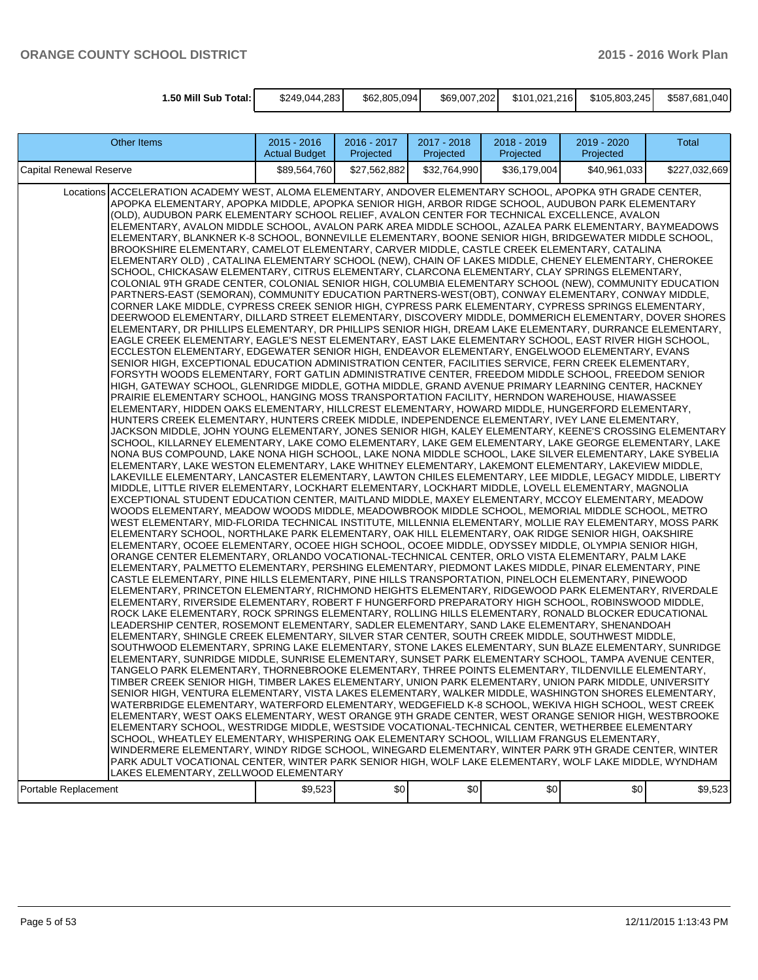| 1.50 Mill Sub Total: I | \$249.044.283 | \$62,805,094 | \$69,007,202 | \$101.021.216 | \$105,803,245 | \$587.681.040 |
|------------------------|---------------|--------------|--------------|---------------|---------------|---------------|

| <b>Other Items</b>                                                                                                                                                                                                                                                                                                                                                                                                                                                                                                                                                                                                                                                                                                                                                                                                                                                                                                                                                                                                                                                                                                                                                                                                                                                                                                                                                                                                                                                                                                                                                                                                                                                                                                                                                                                                                                                                                                                                                                                                                                                                                                                                                                                                                                                                                                                                                                                                                                                                                                                                                                                                                                                                                                                                                                                                                                                                                                                                                                                                                                                                                                                                                                                                                                                                                                                                                                                                                                                                                                                                                                                                                                                                                                                                                                                                                                                                                                                                                                                                                                                                                                                                                                                                                                                                                                                                                                                                                                                                                                                                                                                                                                                                                                                                                                                                                                                                                                                                                                                                                                                                                                                                                                                                                                                                                                                                                                                                                                                             | $2015 - 2016$<br><b>Actual Budget</b> | 2016 - 2017<br>Projected | 2017 - 2018<br>Projected | 2018 - 2019<br>Projected | 2019 - 2020<br>Projected | Total         |
|--------------------------------------------------------------------------------------------------------------------------------------------------------------------------------------------------------------------------------------------------------------------------------------------------------------------------------------------------------------------------------------------------------------------------------------------------------------------------------------------------------------------------------------------------------------------------------------------------------------------------------------------------------------------------------------------------------------------------------------------------------------------------------------------------------------------------------------------------------------------------------------------------------------------------------------------------------------------------------------------------------------------------------------------------------------------------------------------------------------------------------------------------------------------------------------------------------------------------------------------------------------------------------------------------------------------------------------------------------------------------------------------------------------------------------------------------------------------------------------------------------------------------------------------------------------------------------------------------------------------------------------------------------------------------------------------------------------------------------------------------------------------------------------------------------------------------------------------------------------------------------------------------------------------------------------------------------------------------------------------------------------------------------------------------------------------------------------------------------------------------------------------------------------------------------------------------------------------------------------------------------------------------------------------------------------------------------------------------------------------------------------------------------------------------------------------------------------------------------------------------------------------------------------------------------------------------------------------------------------------------------------------------------------------------------------------------------------------------------------------------------------------------------------------------------------------------------------------------------------------------------------------------------------------------------------------------------------------------------------------------------------------------------------------------------------------------------------------------------------------------------------------------------------------------------------------------------------------------------------------------------------------------------------------------------------------------------------------------------------------------------------------------------------------------------------------------------------------------------------------------------------------------------------------------------------------------------------------------------------------------------------------------------------------------------------------------------------------------------------------------------------------------------------------------------------------------------------------------------------------------------------------------------------------------------------------------------------------------------------------------------------------------------------------------------------------------------------------------------------------------------------------------------------------------------------------------------------------------------------------------------------------------------------------------------------------------------------------------------------------------------------------------------------------------------------------------------------------------------------------------------------------------------------------------------------------------------------------------------------------------------------------------------------------------------------------------------------------------------------------------------------------------------------------------------------------------------------------------------------------------------------------------------------------------------------------------------------------------------------------------------------------------------------------------------------------------------------------------------------------------------------------------------------------------------------------------------------------------------------------------------------------------------------------------------------------------------------------------------------------------------------------------------------------------------------------------------------------------------|---------------------------------------|--------------------------|--------------------------|--------------------------|--------------------------|---------------|
| Capital Renewal Reserve                                                                                                                                                                                                                                                                                                                                                                                                                                                                                                                                                                                                                                                                                                                                                                                                                                                                                                                                                                                                                                                                                                                                                                                                                                                                                                                                                                                                                                                                                                                                                                                                                                                                                                                                                                                                                                                                                                                                                                                                                                                                                                                                                                                                                                                                                                                                                                                                                                                                                                                                                                                                                                                                                                                                                                                                                                                                                                                                                                                                                                                                                                                                                                                                                                                                                                                                                                                                                                                                                                                                                                                                                                                                                                                                                                                                                                                                                                                                                                                                                                                                                                                                                                                                                                                                                                                                                                                                                                                                                                                                                                                                                                                                                                                                                                                                                                                                                                                                                                                                                                                                                                                                                                                                                                                                                                                                                                                                                                                        | \$89,564,760                          | \$27,562,882             | \$32,764,990             | \$36,179,004             | \$40,961,033             | \$227,032,669 |
| ACCELERATION ACADEMY WEST, ALOMA ELEMENTARY, ANDOVER ELEMENTARY SCHOOL, APOPKA 9TH GRADE CENTER,<br>Locations<br>APOPKA ELEMENTARY, APOPKA MIDDLE, APOPKA SENIOR HIGH, ARBOR RIDGE SCHOOL, AUDUBON PARK ELEMENTARY<br>(OLD), AUDUBON PARK ELEMENTARY SCHOOL RELIEF, AVALON CENTER FOR TECHNICAL EXCELLENCE, AVALON<br>ELEMENTARY, AVALON MIDDLE SCHOOL, AVALON PARK AREA MIDDLE SCHOOL, AZALEA PARK ELEMENTARY, BAYMEADOWS<br>ELEMENTARY, BLANKNER K-8 SCHOOL, BONNEVILLE ELEMENTARY, BOONE SENIOR HIGH, BRIDGEWATER MIDDLE SCHOOL,<br>BROOKSHIRE ELEMENTARY, CAMELOT ELEMENTARY, CARVER MIDDLE, CASTLE CREEK ELEMENTARY, CATALINA<br>ELEMENTARY OLD), CATALINA ELEMENTARY SCHOOL (NEW), CHAIN OF LAKES MIDDLE, CHENEY ELEMENTARY, CHEROKEE<br>SCHOOL, CHICKASAW ELEMENTARY, CITRUS ELEMENTARY, CLARCONA ELEMENTARY, CLAY SPRINGS ELEMENTARY,<br>COLONIAL 9TH GRADE CENTER, COLONIAL SENIOR HIGH, COLUMBIA ELEMENTARY SCHOOL (NEW), COMMUNITY EDUCATION<br>PARTNERS-EAST (SEMORAN), COMMUNITY EDUCATION PARTNERS-WEST(OBT), CONWAY ELEMENTARY, CONWAY MIDDLE,<br>CORNER LAKE MIDDLE, CYPRESS CREEK SENIOR HIGH, CYPRESS PARK ELEMENTARY, CYPRESS SPRINGS ELEMENTARY,<br>DEERWOOD ELEMENTARY, DILLARD STREET ELEMENTARY, DISCOVERY MIDDLE, DOMMERICH ELEMENTARY, DOVER SHORES<br>ELEMENTARY, DR PHILLIPS ELEMENTARY, DR PHILLIPS SENIOR HIGH, DREAM LAKE ELEMENTARY, DURRANCE ELEMENTARY,<br>EAGLE CREEK ELEMENTARY, EAGLE'S NEST ELEMENTARY, EAST LAKE ELEMENTARY SCHOOL, EAST RIVER HIGH SCHOOL,<br>ECCLESTON ELEMENTARY, EDGEWATER SENIOR HIGH, ENDEAVOR ELEMENTARY, ENGELWOOD ELEMENTARY, EVANS<br>SENIOR HIGH, EXCEPTIONAL EDUCATION ADMINISTRATION CENTER, FACILITIES SERVICE, FERN CREEK ELEMENTARY,<br>FORSYTH WOODS ELEMENTARY, FORT GATLIN ADMINISTRATIVE CENTER, FREEDOM MIDDLE SCHOOL, FREEDOM SENIOR<br>HIGH, GATEWAY SCHOOL, GLENRIDGE MIDDLE, GOTHA MIDDLE, GRAND AVENUE PRIMARY LEARNING CENTER, HACKNEY<br>PRAIRIE ELEMENTARY SCHOOL, HANGING MOSS TRANSPORTATION FACILITY, HERNDON WAREHOUSE, HIAWASSEE<br>ELEMENTARY, HIDDEN OAKS ELEMENTARY, HILLCREST ELEMENTARY, HOWARD MIDDLE, HUNGERFORD ELEMENTARY,<br>HUNTERS CREEK ELEMENTARY, HUNTERS CREEK MIDDLE, INDEPENDENCE ELEMENTARY, IVEY LANE ELEMENTARY,<br>JACKSON MIDDLE, JOHN YOUNG ELEMENTARY, JONES SENIOR HIGH, KALEY ELEMENTARY, KEENE'S CROSSING ELEMENTARY<br>SCHOOL, KILLARNEY ELEMENTARY, LAKE COMO ELEMENTARY, LAKE GEM ELEMENTARY, LAKE GEORGE ELEMENTARY, LAKE<br>NONA BUS COMPOUND, LAKE NONA HIGH SCHOOL, LAKE NONA MIDDLE SCHOOL, LAKE SILVER ELEMENTARY, LAKE SYBELIA<br>ELEMENTARY, LAKE WESTON ELEMENTARY, LAKE WHITNEY ELEMENTARY, LAKEMONT ELEMENTARY, LAKEVIEW MIDDLE,<br>LAKEVILLE ELEMENTARY, LANCASTER ELEMENTARY, LAWTON CHILES ELEMENTARY, LEE MIDDLE, LEGACY MIDDLE, LIBERTY<br>MIDDLE, LITTLE RIVER ELEMENTARY, LOCKHART ELEMENTARY, LOCKHART MIDDLE, LOVELL ELEMENTARY, MAGNOLIA<br>EXCEPTIONAL STUDENT EDUCATION CENTER, MAITLAND MIDDLE, MAXEY ELEMENTARY, MCCOY ELEMENTARY, MEADOW<br>WOODS ELEMENTARY, MEADOW WOODS MIDDLE, MEADOWBROOK MIDDLE SCHOOL, MEMORIAL MIDDLE SCHOOL, METRO<br>WEST ELEMENTARY, MID-FLORIDA TECHNICAL INSTITUTE, MILLENNIA ELEMENTARY, MOLLIE RAY ELEMENTARY, MOSS PARK<br>ELEMENTARY SCHOOL, NORTHLAKE PARK ELEMENTARY, OAK HILL ELEMENTARY, OAK RIDGE SENIOR HIGH, OAKSHIRE<br>ELEMENTARY, OCOEE ELEMENTARY, OCOEE HIGH SCHOOL, OCOEE MIDDLE, ODYSSEY MIDDLE, OLYMPIA SENIOR HIGH,<br>ORANGE CENTER ELEMENTARY, ORLANDO VOCATIONAL-TECHNICAL CENTER, ORLO VISTA ELEMENTARY, PALM LAKE<br>ELEMENTARY, PALMETTO ELEMENTARY, PERSHING ELEMENTARY, PIEDMONT LAKES MIDDLE, PINAR ELEMENTARY, PINE<br>CASTLE ELEMENTARY, PINE HILLS ELEMENTARY, PINE HILLS TRANSPORTATION, PINELOCH ELEMENTARY, PINEWOOD<br>ELEMENTARY, PRINCETON ELEMENTARY, RICHMOND HEIGHTS ELEMENTARY, RIDGEWOOD PARK ELEMENTARY, RIVERDALE<br>ELEMENTARY, RIVERSIDE ELEMENTARY, ROBERT F HUNGERFORD PREPARATORY HIGH SCHOOL, ROBINSWOOD MIDDLE,<br>ROCK LAKE ELEMENTARY, ROCK SPRINGS ELEMENTARY, ROLLING HILLS ELEMENTARY, RONALD BLOCKER EDUCATIONAL<br>LEADERSHIP CENTER, ROSEMONT ELEMENTARY, SADLER ELEMENTARY, SAND LAKE ELEMENTARY, SHENANDOAH<br>ELEMENTARY, SHINGLE CREEK ELEMENTARY, SILVER STAR CENTER, SOUTH CREEK MIDDLE, SOUTHWEST MIDDLE,<br>SOUTHWOOD ELEMENTARY, SPRING LAKE ELEMENTARY, STONE LAKES ELEMENTARY, SUN BLAZE ELEMENTARY, SUNRIDGE<br>ELEMENTARY, SUNRIDGE MIDDLE, SUNRISE ELEMENTARY, SUNSET PARK ELEMENTARY SCHOOL, TAMPA AVENUE CENTER,<br>TANGELO PARK ELEMENTARY, THORNEBROOKE ELEMENTARY, THREE POINTS ELEMENTARY, TILDENVILLE ELEMENTARY,<br>TIMBER CREEK SENIOR HIGH, TIMBER LAKES ELEMENTARY, UNION PARK ELEMENTARY, UNION PARK MIDDLE, UNIVERSITY<br>SENIOR HIGH, VENTURA ELEMENTARY, VISTA LAKES ELEMENTARY, WALKER MIDDLE, WASHINGTON SHORES ELEMENTARY,<br>WATERBRIDGE ELEMENTARY, WATERFORD ELEMENTARY, WEDGEFIELD K-8 SCHOOL, WEKIVA HIGH SCHOOL, WEST CREEK<br>ELEMENTARY, WEST OAKS ELEMENTARY, WEST ORANGE 9TH GRADE CENTER, WEST ORANGE SENIOR HIGH, WESTBROOKE<br>ELEMENTARY SCHOOL, WESTRIDGE MIDDLE, WESTSIDE VOCATIONAL-TECHNICAL CENTER, WETHERBEE ELEMENTARY<br>SCHOOL, WHEATLEY ELEMENTARY, WHISPERING OAK ELEMENTARY SCHOOL, WILLIAM FRANGUS ELEMENTARY,<br>WINDERMERE ELEMENTARY, WINDY RIDGE SCHOOL, WINEGARD ELEMENTARY, WINTER PARK 9TH GRADE CENTER, WINTER<br>PARK ADULT VOCATIONAL CENTER, WINTER PARK SENIOR HIGH, WOLF LAKE ELEMENTARY, WOLF LAKE MIDDLE, WYNDHAM<br>LAKES ELEMENTARY, ZELLWOOD ELEMENTARY |                                       |                          |                          |                          |                          |               |
| Portable Replacement                                                                                                                                                                                                                                                                                                                                                                                                                                                                                                                                                                                                                                                                                                                                                                                                                                                                                                                                                                                                                                                                                                                                                                                                                                                                                                                                                                                                                                                                                                                                                                                                                                                                                                                                                                                                                                                                                                                                                                                                                                                                                                                                                                                                                                                                                                                                                                                                                                                                                                                                                                                                                                                                                                                                                                                                                                                                                                                                                                                                                                                                                                                                                                                                                                                                                                                                                                                                                                                                                                                                                                                                                                                                                                                                                                                                                                                                                                                                                                                                                                                                                                                                                                                                                                                                                                                                                                                                                                                                                                                                                                                                                                                                                                                                                                                                                                                                                                                                                                                                                                                                                                                                                                                                                                                                                                                                                                                                                                                           | \$9,523                               | \$0                      | \$0                      | \$0                      | \$0                      | \$9,523       |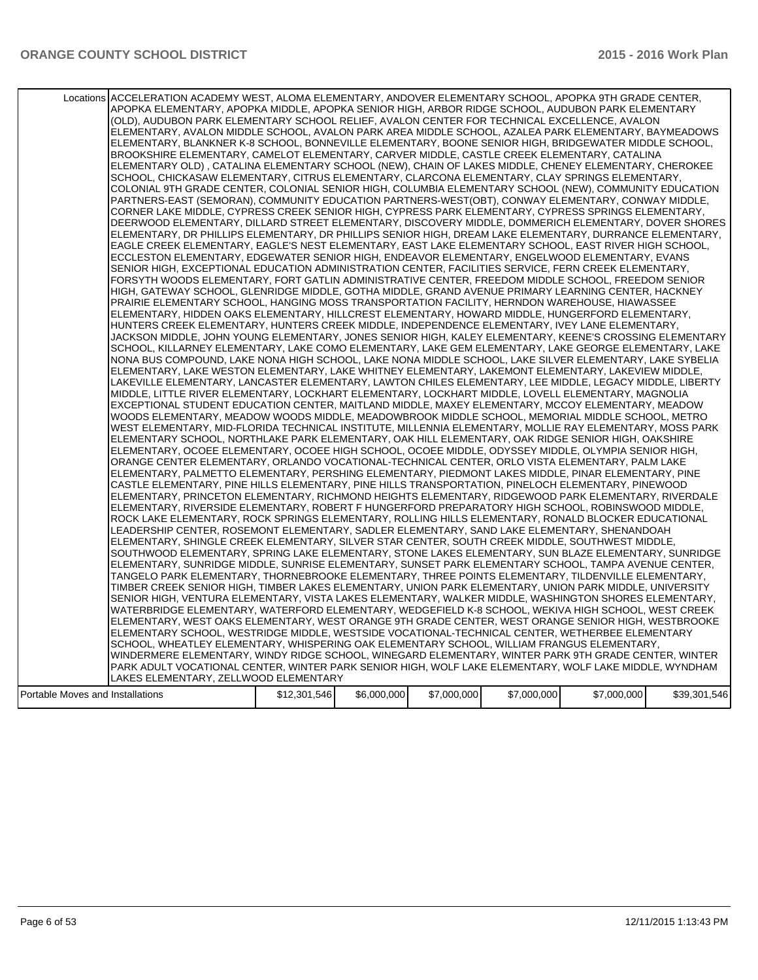|                                  | Locations ACCELERATION ACADEMY WEST, ALOMA ELEMENTARY, ANDOVER ELEMENTARY SCHOOL, APOPKA 9TH GRADE CENTER,<br>APOPKA ELEMENTARY, APOPKA MIDDLE, APOPKA SENIOR HIGH, ARBOR RIDGE SCHOOL, AUDUBON PARK ELEMENTARY<br>(OLD), AUDUBON PARK ELEMENTARY SCHOOL RELIEF, AVALON CENTER FOR TECHNICAL EXCELLENCE, AVALON<br>ELEMENTARY, AVALON MIDDLE SCHOOL, AVALON PARK AREA MIDDLE SCHOOL, AZALEA PARK ELEMENTARY, BAYMEADOWS<br>ELEMENTARY, BLANKNER K-8 SCHOOL, BONNEVILLE ELEMENTARY, BOONE SENIOR HIGH, BRIDGEWATER MIDDLE SCHOOL,<br>BROOKSHIRE ELEMENTARY, CAMELOT ELEMENTARY, CARVER MIDDLE, CASTLE CREEK ELEMENTARY, CATALINA<br>ELEMENTARY OLD), CATALINA ELEMENTARY SCHOOL (NEW), CHAIN OF LAKES MIDDLE, CHENEY ELEMENTARY, CHEROKEE<br>SCHOOL, CHICKASAW ELEMENTARY, CITRUS ELEMENTARY, CLARCONA ELEMENTARY, CLAY SPRINGS ELEMENTARY,<br>COLONIAL 9TH GRADE CENTER, COLONIAL SENIOR HIGH, COLUMBIA ELEMENTARY SCHOOL (NEW), COMMUNITY EDUCATION<br>PARTNERS-EAST (SEMORAN), COMMUNITY EDUCATION PARTNERS-WEST(OBT), CONWAY ELEMENTARY, CONWAY MIDDLE,<br>CORNER LAKE MIDDLE, CYPRESS CREEK SENIOR HIGH, CYPRESS PARK ELEMENTARY, CYPRESS SPRINGS ELEMENTARY,<br>DEERWOOD ELEMENTARY, DILLARD STREET ELEMENTARY, DISCOVERY MIDDLE, DOMMERICH ELEMENTARY, DOVER SHORES<br>ELEMENTARY, DR PHILLIPS ELEMENTARY, DR PHILLIPS SENIOR HIGH, DREAM LAKE ELEMENTARY, DURRANCE ELEMENTARY,<br>EAGLE CREEK ELEMENTARY, EAGLE'S NEST ELEMENTARY, EAST LAKE ELEMENTARY SCHOOL, EAST RIVER HIGH SCHOOL,<br>ECCLESTON ELEMENTARY, EDGEWATER SENIOR HIGH, ENDEAVOR ELEMENTARY, ENGELWOOD ELEMENTARY, EVANS<br>SENIOR HIGH, EXCEPTIONAL EDUCATION ADMINISTRATION CENTER, FACILITIES SERVICE, FERN CREEK ELEMENTARY,<br>FORSYTH WOODS ELEMENTARY, FORT GATLIN ADMINISTRATIVE CENTER, FREEDOM MIDDLE SCHOOL, FREEDOM SENIOR<br>HIGH, GATEWAY SCHOOL, GLENRIDGE MIDDLE, GOTHA MIDDLE, GRAND AVENUE PRIMARY LEARNING CENTER, HACKNEY<br>PRAIRIE ELEMENTARY SCHOOL, HANGING MOSS TRANSPORTATION FACILITY, HERNDON WAREHOUSE, HIAWASSEE<br>ELEMENTARY, HIDDEN OAKS ELEMENTARY, HILLCREST ELEMENTARY, HOWARD MIDDLE, HUNGERFORD ELEMENTARY,<br>HUNTERS CREEK ELEMENTARY, HUNTERS CREEK MIDDLE, INDEPENDENCE ELEMENTARY, IVEY LANE ELEMENTARY,<br>JACKSON MIDDLE, JOHN YOUNG ELEMENTARY, JONES SENIOR HIGH, KALEY ELEMENTARY, KEENE'S CROSSING ELEMENTARY<br>SCHOOL, KILLARNEY ELEMENTARY, LAKE COMO ELEMENTARY, LAKE GEM ELEMENTARY, LAKE GEORGE ELEMENTARY, LAKE<br>NONA BUS COMPOUND, LAKE NONA HIGH SCHOOL, LAKE NONA MIDDLE SCHOOL, LAKE SILVER ELEMENTARY, LAKE SYBELIA<br>ELEMENTARY, LAKE WESTON ELEMENTARY, LAKE WHITNEY ELEMENTARY, LAKEMONT ELEMENTARY, LAKEVIEW MIDDLE,<br>LAKEVILLE ELEMENTARY, LANCASTER ELEMENTARY, LAWTON CHILES ELEMENTARY, LEE MIDDLE, LEGACY MIDDLE, LIBERTY<br>MIDDLE, LITTLE RIVER ELEMENTARY, LOCKHART ELEMENTARY, LOCKHART MIDDLE, LOVELL ELEMENTARY, MAGNOLIA<br>EXCEPTIONAL STUDENT EDUCATION CENTER, MAITLAND MIDDLE, MAXEY ELEMENTARY, MCCOY ELEMENTARY, MEADOW<br>WOODS ELEMENTARY, MEADOW WOODS MIDDLE, MEADOWBROOK MIDDLE SCHOOL, MEMORIAL MIDDLE SCHOOL, METRO<br>WEST ELEMENTARY, MID-FLORIDA TECHNICAL INSTITUTE, MILLENNIA ELEMENTARY, MOLLIE RAY ELEMENTARY, MOSS PARK<br>ELEMENTARY SCHOOL, NORTHLAKE PARK ELEMENTARY, OAK HILL ELEMENTARY, OAK RIDGE SENIOR HIGH, OAKSHIRE<br>ELEMENTARY, OCOEE ELEMENTARY, OCOEE HIGH SCHOOL, OCOEE MIDDLE, ODYSSEY MIDDLE, OLYMPIA SENIOR HIGH,<br>ORANGE CENTER ELEMENTARY, ORLANDO VOCATIONAL-TECHNICAL CENTER, ORLO VISTA ELEMENTARY, PALM LAKE<br>ELEMENTARY, PALMETTO ELEMENTARY, PERSHING ELEMENTARY, PIEDMONT LAKES MIDDLE, PINAR ELEMENTARY, PINE<br>CASTLE ELEMENTARY, PINE HILLS ELEMENTARY, PINE HILLS TRANSPORTATION, PINELOCH ELEMENTARY, PINEWOOD<br>ELEMENTARY, PRINCETON ELEMENTARY, RICHMOND HEIGHTS ELEMENTARY, RIDGEWOOD PARK ELEMENTARY, RIVERDALE<br>ELEMENTARY, RIVERSIDE ELEMENTARY, ROBERT F HUNGERFORD PREPARATORY HIGH SCHOOL, ROBINSWOOD MIDDLE,<br>ROCK LAKE ELEMENTARY, ROCK SPRINGS ELEMENTARY, ROLLING HILLS ELEMENTARY, RONALD BLOCKER EDUCATIONAL<br>LEADERSHIP CENTER, ROSEMONT ELEMENTARY, SADLER ELEMENTARY, SAND LAKE ELEMENTARY, SHENANDOAH<br>ELEMENTARY, SHINGLE CREEK ELEMENTARY, SILVER STAR CENTER, SOUTH CREEK MIDDLE, SOUTHWEST MIDDLE,<br>SOUTHWOOD ELEMENTARY, SPRING LAKE ELEMENTARY, STONE LAKES ELEMENTARY, SUN BLAZE ELEMENTARY, SUNRIDGE<br>ELEMENTARY, SUNRIDGE MIDDLE, SUNRISE ELEMENTARY, SUNSET PARK ELEMENTARY SCHOOL, TAMPA AVENUE CENTER,<br>TANGELO PARK ELEMENTARY, THORNEBROOKE ELEMENTARY, THREE POINTS ELEMENTARY, TILDENVILLE ELEMENTARY,<br>TIMBER CREEK SENIOR HIGH, TIMBER LAKES ELEMENTARY, UNION PARK ELEMENTARY, UNION PARK MIDDLE, UNIVERSITY<br>SENIOR HIGH, VENTURA ELEMENTARY, VISTA LAKES ELEMENTARY, WALKER MIDDLE, WASHINGTON SHORES ELEMENTARY,<br>WATERBRIDGE ELEMENTARY, WATERFORD ELEMENTARY, WEDGEFIELD K-8 SCHOOL, WEKIVA HIGH SCHOOL, WEST CREEK<br>ELEMENTARY, WEST OAKS ELEMENTARY, WEST ORANGE 9TH GRADE CENTER, WEST ORANGE SENIOR HIGH, WESTBROOKE<br>ELEMENTARY SCHOOL, WESTRIDGE MIDDLE, WESTSIDE VOCATIONAL-TECHNICAL CENTER, WETHERBEE ELEMENTARY<br>SCHOOL, WHEATLEY ELEMENTARY, WHISPERING OAK ELEMENTARY SCHOOL, WILLIAM FRANGUS ELEMENTARY,<br>WINDERMERE ELEMENTARY, WINDY RIDGE SCHOOL, WINEGARD ELEMENTARY, WINTER PARK 9TH GRADE CENTER, WINTER<br>PARK ADULT VOCATIONAL CENTER, WINTER PARK SENIOR HIGH, WOLF LAKE ELEMENTARY, WOLF LAKE MIDDLE, WYNDHAM |              |             |             |             |             |              |
|----------------------------------|------------------------------------------------------------------------------------------------------------------------------------------------------------------------------------------------------------------------------------------------------------------------------------------------------------------------------------------------------------------------------------------------------------------------------------------------------------------------------------------------------------------------------------------------------------------------------------------------------------------------------------------------------------------------------------------------------------------------------------------------------------------------------------------------------------------------------------------------------------------------------------------------------------------------------------------------------------------------------------------------------------------------------------------------------------------------------------------------------------------------------------------------------------------------------------------------------------------------------------------------------------------------------------------------------------------------------------------------------------------------------------------------------------------------------------------------------------------------------------------------------------------------------------------------------------------------------------------------------------------------------------------------------------------------------------------------------------------------------------------------------------------------------------------------------------------------------------------------------------------------------------------------------------------------------------------------------------------------------------------------------------------------------------------------------------------------------------------------------------------------------------------------------------------------------------------------------------------------------------------------------------------------------------------------------------------------------------------------------------------------------------------------------------------------------------------------------------------------------------------------------------------------------------------------------------------------------------------------------------------------------------------------------------------------------------------------------------------------------------------------------------------------------------------------------------------------------------------------------------------------------------------------------------------------------------------------------------------------------------------------------------------------------------------------------------------------------------------------------------------------------------------------------------------------------------------------------------------------------------------------------------------------------------------------------------------------------------------------------------------------------------------------------------------------------------------------------------------------------------------------------------------------------------------------------------------------------------------------------------------------------------------------------------------------------------------------------------------------------------------------------------------------------------------------------------------------------------------------------------------------------------------------------------------------------------------------------------------------------------------------------------------------------------------------------------------------------------------------------------------------------------------------------------------------------------------------------------------------------------------------------------------------------------------------------------------------------------------------------------------------------------------------------------------------------------------------------------------------------------------------------------------------------------------------------------------------------------------------------------------------------------------------------------------------------------------------------------------------------------------------------------------------------------------------------------------------------------------------------------------------------------------------------------------------------------------------------------------------------------------------------------------------------------------------------------------------------------------------------------------------------------------------------------------------------------------------------------------------------------------------------------------------------------------------------------------------------------------------------------------------------------------------------------------------------------|--------------|-------------|-------------|-------------|-------------|--------------|
|                                  |                                                                                                                                                                                                                                                                                                                                                                                                                                                                                                                                                                                                                                                                                                                                                                                                                                                                                                                                                                                                                                                                                                                                                                                                                                                                                                                                                                                                                                                                                                                                                                                                                                                                                                                                                                                                                                                                                                                                                                                                                                                                                                                                                                                                                                                                                                                                                                                                                                                                                                                                                                                                                                                                                                                                                                                                                                                                                                                                                                                                                                                                                                                                                                                                                                                                                                                                                                                                                                                                                                                                                                                                                                                                                                                                                                                                                                                                                                                                                                                                                                                                                                                                                                                                                                                                                                                                                                                                                                                                                                                                                                                                                                                                                                                                                                                                                                                                                                                                                                                                                                                                                                                                                                                                                                                                                                                                                                                                                                    |              |             |             |             |             |              |
|                                  | LAKES ELEMENTARY, ZELLWOOD ELEMENTARY                                                                                                                                                                                                                                                                                                                                                                                                                                                                                                                                                                                                                                                                                                                                                                                                                                                                                                                                                                                                                                                                                                                                                                                                                                                                                                                                                                                                                                                                                                                                                                                                                                                                                                                                                                                                                                                                                                                                                                                                                                                                                                                                                                                                                                                                                                                                                                                                                                                                                                                                                                                                                                                                                                                                                                                                                                                                                                                                                                                                                                                                                                                                                                                                                                                                                                                                                                                                                                                                                                                                                                                                                                                                                                                                                                                                                                                                                                                                                                                                                                                                                                                                                                                                                                                                                                                                                                                                                                                                                                                                                                                                                                                                                                                                                                                                                                                                                                                                                                                                                                                                                                                                                                                                                                                                                                                                                                                              |              |             |             |             |             |              |
| Portable Moves and Installations |                                                                                                                                                                                                                                                                                                                                                                                                                                                                                                                                                                                                                                                                                                                                                                                                                                                                                                                                                                                                                                                                                                                                                                                                                                                                                                                                                                                                                                                                                                                                                                                                                                                                                                                                                                                                                                                                                                                                                                                                                                                                                                                                                                                                                                                                                                                                                                                                                                                                                                                                                                                                                                                                                                                                                                                                                                                                                                                                                                                                                                                                                                                                                                                                                                                                                                                                                                                                                                                                                                                                                                                                                                                                                                                                                                                                                                                                                                                                                                                                                                                                                                                                                                                                                                                                                                                                                                                                                                                                                                                                                                                                                                                                                                                                                                                                                                                                                                                                                                                                                                                                                                                                                                                                                                                                                                                                                                                                                                    | \$12,301,546 | \$6,000,000 | \$7,000,000 | \$7,000,000 | \$7,000,000 | \$39,301,546 |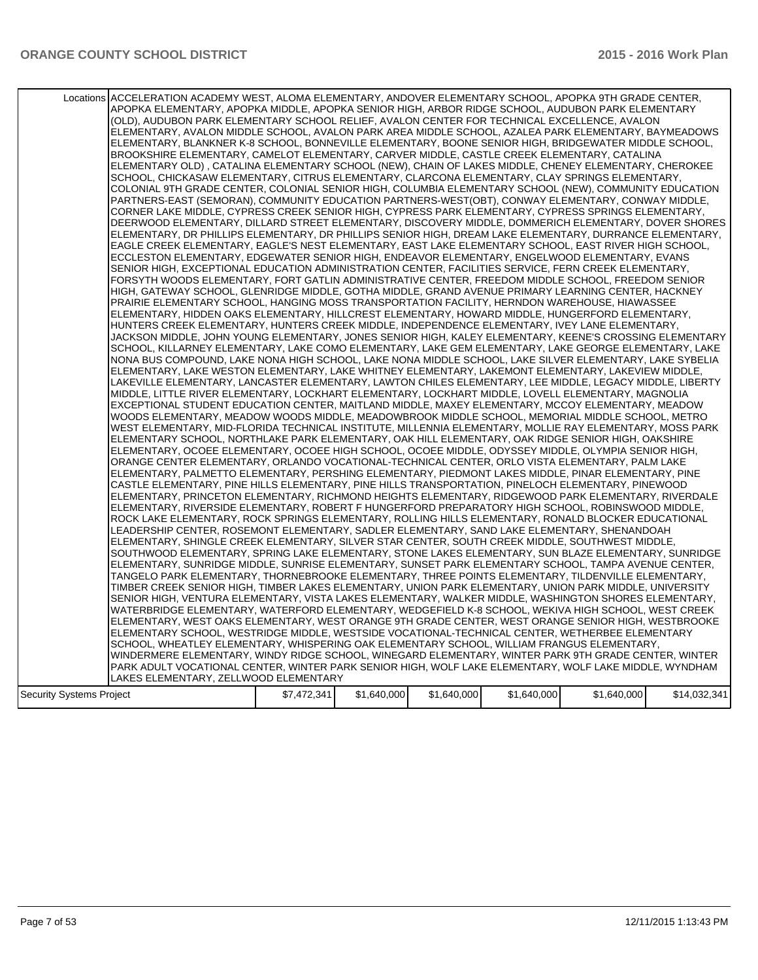| Locations ACCELERATION ACADEMY WEST, ALOMA ELEMENTARY, ANDOVER ELEMENTARY SCHOOL, APOPKA 9TH GRADE CENTER,<br>APOPKA ELEMENTARY, APOPKA MIDDLE, APOPKA SENIOR HIGH, ARBOR RIDGE SCHOOL, AUDUBON PARK ELEMENTARY<br>(OLD), AUDUBON PARK ELEMENTARY SCHOOL RELIEF, AVALON CENTER FOR TECHNICAL EXCELLENCE, AVALON<br>ELEMENTARY, AVALON MIDDLE SCHOOL, AVALON PARK AREA MIDDLE SCHOOL, AZALEA PARK ELEMENTARY, BAYMEADOWS<br>ELEMENTARY, BLANKNER K-8 SCHOOL, BONNEVILLE ELEMENTARY, BOONE SENIOR HIGH, BRIDGEWATER MIDDLE SCHOOL,<br>BROOKSHIRE ELEMENTARY, CAMELOT ELEMENTARY, CARVER MIDDLE, CASTLE CREEK ELEMENTARY, CATALINA<br>ELEMENTARY OLD), CATALINA ELEMENTARY SCHOOL (NEW), CHAIN OF LAKES MIDDLE, CHENEY ELEMENTARY, CHEROKEE<br>SCHOOL, CHICKASAW ELEMENTARY, CITRUS ELEMENTARY, CLARCONA ELEMENTARY, CLAY SPRINGS ELEMENTARY,<br>COLONIAL 9TH GRADE CENTER, COLONIAL SENIOR HIGH, COLUMBIA ELEMENTARY SCHOOL (NEW), COMMUNITY EDUCATION<br>PARTNERS-EAST (SEMORAN), COMMUNITY EDUCATION PARTNERS-WEST(OBT), CONWAY ELEMENTARY, CONWAY MIDDLE,<br>CORNER LAKE MIDDLE, CYPRESS CREEK SENIOR HIGH, CYPRESS PARK ELEMENTARY, CYPRESS SPRINGS ELEMENTARY,<br>DEERWOOD ELEMENTARY, DILLARD STREET ELEMENTARY, DISCOVERY MIDDLE, DOMMERICH ELEMENTARY, DOVER SHORES<br>ELEMENTARY, DR PHILLIPS ELEMENTARY, DR PHILLIPS SENIOR HIGH, DREAM LAKE ELEMENTARY, DURRANCE ELEMENTARY,<br>EAGLE CREEK ELEMENTARY, EAGLE'S NEST ELEMENTARY, EAST LAKE ELEMENTARY SCHOOL, EAST RIVER HIGH SCHOOL,<br>ECCLESTON ELEMENTARY, EDGEWATER SENIOR HIGH, ENDEAVOR ELEMENTARY, ENGELWOOD ELEMENTARY, EVANS<br>SENIOR HIGH, EXCEPTIONAL EDUCATION ADMINISTRATION CENTER, FACILITIES SERVICE, FERN CREEK ELEMENTARY,<br>FORSYTH WOODS ELEMENTARY, FORT GATLIN ADMINISTRATIVE CENTER, FREEDOM MIDDLE SCHOOL, FREEDOM SENIOR<br>HIGH, GATEWAY SCHOOL, GLENRIDGE MIDDLE, GOTHA MIDDLE, GRAND AVENUE PRIMARY LEARNING CENTER, HACKNEY<br>PRAIRIE ELEMENTARY SCHOOL. HANGING MOSS TRANSPORTATION FACILITY. HERNDON WAREHOUSE. HIAWASSEE<br>ELEMENTARY, HIDDEN OAKS ELEMENTARY, HILLCREST ELEMENTARY, HOWARD MIDDLE, HUNGERFORD ELEMENTARY,<br>HUNTERS CREEK ELEMENTARY. HUNTERS CREEK MIDDLE. INDEPENDENCE ELEMENTARY. IVEY LANE ELEMENTARY.<br>JACKSON MIDDLE, JOHN YOUNG ELEMENTARY, JONES SENIOR HIGH, KALEY ELEMENTARY, KEENE'S CROSSING ELEMENTARY<br>SCHOOL, KILLARNEY ELEMENTARY, LAKE COMO ELEMENTARY, LAKE GEM ELEMENTARY, LAKE GEORGE ELEMENTARY, LAKE<br>NONA BUS COMPOUND, LAKE NONA HIGH SCHOOL, LAKE NONA MIDDLE SCHOOL, LAKE SILVER ELEMENTARY, LAKE SYBELIA<br>ELEMENTARY, LAKE WESTON ELEMENTARY, LAKE WHITNEY ELEMENTARY, LAKEMONT ELEMENTARY, LAKEVIEW MIDDLE,<br>LAKEVILLE ELEMENTARY, LANCASTER ELEMENTARY, LAWTON CHILES ELEMENTARY, LEE MIDDLE, LEGACY MIDDLE, LIBERTY<br>MIDDLE, LITTLE RIVER ELEMENTARY, LOCKHART ELEMENTARY, LOCKHART MIDDLE, LOVELL ELEMENTARY, MAGNOLIA<br>EXCEPTIONAL STUDENT EDUCATION CENTER, MAITLAND MIDDLE, MAXEY ELEMENTARY, MCCOY ELEMENTARY, MEADOW<br>WOODS ELEMENTARY, MEADOW WOODS MIDDLE, MEADOWBROOK MIDDLE SCHOOL, MEMORIAL MIDDLE SCHOOL, METRO<br>WEST ELEMENTARY, MID-FLORIDA TECHNICAL INSTITUTE, MILLENNIA ELEMENTARY, MOLLIE RAY ELEMENTARY, MOSS PARK<br>ELEMENTARY SCHOOL, NORTHLAKE PARK ELEMENTARY, OAK HILL ELEMENTARY, OAK RIDGE SENIOR HIGH, OAKSHIRE<br>ELEMENTARY, OCOEE ELEMENTARY, OCOEE HIGH SCHOOL, OCOEE MIDDLE, ODYSSEY MIDDLE, OLYMPIA SENIOR HIGH,<br>ORANGE CENTER ELEMENTARY, ORLANDO VOCATIONAL-TECHNICAL CENTER, ORLO VISTA ELEMENTARY, PALM LAKE<br>ELEMENTARY, PALMETTO ELEMENTARY, PERSHING ELEMENTARY, PIEDMONT LAKES MIDDLE, PINAR ELEMENTARY, PINE<br>CASTLE ELEMENTARY, PINE HILLS ELEMENTARY, PINE HILLS TRANSPORTATION, PINELOCH ELEMENTARY, PINEWOOD<br>ELEMENTARY, PRINCETON ELEMENTARY, RICHMOND HEIGHTS ELEMENTARY, RIDGEWOOD PARK ELEMENTARY, RIVERDALE<br>ELEMENTARY, RIVERSIDE ELEMENTARY, ROBERT F HUNGERFORD PREPARATORY HIGH SCHOOL, ROBINSWOOD MIDDLE,<br>ROCK LAKE ELEMENTARY, ROCK SPRINGS ELEMENTARY, ROLLING HILLS ELEMENTARY, RONALD BLOCKER EDUCATIONAL<br>LEADERSHIP CENTER, ROSEMONT ELEMENTARY, SADLER ELEMENTARY, SAND LAKE ELEMENTARY, SHENANDOAH<br>ELEMENTARY, SHINGLE CREEK ELEMENTARY, SILVER STAR CENTER, SOUTH CREEK MIDDLE, SOUTHWEST MIDDLE,<br>SOUTHWOOD ELEMENTARY, SPRING LAKE ELEMENTARY, STONE LAKES ELEMENTARY, SUN BLAZE ELEMENTARY, SUNRIDGE<br>ELEMENTARY, SUNRIDGE MIDDLE, SUNRISE ELEMENTARY, SUNSET PARK ELEMENTARY SCHOOL, TAMPA AVENUE CENTER,<br>TANGELO PARK ELEMENTARY, THORNEBROOKE ELEMENTARY, THREE POINTS ELEMENTARY, TILDENVILLE ELEMENTARY,<br>TIMBER CREEK SENIOR HIGH, TIMBER LAKES ELEMENTARY, UNION PARK ELEMENTARY, UNION PARK MIDDLE, UNIVERSITY<br>SENIOR HIGH, VENTURA ELEMENTARY, VISTA LAKES ELEMENTARY, WALKER MIDDLE, WASHINGTON SHORES ELEMENTARY,<br>WATERBRIDGE ELEMENTARY, WATERFORD ELEMENTARY, WEDGEFIELD K-8 SCHOOL, WEKIVA HIGH SCHOOL, WEST CREEK<br>ELEMENTARY, WEST OAKS ELEMENTARY, WEST ORANGE 9TH GRADE CENTER, WEST ORANGE SENIOR HIGH, WESTBROOKE<br>ELEMENTARY SCHOOL, WESTRIDGE MIDDLE, WESTSIDE VOCATIONAL-TECHNICAL CENTER, WETHERBEE ELEMENTARY<br>SCHOOL, WHEATLEY ELEMENTARY, WHISPERING OAK ELEMENTARY SCHOOL, WILLIAM FRANGUS ELEMENTARY,<br>WINDERMERE ELEMENTARY, WINDY RIDGE SCHOOL, WINEGARD ELEMENTARY, WINTER PARK 9TH GRADE CENTER, WINTER<br>PARK ADULT VOCATIONAL CENTER, WINTER PARK SENIOR HIGH, WOLF LAKE ELEMENTARY, WOLF LAKE MIDDLE, WYNDHAM |             |             |             |             |             |              |
|------------------------------------------------------------------------------------------------------------------------------------------------------------------------------------------------------------------------------------------------------------------------------------------------------------------------------------------------------------------------------------------------------------------------------------------------------------------------------------------------------------------------------------------------------------------------------------------------------------------------------------------------------------------------------------------------------------------------------------------------------------------------------------------------------------------------------------------------------------------------------------------------------------------------------------------------------------------------------------------------------------------------------------------------------------------------------------------------------------------------------------------------------------------------------------------------------------------------------------------------------------------------------------------------------------------------------------------------------------------------------------------------------------------------------------------------------------------------------------------------------------------------------------------------------------------------------------------------------------------------------------------------------------------------------------------------------------------------------------------------------------------------------------------------------------------------------------------------------------------------------------------------------------------------------------------------------------------------------------------------------------------------------------------------------------------------------------------------------------------------------------------------------------------------------------------------------------------------------------------------------------------------------------------------------------------------------------------------------------------------------------------------------------------------------------------------------------------------------------------------------------------------------------------------------------------------------------------------------------------------------------------------------------------------------------------------------------------------------------------------------------------------------------------------------------------------------------------------------------------------------------------------------------------------------------------------------------------------------------------------------------------------------------------------------------------------------------------------------------------------------------------------------------------------------------------------------------------------------------------------------------------------------------------------------------------------------------------------------------------------------------------------------------------------------------------------------------------------------------------------------------------------------------------------------------------------------------------------------------------------------------------------------------------------------------------------------------------------------------------------------------------------------------------------------------------------------------------------------------------------------------------------------------------------------------------------------------------------------------------------------------------------------------------------------------------------------------------------------------------------------------------------------------------------------------------------------------------------------------------------------------------------------------------------------------------------------------------------------------------------------------------------------------------------------------------------------------------------------------------------------------------------------------------------------------------------------------------------------------------------------------------------------------------------------------------------------------------------------------------------------------------------------------------------------------------------------------------------------------------------------------------------------------------------------------------------------------------------------------------------------------------------------------------------------------------------------------------------------------------------------------------------------------------------------------------------------------------------------------------------------------------------------------------------------------------------------------------------------------------------------------------------------------------------------------|-------------|-------------|-------------|-------------|-------------|--------------|
| LAKES ELEMENTARY, ZELLWOOD ELEMENTARY                                                                                                                                                                                                                                                                                                                                                                                                                                                                                                                                                                                                                                                                                                                                                                                                                                                                                                                                                                                                                                                                                                                                                                                                                                                                                                                                                                                                                                                                                                                                                                                                                                                                                                                                                                                                                                                                                                                                                                                                                                                                                                                                                                                                                                                                                                                                                                                                                                                                                                                                                                                                                                                                                                                                                                                                                                                                                                                                                                                                                                                                                                                                                                                                                                                                                                                                                                                                                                                                                                                                                                                                                                                                                                                                                                                                                                                                                                                                                                                                                                                                                                                                                                                                                                                                                                                                                                                                                                                                                                                                                                                                                                                                                                                                                                                                                                                                                                                                                                                                                                                                                                                                                                                                                                                                                                                                                                                              |             |             |             |             |             |              |
|                                                                                                                                                                                                                                                                                                                                                                                                                                                                                                                                                                                                                                                                                                                                                                                                                                                                                                                                                                                                                                                                                                                                                                                                                                                                                                                                                                                                                                                                                                                                                                                                                                                                                                                                                                                                                                                                                                                                                                                                                                                                                                                                                                                                                                                                                                                                                                                                                                                                                                                                                                                                                                                                                                                                                                                                                                                                                                                                                                                                                                                                                                                                                                                                                                                                                                                                                                                                                                                                                                                                                                                                                                                                                                                                                                                                                                                                                                                                                                                                                                                                                                                                                                                                                                                                                                                                                                                                                                                                                                                                                                                                                                                                                                                                                                                                                                                                                                                                                                                                                                                                                                                                                                                                                                                                                                                                                                                                                                    |             |             |             |             |             |              |
| Security Systems Project                                                                                                                                                                                                                                                                                                                                                                                                                                                                                                                                                                                                                                                                                                                                                                                                                                                                                                                                                                                                                                                                                                                                                                                                                                                                                                                                                                                                                                                                                                                                                                                                                                                                                                                                                                                                                                                                                                                                                                                                                                                                                                                                                                                                                                                                                                                                                                                                                                                                                                                                                                                                                                                                                                                                                                                                                                                                                                                                                                                                                                                                                                                                                                                                                                                                                                                                                                                                                                                                                                                                                                                                                                                                                                                                                                                                                                                                                                                                                                                                                                                                                                                                                                                                                                                                                                                                                                                                                                                                                                                                                                                                                                                                                                                                                                                                                                                                                                                                                                                                                                                                                                                                                                                                                                                                                                                                                                                                           | \$7,472,341 | \$1,640,000 | \$1,640,000 | \$1,640,000 | \$1,640,000 | \$14,032,341 |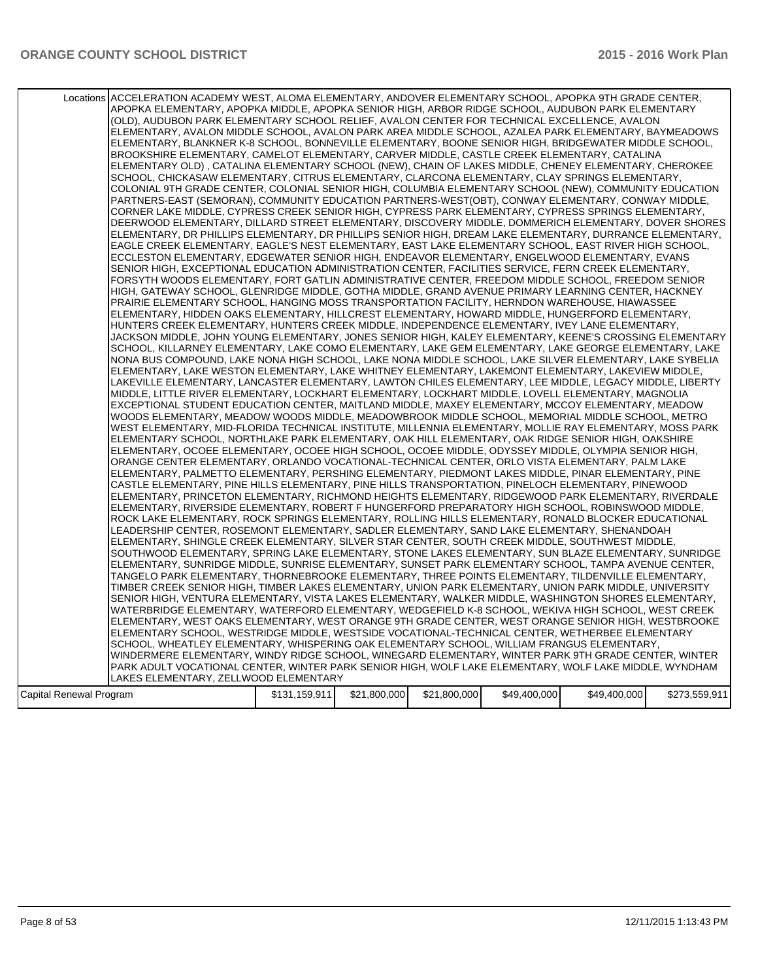| Locations ACCELERATION ACADEMY WEST, ALOMA ELEMENTARY, ANDOVER ELEMENTARY SCHOOL, APOPKA 9TH GRADE CENTER,<br>APOPKA ELEMENTARY, APOPKA MIDDLE, APOPKA SENIOR HIGH, ARBOR RIDGE SCHOOL, AUDUBON PARK ELEMENTARY<br>(OLD), AUDUBON PARK ELEMENTARY SCHOOL RELIEF, AVALON CENTER FOR TECHNICAL EXCELLENCE, AVALON<br>ELEMENTARY, AVALON MIDDLE SCHOOL, AVALON PARK AREA MIDDLE SCHOOL, AZALEA PARK ELEMENTARY, BAYMEADOWS<br>ELEMENTARY, BLANKNER K-8 SCHOOL, BONNEVILLE ELEMENTARY, BOONE SENIOR HIGH, BRIDGEWATER MIDDLE SCHOOL,<br>BROOKSHIRE ELEMENTARY, CAMELOT ELEMENTARY, CARVER MIDDLE, CASTLE CREEK ELEMENTARY, CATALINA<br>ELEMENTARY OLD), CATALINA ELEMENTARY SCHOOL (NEW), CHAIN OF LAKES MIDDLE, CHENEY ELEMENTARY, CHEROKEE<br>SCHOOL, CHICKASAW ELEMENTARY, CITRUS ELEMENTARY, CLARCONA ELEMENTARY, CLAY SPRINGS ELEMENTARY,<br>COLONIAL 9TH GRADE CENTER, COLONIAL SENIOR HIGH, COLUMBIA ELEMENTARY SCHOOL (NEW), COMMUNITY EDUCATION<br>PARTNERS-EAST (SEMORAN), COMMUNITY EDUCATION PARTNERS-WEST(OBT), CONWAY ELEMENTARY, CONWAY MIDDLE,<br>CORNER LAKE MIDDLE, CYPRESS CREEK SENIOR HIGH, CYPRESS PARK ELEMENTARY, CYPRESS SPRINGS ELEMENTARY,<br>DEERWOOD ELEMENTARY, DILLARD STREET ELEMENTARY, DISCOVERY MIDDLE, DOMMERICH ELEMENTARY, DOVER SHORES<br>ELEMENTARY, DR PHILLIPS ELEMENTARY, DR PHILLIPS SENIOR HIGH, DREAM LAKE ELEMENTARY, DURRANCE ELEMENTARY,<br>EAGLE CREEK ELEMENTARY, EAGLE'S NEST ELEMENTARY, EAST LAKE ELEMENTARY SCHOOL, EAST RIVER HIGH SCHOOL,<br>ECCLESTON ELEMENTARY, EDGEWATER SENIOR HIGH, ENDEAVOR ELEMENTARY, ENGELWOOD ELEMENTARY, EVANS<br>SENIOR HIGH, EXCEPTIONAL EDUCATION ADMINISTRATION CENTER, FACILITIES SERVICE, FERN CREEK ELEMENTARY,<br>FORSYTH WOODS ELEMENTARY, FORT GATLIN ADMINISTRATIVE CENTER, FREEDOM MIDDLE SCHOOL, FREEDOM SENIOR<br>HIGH, GATEWAY SCHOOL, GLENRIDGE MIDDLE, GOTHA MIDDLE, GRAND AVENUE PRIMARY LEARNING CENTER, HACKNEY<br>PRAIRIE ELEMENTARY SCHOOL, HANGING MOSS TRANSPORTATION FACILITY, HERNDON WAREHOUSE, HIAWASSEE<br>ELEMENTARY, HIDDEN OAKS ELEMENTARY, HILLCREST ELEMENTARY, HOWARD MIDDLE, HUNGERFORD ELEMENTARY,<br>HUNTERS CREEK ELEMENTARY, HUNTERS CREEK MIDDLE, INDEPENDENCE ELEMENTARY, IVEY LANE ELEMENTARY,<br>JACKSON MIDDLE, JOHN YOUNG ELEMENTARY, JONES SENIOR HIGH, KALEY ELEMENTARY, KEENE'S CROSSING ELEMENTARY<br>SCHOOL, KILLARNEY ELEMENTARY, LAKE COMO ELEMENTARY, LAKE GEM ELEMENTARY, LAKE GEORGE ELEMENTARY, LAKE<br>NONA BUS COMPOUND, LAKE NONA HIGH SCHOOL, LAKE NONA MIDDLE SCHOOL, LAKE SILVER ELEMENTARY, LAKE SYBELIA<br>ELEMENTARY, LAKE WESTON ELEMENTARY, LAKE WHITNEY ELEMENTARY, LAKEMONT ELEMENTARY, LAKEVIEW MIDDLE,<br>LAKEVILLE ELEMENTARY, LANCASTER ELEMENTARY, LAWTON CHILES ELEMENTARY, LEE MIDDLE, LEGACY MIDDLE, LIBERTY<br>MIDDLE, LITTLE RIVER ELEMENTARY, LOCKHART ELEMENTARY, LOCKHART MIDDLE, LOVELL ELEMENTARY, MAGNOLIA<br>EXCEPTIONAL STUDENT EDUCATION CENTER, MAITLAND MIDDLE, MAXEY ELEMENTARY, MCCOY ELEMENTARY, MEADOW<br>WOODS ELEMENTARY, MEADOW WOODS MIDDLE, MEADOWBROOK MIDDLE SCHOOL, MEMORIAL MIDDLE SCHOOL, METRO<br>WEST ELEMENTARY, MID-FLORIDA TECHNICAL INSTITUTE, MILLENNIA ELEMENTARY, MOLLIE RAY ELEMENTARY, MOSS PARK<br>ELEMENTARY SCHOOL, NORTHLAKE PARK ELEMENTARY, OAK HILL ELEMENTARY, OAK RIDGE SENIOR HIGH, OAKSHIRE<br>ELEMENTARY, OCOEE ELEMENTARY, OCOEE HIGH SCHOOL, OCOEE MIDDLE, ODYSSEY MIDDLE, OLYMPIA SENIOR HIGH,<br>ORANGE CENTER ELEMENTARY, ORLANDO VOCATIONAL-TECHNICAL CENTER, ORLO VISTA ELEMENTARY, PALM LAKE<br>ELEMENTARY, PALMETTO ELEMENTARY, PERSHING ELEMENTARY, PIEDMONT LAKES MIDDLE, PINAR ELEMENTARY, PINE<br>CASTLE ELEMENTARY, PINE HILLS ELEMENTARY, PINE HILLS TRANSPORTATION, PINELOCH ELEMENTARY, PINEWOOD<br>ELEMENTARY, PRINCETON ELEMENTARY, RICHMOND HEIGHTS ELEMENTARY, RIDGEWOOD PARK ELEMENTARY, RIVERDALE<br>ELEMENTARY, RIVERSIDE ELEMENTARY, ROBERT F HUNGERFORD PREPARATORY HIGH SCHOOL, ROBINSWOOD MIDDLE,<br>ROCK LAKE ELEMENTARY, ROCK SPRINGS ELEMENTARY, ROLLING HILLS ELEMENTARY, RONALD BLOCKER EDUCATIONAL<br>LEADERSHIP CENTER, ROSEMONT ELEMENTARY, SADLER ELEMENTARY, SAND LAKE ELEMENTARY, SHENANDOAH<br>ELEMENTARY, SHINGLE CREEK ELEMENTARY, SILVER STAR CENTER, SOUTH CREEK MIDDLE, SOUTHWEST MIDDLE,<br>SOUTHWOOD ELEMENTARY, SPRING LAKE ELEMENTARY, STONE LAKES ELEMENTARY, SUN BLAZE ELEMENTARY, SUNRIDGE<br>ELEMENTARY, SUNRIDGE MIDDLE, SUNRISE ELEMENTARY, SUNSET PARK ELEMENTARY SCHOOL, TAMPA AVENUE CENTER,<br>TANGELO PARK ELEMENTARY, THORNEBROOKE ELEMENTARY, THREE POINTS ELEMENTARY, TILDENVILLE ELEMENTARY,<br>TIMBER CREEK SENIOR HIGH, TIMBER LAKES ELEMENTARY, UNION PARK ELEMENTARY, UNION PARK MIDDLE, UNIVERSITY<br>SENIOR HIGH, VENTURA ELEMENTARY, VISTA LAKES ELEMENTARY, WALKER MIDDLE, WASHINGTON SHORES ELEMENTARY,<br>WATERBRIDGE ELEMENTARY, WATERFORD ELEMENTARY, WEDGEFIELD K-8 SCHOOL, WEKIVA HIGH SCHOOL, WEST CREEK<br>ELEMENTARY, WEST OAKS ELEMENTARY, WEST ORANGE 9TH GRADE CENTER, WEST ORANGE SENIOR HIGH, WESTBROOKE<br>ELEMENTARY SCHOOL, WESTRIDGE MIDDLE, WESTSIDE VOCATIONAL-TECHNICAL CENTER, WETHERBEE ELEMENTARY<br>SCHOOL, WHEATLEY ELEMENTARY, WHISPERING OAK ELEMENTARY SCHOOL, WILLIAM FRANGUS ELEMENTARY,<br>WINDERMERE ELEMENTARY, WINDY RIDGE SCHOOL, WINEGARD ELEMENTARY, WINTER PARK 9TH GRADE CENTER, WINTER<br>PARK ADULT VOCATIONAL CENTER, WINTER PARK SENIOR HIGH, WOLF LAKE ELEMENTARY, WOLF LAKE MIDDLE, WYNDHAM<br>LAKES ELEMENTARY, ZELLWOOD ELEMENTARY |               |              |              |              |              |               |
|-----------------------------------------------------------------------------------------------------------------------------------------------------------------------------------------------------------------------------------------------------------------------------------------------------------------------------------------------------------------------------------------------------------------------------------------------------------------------------------------------------------------------------------------------------------------------------------------------------------------------------------------------------------------------------------------------------------------------------------------------------------------------------------------------------------------------------------------------------------------------------------------------------------------------------------------------------------------------------------------------------------------------------------------------------------------------------------------------------------------------------------------------------------------------------------------------------------------------------------------------------------------------------------------------------------------------------------------------------------------------------------------------------------------------------------------------------------------------------------------------------------------------------------------------------------------------------------------------------------------------------------------------------------------------------------------------------------------------------------------------------------------------------------------------------------------------------------------------------------------------------------------------------------------------------------------------------------------------------------------------------------------------------------------------------------------------------------------------------------------------------------------------------------------------------------------------------------------------------------------------------------------------------------------------------------------------------------------------------------------------------------------------------------------------------------------------------------------------------------------------------------------------------------------------------------------------------------------------------------------------------------------------------------------------------------------------------------------------------------------------------------------------------------------------------------------------------------------------------------------------------------------------------------------------------------------------------------------------------------------------------------------------------------------------------------------------------------------------------------------------------------------------------------------------------------------------------------------------------------------------------------------------------------------------------------------------------------------------------------------------------------------------------------------------------------------------------------------------------------------------------------------------------------------------------------------------------------------------------------------------------------------------------------------------------------------------------------------------------------------------------------------------------------------------------------------------------------------------------------------------------------------------------------------------------------------------------------------------------------------------------------------------------------------------------------------------------------------------------------------------------------------------------------------------------------------------------------------------------------------------------------------------------------------------------------------------------------------------------------------------------------------------------------------------------------------------------------------------------------------------------------------------------------------------------------------------------------------------------------------------------------------------------------------------------------------------------------------------------------------------------------------------------------------------------------------------------------------------------------------------------------------------------------------------------------------------------------------------------------------------------------------------------------------------------------------------------------------------------------------------------------------------------------------------------------------------------------------------------------------------------------------------------------------------------------------------------------------------------------------------------------------------------------------------------------------------------------------------------|---------------|--------------|--------------|--------------|--------------|---------------|
| Capital Renewal Program                                                                                                                                                                                                                                                                                                                                                                                                                                                                                                                                                                                                                                                                                                                                                                                                                                                                                                                                                                                                                                                                                                                                                                                                                                                                                                                                                                                                                                                                                                                                                                                                                                                                                                                                                                                                                                                                                                                                                                                                                                                                                                                                                                                                                                                                                                                                                                                                                                                                                                                                                                                                                                                                                                                                                                                                                                                                                                                                                                                                                                                                                                                                                                                                                                                                                                                                                                                                                                                                                                                                                                                                                                                                                                                                                                                                                                                                                                                                                                                                                                                                                                                                                                                                                                                                                                                                                                                                                                                                                                                                                                                                                                                                                                                                                                                                                                                                                                                                                                                                                                                                                                                                                                                                                                                                                                                                                                                                                                                     | \$131,159,911 | \$21,800,000 | \$21,800,000 | \$49,400,000 | \$49,400,000 | \$273,559,911 |
|                                                                                                                                                                                                                                                                                                                                                                                                                                                                                                                                                                                                                                                                                                                                                                                                                                                                                                                                                                                                                                                                                                                                                                                                                                                                                                                                                                                                                                                                                                                                                                                                                                                                                                                                                                                                                                                                                                                                                                                                                                                                                                                                                                                                                                                                                                                                                                                                                                                                                                                                                                                                                                                                                                                                                                                                                                                                                                                                                                                                                                                                                                                                                                                                                                                                                                                                                                                                                                                                                                                                                                                                                                                                                                                                                                                                                                                                                                                                                                                                                                                                                                                                                                                                                                                                                                                                                                                                                                                                                                                                                                                                                                                                                                                                                                                                                                                                                                                                                                                                                                                                                                                                                                                                                                                                                                                                                                                                                                                                             |               |              |              |              |              |               |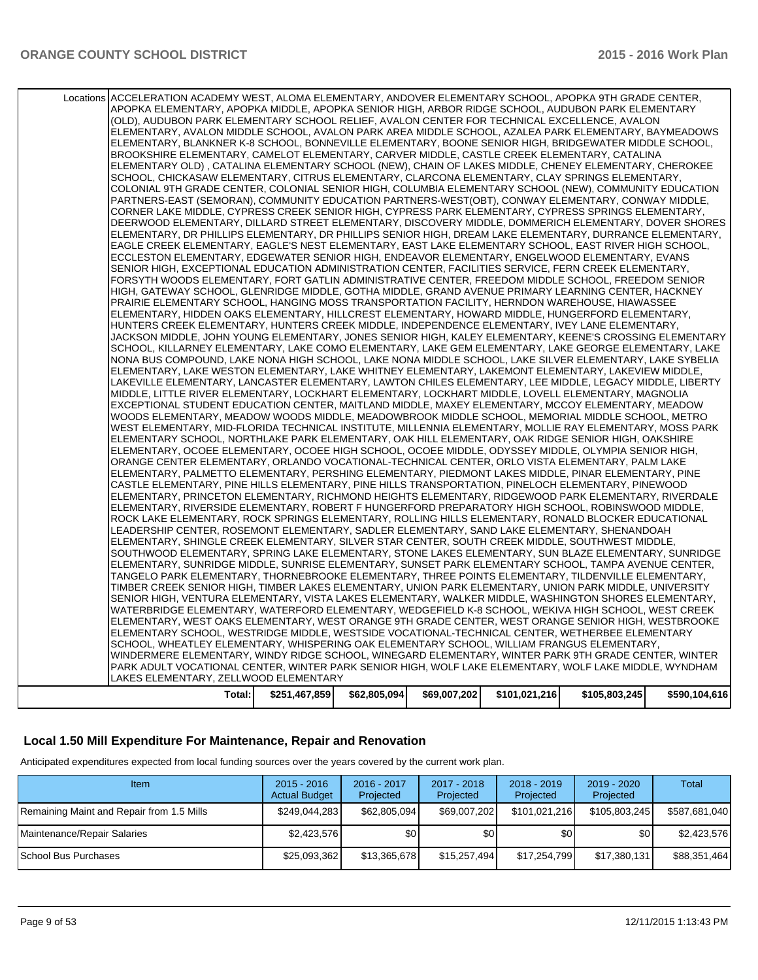| Total:                                                                                                     | \$251,467,859 | \$62,805,094 | \$69,007,202 | \$101,021,216 | \$105,803,245 | \$590,104,616 |
|------------------------------------------------------------------------------------------------------------|---------------|--------------|--------------|---------------|---------------|---------------|
| LAKES ELEMENTARY, ZELLWOOD ELEMENTARY                                                                      |               |              |              |               |               |               |
| PARK ADULT VOCATIONAL CENTER, WINTER PARK SENIOR HIGH, WOLF LAKE ELEMENTARY, WOLF LAKE MIDDLE, WYNDHAM     |               |              |              |               |               |               |
| WINDERMERE ELEMENTARY, WINDY RIDGE SCHOOL, WINEGARD ELEMENTARY, WINTER PARK 9TH GRADE CENTER, WINTER       |               |              |              |               |               |               |
| SCHOOL, WHEATLEY ELEMENTARY, WHISPERING OAK ELEMENTARY SCHOOL, WILLIAM FRANGUS ELEMENTARY,                 |               |              |              |               |               |               |
| ELEMENTARY SCHOOL, WESTRIDGE MIDDLE, WESTSIDE VOCATIONAL-TECHNICAL CENTER, WETHERBEE ELEMENTARY            |               |              |              |               |               |               |
| ELEMENTARY, WEST OAKS ELEMENTARY, WEST ORANGE 9TH GRADE CENTER, WEST ORANGE SENIOR HIGH, WESTBROOKE        |               |              |              |               |               |               |
| WATERBRIDGE ELEMENTARY, WATERFORD ELEMENTARY, WEDGEFIELD K-8 SCHOOL, WEKIVA HIGH SCHOOL, WEST CREEK        |               |              |              |               |               |               |
| SENIOR HIGH, VENTURA ELEMENTARY, VISTA LAKES ELEMENTARY, WALKER MIDDLE, WASHINGTON SHORES ELEMENTARY,      |               |              |              |               |               |               |
| TIMBER CREEK SENIOR HIGH, TIMBER LAKES ELEMENTARY, UNION PARK ELEMENTARY, UNION PARK MIDDLE, UNIVERSITY    |               |              |              |               |               |               |
| TANGELO PARK ELEMENTARY, THORNEBROOKE ELEMENTARY, THREE POINTS ELEMENTARY, TILDENVILLE ELEMENTARY,         |               |              |              |               |               |               |
| ELEMENTARY, SUNRIDGE MIDDLE, SUNRISE ELEMENTARY, SUNSET PARK ELEMENTARY SCHOOL, TAMPA AVENUE CENTER,       |               |              |              |               |               |               |
| SOUTHWOOD ELEMENTARY, SPRING LAKE ELEMENTARY, STONE LAKES ELEMENTARY, SUN BLAZE ELEMENTARY, SUNRIDGE       |               |              |              |               |               |               |
| ELEMENTARY, SHINGLE CREEK ELEMENTARY, SILVER STAR CENTER, SOUTH CREEK MIDDLE, SOUTHWEST MIDDLE,            |               |              |              |               |               |               |
| LEADERSHIP CENTER, ROSEMONT ELEMENTARY, SADLER ELEMENTARY, SAND LAKE ELEMENTARY, SHENANDOAH                |               |              |              |               |               |               |
| ROCK LAKE ELEMENTARY, ROCK SPRINGS ELEMENTARY, ROLLING HILLS ELEMENTARY, RONALD BLOCKER EDUCATIONAL        |               |              |              |               |               |               |
| ELEMENTARY, RIVERSIDE ELEMENTARY, ROBERT F HUNGERFORD PREPARATORY HIGH SCHOOL, ROBINSWOOD MIDDLE,          |               |              |              |               |               |               |
| ELEMENTARY, PRINCETON ELEMENTARY, RICHMOND HEIGHTS ELEMENTARY, RIDGEWOOD PARK ELEMENTARY, RIVERDALE        |               |              |              |               |               |               |
| CASTLE ELEMENTARY, PINE HILLS ELEMENTARY, PINE HILLS TRANSPORTATION, PINELOCH ELEMENTARY, PINEWOOD         |               |              |              |               |               |               |
| ELEMENTARY, PALMETTO ELEMENTARY, PERSHING ELEMENTARY, PIEDMONT LAKES MIDDLE, PINAR ELEMENTARY, PINE        |               |              |              |               |               |               |
| ORANGE CENTER ELEMENTARY, ORLANDO VOCATIONAL-TECHNICAL CENTER, ORLO VISTA ELEMENTARY, PALM LAKE            |               |              |              |               |               |               |
| ELEMENTARY, OCOEE ELEMENTARY, OCOEE HIGH SCHOOL, OCOEE MIDDLE, ODYSSEY MIDDLE, OLYMPIA SENIOR HIGH,        |               |              |              |               |               |               |
| ELEMENTARY SCHOOL, NORTHLAKE PARK ELEMENTARY, OAK HILL ELEMENTARY, OAK RIDGE SENIOR HIGH, OAKSHIRE         |               |              |              |               |               |               |
| WEST ELEMENTARY, MID-FLORIDA TECHNICAL INSTITUTE, MILLENNIA ELEMENTARY, MOLLIE RAY ELEMENTARY, MOSS PARK   |               |              |              |               |               |               |
| WOODS ELEMENTARY, MEADOW WOODS MIDDLE, MEADOWBROOK MIDDLE SCHOOL, MEMORIAL MIDDLE SCHOOL, METRO            |               |              |              |               |               |               |
| EXCEPTIONAL STUDENT EDUCATION CENTER, MAITLAND MIDDLE, MAXEY ELEMENTARY, MCCOY ELEMENTARY, MEADOW          |               |              |              |               |               |               |
| MIDDLE, LITTLE RIVER ELEMENTARY, LOCKHART ELEMENTARY, LOCKHART MIDDLE, LOVELL ELEMENTARY, MAGNOLIA         |               |              |              |               |               |               |
| LAKEVILLE ELEMENTARY, LANCASTER ELEMENTARY, LAWTON CHILES ELEMENTARY, LEE MIDDLE, LEGACY MIDDLE, LIBERTY   |               |              |              |               |               |               |
| ELEMENTARY, LAKE WESTON ELEMENTARY, LAKE WHITNEY ELEMENTARY, LAKEMONT ELEMENTARY, LAKEVIEW MIDDLE,         |               |              |              |               |               |               |
| NONA BUS COMPOUND, LAKE NONA HIGH SCHOOL, LAKE NONA MIDDLE SCHOOL, LAKE SILVER ELEMENTARY, LAKE SYBELIA    |               |              |              |               |               |               |
| SCHOOL, KILLARNEY ELEMENTARY, LAKE COMO ELEMENTARY, LAKE GEM ELEMENTARY, LAKE GEORGE ELEMENTARY, LAKE      |               |              |              |               |               |               |
| JACKSON MIDDLE, JOHN YOUNG ELEMENTARY, JONES SENIOR HIGH, KALEY ELEMENTARY, KEENE'S CROSSING ELEMENTARY    |               |              |              |               |               |               |
| HUNTERS CREEK ELEMENTARY, HUNTERS CREEK MIDDLE, INDEPENDENCE ELEMENTARY, IVEY LANE ELEMENTARY,             |               |              |              |               |               |               |
| ELEMENTARY, HIDDEN OAKS ELEMENTARY, HILLCREST ELEMENTARY, HOWARD MIDDLE, HUNGERFORD ELEMENTARY,            |               |              |              |               |               |               |
| PRAIRIE ELEMENTARY SCHOOL, HANGING MOSS TRANSPORTATION FACILITY, HERNDON WAREHOUSE, HIAWASSEE              |               |              |              |               |               |               |
| HIGH, GATEWAY SCHOOL, GLENRIDGE MIDDLE, GOTHA MIDDLE, GRAND AVENUE PRIMARY LEARNING CENTER, HACKNEY        |               |              |              |               |               |               |
| FORSYTH WOODS ELEMENTARY, FORT GATLIN ADMINISTRATIVE CENTER, FREEDOM MIDDLE SCHOOL, FREEDOM SENIOR         |               |              |              |               |               |               |
| SENIOR HIGH, EXCEPTIONAL EDUCATION ADMINISTRATION CENTER, FACILITIES SERVICE, FERN CREEK ELEMENTARY,       |               |              |              |               |               |               |
| ECCLESTON ELEMENTARY, EDGEWATER SENIOR HIGH, ENDEAVOR ELEMENTARY, ENGELWOOD ELEMENTARY, EVANS              |               |              |              |               |               |               |
| EAGLE CREEK ELEMENTARY, EAGLE'S NEST ELEMENTARY, EAST LAKE ELEMENTARY SCHOOL, EAST RIVER HIGH SCHOOL,      |               |              |              |               |               |               |
| ELEMENTARY, DR PHILLIPS ELEMENTARY, DR PHILLIPS SENIOR HIGH, DREAM LAKE ELEMENTARY, DURRANCE ELEMENTARY,   |               |              |              |               |               |               |
| DEERWOOD ELEMENTARY, DILLARD STREET ELEMENTARY, DISCOVERY MIDDLE, DOMMERICH ELEMENTARY, DOVER SHORES       |               |              |              |               |               |               |
| CORNER LAKE MIDDLE, CYPRESS CREEK SENIOR HIGH, CYPRESS PARK ELEMENTARY, CYPRESS SPRINGS ELEMENTARY,        |               |              |              |               |               |               |
| PARTNERS-EAST (SEMORAN), COMMUNITY EDUCATION PARTNERS-WEST(OBT), CONWAY ELEMENTARY, CONWAY MIDDLE,         |               |              |              |               |               |               |
| COLONIAL 9TH GRADE CENTER, COLONIAL SENIOR HIGH, COLUMBIA ELEMENTARY SCHOOL (NEW), COMMUNITY EDUCATION     |               |              |              |               |               |               |
| SCHOOL, CHICKASAW ELEMENTARY, CITRUS ELEMENTARY, CLARCONA ELEMENTARY, CLAY SPRINGS ELEMENTARY,             |               |              |              |               |               |               |
| ELEMENTARY OLD) , CATALINA ELEMENTARY SCHOOL (NEW), CHAIN OF LAKES MIDDLE, CHENEY ELEMENTARY, CHEROKEE     |               |              |              |               |               |               |
| BROOKSHIRE ELEMENTARY, CAMELOT ELEMENTARY, CARVER MIDDLE, CASTLE CREEK ELEMENTARY, CATALINA                |               |              |              |               |               |               |
| ELEMENTARY, BLANKNER K-8 SCHOOL, BONNEVILLE ELEMENTARY, BOONE SENIOR HIGH, BRIDGEWATER MIDDLE SCHOOL,      |               |              |              |               |               |               |
| ELEMENTARY, AVALON MIDDLE SCHOOL, AVALON PARK AREA MIDDLE SCHOOL, AZALEA PARK ELEMENTARY, BAYMEADOWS       |               |              |              |               |               |               |
| (OLD), AUDUBON PARK ELEMENTARY SCHOOL RELIEF, AVALON CENTER FOR TECHNICAL EXCELLENCE, AVALON               |               |              |              |               |               |               |
| APOPKA ELEMENTARY, APOPKA MIDDLE, APOPKA SENIOR HIGH, ARBOR RIDGE SCHOOL, AUDUBON PARK ELEMENTARY          |               |              |              |               |               |               |
| Locations ACCELERATION ACADEMY WEST, ALOMA ELEMENTARY, ANDOVER ELEMENTARY SCHOOL, APOPKA 9TH GRADE CENTER, |               |              |              |               |               |               |
|                                                                                                            |               |              |              |               |               |               |

# **Local 1.50 Mill Expenditure For Maintenance, Repair and Renovation**

Anticipated expenditures expected from local funding sources over the years covered by the current work plan.

| Item                                      | $2015 - 2016$<br><b>Actual Budget</b> | 2016 - 2017<br>Projected | 2017 - 2018<br>Projected | $2018 - 2019$<br>Projected | $2019 - 2020$<br>Projected | Total         |
|-------------------------------------------|---------------------------------------|--------------------------|--------------------------|----------------------------|----------------------------|---------------|
| Remaining Maint and Repair from 1.5 Mills | \$249,044,283                         | \$62,805,094             | \$69,007,202             | \$101,021,216              | \$105,803,245              | \$587,681,040 |
| Maintenance/Repair Salaries               | \$2,423,576                           | \$0                      | \$0                      | \$0 <sub>1</sub>           | \$0                        | \$2,423,576   |
| l School Bus Purchases                    | \$25,093,362                          | \$13,365,678             | \$15,257,494             | \$17,254,799               | \$17,380,131               | \$88,351,464  |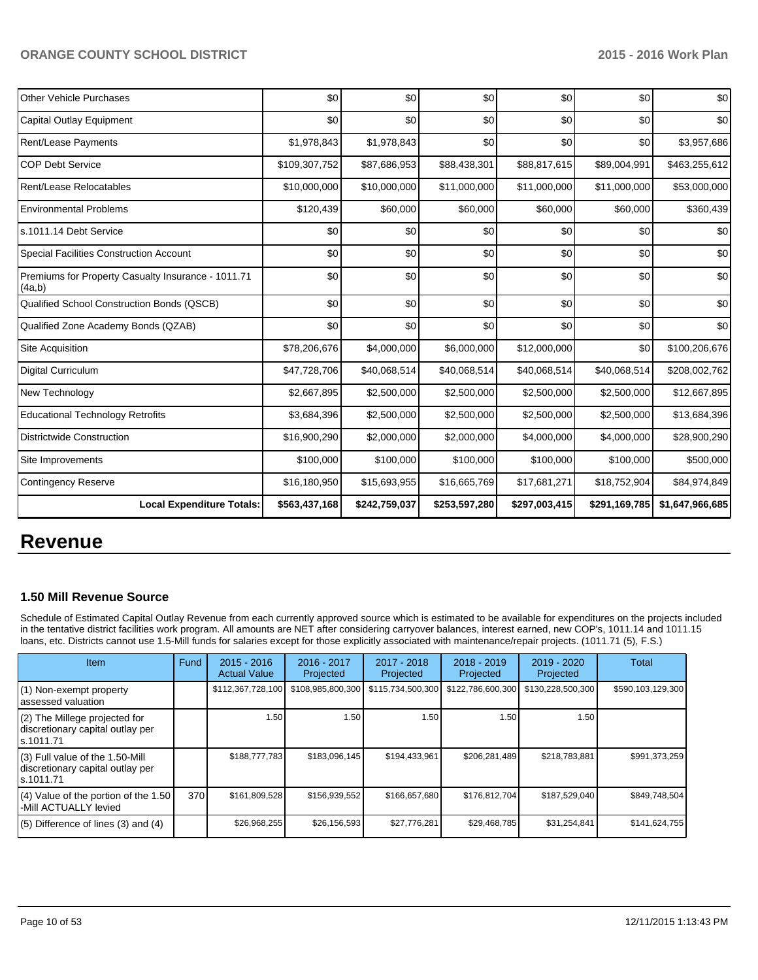| Other Vehicle Purchases                                      | \$0           | \$0           | \$0           | \$0           | \$0           | \$0             |
|--------------------------------------------------------------|---------------|---------------|---------------|---------------|---------------|-----------------|
| Capital Outlay Equipment                                     | \$0           | \$0           | \$0           | \$0           | \$0           | \$0             |
| Rent/Lease Payments                                          | \$1,978,843   | \$1,978,843   | \$0           | \$0           | \$0           | \$3,957,686     |
| <b>COP Debt Service</b>                                      | \$109,307,752 | \$87,686,953  | \$88,438,301  | \$88,817,615  | \$89,004,991  | \$463,255,612   |
| Rent/Lease Relocatables                                      | \$10,000,000  | \$10,000,000  | \$11,000,000  | \$11,000,000  | \$11,000,000  | \$53,000,000    |
| <b>Environmental Problems</b>                                | \$120,439     | \$60,000      | \$60,000      | \$60,000      | \$60,000      | \$360,439       |
| s.1011.14 Debt Service                                       | \$0           | \$0           | \$0           | \$0           | \$0           | \$0             |
| <b>Special Facilities Construction Account</b>               | \$0           | \$0           | \$0           | \$0           | \$0           | \$0             |
| Premiums for Property Casualty Insurance - 1011.71<br>(4a,b) | \$0           | \$0           | \$0           | \$0           | \$0           | \$0             |
| Qualified School Construction Bonds (QSCB)                   | \$0           | \$0           | \$0           | \$0           | \$0           | \$0             |
| Qualified Zone Academy Bonds (QZAB)                          | \$0           | \$0           | \$0           | \$0           | \$0           | \$0             |
| Site Acquisition                                             | \$78,206,676  | \$4,000,000   | \$6,000,000   | \$12,000,000  | \$0           | \$100,206,676   |
| <b>Digital Curriculum</b>                                    | \$47,728,706  | \$40,068,514  | \$40,068,514  | \$40,068,514  | \$40,068,514  | \$208,002,762   |
| New Technology                                               | \$2,667,895   | \$2,500,000   | \$2,500,000   | \$2,500,000   | \$2,500,000   | \$12,667,895    |
| <b>Educational Technology Retrofits</b>                      | \$3,684,396   | \$2,500,000   | \$2,500,000   | \$2,500,000   | \$2,500,000   | \$13,684,396    |
| <b>Districtwide Construction</b>                             | \$16,900,290  | \$2,000,000   | \$2,000,000   | \$4,000,000   | \$4,000,000   | \$28,900,290    |
| Site Improvements                                            | \$100,000     | \$100,000     | \$100,000     | \$100,000     | \$100,000     | \$500,000       |
| <b>Contingency Reserve</b>                                   | \$16,180,950  | \$15,693,955  | \$16,665,769  | \$17,681,271  | \$18,752,904  | \$84,974,849    |
| <b>Local Expenditure Totals:</b>                             | \$563,437,168 | \$242,759,037 | \$253,597,280 | \$297,003,415 | \$291,169,785 | \$1,647,966,685 |

# **Revenue**

### **1.50 Mill Revenue Source**

Schedule of Estimated Capital Outlay Revenue from each currently approved source which is estimated to be available for expenditures on the projects included in the tentative district facilities work program. All amounts are NET after considering carryover balances, interest earned, new COP's, 1011.14 and 1011.15 loans, etc. Districts cannot use 1.5-Mill funds for salaries except for those explicitly associated with maintenance/repair projects. (1011.71 (5), F.S.)

| <b>Item</b>                                                                       | Fund | $2015 - 2016$<br><b>Actual Value</b> | $2016 - 2017$<br>Projected | $2017 - 2018$<br>Projected | $2018 - 2019$<br>Projected | $2019 - 2020$<br>Projected | Total             |
|-----------------------------------------------------------------------------------|------|--------------------------------------|----------------------------|----------------------------|----------------------------|----------------------------|-------------------|
| (1) Non-exempt property<br>lassessed valuation                                    |      | \$112,367,728,100                    | \$108,985,800,300          | \$115,734,500,300          | \$122,786,600,300          | \$130,228,500,300          | \$590,103,129,300 |
| (2) The Millege projected for<br>discretionary capital outlay per<br>ls.1011.71   |      | 1.50                                 | 1.50 <sup>1</sup>          | 1.50                       | 1.50                       | 1.50 <sub>l</sub>          |                   |
| (3) Full value of the 1.50-Mill<br>discretionary capital outlay per<br>ls.1011.71 |      | \$188,777,783                        | \$183.096.145              | \$194,433,961              | \$206,281,489              | \$218,783,881              | \$991,373,259     |
| (4) Value of the portion of the 1.50<br>I-Mill ACTUALLY levied                    | 370  | \$161,809,528                        | \$156,939,552              | \$166,657,680              | \$176,812,704              | \$187,529,040              | \$849,748,504     |
| $(5)$ Difference of lines $(3)$ and $(4)$                                         |      | \$26,968,255                         | \$26,156,593               | \$27,776,281               | \$29,468,785               | \$31,254,841               | \$141,624,755     |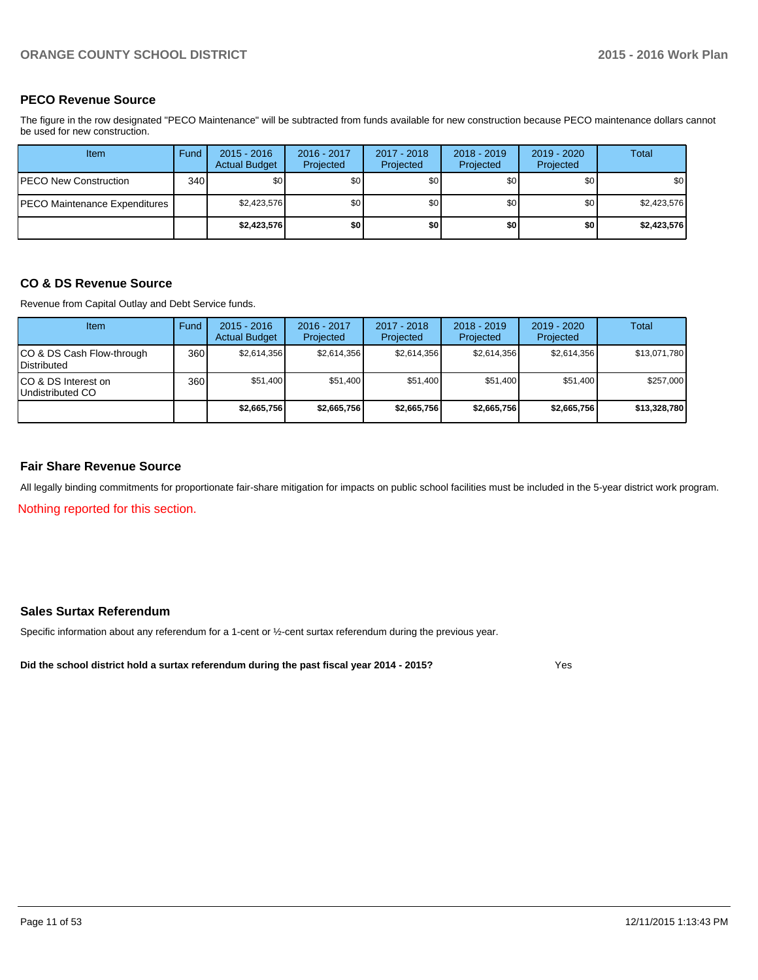### **PECO Revenue Source**

The figure in the row designated "PECO Maintenance" will be subtracted from funds available for new construction because PECO maintenance dollars cannot be used for new construction.

| Item                          | Fund | $2015 - 2016$<br><b>Actual Budget</b> | 2016 - 2017<br>Projected | 2017 - 2018<br>Projected | $2018 - 2019$<br>Projected | 2019 - 2020<br>Projected | Total       |
|-------------------------------|------|---------------------------------------|--------------------------|--------------------------|----------------------------|--------------------------|-------------|
| PECO New Construction         | 340  | \$0 <sub>1</sub>                      | \$0 <sub>1</sub>         | \$0                      | \$0 I                      | \$0                      | \$0         |
| PECO Maintenance Expenditures |      | \$2,423,576                           | \$0                      | \$0                      | \$0 <sub>1</sub>           | \$0                      | \$2,423,576 |
|                               |      | \$2,423,576                           | \$0                      | \$0                      | \$0                        | \$0                      | \$2,423,576 |

### **CO & DS Revenue Source**

Revenue from Capital Outlay and Debt Service funds.

| Item                                            | Fund | $2015 - 2016$<br><b>Actual Budget</b> | $2016 - 2017$<br>Projected | $2017 - 2018$<br>Projected | $2018 - 2019$<br>Projected | $2019 - 2020$<br>Projected | Total        |
|-------------------------------------------------|------|---------------------------------------|----------------------------|----------------------------|----------------------------|----------------------------|--------------|
| CO & DS Cash Flow-through<br><b>Distributed</b> | 360  | \$2.614.356                           | \$2,614,356                | \$2.614.356                | \$2.614.356                | \$2,614,356                | \$13,071,780 |
| CO & DS Interest on<br>Undistributed CO         | 360  | \$51,400                              | \$51,400                   | \$51,400                   | \$51.400                   | \$51,400                   | \$257,000    |
|                                                 |      | \$2,665,756                           | \$2,665,756                | \$2,665,756                | \$2.665.756                | \$2,665,756                | \$13,328,780 |

### **Fair Share Revenue Source**

Nothing reported for this section. All legally binding commitments for proportionate fair-share mitigation for impacts on public school facilities must be included in the 5-year district work program.

### **Sales Surtax Referendum**

Specific information about any referendum for a 1-cent or ½-cent surtax referendum during the previous year.

**Did the school district hold a surtax referendum during the past fiscal year 2014 - 2015?**

Yes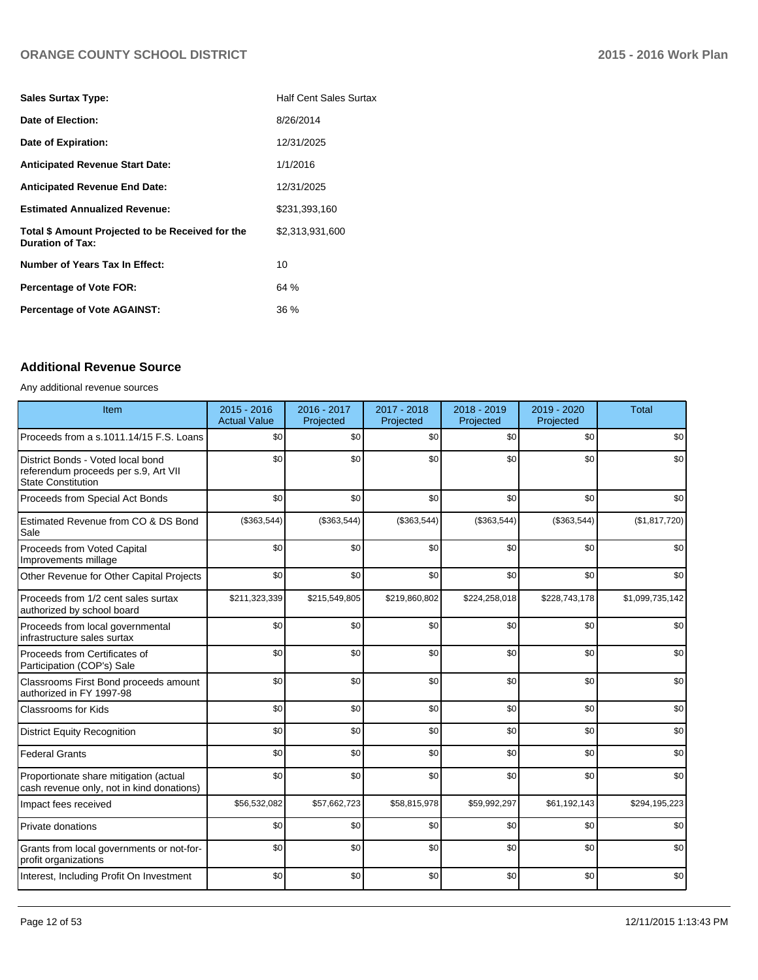| <b>Half Cent Sales Surtax</b> |
|-------------------------------|
| 8/26/2014                     |
| 12/31/2025                    |
| 1/1/2016                      |
| 12/31/2025                    |
| \$231,393,160                 |
| \$2,313,931,600               |
| 10                            |
| 64%                           |
| 36 %                          |
|                               |

## **Additional Revenue Source**

### Any additional revenue sources

| Item                                                                                                   | 2015 - 2016<br><b>Actual Value</b> | 2016 - 2017<br>Projected | 2017 - 2018<br>Projected | 2018 - 2019<br>Projected | 2019 - 2020<br>Projected | <b>Total</b>    |
|--------------------------------------------------------------------------------------------------------|------------------------------------|--------------------------|--------------------------|--------------------------|--------------------------|-----------------|
| Proceeds from a s.1011.14/15 F.S. Loans                                                                | \$0                                | \$0                      | \$0                      | \$0                      | \$0                      | \$0             |
| District Bonds - Voted local bond<br>referendum proceeds per s.9, Art VII<br><b>State Constitution</b> | \$0                                | \$0                      | \$0                      | \$0                      | \$0                      | \$0             |
| Proceeds from Special Act Bonds                                                                        | \$0                                | \$0                      | \$0                      | \$0                      | \$0                      | \$0             |
| Estimated Revenue from CO & DS Bond<br>Sale                                                            | (\$363,544)                        | (\$363,544)              | (\$363,544)              | (\$363,544)              | (\$363,544)              | (\$1,817,720)   |
| Proceeds from Voted Capital<br>Improvements millage                                                    | \$0                                | \$0                      | \$0                      | \$0                      | \$0                      | \$0             |
| Other Revenue for Other Capital Projects                                                               | \$0                                | \$0                      | \$0                      | \$0                      | \$0                      | \$0             |
| Proceeds from 1/2 cent sales surtax<br>authorized by school board                                      | \$211,323,339                      | \$215,549,805            | \$219,860,802            | \$224,258,018            | \$228,743,178            | \$1,099,735,142 |
| Proceeds from local governmental<br>infrastructure sales surtax                                        | \$0                                | \$0                      | \$0                      | \$0                      | \$0                      | \$0             |
| Proceeds from Certificates of<br>Participation (COP's) Sale                                            | \$0                                | \$0                      | \$0                      | \$0                      | \$0                      | \$0             |
| Classrooms First Bond proceeds amount<br>authorized in FY 1997-98                                      | \$0                                | \$0                      | \$0                      | \$0                      | \$0                      | \$0             |
| <b>Classrooms for Kids</b>                                                                             | \$0                                | \$0                      | \$0                      | \$0                      | \$0                      | \$0             |
| <b>District Equity Recognition</b>                                                                     | \$0                                | \$0                      | \$0                      | \$0                      | \$0                      | \$0             |
| <b>Federal Grants</b>                                                                                  | \$0                                | \$0                      | \$0                      | \$0                      | \$0                      | \$0             |
| Proportionate share mitigation (actual<br>cash revenue only, not in kind donations)                    | \$0                                | \$0                      | \$0                      | \$0                      | \$0                      | \$0             |
| Impact fees received                                                                                   | \$56,532,082                       | \$57,662,723             | \$58,815,978             | \$59,992,297             | \$61,192,143             | \$294,195,223   |
| <b>Private donations</b>                                                                               | \$0                                | \$0                      | \$0                      | \$0                      | \$0                      | \$0             |
| Grants from local governments or not-for-<br>profit organizations                                      | \$0                                | \$0                      | \$0                      | \$0                      | \$0                      | \$0             |
| Interest, Including Profit On Investment                                                               | \$0                                | \$0                      | \$0                      | \$0                      | \$0                      | \$0             |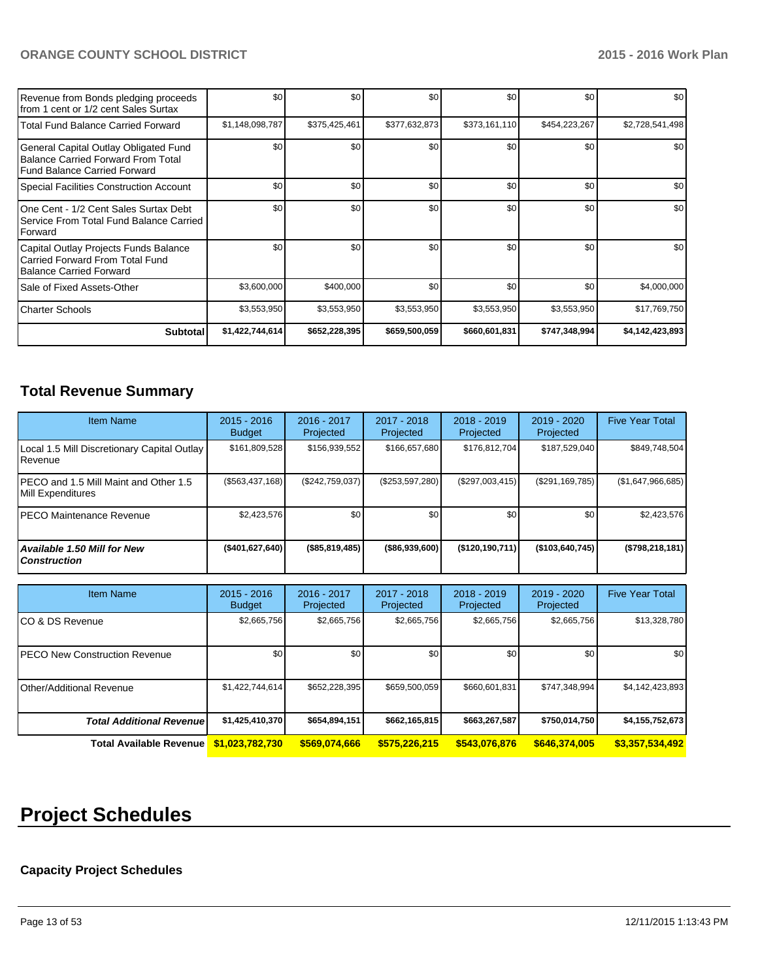| Revenue from Bonds pledging proceeds<br>Ifrom 1 cent or 1/2 cent Sales Surtax                                 | \$0             | \$0           | \$0           | \$0           | \$0           | \$0             |
|---------------------------------------------------------------------------------------------------------------|-----------------|---------------|---------------|---------------|---------------|-----------------|
| l Total Fund Balance Carried Forward                                                                          | \$1,148,098,787 | \$375,425,461 | \$377,632,873 | \$373,161,110 | \$454,223,267 | \$2,728,541,498 |
| General Capital Outlay Obligated Fund<br>Balance Carried Forward From Total<br>l Fund Balance Carried Forward | \$0             | \$0           | \$0           | \$0           | \$0           | \$0             |
| Special Facilities Construction Account                                                                       | \$0             | \$0           | \$0           | \$0           | \$0           | \$0             |
| One Cent - 1/2 Cent Sales Surtax Debt<br>Service From Total Fund Balance Carried<br>l Forward                 | \$0             | \$0           | \$0           | \$0           | \$0           | \$0             |
| Capital Outlay Projects Funds Balance<br>l Carried Forward From Total Fund<br>Balance Carried Forward         | \$0             | \$0           | \$0           | \$0           | \$0           | \$0             |
| Sale of Fixed Assets-Other                                                                                    | \$3,600,000     | \$400,000     | \$0           | \$0           | \$0           | \$4,000,000     |
| l Charter Schools                                                                                             | \$3,553,950     | \$3,553,950   | \$3,553,950   | \$3,553,950   | \$3,553,950   | \$17,769,750    |
| <b>Subtotal</b>                                                                                               | \$1,422,744,614 | \$652,228,395 | \$659,500,059 | \$660,601,831 | \$747,348,994 | \$4,142,423,893 |

# **Total Revenue Summary**

| <b>Item Name</b>                                                   | $2015 - 2016$<br>Budget | $2016 - 2017$<br>Projected | $2017 - 2018$<br>Projected | $2018 - 2019$<br>Projected | $2019 - 2020$<br>Projected | <b>Five Year Total</b> |
|--------------------------------------------------------------------|-------------------------|----------------------------|----------------------------|----------------------------|----------------------------|------------------------|
| Local 1.5 Mill Discretionary Capital Outlay<br>l Revenue           | \$161,809,528           | \$156,939,552              | \$166,657,680              | \$176,812,704              | \$187.529.040              | \$849,748,504          |
| <b>IPECO and 1.5 Mill Maint and Other 1.5</b><br>Mill Expenditures | (\$563,437,168)         | (S242.759.037)             | (\$253,597,280)            | $(\$297,003,415)$          | (\$291,169,785)            | (\$1,647,966,685)      |
| IPECO Maintenance Revenue                                          | \$2.423.576             | \$0                        | \$0                        | \$0                        | \$0                        | \$2,423,576            |
| Available 1.50 Mill for New<br>l Construction                      | ( \$401, 627, 640]      | $($ \$85,819,485) $ $      | $($ \$86,939,600) $ $      | (\$120,190,711)            | $($ \$103,640,745)         | $($ \$798,218,181)     |

| <b>Item Name</b>                 | $2015 - 2016$<br><b>Budget</b> | 2016 - 2017<br>Projected | 2017 - 2018<br>Projected | $2018 - 2019$<br>Projected | 2019 - 2020<br>Projected | <b>Five Year Total</b> |
|----------------------------------|--------------------------------|--------------------------|--------------------------|----------------------------|--------------------------|------------------------|
| ICO & DS Revenue                 | \$2,665,756                    | \$2,665,756              | \$2,665,756              | \$2,665,756                | \$2,665,756              | \$13,328,780           |
| IPECO New Construction Revenue   | \$0 <sub>1</sub>               | \$0                      | \$0                      | \$0                        | \$0                      | \$0 <sub>1</sub>       |
| Other/Additional Revenue         | \$1,422,744,614                | \$652,228,395            | \$659,500,059            | \$660,601,831              | \$747,348,994            | \$4,142,423,893        |
| <b>Total Additional Revenuel</b> | \$1,425,410,370                | \$654,894,151            | \$662,165,815            | \$663,267,587              | \$750,014,750            | \$4,155,752,673        |
| Total Available Revenue          | \$1.023.782.730                | \$569,074,666            | \$575,226,215            | \$543.076.876              | \$646,374,005            | \$3,357,534,492        |

# **Project Schedules**

## **Capacity Project Schedules**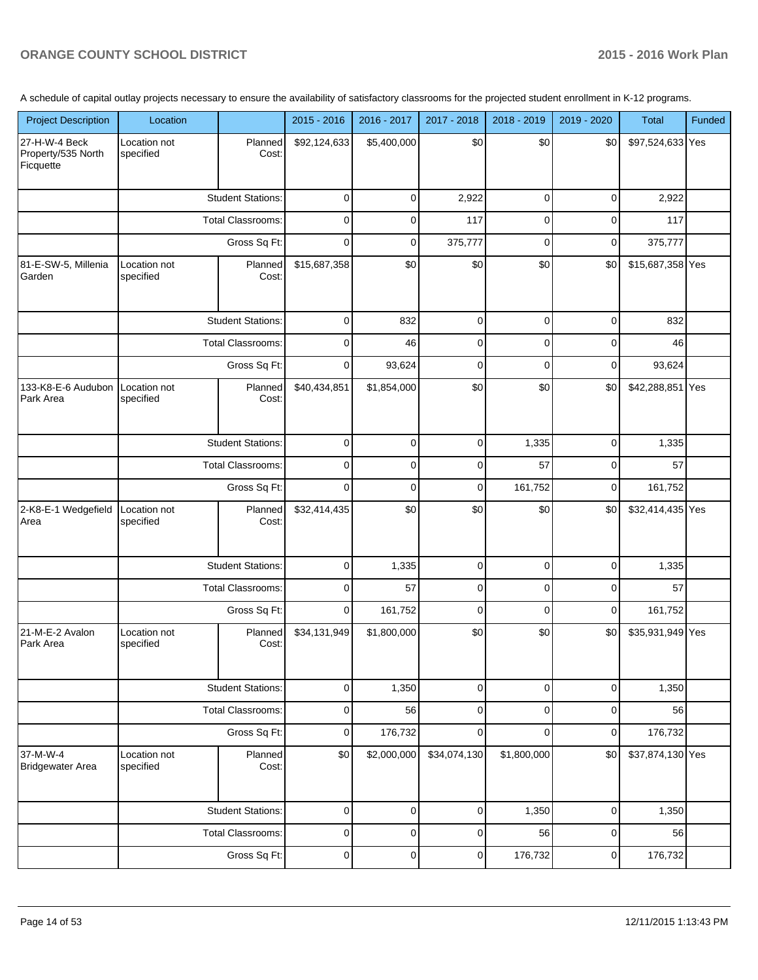A schedule of capital outlay projects necessary to ensure the availability of satisfactory classrooms for the projected student enrollment in K-12 programs.

|                                                  |                                          |                          |                | 2016 - 2017 |              | 2018 - 2019 |                |                  |        |
|--------------------------------------------------|------------------------------------------|--------------------------|----------------|-------------|--------------|-------------|----------------|------------------|--------|
| <b>Project Description</b>                       | Location                                 |                          | 2015 - 2016    |             | 2017 - 2018  |             | 2019 - 2020    | Total            | Funded |
| 27-H-W-4 Beck<br>Property/535 North<br>Ficquette | Location not<br>specified                | Planned<br>Cost:         | \$92,124,633   | \$5,400,000 | \$0          | \$0         | \$0            | \$97,524,633 Yes |        |
|                                                  |                                          | <b>Student Stations:</b> | 0              | $\mathbf 0$ | 2,922        | 0           | 0              | 2,922            |        |
|                                                  |                                          | <b>Total Classrooms:</b> | $\mathbf 0$    | $\mathbf 0$ | 117          | 0           | 0              | 117              |        |
|                                                  |                                          | Gross Sq Ft:             | $\mathbf 0$    | $\mathbf 0$ | 375,777      | 0           | $\mathbf 0$    | 375,777          |        |
| 81-E-SW-5, Millenia<br>Garden                    | Location not<br>specified                | Planned<br>Cost:         | \$15,687,358   | \$0         | \$0          | \$0         | \$0            | \$15,687,358 Yes |        |
|                                                  |                                          | <b>Student Stations:</b> | $\mathbf 0$    | 832         | $\mathbf 0$  | $\Omega$    | 0              | 832              |        |
|                                                  |                                          | <b>Total Classrooms:</b> | 0              | 46          | 0            | 0           | 0              | 46               |        |
|                                                  |                                          | Gross Sq Ft:             | 0              | 93,624      | 0            | $\Omega$    | 0              | 93,624           |        |
| 133-K8-E-6 Audubon<br>Park Area                  | Location not<br>specified                | Planned<br>Cost:         | \$40,434,851   | \$1,854,000 | \$0          | \$0         | \$0            | \$42,288,851 Yes |        |
|                                                  |                                          | <b>Student Stations:</b> | $\mathbf 0$    | $\mathbf 0$ | $\mathbf 0$  | 1,335       | 0              | 1,335            |        |
|                                                  | <b>Total Classrooms:</b><br>Gross Sq Ft: |                          | 0              | $\Omega$    | 0            | 57          | 0              | 57               |        |
|                                                  |                                          |                          | $\mathbf 0$    | $\mathbf 0$ | 0            | 161,752     | 0              | 161,752          |        |
| 2-K8-E-1 Wedgefield<br>Area                      | Location not<br>specified                | Planned<br>Cost:         | \$32,414,435   | \$0         | \$0          | \$0         | \$0            | \$32,414,435 Yes |        |
|                                                  |                                          | <b>Student Stations:</b> | $\mathbf 0$    | 1,335       | $\mathbf 0$  | 0           | 0              | 1,335            |        |
|                                                  |                                          | <b>Total Classrooms:</b> | $\mathbf 0$    | 57          | 0            | $\Omega$    | $\Omega$       | 57               |        |
|                                                  |                                          | Gross Sq Ft:             | $\overline{0}$ | 161,752     | 0            | 0           | 0              | 161,752          |        |
| 21-M-E-2 Avalon<br>Park Area                     | Location not<br>specified                | Planned<br>Cost:         | \$34,131,949   | \$1,800,000 | \$0          | \$0         | \$0            | \$35,931,949 Yes |        |
|                                                  |                                          | <b>Student Stations:</b> | $\overline{0}$ | 1,350       | $\mathbf 0$  | 0           | 0              | 1,350            |        |
|                                                  |                                          | Total Classrooms:        | $\mathbf 0$    | 56          | $\mathbf 0$  | 0           | 0              | 56               |        |
|                                                  |                                          | Gross Sq Ft:             | $\overline{0}$ | 176,732     | 0            | 0           | $\overline{0}$ | 176,732          |        |
| 37-M-W-4<br><b>Bridgewater Area</b>              | Location not<br>specified                | Planned<br>Cost:         | \$0            | \$2,000,000 | \$34,074,130 | \$1,800,000 | \$0            | \$37,874,130 Yes |        |
|                                                  |                                          | <b>Student Stations:</b> | $\mathbf 0$    | $\mathbf 0$ | $\mathbf 0$  | 1,350       | 0              | 1,350            |        |
|                                                  |                                          | Total Classrooms:        | 0              | $\mathbf 0$ | 0            | 56          | 0              | 56               |        |
|                                                  |                                          | Gross Sq Ft:             | $\pmb{0}$      | $\mathbf 0$ | $\pmb{0}$    | 176,732     | 0              | 176,732          |        |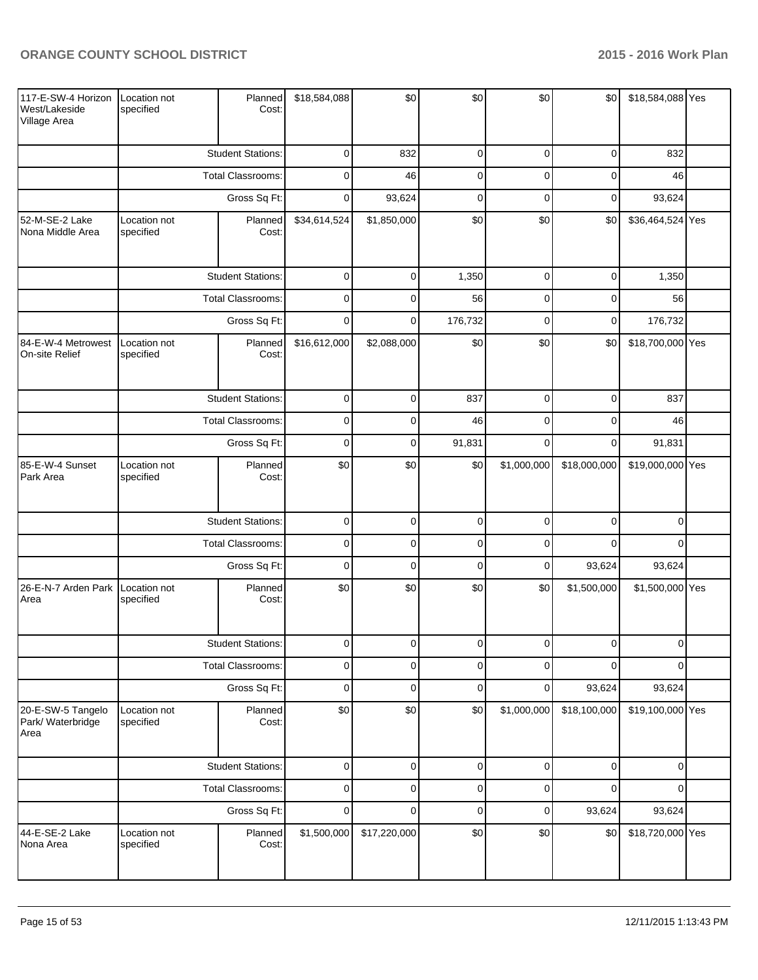| 117-E-SW-4 Horizon<br>West/Lakeside<br>Village Area | Location not<br>specified                | Planned<br>Cost:         | \$18,584,088   | \$0          | \$0         | \$0         | \$0            | \$18,584,088 Yes |  |
|-----------------------------------------------------|------------------------------------------|--------------------------|----------------|--------------|-------------|-------------|----------------|------------------|--|
|                                                     |                                          | <b>Student Stations:</b> | $\mathbf 0$    | 832          | $\pmb{0}$   | $\mathbf 0$ | $\overline{0}$ | 832              |  |
|                                                     |                                          | <b>Total Classrooms:</b> | $\mathbf 0$    | 46           | $\pmb{0}$   | $\mathbf 0$ | $\mathbf 0$    | 46               |  |
|                                                     |                                          | Gross Sq Ft:             | $\mathbf 0$    | 93,624       | $\mathbf 0$ | $\mathbf 0$ | $\overline{0}$ | 93,624           |  |
| 52-M-SE-2 Lake<br>Nona Middle Area                  | Location not<br>specified                | Planned<br>Cost:         | \$34,614,524   | \$1,850,000  | \$0         | \$0         | \$0            | \$36,464,524 Yes |  |
|                                                     |                                          | <b>Student Stations:</b> | $\mathbf 0$    | $\Omega$     | 1,350       | $\mathbf 0$ | $\overline{0}$ | 1,350            |  |
|                                                     |                                          | Total Classrooms:        | $\mathbf 0$    | $\Omega$     | 56          | $\mathbf 0$ | $\mathbf 0$    | 56               |  |
|                                                     |                                          | Gross Sq Ft:             | $\mathbf 0$    | $\Omega$     | 176,732     | $\Omega$    | $\overline{0}$ | 176,732          |  |
| 84-E-W-4 Metrowest<br>On-site Relief                | Location not<br>specified                | Planned<br>Cost:         | \$16,612,000   | \$2,088,000  | \$0         | \$0         | \$0            | \$18,700,000 Yes |  |
|                                                     |                                          | <b>Student Stations:</b> | $\mathbf 0$    | $\mathbf 0$  | 837         | $\pmb{0}$   | $\overline{0}$ | 837              |  |
|                                                     | <b>Total Classrooms:</b><br>Gross Sq Ft: |                          | $\mathbf 0$    | 0            | 46          | $\mathbf 0$ | $\overline{0}$ | 46               |  |
|                                                     |                                          |                          | $\mathbf 0$    | $\mathbf 0$  | 91,831      | $\mathbf 0$ | $\overline{0}$ | 91,831           |  |
| 85-E-W-4 Sunset<br>Park Area                        | Location not<br>specified                | Planned<br>Cost:         | \$0            | \$0          | \$0         | \$1,000,000 | \$18,000,000   | \$19,000,000 Yes |  |
|                                                     |                                          | <b>Student Stations:</b> | $\mathbf 0$    | $\mathbf 0$  | $\pmb{0}$   | $\mathbf 0$ | $\overline{0}$ | $\Omega$         |  |
|                                                     |                                          | Total Classrooms:        | $\mathbf 0$    | $\mathbf 0$  | $\pmb{0}$   | $\Omega$    | $\Omega$       | $\Omega$         |  |
|                                                     |                                          | Gross Sq Ft:             | $\mathbf 0$    | $\mathbf 0$  | $\mathbf 0$ | $\mathbf 0$ | 93,624         | 93,624           |  |
| 26-E-N-7 Arden Park<br>Area                         | Location not<br>specified                | Planned<br>Cost:         | \$0            | \$0          | \$0         | \$0         | \$1,500,000    | \$1,500,000 Yes  |  |
|                                                     |                                          | <b>Student Stations:</b> | $\overline{0}$ | $\Omega$     | 0           | U           | U              |                  |  |
|                                                     |                                          | Total Classrooms:        | $\pmb{0}$      | $\mathbf 0$  | $\pmb{0}$   | $\mathbf 0$ | $\Omega$       | $\Omega$         |  |
|                                                     |                                          | Gross Sq Ft:             | $\mathbf 0$    | $\pmb{0}$    | $\pmb{0}$   | $\mathbf 0$ | 93,624         | 93,624           |  |
| 20-E-SW-5 Tangelo<br>Park/ Waterbridge<br>Area      | Location not<br>specified                | Planned<br>Cost:         | \$0            | \$0          | \$0         | \$1,000,000 | \$18,100,000   | \$19,100,000 Yes |  |
|                                                     |                                          | <b>Student Stations:</b> | $\mathbf 0$    | $\pmb{0}$    | $\pmb{0}$   | $\pmb{0}$   | $\overline{0}$ | $\mathbf{0}$     |  |
|                                                     |                                          | Total Classrooms:        | $\mathbf 0$    | $\mathbf 0$  | $\pmb{0}$   | $\mathbf 0$ | $\Omega$       | $\Omega$         |  |
|                                                     |                                          | Gross Sq Ft:             | $\mathbf 0$    | $\mathbf 0$  | $\pmb{0}$   | $\pmb{0}$   | 93,624         | 93,624           |  |
| 44-E-SE-2 Lake<br>Nona Area                         | Location not<br>specified                | Planned<br>Cost:         | \$1,500,000    | \$17,220,000 | \$0         | \$0         | \$0            | \$18,720,000 Yes |  |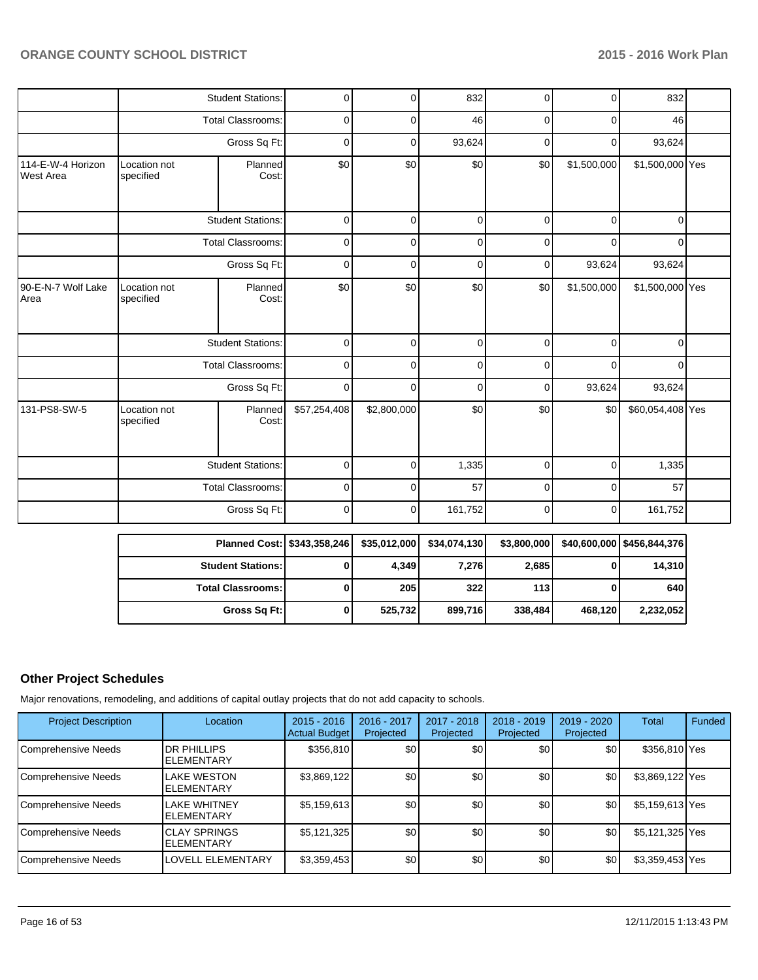|                                       |                           | <b>Student Stations:</b> | 0            | $\Omega$     | 832         | $\overline{0}$ | $\overline{0}$ | 832              |  |
|---------------------------------------|---------------------------|--------------------------|--------------|--------------|-------------|----------------|----------------|------------------|--|
|                                       |                           | <b>Total Classrooms:</b> | 0            | 0            | 46          | 0              | 0              | 46               |  |
|                                       |                           | Gross Sq Ft:             | $\mathbf 0$  | 0            | 93,624      | $\overline{0}$ | 0              | 93,624           |  |
| 114-E-W-4 Horizon<br><b>West Area</b> | Location not<br>specified | Planned<br>Cost:         | \$0          | \$0          | \$0         | \$0            | \$1,500,000    | \$1,500,000 Yes  |  |
|                                       |                           | <b>Student Stations:</b> | $\mathbf 0$  | $\mathbf 0$  | $\mathbf 0$ | 0              | $\mathbf 0$    | 0                |  |
|                                       |                           | <b>Total Classrooms:</b> | $\mathbf 0$  | $\mathbf 0$  | $\mathbf 0$ | $\mathbf 0$    | $\mathbf 0$    | 0                |  |
|                                       |                           | Gross Sq Ft:             |              | $\mathbf 0$  | $\mathbf 0$ | 0              | 93,624         | 93,624           |  |
| 90-E-N-7 Wolf Lake<br>Area            | Location not<br>specified | Planned<br>Cost:         | \$0          | \$0          | \$0         | \$0            | \$1,500,000    | \$1,500,000 Yes  |  |
|                                       |                           | <b>Student Stations:</b> | $\mathbf 0$  | 0            | $\mathbf 0$ | 0              | 0              | 0                |  |
|                                       |                           | Total Classrooms:        | 0            | $\Omega$     | $\mathbf 0$ | 0              | 0              | 0                |  |
|                                       |                           | Gross Sq Ft:             | $\mathbf 0$  | $\Omega$     | $\mathbf 0$ | 0              | 93,624         | 93,624           |  |
| 131-PS8-SW-5                          | Location not<br>specified | Planned<br>Cost:         | \$57,254,408 | \$2,800,000  | \$0         | \$0            | \$0            | \$60,054,408 Yes |  |
|                                       |                           | <b>Student Stations:</b> | 0            | 0            | 1,335       | $\mathbf 0$    | $\mathbf 0$    | 1,335            |  |
|                                       |                           | <b>Total Classrooms:</b> | $\mathbf 0$  | $\mathbf{0}$ | 57          | 0              | $\mathbf 0$    | 57               |  |
|                                       |                           | Gross Sq Ft:             | $\mathbf 0$  | 0            | 161,752     | 0              | $\overline{0}$ | 161,752          |  |

| Planned Cost: \$343,358,246 | \$35,012,000 | \$34,074,130 | \$3,800,000 |         | \$40,600,000   \$456,844,376 |
|-----------------------------|--------------|--------------|-------------|---------|------------------------------|
| <b>Student Stations:</b>    | 4,349        | 7,276        | 2,685       |         | 14,310                       |
| <b>Total Classrooms: I</b>  | <b>2051</b>  | 322          | 113 I       |         | 640                          |
| Gross Sq Ft:                | 525,732      | 899,716      | 338,484     | 468.120 | 2,232,052                    |

## **Other Project Schedules**

Major renovations, remodeling, and additions of capital outlay projects that do not add capacity to schools.

| <b>Project Description</b> | Location                                   | $2015 - 2016$<br><b>Actual Budget</b> | $2016 - 2017$<br>Projected | 2017 - 2018<br>Projected | $2018 - 2019$<br>Projected | 2019 - 2020<br>Projected | Total           | Funded |
|----------------------------|--------------------------------------------|---------------------------------------|----------------------------|--------------------------|----------------------------|--------------------------|-----------------|--------|
| Comprehensive Needs        | <b>DR PHILLIPS</b><br><b>IELEMENTARY</b>   | \$356,810                             | \$0                        | \$0                      | \$0                        | \$0                      | \$356,810 Yes   |        |
| Comprehensive Needs        | <b>LAKE WESTON</b><br><b>IELEMENTARY</b>   | \$3,869,122                           | \$0                        | \$0                      | \$0                        | \$0                      | \$3,869,122 Yes |        |
| Comprehensive Needs        | <b>LAKE WHITNEY</b><br><b>IELEMENTARY</b>  | \$5,159,613                           | \$0                        | \$0                      | \$0                        | \$0                      | \$5,159,613 Yes |        |
| Comprehensive Needs        | <b>ICLAY SPRINGS</b><br><b>IELEMENTARY</b> | \$5,121,325                           | \$0                        | \$0                      | \$0                        | \$0                      | \$5,121,325 Yes |        |
| Comprehensive Needs        | <b>LOVELL ELEMENTARY</b>                   | \$3,359,453                           | \$0                        | \$0                      | \$0                        | \$0 <sub>1</sub>         | \$3,359,453 Yes |        |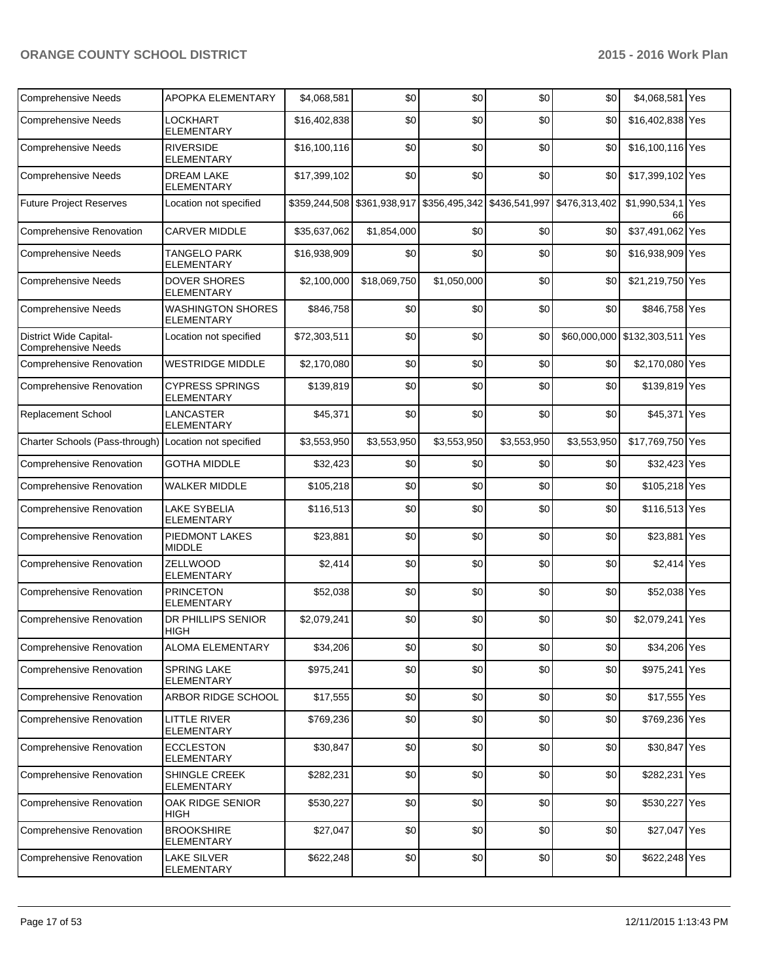| <b>Comprehensive Needs</b>                           | APOPKA ELEMENTARY                             | \$4,068,581  | \$0          | \$0                                                                   | \$0         | \$0         | \$4,068,581 Yes                |  |
|------------------------------------------------------|-----------------------------------------------|--------------|--------------|-----------------------------------------------------------------------|-------------|-------------|--------------------------------|--|
| <b>Comprehensive Needs</b>                           | LOCKHART<br><b>ELEMENTARY</b>                 | \$16,402,838 | \$0          | \$0                                                                   | \$0         | \$0         | \$16,402,838 Yes               |  |
| <b>Comprehensive Needs</b>                           | <b>RIVERSIDE</b><br><b>ELEMENTARY</b>         | \$16,100,116 | \$0          | \$0                                                                   | \$0         | \$0         | \$16,100,116 Yes               |  |
| <b>Comprehensive Needs</b>                           | <b>DREAM LAKE</b><br><b>ELEMENTARY</b>        | \$17,399,102 | \$0          | \$0                                                                   | \$0         | \$0         | \$17,399,102 Yes               |  |
| <b>Future Project Reserves</b>                       | Location not specified                        |              |              | \$359,244,508 \$361,938,917 \$356,495,342 \$436,541,997 \$476,313,402 |             |             | \$1,990,534,1 Yes<br>66        |  |
| Comprehensive Renovation                             | <b>CARVER MIDDLE</b>                          | \$35,637,062 | \$1,854,000  | \$0                                                                   | \$0         | \$0         | \$37,491,062 Yes               |  |
| <b>Comprehensive Needs</b>                           | <b>TANGELO PARK</b><br><b>ELEMENTARY</b>      | \$16,938,909 | \$0          | \$0                                                                   | \$0         | \$0         | \$16,938,909 Yes               |  |
| <b>Comprehensive Needs</b>                           | <b>DOVER SHORES</b><br><b>ELEMENTARY</b>      | \$2,100,000  | \$18,069,750 | \$1,050,000                                                           | \$0         | \$0         | \$21,219,750 Yes               |  |
| <b>Comprehensive Needs</b>                           | <b>WASHINGTON SHORES</b><br><b>ELEMENTARY</b> | \$846,758    | \$0          | \$0                                                                   | \$0         | \$0         | \$846,758 Yes                  |  |
| District Wide Capital-<br><b>Comprehensive Needs</b> | Location not specified                        | \$72,303,511 | \$0          | \$0                                                                   | \$0         |             | \$60,000,000 \$132,303,511 Yes |  |
| <b>Comprehensive Renovation</b>                      | <b>WESTRIDGE MIDDLE</b>                       | \$2,170,080  | \$0          | \$0                                                                   | \$0         | \$0         | \$2,170,080 Yes                |  |
| Comprehensive Renovation                             | <b>CYPRESS SPRINGS</b><br><b>ELEMENTARY</b>   | \$139,819    | \$0          | \$0                                                                   | \$0         | \$0         | \$139,819 Yes                  |  |
| Replacement School                                   | LANCASTER<br><b>ELEMENTARY</b>                | \$45,371     | \$0          | \$0                                                                   | \$0         | \$0         | \$45,371 Yes                   |  |
| Charter Schools (Pass-through)                       | Location not specified                        | \$3,553,950  | \$3,553,950  | \$3,553,950                                                           | \$3,553,950 | \$3,553,950 | \$17,769,750 Yes               |  |
| <b>Comprehensive Renovation</b>                      | <b>GOTHA MIDDLE</b>                           | \$32,423     | \$0          | \$0                                                                   | \$0         | \$0         | \$32,423 Yes                   |  |
| <b>Comprehensive Renovation</b>                      | <b>WALKER MIDDLE</b>                          | \$105,218    | \$0          | \$0                                                                   | \$0         | \$0         | \$105,218 Yes                  |  |
| <b>Comprehensive Renovation</b>                      | <b>LAKE SYBELIA</b><br><b>ELEMENTARY</b>      | \$116,513    | \$0          | \$0                                                                   | \$0         | \$0         | \$116,513 Yes                  |  |
| <b>Comprehensive Renovation</b>                      | PIEDMONT LAKES<br><b>MIDDLE</b>               | \$23,881     | \$0          | \$0                                                                   | \$0         | \$0         | \$23,881 Yes                   |  |
| <b>Comprehensive Renovation</b>                      | ZELLWOOD<br><b>ELEMENTARY</b>                 | \$2,414      | \$0          | \$0                                                                   | \$0         | \$0         | \$2,414 Yes                    |  |
| Comprehensive Renovation                             | <b>PRINCETON</b><br><b>ELEMENTARY</b>         | \$52,038     | \$0          | \$0                                                                   | \$0         | \$0         | \$52,038 Yes                   |  |
| <b>Comprehensive Renovation</b>                      | DR PHILLIPS SENIOR<br>HIGH                    | \$2,079,241  | \$0          | \$0                                                                   | \$0         | \$0         | \$2,079,241 Yes                |  |
| <b>Comprehensive Renovation</b>                      | ALOMA ELEMENTARY                              | \$34,206     | \$0]         | \$0]                                                                  | \$0]        | \$0         | \$34,206 Yes                   |  |
| Comprehensive Renovation                             | <b>SPRING LAKE</b><br><b>ELEMENTARY</b>       | \$975,241    | \$0          | \$0                                                                   | \$0         | \$0         | \$975,241 Yes                  |  |
| <b>Comprehensive Renovation</b>                      | ARBOR RIDGE SCHOOL                            | \$17,555     | \$0          | \$0                                                                   | \$0         | \$0         | $$17,555$ Yes                  |  |
| Comprehensive Renovation                             | LITTLE RIVER<br><b>ELEMENTARY</b>             | \$769,236    | \$0          | \$0                                                                   | \$0         | \$0         | \$769,236 Yes                  |  |
| Comprehensive Renovation                             | <b>ECCLESTON</b><br><b>ELEMENTARY</b>         | \$30,847     | \$0          | \$0                                                                   | \$0         | \$0         | \$30,847 Yes                   |  |
| Comprehensive Renovation                             | <b>SHINGLE CREEK</b><br>ELEMENTARY            | \$282,231    | \$0          | \$0                                                                   | \$0         | \$0         | \$282,231 Yes                  |  |
| Comprehensive Renovation                             | OAK RIDGE SENIOR<br>HIGH                      | \$530,227    | \$0          | \$0                                                                   | \$0         | \$0         | \$530,227 Yes                  |  |
| Comprehensive Renovation                             | <b>BROOKSHIRE</b><br>ELEMENTARY               | \$27,047     | \$0          | \$0                                                                   | \$0         | \$0         | \$27,047 Yes                   |  |
| Comprehensive Renovation                             | <b>LAKE SILVER</b><br><b>ELEMENTARY</b>       | \$622,248    | \$0          | \$0                                                                   | \$0         | \$0         | \$622,248 Yes                  |  |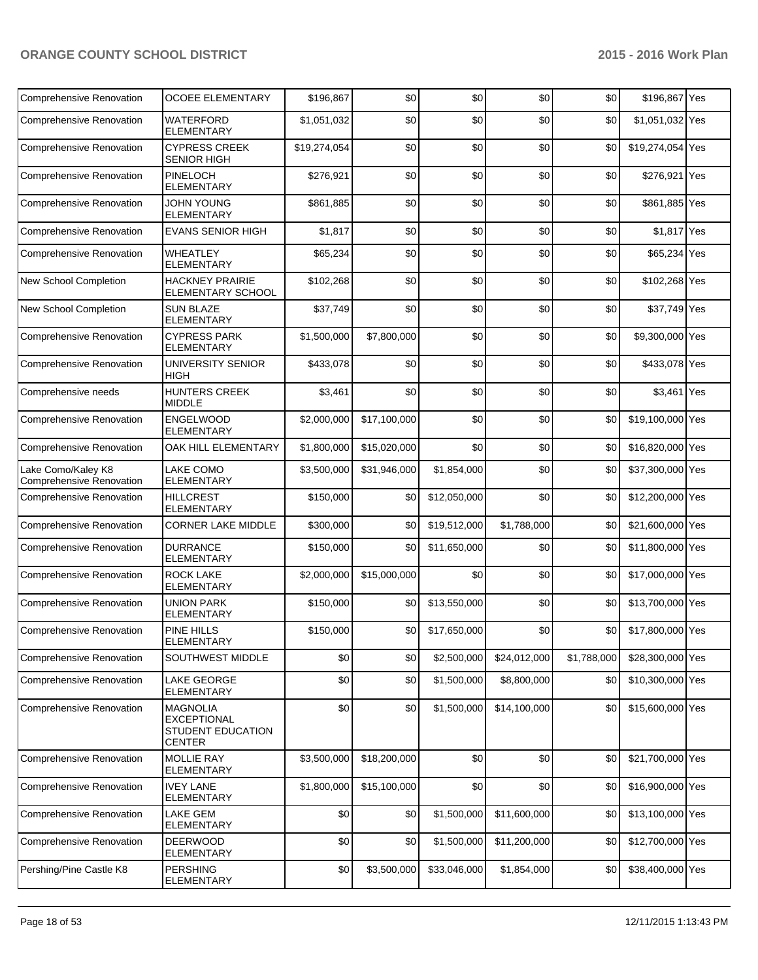| Comprehensive Renovation                              | <b>OCOEE ELEMENTARY</b>                                                     | \$196,867    | \$0          | \$0          | \$0          | \$0         | \$196,867 Yes    |  |
|-------------------------------------------------------|-----------------------------------------------------------------------------|--------------|--------------|--------------|--------------|-------------|------------------|--|
| <b>Comprehensive Renovation</b>                       | WATERFORD<br><b>ELEMENTARY</b>                                              | \$1,051,032  | \$0          | \$0          | \$0          | \$0         | \$1,051,032 Yes  |  |
| <b>Comprehensive Renovation</b>                       | <b>CYPRESS CREEK</b><br><b>SENIOR HIGH</b>                                  | \$19,274,054 | \$0          | \$0          | \$0          | \$0         | \$19,274,054 Yes |  |
| <b>Comprehensive Renovation</b>                       | PINELOCH<br><b>ELEMENTARY</b>                                               | \$276,921    | \$0          | \$0          | \$0          | \$0         | \$276,921 Yes    |  |
| <b>Comprehensive Renovation</b>                       | <b>JOHN YOUNG</b><br><b>ELEMENTARY</b>                                      | \$861,885    | \$0          | \$0          | \$0          | \$0         | \$861,885 Yes    |  |
| Comprehensive Renovation                              | <b>EVANS SENIOR HIGH</b>                                                    | \$1,817      | \$0          | \$0          | \$0          | \$0         | \$1,817 Yes      |  |
| <b>Comprehensive Renovation</b>                       | <b>WHEATLEY</b><br><b>ELEMENTARY</b>                                        | \$65,234     | \$0          | \$0          | \$0          | \$0         | \$65,234 Yes     |  |
| New School Completion                                 | <b>HACKNEY PRAIRIE</b><br>ELEMENTARY SCHOOL                                 | \$102,268    | \$0          | \$0          | \$0          | \$0         | \$102,268 Yes    |  |
| New School Completion                                 | <b>SUN BLAZE</b><br><b>ELEMENTARY</b>                                       | \$37,749     | \$0          | \$0          | \$0          | \$0         | \$37,749 Yes     |  |
| <b>Comprehensive Renovation</b>                       | <b>CYPRESS PARK</b><br><b>ELEMENTARY</b>                                    | \$1,500,000  | \$7,800,000  | \$0          | \$0          | \$0         | \$9,300,000 Yes  |  |
| <b>Comprehensive Renovation</b>                       | UNIVERSITY SENIOR<br><b>HIGH</b>                                            | \$433,078    | \$0          | \$0          | \$0          | \$0         | \$433,078 Yes    |  |
| Comprehensive needs                                   | <b>HUNTERS CREEK</b><br><b>MIDDLE</b>                                       | \$3,461      | \$0          | \$0          | \$0          | \$0         | \$3,461 Yes      |  |
| <b>Comprehensive Renovation</b>                       | <b>ENGELWOOD</b><br><b>ELEMENTARY</b>                                       | \$2,000,000  | \$17,100,000 | \$0          | \$0          | \$0         | \$19,100,000 Yes |  |
| <b>Comprehensive Renovation</b>                       | OAK HILL ELEMENTARY                                                         | \$1,800,000  | \$15,020,000 | \$0          | \$0          | \$0         | \$16,820,000 Yes |  |
| Lake Como/Kaley K8<br><b>Comprehensive Renovation</b> | <b>LAKE COMO</b><br><b>ELEMENTARY</b>                                       | \$3,500,000  | \$31,946,000 | \$1,854,000  | \$0          | \$0         | \$37,300,000 Yes |  |
| Comprehensive Renovation                              | <b>HILLCREST</b><br><b>ELEMENTARY</b>                                       | \$150,000    | \$0          | \$12,050,000 | \$0          | \$0         | \$12,200,000 Yes |  |
| Comprehensive Renovation                              | <b>CORNER LAKE MIDDLE</b>                                                   | \$300,000    | \$0          | \$19,512,000 | \$1,788,000  | \$0         | \$21,600,000 Yes |  |
| <b>Comprehensive Renovation</b>                       | <b>DURRANCE</b><br><b>ELEMENTARY</b>                                        | \$150,000    | \$0          | \$11,650,000 | \$0          | \$0         | \$11,800,000 Yes |  |
| <b>Comprehensive Renovation</b>                       | <b>ROCK LAKE</b><br><b>ELEMENTARY</b>                                       | \$2,000,000  | \$15,000,000 | \$0          | \$0          | \$0         | \$17,000,000 Yes |  |
| <b>Comprehensive Renovation</b>                       | <b>UNION PARK</b><br><b>ELEMENTARY</b>                                      | \$150,000    | \$0          | \$13,550,000 | \$0          | \$0         | \$13,700,000 Yes |  |
| <b>Comprehensive Renovation</b>                       | <b>PINE HILLS</b><br>ELEMENTARY                                             | \$150,000    | \$0          | \$17,650,000 | \$0          | \$0         | \$17,800,000 Yes |  |
| <b>Comprehensive Renovation</b>                       | SOUTHWEST MIDDLE                                                            | \$0          | \$0          | \$2,500,000  | \$24,012,000 | \$1,788,000 | \$28,300,000 Yes |  |
| Comprehensive Renovation                              | LAKE GEORGE<br><b>ELEMENTARY</b>                                            | \$0          | \$0          | \$1,500,000  | \$8,800,000  | \$0         | \$10,300,000 Yes |  |
| Comprehensive Renovation                              | <b>MAGNOLIA</b><br><b>EXCEPTIONAL</b><br>STUDENT EDUCATION<br><b>CENTER</b> | \$0          | \$0          | \$1,500,000  | \$14,100,000 | \$0         | \$15,600,000 Yes |  |
| Comprehensive Renovation                              | MOLLIE RAY<br><b>ELEMENTARY</b>                                             | \$3,500,000  | \$18,200,000 | \$0          | \$0          | \$0         | \$21,700,000 Yes |  |
| Comprehensive Renovation                              | <b>IVEY LANE</b><br><b>ELEMENTARY</b>                                       | \$1,800,000  | \$15,100,000 | \$0          | \$0          | \$0         | \$16,900,000 Yes |  |
| Comprehensive Renovation                              | <b>LAKE GEM</b><br><b>ELEMENTARY</b>                                        | \$0          | \$0          | \$1,500,000  | \$11,600,000 | \$0         | \$13,100,000 Yes |  |
| Comprehensive Renovation                              | <b>DEERWOOD</b><br><b>ELEMENTARY</b>                                        | \$0          | \$0          | \$1,500,000  | \$11,200,000 | \$0         | \$12,700,000 Yes |  |
| Pershing/Pine Castle K8                               | <b>PERSHING</b><br><b>ELEMENTARY</b>                                        | \$0          | \$3,500,000  | \$33,046,000 | \$1,854,000  | \$0         | \$38,400,000 Yes |  |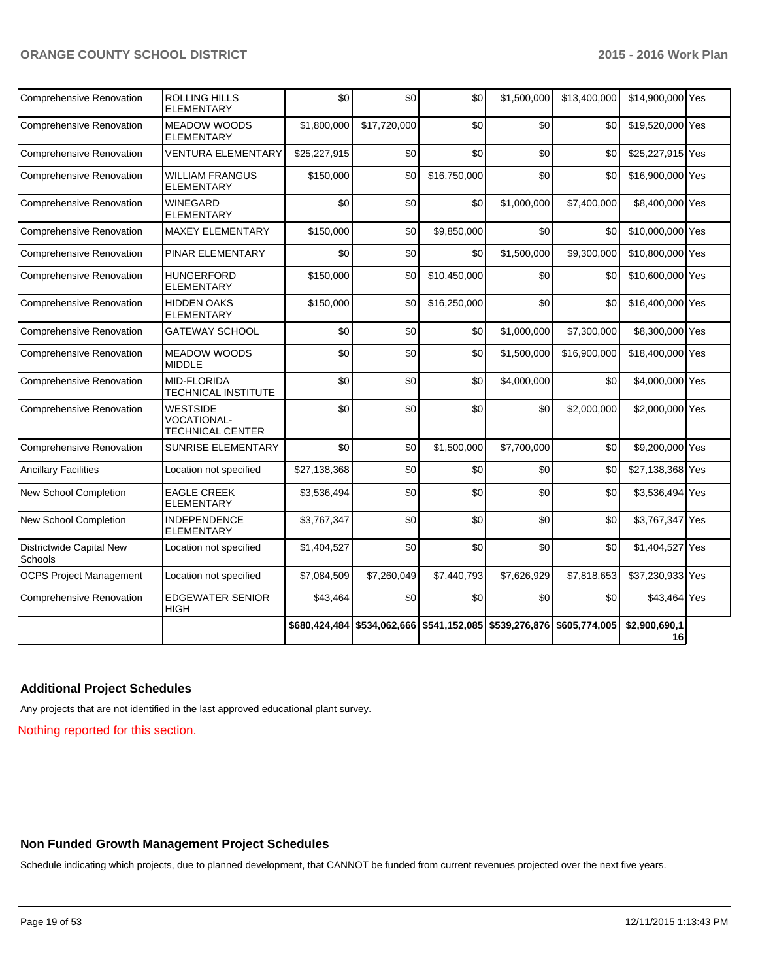| <b>Comprehensive Renovation</b>     | ROLLING HILLS<br><b>ELEMENTARY</b>                               | \$0           | \$0          | \$0                                                     | \$1,500,000 | \$13,400,000 | \$14,900,000 Yes    |  |
|-------------------------------------|------------------------------------------------------------------|---------------|--------------|---------------------------------------------------------|-------------|--------------|---------------------|--|
| <b>Comprehensive Renovation</b>     | <b>MEADOW WOODS</b><br><b>ELEMENTARY</b>                         | \$1,800,000   | \$17,720,000 | \$0                                                     | \$0         | \$0          | \$19,520,000 Yes    |  |
| <b>Comprehensive Renovation</b>     | <b>VENTURA ELEMENTARY</b>                                        | \$25,227,915  | \$0          | \$0                                                     | \$0         | \$0          | \$25,227,915 Yes    |  |
| <b>Comprehensive Renovation</b>     | <b>WILLIAM FRANGUS</b><br>ELEMENTARY                             | \$150,000     | \$0          | \$16,750,000                                            | \$0         | \$0          | \$16,900,000 Yes    |  |
| Comprehensive Renovation            | <b>WINEGARD</b><br><b>ELEMENTARY</b>                             | \$0           | \$0          | \$0                                                     | \$1,000,000 | \$7,400,000  | \$8,400,000 Yes     |  |
| <b>Comprehensive Renovation</b>     | <b>MAXEY ELEMENTARY</b>                                          | \$150,000     | \$0          | \$9,850,000                                             | \$0         | \$0          | \$10,000,000 Yes    |  |
| Comprehensive Renovation            | PINAR ELEMENTARY                                                 | \$0           | \$0          | \$0                                                     | \$1,500,000 | \$9,300,000  | \$10,800,000 Yes    |  |
| <b>Comprehensive Renovation</b>     | <b>HUNGERFORD</b><br><b>ELEMENTARY</b>                           | \$150,000     | \$0          | \$10,450,000                                            | \$0         | \$0          | \$10,600,000 Yes    |  |
| Comprehensive Renovation            | <b>HIDDEN OAKS</b><br><b>ELEMENTARY</b>                          | \$150,000     | \$0          | \$16,250,000                                            | \$0         | \$0          | \$16,400,000 Yes    |  |
| <b>Comprehensive Renovation</b>     | <b>GATEWAY SCHOOL</b>                                            | \$0           | \$0          | \$0                                                     | \$1,000,000 | \$7,300,000  | \$8,300,000 Yes     |  |
| Comprehensive Renovation            | <b>MEADOW WOODS</b><br><b>MIDDLE</b>                             | \$0           | \$0          | \$0                                                     | \$1,500,000 | \$16,900,000 | \$18,400,000 Yes    |  |
| Comprehensive Renovation            | MID-FLORIDA<br><b>TECHNICAL INSTITUTE</b>                        | \$0           | \$0          | \$0                                                     | \$4,000,000 | \$0          | \$4,000,000 Yes     |  |
| Comprehensive Renovation            | <b>WESTSIDE</b><br><b>VOCATIONAL-</b><br><b>TECHNICAL CENTER</b> | \$0           | \$0          | \$0                                                     | \$0         | \$2,000,000  | \$2,000,000 Yes     |  |
| <b>Comprehensive Renovation</b>     | SUNRISE ELEMENTARY                                               | \$0           | \$0          | \$1,500,000                                             | \$7,700,000 | \$0          | \$9,200,000 Yes     |  |
| <b>Ancillary Facilities</b>         | Location not specified                                           | \$27,138,368  | \$0          | \$0                                                     | \$0         | \$0          | \$27,138,368 Yes    |  |
| New School Completion               | <b>EAGLE CREEK</b><br><b>ELEMENTARY</b>                          | \$3,536,494   | \$0          | \$0                                                     | \$0         | \$0          | \$3,536,494 Yes     |  |
| New School Completion               | <b>INDEPENDENCE</b><br><b>ELEMENTARY</b>                         | \$3,767,347   | \$0          | \$0                                                     | \$0         | \$0          | \$3,767,347 Yes     |  |
| Districtwide Capital New<br>Schools | Location not specified                                           | \$1,404,527   | \$0          | \$0                                                     | \$0         | \$0          | \$1,404,527 Yes     |  |
| <b>OCPS Project Management</b>      | Location not specified                                           | \$7,084,509   | \$7,260,049  | \$7,440,793                                             | \$7,626,929 | \$7,818,653  | \$37,230,933 Yes    |  |
| <b>Comprehensive Renovation</b>     | <b>EDGEWATER SENIOR</b><br>HIGH                                  | \$43,464      | \$0          | \$0                                                     | \$0         | \$0          | \$43,464 Yes        |  |
|                                     |                                                                  | \$680,424,484 |              | \$534,062,666 \$541,152,085 \$539,276,876 \$605,774,005 |             |              | \$2,900,690,1<br>16 |  |

## **Additional Project Schedules**

Any projects that are not identified in the last approved educational plant survey.

Nothing reported for this section.

### **Non Funded Growth Management Project Schedules**

Schedule indicating which projects, due to planned development, that CANNOT be funded from current revenues projected over the next five years.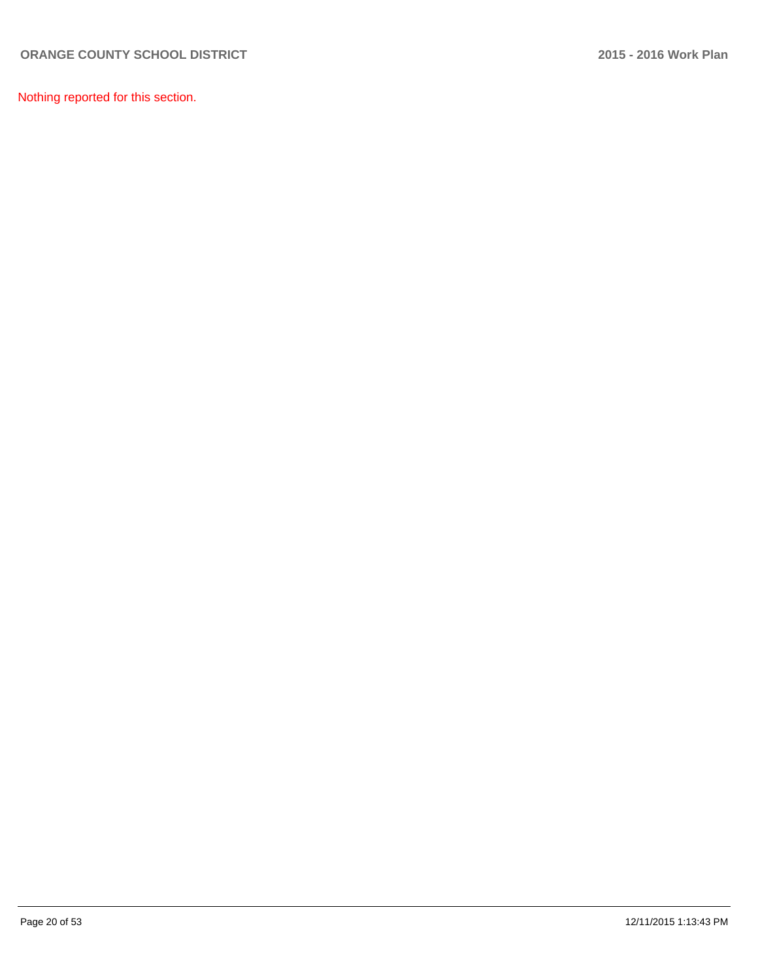Nothing reported for this section.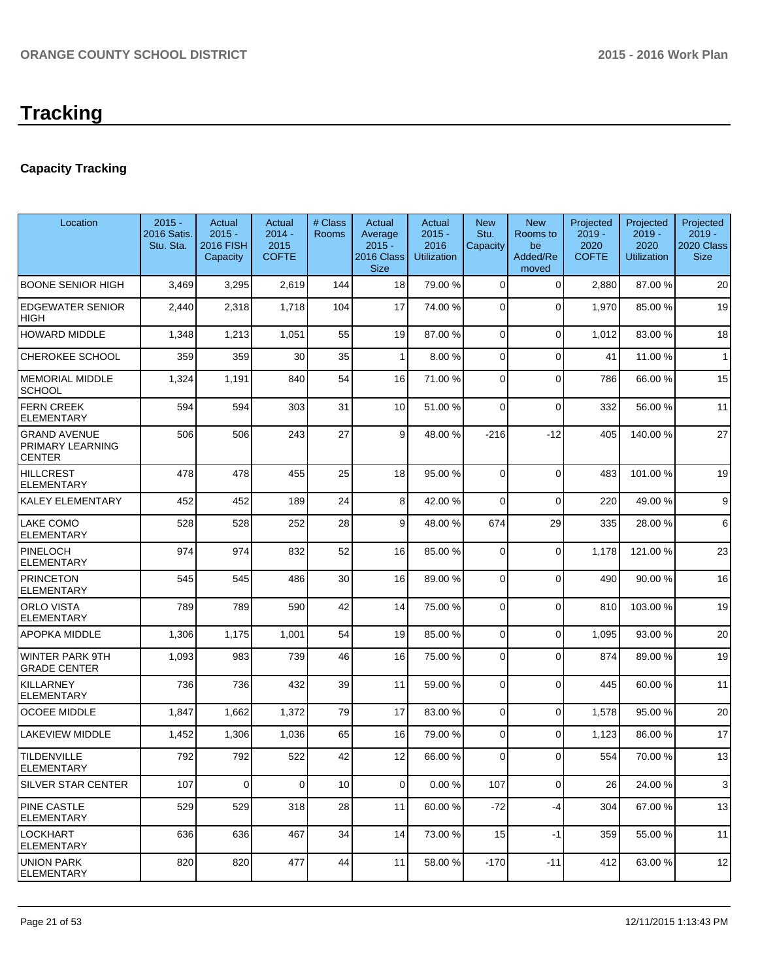# **Capacity Tracking**

| Location                                          | $2015 -$<br>2016 Satis.<br>Stu. Sta. | Actual<br>$2015 -$<br><b>2016 FISH</b><br>Capacity | Actual<br>$2014 -$<br>2015<br><b>COFTE</b> | # Class<br>Rooms | Actual<br>Average<br>$2015 -$<br>2016 Class<br><b>Size</b> | Actual<br>$2015 -$<br>2016<br><b>Utilization</b> | <b>New</b><br>Stu.<br>Capacity | <b>New</b><br>Rooms to<br>be<br>Added/Re<br>moved | Projected<br>$2019 -$<br>2020<br><b>COFTE</b> | Projected<br>$2019 -$<br>2020<br><b>Utilization</b> | Projected<br>$2019 -$<br>2020 Class<br><b>Size</b> |
|---------------------------------------------------|--------------------------------------|----------------------------------------------------|--------------------------------------------|------------------|------------------------------------------------------------|--------------------------------------------------|--------------------------------|---------------------------------------------------|-----------------------------------------------|-----------------------------------------------------|----------------------------------------------------|
| <b>BOONE SENIOR HIGH</b>                          | 3,469                                | 3,295                                              | 2,619                                      | 144              | 18                                                         | 79.00 %                                          | $\overline{0}$                 | $\mathbf 0$                                       | 2,880                                         | 87.00 %                                             | 20                                                 |
| <b>EDGEWATER SENIOR</b><br><b>HIGH</b>            | 2,440                                | 2,318                                              | 1,718                                      | 104              | 17                                                         | 74.00 %                                          | $\overline{0}$                 | $\Omega$                                          | 1,970                                         | 85.00 %                                             | 19                                                 |
| <b>HOWARD MIDDLE</b>                              | 1,348                                | 1,213                                              | 1,051                                      | 55               | 19                                                         | 87.00 %                                          | $\overline{0}$                 | $\mathbf 0$                                       | 1,012                                         | 83.00 %                                             | 18                                                 |
| CHEROKEE SCHOOL                                   | 359                                  | 359                                                | 30                                         | 35               | 1                                                          | 8.00 %                                           | $\overline{0}$                 | $\mathbf 0$                                       | 41                                            | 11.00 %                                             | $\mathbf{1}$                                       |
| <b>MEMORIAL MIDDLE</b><br><b>SCHOOL</b>           | 1,324                                | 1,191                                              | 840                                        | 54               | 16                                                         | 71.00 %                                          | $\overline{0}$                 | $\mathbf 0$                                       | 786                                           | 66.00 %                                             | 15                                                 |
| <b>FERN CREEK</b><br><b>ELEMENTARY</b>            | 594                                  | 594                                                | 303                                        | 31               | 10                                                         | 51.00 %                                          | 0                              | $\mathbf 0$                                       | 332                                           | 56.00 %                                             | 11                                                 |
| <b>GRAND AVENUE</b><br>PRIMARY LEARNING<br>CENTER | 506                                  | 506                                                | 243                                        | 27               | 9                                                          | 48.00 %                                          | $-216$                         | $-12$                                             | 405                                           | 140.00%                                             | 27                                                 |
| <b>HILLCREST</b><br>ELEMENTARY                    | 478                                  | 478                                                | 455                                        | 25               | 18                                                         | 95.00 %                                          | $\mathbf 0$                    | $\Omega$                                          | 483                                           | 101.00%                                             | 19                                                 |
| KALEY ELEMENTARY                                  | 452                                  | 452                                                | 189                                        | 24               | 8 <sup>1</sup>                                             | 42.00 %                                          | 0                              | $\mathbf 0$                                       | 220                                           | 49.00%                                              | 9                                                  |
| LAKE COMO<br>ELEMENTARY                           | 528                                  | 528                                                | 252                                        | 28               | $\vert$ 9                                                  | 48.00 %                                          | 674                            | 29                                                | 335                                           | 28.00 %                                             | 6                                                  |
| PINELOCH<br><b>ELEMENTARY</b>                     | 974                                  | 974                                                | 832                                        | 52               | 16                                                         | 85.00 %                                          | $\mathbf 0$                    | $\Omega$                                          | 1,178                                         | 121.00%                                             | 23                                                 |
| <b>PRINCETON</b><br>ELEMENTARY                    | 545                                  | 545                                                | 486                                        | 30               | 16                                                         | 89.00 %                                          | $\Omega$                       | $\Omega$                                          | 490                                           | 90.00 %                                             | 16                                                 |
| <b>ORLO VISTA</b><br>ELEMENTARY                   | 789                                  | 789                                                | 590                                        | 42               | 14                                                         | 75.00 %                                          | $\mathbf 0$                    | $\Omega$                                          | 810                                           | 103.00 %                                            | 19                                                 |
| APOPKA MIDDLE                                     | 1,306                                | 1,175                                              | 1,001                                      | 54               | 19                                                         | 85.00 %                                          | $\Omega$                       | $\Omega$                                          | 1,095                                         | 93.00 %                                             | 20                                                 |
| WINTER PARK 9TH<br><b>GRADE CENTER</b>            | 1,093                                | 983                                                | 739                                        | 46               | 16                                                         | 75.00 %                                          | $\Omega$                       | $\Omega$                                          | 874                                           | 89.00 %                                             | 19                                                 |
| KILLARNEY<br><b>ELEMENTARY</b>                    | 736                                  | 736                                                | 432                                        | 39               | 11                                                         | 59.00 %                                          | $\overline{0}$                 | $\Omega$                                          | 445                                           | 60.00 %                                             | 11                                                 |
| <b>OCOEE MIDDLE</b>                               | 1,847                                | 1,662                                              | 1,372                                      | 79               | 17                                                         | 83.00 %                                          | $\overline{0}$                 | $\Omega$                                          | 1,578                                         | 95.00 %                                             | 20                                                 |
| LAKEVIEW MIDDLE                                   | 1,452                                | 1,306                                              | 1,036                                      | 65               | 16                                                         | 79.00 %                                          | $\Omega$                       | $\Omega$                                          | 1,123                                         | 86.00 %                                             | 17                                                 |
| <b>TILDENVILLE</b><br>ELEMENTARY                  | 792                                  | 792                                                | 522                                        | 42               | 12                                                         | 66.00 %                                          | $\overline{0}$                 | $\Omega$                                          | 554                                           | 70.00%                                              | 13                                                 |
| SILVER STAR CENTER                                | 107                                  | 0                                                  | $\overline{0}$                             | 10               | $\Omega$                                                   | 0.00%                                            | 107                            | 0                                                 | 26                                            | 24.00 %                                             | 3                                                  |
| PINE CASTLE<br>ELEMENTARY                         | 529                                  | 529                                                | 318                                        | 28               | 11                                                         | 60.00 %                                          | $-72$                          | -4                                                | 304                                           | 67.00 %                                             | 13                                                 |
| LOCKHART<br><b>ELEMENTARY</b>                     | 636                                  | 636                                                | 467                                        | 34               | 14                                                         | 73.00 %                                          | 15                             | $-1$                                              | 359                                           | 55.00 %                                             | 11                                                 |
| UNION PARK<br><b>ELEMENTARY</b>                   | 820                                  | 820                                                | 477                                        | 44               | 11                                                         | 58.00 %                                          | $-170$                         | $-11$                                             | 412                                           | 63.00 %                                             | 12                                                 |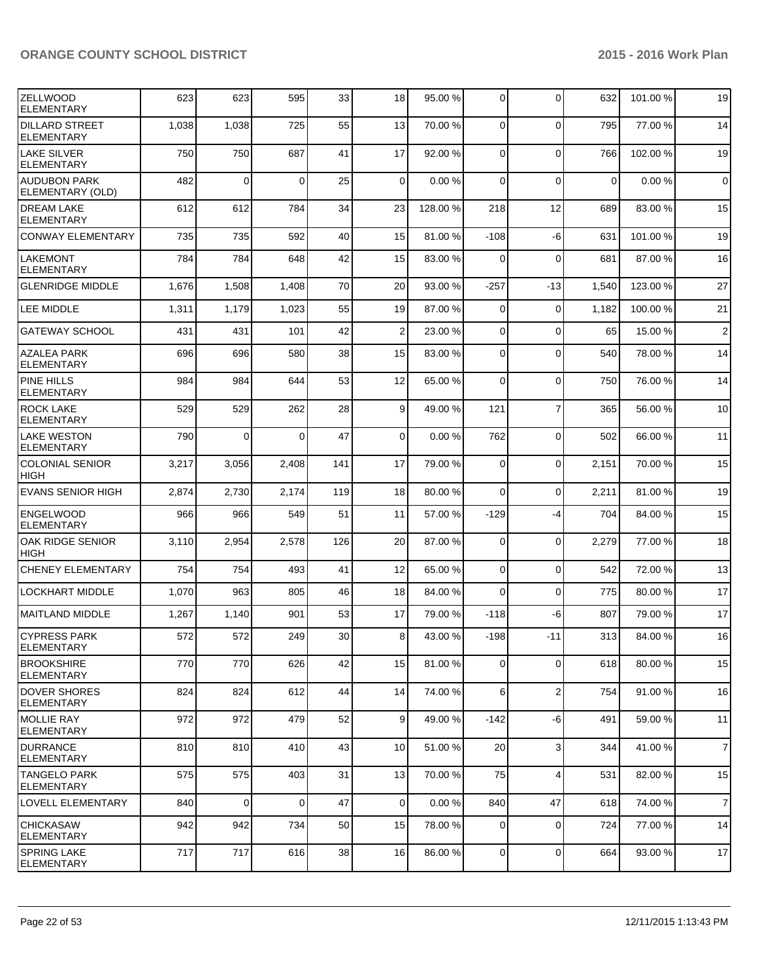| IZELLWOOD<br><b>ELEMENTARY</b>             | 623   | 623         | 595      | 33  | 18              | 95.00 %  | $\overline{0}$ | $\mathbf{0}$            | 632         | 101.00% | 19             |
|--------------------------------------------|-------|-------------|----------|-----|-----------------|----------|----------------|-------------------------|-------------|---------|----------------|
| <b>DILLARD STREET</b><br><b>ELEMENTARY</b> | 1,038 | 1,038       | 725      | 55  | 13              | 70.00 %  | $\Omega$       | 0                       | 795         | 77.00 % | 14             |
| <b>LAKE SILVER</b><br><b>IELEMENTARY</b>   | 750   | 750         | 687      | 41  | 17              | 92.00 %  | $\Omega$       | $\mathbf 0$             | 766         | 102.00% | 19             |
| AUDUBON PARK<br>ELEMENTARY (OLD)           | 482   | $\mathbf 0$ | $\Omega$ | 25  | $\overline{0}$  | 0.00%    | $\Omega$       | $\mathbf 0$             | $\mathbf 0$ | 0.00%   | $\mathbf 0$    |
| <b>DREAM LAKE</b><br><b>ELEMENTARY</b>     | 612   | 612         | 784      | 34  | 23              | 128.00 % | 218            | 12                      | 689         | 83.00 % | 15             |
| <b>CONWAY ELEMENTARY</b>                   | 735   | 735         | 592      | 40  | 15              | 81.00 %  | $-108$         | -6                      | 631         | 101.00% | 19             |
| <b>LAKEMONT</b><br><b>ELEMENTARY</b>       | 784   | 784         | 648      | 42  | 15              | 83.00 %  | $\Omega$       | $\mathbf 0$             | 681         | 87.00 % | 16             |
| <b>GLENRIDGE MIDDLE</b>                    | 1,676 | 1,508       | 1,408    | 70  | 20              | 93.00 %  | $-257$         | $-13$                   | 1,540       | 123.00% | 27             |
| <b>LEE MIDDLE</b>                          | 1,311 | 1,179       | 1,023    | 55  | 19              | 87.00 %  | $\Omega$       | $\mathbf 0$             | 1,182       | 100.00% | 21             |
| <b>GATEWAY SCHOOL</b>                      | 431   | 431         | 101      | 42  | $\overline{2}$  | 23.00 %  | $\Omega$       | $\mathbf 0$             | 65          | 15.00 % | $\overline{2}$ |
| <b>AZALEA PARK</b><br><b>ELEMENTARY</b>    | 696   | 696         | 580      | 38  | 15              | 83.00 %  | $\Omega$       | $\mathbf{0}$            | 540         | 78.00%  | 14             |
| PINE HILLS<br><b>ELEMENTARY</b>            | 984   | 984         | 644      | 53  | 12              | 65.00 %  | $\Omega$       | $\mathbf{0}$            | 750         | 76.00 % | 14             |
| <b>ROCK LAKE</b><br><b>ELEMENTARY</b>      | 529   | 529         | 262      | 28  | 9               | 49.00 %  | 121            | $\overline{7}$          | 365         | 56.00 % | 10             |
| <b>LAKE WESTON</b><br><b>ELEMENTARY</b>    | 790   | $\Omega$    | $\Omega$ | 47  | $\Omega$        | 0.00%    | 762            | $\mathbf 0$             | 502         | 66.00 % | 11             |
| <b>COLONIAL SENIOR</b><br><b>HIGH</b>      | 3,217 | 3,056       | 2,408    | 141 | 17              | 79.00 %  | $\overline{0}$ | 0                       | 2,151       | 70.00 % | 15             |
| <b>EVANS SENIOR HIGH</b>                   | 2,874 | 2,730       | 2,174    | 119 | 18              | 80.00%   | $\Omega$       | 0                       | 2,211       | 81.00%  | 19             |
| <b>ENGELWOOD</b><br><b>ELEMENTARY</b>      | 966   | 966         | 549      | 51  | 11              | 57.00 %  | $-129$         | $-4$                    | 704         | 84.00%  | 15             |
| OAK RIDGE SENIOR<br><b>HIGH</b>            | 3,110 | 2,954       | 2,578    | 126 | 20              | 87.00 %  | 0              | $\mathbf 0$             | 2,279       | 77.00 % | 18             |
| <b>CHENEY ELEMENTARY</b>                   | 754   | 754         | 493      | 41  | 12              | 65.00 %  | $\overline{0}$ | $\mathbf 0$             | 542         | 72.00 % | 13             |
| <b>LOCKHART MIDDLE</b>                     | 1,070 | 963         | 805      | 46  | 18              | 84.00 %  | $\Omega$       | $\mathbf 0$             | 775         | 80.00%  | 17             |
| MAITLAND MIDDLE                            | 1,267 | 1,140       | 901      | 53  | 17              | 79.00 %  | $-118$         | -6                      | 807         | 79.00 % | 17             |
| ICYPRESS PARK<br>IELEMENTARY               | 572   | 572         | 249      | 30  | 8 <sup>1</sup>  | 43.00 %  | $-198$         | $-11$                   | 313         | 84.00 % | 16             |
| <b>IBROOKSHIRE</b><br><b>ELEMENTARY</b>    | 770   | 770         | 626      | 42  | 15              | 81.00 %  | $\overline{0}$ | 0                       | 618         | 80.00%  | 15             |
| <b>DOVER SHORES</b><br><b>ELEMENTARY</b>   | 824   | 824         | 612      | 44  | 14              | 74.00 %  | $6 \mid$       | $\overline{\mathbf{c}}$ | 754         | 91.00 % | 16             |
| MOLLIE RAY<br>IELEMENTARY                  | 972   | 972         | 479      | 52  | 9 <sup>1</sup>  | 49.00 %  | $-142$         | -6                      | 491         | 59.00 % | 11             |
| <b>IDURRANCE</b><br>IELEMENTARY            | 810   | 810         | 410      | 43  | 10 <sup>1</sup> | 51.00 %  | 20             | 3                       | 344         | 41.00 % | $\overline{7}$ |
| lTANGELO PARK<br>ELEMENTARY                | 575   | 575         | 403      | 31  | 13              | 70.00 %  | 75             | 4                       | 531         | 82.00 % | 15             |
| <b>LOVELL ELEMENTARY</b>                   | 840   | $\mathbf 0$ | $\Omega$ | 47  | $\Omega$        | 0.00%    | 840            | 47                      | 618         | 74.00 % | $\overline{7}$ |
| CHICKASAW<br>ELEMENTARY                    | 942   | 942         | 734      | 50  | 15              | 78.00 %  | 0              | $\mathbf 0$             | 724         | 77.00 % | 14             |
| <b>SPRING LAKE</b><br><b>ELEMENTARY</b>    | 717   | 717         | 616      | 38  | 16              | 86.00 %  | $\overline{0}$ | $\mathbf 0$             | 664         | 93.00 % | 17             |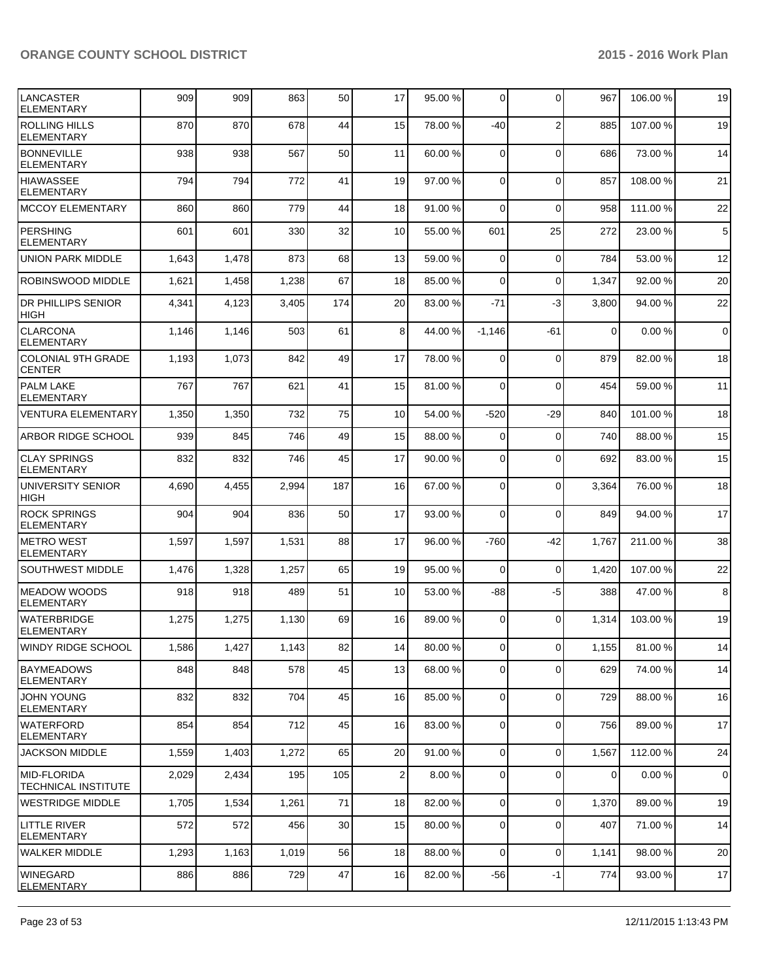| LANCASTER<br><b>ELEMENTARY</b>             | 909   | 909   | 863   | 50  | 17              | 95.00 % | $\overline{0}$ | $\Omega$       | 967         | 106.00 % | 19             |
|--------------------------------------------|-------|-------|-------|-----|-----------------|---------|----------------|----------------|-------------|----------|----------------|
| <b>ROLLING HILLS</b><br><b>ELEMENTARY</b>  | 870   | 870   | 678   | 44  | 15              | 78.00 % | -40            | $\overline{2}$ | 885         | 107.00%  | 19             |
| <b>BONNEVILLE</b><br><b>ELEMENTARY</b>     | 938   | 938   | 567   | 50  | 11              | 60.00 % | $\Omega$       | 0              | 686         | 73.00 %  | 14             |
| <b>HIAWASSEE</b><br><b>ELEMENTARY</b>      | 794   | 794   | 772   | 41  | 19              | 97.00 % | $\Omega$       | $\mathbf{0}$   | 857         | 108.00%  | 21             |
| MCCOY ELEMENTARY                           | 860   | 860   | 779   | 44  | 18              | 91.00 % | $\Omega$       | $\Omega$       | 958         | 111.00%  | 22             |
| <b>PERSHING</b><br><b>ELEMENTARY</b>       | 601   | 601   | 330   | 32  | 10 <sup>1</sup> | 55.00 % | 601            | 25             | 272         | 23.00 %  | $\sqrt{5}$     |
| <b>UNION PARK MIDDLE</b>                   | 1,643 | 1,478 | 873   | 68  | 13              | 59.00 % | $\Omega$       | $\mathbf 0$    | 784         | 53.00 %  | 12             |
| ROBINSWOOD MIDDLE                          | 1,621 | 1,458 | 1,238 | 67  | 18              | 85.00 % | $\Omega$       | 0              | 1,347       | 92.00%   | 20             |
| <b>DR PHILLIPS SENIOR</b><br><b>HIGH</b>   | 4,341 | 4,123 | 3,405 | 174 | 20              | 83.00 % | $-71$          | -3             | 3,800       | 94.00%   | 22             |
| <b>CLARCONA</b><br><b>ELEMENTARY</b>       | 1,146 | 1,146 | 503   | 61  | 8 <sup>1</sup>  | 44.00 % | $-1,146$       | $-61$          | $\mathbf 0$ | 0.00%    | $\overline{0}$ |
| <b>COLONIAL 9TH GRADE</b><br><b>CENTER</b> | 1,193 | 1,073 | 842   | 49  | 17              | 78.00 % | $\Omega$       | $\mathbf 0$    | 879         | 82.00 %  | 18             |
| <b>PALM LAKE</b><br><b>ELEMENTARY</b>      | 767   | 767   | 621   | 41  | 15              | 81.00 % | $\Omega$       | $\Omega$       | 454         | 59.00 %  | 11             |
| <b>VENTURA ELEMENTARY</b>                  | 1,350 | 1,350 | 732   | 75  | 10 <sup>1</sup> | 54.00 % | $-520$         | $-29$          | 840         | 101.00%  | 18             |
| ARBOR RIDGE SCHOOL                         | 939   | 845   | 746   | 49  | 15              | 88.00 % | $\Omega$       | $\mathbf 0$    | 740         | 88.00%   | 15             |
| <b>CLAY SPRINGS</b><br><b>ELEMENTARY</b>   | 832   | 832   | 746   | 45  | 17              | 90.00 % | $\Omega$       | $\mathbf{0}$   | 692         | 83.00 %  | 15             |
| UNIVERSITY SENIOR<br>HIGH                  | 4,690 | 4,455 | 2,994 | 187 | 16              | 67.00 % | $\Omega$       | $\mathbf{0}$   | 3,364       | 76.00 %  | 18             |
| <b>ROCK SPRINGS</b><br><b>ELEMENTARY</b>   | 904   | 904   | 836   | 50  | 17              | 93.00 % | $\Omega$       | $\mathbf{0}$   | 849         | 94.00%   | 17             |
| <b>METRO WEST</b><br><b>ELEMENTARY</b>     | 1,597 | 1,597 | 1,531 | 88  | 17              | 96.00 % | $-760$         | -42            | 1,767       | 211.00%  | 38             |
| SOUTHWEST MIDDLE                           | 1,476 | 1,328 | 1,257 | 65  | 19              | 95.00 % | $\Omega$       | $\mathbf 0$    | 1,420       | 107.00%  | 22             |
| <b>MEADOW WOODS</b><br><b>ELEMENTARY</b>   | 918   | 918   | 489   | 51  | 10 <sup>1</sup> | 53.00 % | -88            | $-5$           | 388         | 47.00 %  | 8              |
| <b>WATERBRIDGE</b><br><b>ELEMENTARY</b>    | 1,275 | 1,275 | 1,130 | 69  | 16              | 89.00 % | $\overline{0}$ | $\Omega$       | 1,314       | 103.00 % | 19             |
| WINDY RIDGE SCHOOL                         | 1,586 | 1,427 | 1,143 | 82  | 14 I            | 80.00 % | $\circ$        | $\overline{0}$ | 1,155       | 81.00%   | 14             |
| BAYMEADOWS<br><b>ELEMENTARY</b>            | 848   | 848   | 578   | 45  | 13              | 68.00 % | $\overline{0}$ | 0              | 629         | 74.00%   | 14             |
| <b>JOHN YOUNG</b><br><b>ELEMENTARY</b>     | 832   | 832   | 704   | 45  | 16              | 85.00 % | $\overline{0}$ | 0              | 729         | 88.00 %  | 16             |
| <b>WATERFORD</b><br>ELEMENTARY             | 854   | 854   | 712   | 45  | 16              | 83.00 % | $\overline{0}$ | 0              | 756         | 89.00 %  | 17             |
| <b>JACKSON MIDDLE</b>                      | 1,559 | 1,403 | 1,272 | 65  | 20 <sup>2</sup> | 91.00 % | $\overline{0}$ | 0              | 1,567       | 112.00%  | 24             |
| MID-FLORIDA<br><b>TECHNICAL INSTITUTE</b>  | 2,029 | 2,434 | 195   | 105 | $\overline{2}$  | 8.00%   | $\overline{0}$ | 0              | $\mathbf 0$ | 0.00%    | $\mathbf 0$    |
| WESTRIDGE MIDDLE                           | 1,705 | 1,534 | 1,261 | 71  | 18              | 82.00 % | $\overline{0}$ | 0              | 1,370       | 89.00 %  | 19             |
| LITTLE RIVER<br><b>ELEMENTARY</b>          | 572   | 572   | 456   | 30  | 15              | 80.00 % | 0              | $\mathbf 0$    | 407         | 71.00 %  | 14             |
| WALKER MIDDLE                              | 1,293 | 1,163 | 1,019 | 56  | 18              | 88.00 % | $\Omega$       | 0              | 1,141       | 98.00%   | 20             |
| <b>WINEGARD</b><br><b>ELEMENTARY</b>       | 886   | 886   | 729   | 47  | 16              | 82.00 % | $-56$          | $-1$           | 774         | 93.00%   | 17             |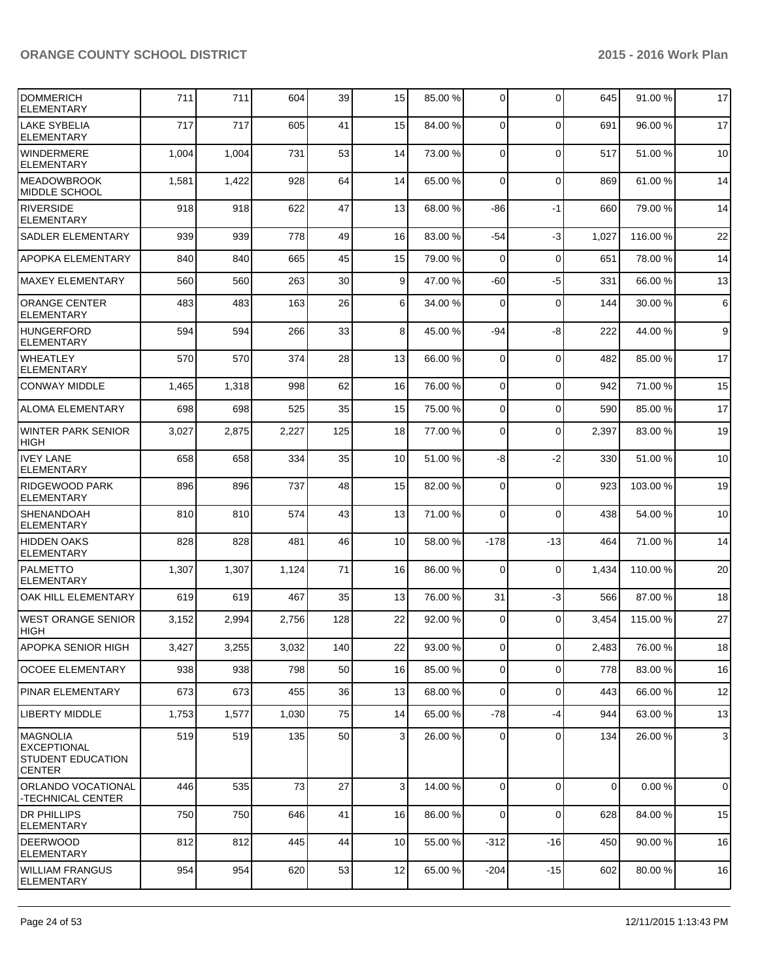| <b>DOMMERICH</b><br><b>ELEMENTARY</b>                                              | 711   | 711   | 604   | 39  | 15              | 85.00 % | $\overline{0}$ | $\Omega$       | 645         | 91.00%   | 17             |
|------------------------------------------------------------------------------------|-------|-------|-------|-----|-----------------|---------|----------------|----------------|-------------|----------|----------------|
| <b>LAKE SYBELIA</b><br><b>ELEMENTARY</b>                                           | 717   | 717   | 605   | 41  | 15              | 84.00 % | $\Omega$       | $\Omega$       | 691         | 96.00 %  | 17             |
| <b>WINDERMERE</b><br><b>ELEMENTARY</b>                                             | 1,004 | 1,004 | 731   | 53  | 14              | 73.00 % | $\Omega$       | $\mathbf 0$    | 517         | 51.00 %  | 10             |
| <b>IMEADOWBROOK</b><br><b>MIDDLE SCHOOL</b>                                        | 1,581 | 1,422 | 928   | 64  | 14              | 65.00 % | $\Omega$       | $\mathbf 0$    | 869         | 61.00%   | 14             |
| <b>RIVERSIDE</b><br><b>ELEMENTARY</b>                                              | 918   | 918   | 622   | 47  | 13              | 68.00 % | -86            | $-1$           | 660         | 79.00 %  | 14             |
| <b>SADLER ELEMENTARY</b>                                                           | 939   | 939   | 778   | 49  | 16              | 83.00 % | $-54$          | $-3$           | 1,027       | 116.00%  | 22             |
| <b>APOPKA ELEMENTARY</b>                                                           | 840   | 840   | 665   | 45  | 15              | 79.00 % | $\Omega$       | $\mathbf 0$    | 651         | 78.00%   | 14             |
| <b>MAXEY ELEMENTARY</b>                                                            | 560   | 560   | 263   | 30  | $\vert 9 \vert$ | 47.00 % | $-60$          | $-5$           | 331         | 66.00%   | 13             |
| <b>ORANGE CENTER</b><br><b>ELEMENTARY</b>                                          | 483   | 483   | 163   | 26  | 6 <sup>1</sup>  | 34.00 % | $\Omega$       | $\mathbf 0$    | 144         | 30.00 %  | 6              |
| <b>HUNGERFORD</b><br><b>ELEMENTARY</b>                                             | 594   | 594   | 266   | 33  | 8 <sup>1</sup>  | 45.00 % | -94            | -8             | 222         | 44.00%   | 9 <sup>°</sup> |
| <b>WHEATLEY</b><br><b>ELEMENTARY</b>                                               | 570   | 570   | 374   | 28  | 13              | 66.00 % | $\Omega$       | $\mathbf 0$    | 482         | 85.00 %  | 17             |
| <b>CONWAY MIDDLE</b>                                                               | 1,465 | 1,318 | 998   | 62  | 16              | 76.00 % | $\Omega$       | $\Omega$       | 942         | 71.00%   | 15             |
| <b>ALOMA ELEMENTARY</b>                                                            | 698   | 698   | 525   | 35  | 15              | 75.00 % | 0              | $\Omega$       | 590         | 85.00 %  | 17             |
| <b>WINTER PARK SENIOR</b><br><b>HIGH</b>                                           | 3,027 | 2,875 | 2,227 | 125 | 18              | 77.00 % | $\Omega$       | $\mathbf 0$    | 2,397       | 83.00 %  | 19             |
| <b>IVEY LANE</b><br><b>ELEMENTARY</b>                                              | 658   | 658   | 334   | 35  | 10 <sup>1</sup> | 51.00 % | -8             | $-2$           | 330         | 51.00%   | 10             |
| <b>RIDGEWOOD PARK</b><br><b>ELEMENTARY</b>                                         | 896   | 896   | 737   | 48  | 15              | 82.00 % | $\overline{0}$ | $\Omega$       | 923         | 103.00 % | 19             |
| <b>SHENANDOAH</b><br><b>ELEMENTARY</b>                                             | 810   | 810   | 574   | 43  | 13              | 71.00 % | $\Omega$       | $\Omega$       | 438         | 54.00 %  | 10             |
| <b>HIDDEN OAKS</b><br><b>ELEMENTARY</b>                                            | 828   | 828   | 481   | 46  | 10              | 58.00 % | $-178$         | $-13$          | 464         | 71.00 %  | 14             |
| <b>PALMETTO</b><br><b>ELEMENTARY</b>                                               | 1,307 | 1,307 | 1,124 | 71  | 16              | 86.00 % | $\Omega$       | $\mathbf 0$    | 1,434       | 110.00 % | 20             |
| OAK HILL ELEMENTARY                                                                | 619   | 619   | 467   | 35  | 13              | 76.00 % | 31             | $-3$           | 566         | 87.00 %  | 18             |
| <b>WEST ORANGE SENIOR</b><br><b>HIGH</b>                                           | 3,152 | 2,994 | 2,756 | 128 | 22              | 92.00 % | $\overline{0}$ | $\Omega$       | 3,454       | 115.00 % | 27             |
| APOPKA SENIOR HIGH                                                                 | 3,427 | 3,255 | 3,032 | 140 | 22              | 93.00 % | οI             | $\overline{0}$ | 2,483       | 76.00%   | 18             |
| <b>OCOEE ELEMENTARY</b>                                                            | 938   | 938   | 798   | 50  | 16              | 85.00 % | $\overline{0}$ | $\mathbf 0$    | 778         | 83.00%   | 16             |
| <b>PINAR ELEMENTARY</b>                                                            | 673   | 673   | 455   | 36  | 13              | 68.00 % | $\overline{0}$ | $\overline{0}$ | 443         | 66.00%   | 12             |
| <b>LIBERTY MIDDLE</b>                                                              | 1,753 | 1,577 | 1,030 | 75  | 14              | 65.00 % | $-78$          | $-4$           | 944         | 63.00%   | 13             |
| <b>MAGNOLIA</b><br><b>EXCEPTIONAL</b><br><b>STUDENT EDUCATION</b><br><b>CENTER</b> | 519   | 519   | 135   | 50  | $\overline{3}$  | 26.00 % | $\overline{0}$ | $\mathbf 0$    | 134         | 26.00 %  | $\mathbf{3}$   |
| ORLANDO VOCATIONAL<br>-TECHNICAL CENTER                                            | 446   | 535   | 73    | 27  | 3 <sup>1</sup>  | 14.00 % | $\overline{0}$ | $\mathbf 0$    | $\mathbf 0$ | 0.00%    | $\overline{0}$ |
| <b>DR PHILLIPS</b><br><b>ELEMENTARY</b>                                            | 750   | 750   | 646   | 41  | 16              | 86.00 % | $\Omega$       | $\mathbf 0$    | 628         | 84.00%   | 15             |
| <b>DEERWOOD</b><br><b>ELEMENTARY</b>                                               | 812   | 812   | 445   | 44  | 10 <sup>1</sup> | 55.00 % | $-312$         | $-16$          | 450         | 90.00 %  | 16             |
| <b>WILLIAM FRANGUS</b><br><b>ELEMENTARY</b>                                        | 954   | 954   | 620   | 53  | 12              | 65.00 % | $-204$         | $-15$          | 602         | 80.00 %  | 16             |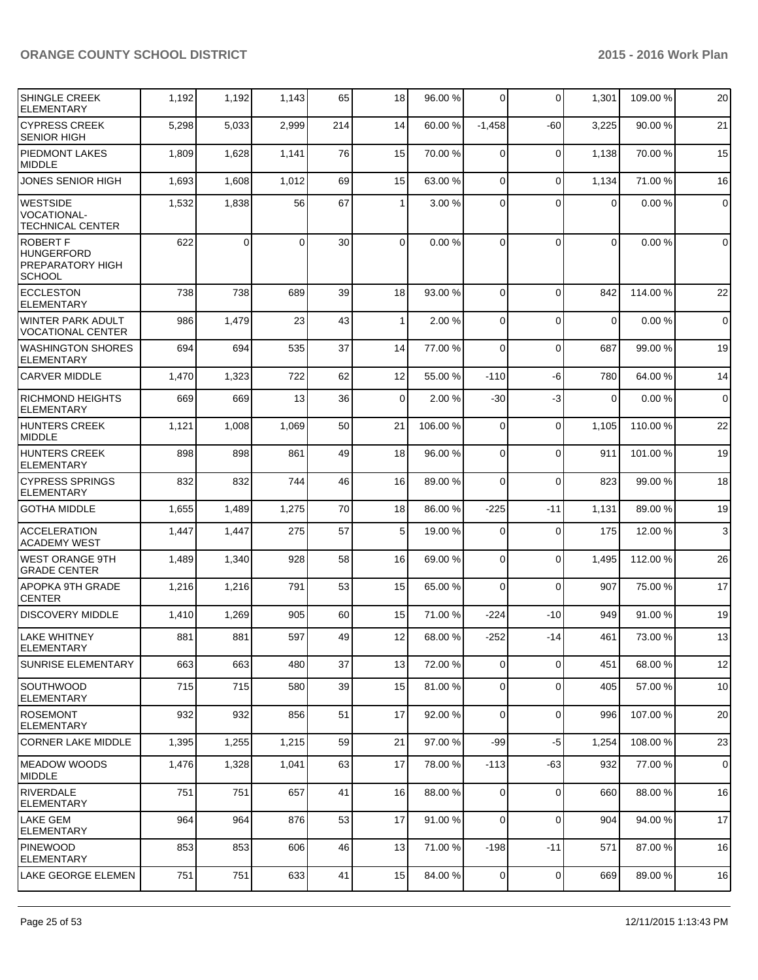| <b>SHINGLE CREEK</b><br><b>ELEMENTARY</b>                          | 1,192 | 1,192    | 1,143    | 65  | 18              | 96.00 % | $\Omega$       | 0           | 1,301          | 109.00%  | 20             |
|--------------------------------------------------------------------|-------|----------|----------|-----|-----------------|---------|----------------|-------------|----------------|----------|----------------|
| <b>CYPRESS CREEK</b><br><b>SENIOR HIGH</b>                         | 5,298 | 5,033    | 2,999    | 214 | 14              | 60.00 % | $-1,458$       | $-60$       | 3,225          | 90.00 %  | 21             |
| <b>PIEDMONT LAKES</b><br>MIDDLE                                    | 1,809 | 1,628    | 1,141    | 76  | 15              | 70.00 % | $\overline{0}$ | $\mathbf 0$ | 1,138          | 70.00%   | 15             |
| <b>JONES SENIOR HIGH</b>                                           | 1,693 | 1,608    | 1,012    | 69  | 15              | 63.00 % | $\Omega$       | $\mathbf 0$ | 1,134          | 71.00%   | 16             |
| IWESTSIDE<br>VOCATIONAL-<br><b>TECHNICAL CENTER</b>                | 1,532 | 1,838    | 56       | 67  | 1               | 3.00 %  | $\Omega$       | $\Omega$    | $\overline{0}$ | 0.00%    | $\pmb{0}$      |
| <b>ROBERT F</b><br>HUNGERFORD<br>PREPARATORY HIGH<br><b>SCHOOL</b> | 622   | $\Omega$ | $\Omega$ | 30  | $\Omega$        | 0.00%   | $\Omega$       | $\Omega$    | $\Omega$       | 0.00%    | $\overline{0}$ |
| <b>ECCLESTON</b><br>ELEMENTARY                                     | 738   | 738      | 689      | 39  | 18              | 93.00 % | $\Omega$       | $\Omega$    | 842            | 114.00 % | 22             |
| WINTER PARK ADULT<br><b>VOCATIONAL CENTER</b>                      | 986   | 1,479    | 23       | 43  | 1               | 2.00 %  | $\mathbf 0$    | $\mathbf 0$ | $\mathbf 0$    | 0.00%    | $\mathbf 0$    |
| <b>WASHINGTON SHORES</b><br>ELEMENTARY                             | 694   | 694      | 535      | 37  | 14              | 77.00 % | $\Omega$       | $\mathbf 0$ | 687            | 99.00 %  | 19             |
| <b>CARVER MIDDLE</b>                                               | 1,470 | 1,323    | 722      | 62  | 12              | 55.00 % | $-110$         | -6          | 780            | 64.00%   | 14             |
| <b>RICHMOND HEIGHTS</b><br>ELEMENTARY                              | 669   | 669      | 13       | 36  | $\overline{0}$  | 2.00 %  | $-30$          | -3          | $\mathbf 0$    | 0.00%    | $\overline{0}$ |
| HUNTERS CREEK<br>MIDDLE                                            | 1,121 | 1,008    | 1,069    | 50  | 21              | 106.00% | $\Omega$       | $\mathbf 0$ | 1,105          | 110.00%  | 22             |
| <b>HUNTERS CREEK</b><br><b>ELEMENTARY</b>                          | 898   | 898      | 861      | 49  | 18              | 96.00 % | $\mathbf 0$    | $\mathbf 0$ | 911            | 101.00%  | 19             |
| <b>CYPRESS SPRINGS</b><br><b>ELEMENTARY</b>                        | 832   | 832      | 744      | 46  | 16              | 89.00 % | $\Omega$       | $\mathbf 0$ | 823            | 99.00 %  | 18             |
| <b>GOTHA MIDDLE</b>                                                | 1,655 | 1,489    | 1,275    | 70  | 18              | 86.00 % | $-225$         | $-11$       | 1,131          | 89.00 %  | 19             |
| <b>ACCELERATION</b><br>ACADEMY WEST                                | 1,447 | 1,447    | 275      | 57  | 5 <sub>1</sub>  | 19.00 % | $\Omega$       | $\mathbf 0$ | 175            | 12.00 %  | $\mathbf{3}$   |
| IWEST ORANGE 9TH<br><b>GRADE CENTER</b>                            | 1,489 | 1,340    | 928      | 58  | 16              | 69.00 % | $\Omega$       | 0           | 1,495          | 112.00 % | 26             |
| <b>APOPKA 9TH GRADE</b><br><b>CENTER</b>                           | 1,216 | 1,216    | 791      | 53  | 15              | 65.00 % | $\Omega$       | $\mathbf 0$ | 907            | 75.00 %  | 17             |
| <b>DISCOVERY MIDDLE</b>                                            | 1,410 | 1,269    | 905      | 60  | 15              | 71.00 % | $-224$         | $-10$       | 949            | 91.00%   | 19             |
| <b>LAKE WHITNEY</b><br><b>ELEMENTARY</b>                           | 881   | 881      | 597      | 49  | 12 <sup>1</sup> | 68.00 % | $-252$         | $-14$       | 461            | 73.00 %  | 13             |
| <b>SUNRISE ELEMENTARY</b>                                          | 663   | 663      | 480      | 37  | 13              | 72.00 % | $\overline{0}$ | 0           | 451            | 68.00%   | 12             |
| <b>SOUTHWOOD</b><br>ELEMENTARY                                     | 715   | 715      | 580      | 39  | 15              | 81.00 % | $\overline{0}$ | $\mathbf 0$ | 405            | 57.00 %  | 10             |
| <b>ROSEMONT</b><br>ELEMENTARY                                      | 932   | 932      | 856      | 51  | 17              | 92.00 % | $\overline{0}$ | $\mathbf 0$ | 996            | 107.00%  | 20             |
| <b>CORNER LAKE MIDDLE</b>                                          | 1,395 | 1,255    | 1,215    | 59  | 21              | 97.00 % | $-99$          | $-5$        | 1,254          | 108.00%  | 23             |
| <b>MEADOW WOODS</b><br>MIDDLE                                      | 1,476 | 1,328    | 1,041    | 63  | 17              | 78.00 % | -113           | -63         | 932            | 77.00 %  | $\mathbf 0$    |
| RIVERDALE<br>ELEMENTARY                                            | 751   | 751      | 657      | 41  | 16              | 88.00 % | $\Omega$       | $\mathbf 0$ | 660            | 88.00 %  | 16             |
| LAKE GEM<br><b>ELEMENTARY</b>                                      | 964   | 964      | 876      | 53  | 17              | 91.00 % | $\overline{0}$ | 0           | 904            | 94.00 %  | 17             |
| <b>PINEWOOD</b><br>ELEMENTARY                                      | 853   | 853      | 606      | 46  | 13              | 71.00 % | -198           | $-11$       | 571            | 87.00 %  | 16             |
| LAKE GEORGE ELEMEN                                                 | 751   | 751      | 633      | 41  | 15              | 84.00 % | 0              | 0           | 669            | 89.00 %  | 16             |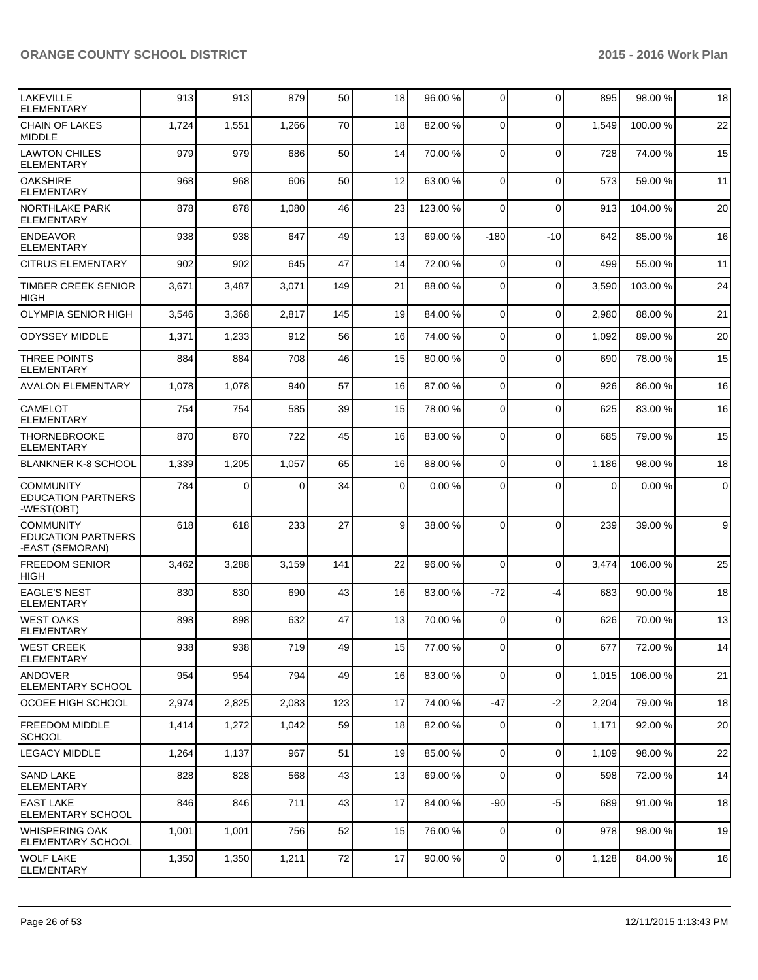| <b>LAKEVILLE</b><br><b>ELEMENTARY</b>                            | 913   | 913      | 879      | 50  | 18              | 96.00 %  | $\Omega$       | $\Omega$       | 895            | 98.00%   | 18        |
|------------------------------------------------------------------|-------|----------|----------|-----|-----------------|----------|----------------|----------------|----------------|----------|-----------|
| <b>CHAIN OF LAKES</b><br>MIDDLE                                  | 1,724 | 1,551    | 1,266    | 70  | 18 <sup>1</sup> | 82.00 %  | $\Omega$       | $\mathbf 0$    | 1.549          | 100.00%  | 22        |
| <b>LAWTON CHILES</b><br>ELEMENTARY                               | 979   | 979      | 686      | 50  | 14              | 70.00 %  | $\overline{0}$ | $\mathbf 0$    | 728            | 74.00 %  | 15        |
| IOAKSHIRE<br><b>ELEMENTARY</b>                                   | 968   | 968      | 606      | 50  | 12              | 63.00 %  | $\overline{0}$ | 0              | 573            | 59.00 %  | 11        |
| <b>NORTHLAKE PARK</b><br><b>ELEMENTARY</b>                       | 878   | 878      | 1,080    | 46  | 23              | 123.00 % | $\Omega$       | $\mathbf 0$    | 913            | 104.00%  | 20        |
| <b>ENDEAVOR</b><br>ELEMENTARY                                    | 938   | 938      | 647      | 49  | 13 <sup>1</sup> | 69.00 %  | $-180$         | $-10$          | 642            | 85.00 %  | 16        |
| <b>CITRUS ELEMENTARY</b>                                         | 902   | 902      | 645      | 47  | 14              | 72.00 %  | $\overline{0}$ | $\mathbf 0$    | 499            | 55.00 %  | 11        |
| TIMBER CREEK SENIOR<br><b>HIGH</b>                               | 3,671 | 3,487    | 3,071    | 149 | 21              | 88.00 %  | $\overline{0}$ | 0              | 3,590          | 103.00 % | 24        |
| <b>OLYMPIA SENIOR HIGH</b>                                       | 3,546 | 3,368    | 2,817    | 145 | 19              | 84.00 %  | 0              | $\mathbf 0$    | 2,980          | 88.00 %  | 21        |
| <b>ODYSSEY MIDDLE</b>                                            | 1,371 | 1,233    | 912      | 56  | 16              | 74.00 %  | 0              | $\mathbf 0$    | 1,092          | 89.00 %  | 20        |
| <b>THREE POINTS</b><br><b>ELEMENTARY</b>                         | 884   | 884      | 708      | 46  | 15              | 80.00 %  | 0              | $\mathbf 0$    | 690            | 78.00 %  | 15        |
| <b>AVALON ELEMENTARY</b>                                         | 1,078 | 1,078    | 940      | 57  | 16              | 87.00 %  | $\Omega$       | 0              | 926            | 86.00 %  | 16        |
| <b>CAMELOT</b><br><b>ELEMENTARY</b>                              | 754   | 754      | 585      | 39  | 15              | 78.00 %  | $\Omega$       | 0              | 625            | 83.00 %  | 16        |
| <b>THORNEBROOKE</b><br><b>ELEMENTARY</b>                         | 870   | 870      | 722      | 45  | 16              | 83.00 %  | $\overline{0}$ | 0              | 685            | 79.00 %  | 15        |
| BLANKNER K-8 SCHOOL                                              | 1,339 | 1,205    | 1,057    | 65  | 16              | 88.00 %  | $\Omega$       | $\mathbf 0$    | 1,186          | 98.00 %  | 18        |
| <b>COMMUNITY</b><br><b>EDUCATION PARTNERS</b><br>-WEST(OBT)      | 784   | $\Omega$ | $\Omega$ | 34  | $\overline{0}$  | 0.00%    | $\Omega$       | 0              | $\overline{0}$ | 0.00%    | $\pmb{0}$ |
| <b>COMMUNITY</b><br><b>EDUCATION PARTNERS</b><br>-EAST (SEMORAN) | 618   | 618      | 233      | 27  | 9               | 38.00 %  | $\Omega$       | $\Omega$       | 239            | 39.00 %  | 9         |
| <b>FREEDOM SENIOR</b><br><b>HIGH</b>                             | 3,462 | 3,288    | 3,159    | 141 | 22              | 96.00 %  | $\Omega$       | $\mathbf 0$    | 3,474          | 106.00 % | 25        |
| <b>EAGLE'S NEST</b><br>ELEMENTARY                                | 830   | 830      | 690      | 43  | 16              | 83.00 %  | $-72$          | -4             | 683            | 90.00%   | 18        |
| IWEST OAKS<br>ELEMENTARY                                         | 898   | 898      | 632      | 47  | 13              | 70.00 %  | $\mathbf 0$    | $\Omega$       | 626            | 70.00%   | 13        |
| <b>WEST CREEK</b><br><b>ELEMENTARY</b>                           | 938   | 938      | 719      | 49  | 15 <sup>1</sup> | 77.00 %  | 0              | $\overline{0}$ | 677            | 72.00%   | 14        |
| ANDOVER<br><b>ELEMENTARY SCHOOL</b>                              | 954   | 954      | 794      | 49  | 16              | 83.00 %  | $\Omega$       | 0              | 1,015          | 106.00%  | 21        |
| lOCOEE HIGH SCHOOL                                               | 2,974 | 2,825    | 2,083    | 123 | 17              | 74.00 %  | $-47$          | $-2$           | 2,204          | 79.00 %  | 18        |
| <b>FREEDOM MIDDLE</b><br><b>SCHOOL</b>                           | 1,414 | 1,272    | 1,042    | 59  | 18              | 82.00 %  | $\overline{0}$ | 0              | 1,171          | 92.00%   | 20        |
| <b>LEGACY MIDDLE</b>                                             | 1,264 | 1,137    | 967      | 51  | 19              | 85.00 %  | $\overline{0}$ | 0              | 1,109          | 98.00%   | 22        |
| SAND LAKE<br><b>ELEMENTARY</b>                                   | 828   | 828      | 568      | 43  | 13              | 69.00 %  | $\overline{0}$ | 0              | 598            | 72.00 %  | 14        |
| EAST LAKE<br>ELEMENTARY SCHOOL                                   | 846   | 846      | 711      | 43  | 17              | 84.00 %  | -90            | $-5$           | 689            | 91.00 %  | 18        |
| WHISPERING OAK<br><b>ELEMENTARY SCHOOL</b>                       | 1,001 | 1,001    | 756      | 52  | 15              | 76.00 %  | $\overline{0}$ | 0              | 978            | 98.00%   | 19        |
| <b>I</b> WOLF LAKE<br><b>ELEMENTARY</b>                          | 1,350 | 1,350    | 1,211    | 72  | 17              | 90.00 %  | $\overline{0}$ | 0              | 1,128          | 84.00%   | 16        |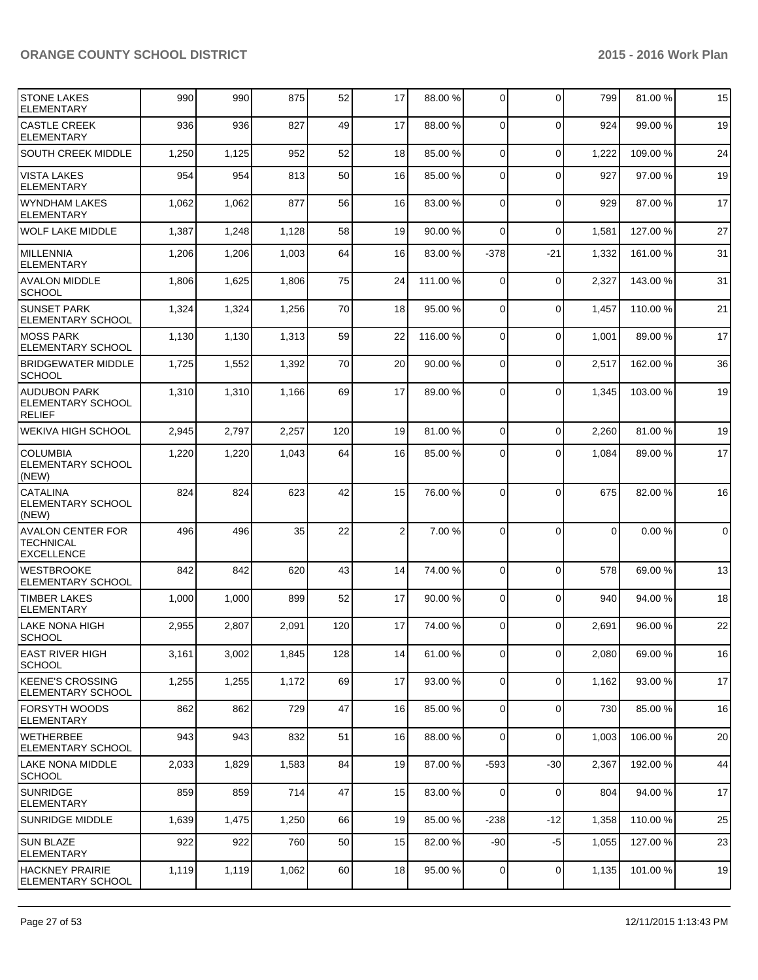| <b>STONE LAKES</b><br><b>ELEMENTARY</b>                           | 990   | 990   | 875   | 52  | 17             | 88.00 %  | $\overline{0}$ | $\Omega$       | 799      | 81.00%   | 15             |
|-------------------------------------------------------------------|-------|-------|-------|-----|----------------|----------|----------------|----------------|----------|----------|----------------|
| <b>CASTLE CREEK</b><br><b>ELEMENTARY</b>                          | 936   | 936   | 827   | 49  | 17             | 88.00 %  | $\Omega$       | $\Omega$       | 924      | 99.00 %  | 19             |
| <b>SOUTH CREEK MIDDLE</b>                                         | 1,250 | 1,125 | 952   | 52  | 18             | 85.00 %  | $\Omega$       | $\mathbf 0$    | 1,222    | 109.00%  | 24             |
| <b>VISTA LAKES</b><br><b>ELEMENTARY</b>                           | 954   | 954   | 813   | 50  | 16             | 85.00 %  | $\Omega$       | $\Omega$       | 927      | 97.00 %  | 19             |
| <b>WYNDHAM LAKES</b><br><b>ELEMENTARY</b>                         | 1,062 | 1,062 | 877   | 56  | 16             | 83.00 %  | $\Omega$       | $\Omega$       | 929      | 87.00%   | 17             |
| <b>WOLF LAKE MIDDLE</b>                                           | 1,387 | 1,248 | 1,128 | 58  | 19             | 90.00 %  | $\Omega$       | $\Omega$       | 1,581    | 127.00 % | 27             |
| <b>MILLENNIA</b><br><b>ELEMENTARY</b>                             | 1,206 | 1,206 | 1,003 | 64  | 16             | 83.00 %  | $-378$         | $-21$          | 1,332    | 161.00%  | 31             |
| <b>AVALON MIDDLE</b><br><b>SCHOOL</b>                             | 1,806 | 1,625 | 1,806 | 75  | 24             | 111.00 % | $\Omega$       | $\mathbf 0$    | 2,327    | 143.00%  | 31             |
| <b>SUNSET PARK</b><br><b>ELEMENTARY SCHOOL</b>                    | 1,324 | 1,324 | 1,256 | 70  | 18             | 95.00 %  | $\Omega$       | $\Omega$       | 1,457    | 110.00%  | 21             |
| <b>MOSS PARK</b><br><b>ELEMENTARY SCHOOL</b>                      | 1,130 | 1,130 | 1,313 | 59  | 22             | 116.00 % | $\Omega$       | $\Omega$       | 1,001    | 89.00 %  | 17             |
| <b>BRIDGEWATER MIDDLE</b><br><b>SCHOOL</b>                        | 1,725 | 1,552 | 1,392 | 70  | 20             | 90.00 %  | $\Omega$       | $\Omega$       | 2,517    | 162.00%  | 36             |
| <b>AUDUBON PARK</b><br><b>ELEMENTARY SCHOOL</b><br><b>RELIEF</b>  | 1,310 | 1,310 | 1,166 | 69  | 17             | 89.00 %  | $\Omega$       | $\Omega$       | 1,345    | 103.00 % | 19             |
| <b>WEKIVA HIGH SCHOOL</b>                                         | 2,945 | 2,797 | 2,257 | 120 | 19             | 81.00 %  | $\Omega$       | $\Omega$       | 2,260    | 81.00%   | 19             |
| <b>COLUMBIA</b><br><b>ELEMENTARY SCHOOL</b><br>(NEW)              | 1,220 | 1,220 | 1,043 | 64  | 16             | 85.00 %  | $\Omega$       | $\Omega$       | 1,084    | 89.00 %  | 17             |
| <b>CATALINA</b><br><b>ELEMENTARY SCHOOL</b><br>(NEW)              | 824   | 824   | 623   | 42  | 15             | 76.00 %  | $\Omega$       | $\Omega$       | 675      | 82.00%   | 16             |
| <b>AVALON CENTER FOR</b><br><b>TECHNICAL</b><br><b>EXCELLENCE</b> | 496   | 496   | 35    | 22  | $\overline{2}$ | 7.00 %   | $\Omega$       | $\Omega$       | $\Omega$ | 0.00%    | $\overline{0}$ |
| <b>WESTBROOKE</b><br><b>ELEMENTARY SCHOOL</b>                     | 842   | 842   | 620   | 43  | 14             | 74.00 %  | $\Omega$       | $\Omega$       | 578      | 69.00 %  | 13             |
| <b>TIMBER LAKES</b><br><b>ELEMENTARY</b>                          | 1,000 | 1,000 | 899   | 52  | 17             | 90.00 %  | $\Omega$       | $\Omega$       | 940      | 94.00%   | 18             |
| LAKE NONA HIGH<br>SCHOOL                                          | 2,955 | 2,807 | 2,091 | 120 | 17             | 74.00 %  | $\Omega$       | $\Omega$       | 2,691    | 96.00 %  | 22             |
| EAST RIVER HIGH<br><b>SCHOOL</b>                                  | 3,161 | 3,002 | 1,845 | 128 | 14             | 61.00 %  | $\overline{0}$ | $\mathbf 0$    | 2,080    | 69.00 %  | 16             |
| <b>KEENE'S CROSSING</b><br><b>ELEMENTARY SCHOOL</b>               | 1,255 | 1,255 | 1,172 | 69  | 17             | 93.00 %  | $\Omega$       | $\mathbf 0$    | 1,162    | 93.00 %  | 17             |
| <b>FORSYTH WOODS</b><br><b>ELEMENTARY</b>                         | 862   | 862   | 729   | 47  | 16             | 85.00 %  | $\overline{0}$ | $\overline{0}$ | 730      | 85.00 %  | 16             |
| <b>WETHERBEE</b><br><b>ELEMENTARY SCHOOL</b>                      | 943   | 943   | 832   | 51  | 16             | 88.00 %  | $\overline{0}$ | $\mathbf 0$    | 1,003    | 106.00%  | 20             |
| LAKE NONA MIDDLE<br><b>SCHOOL</b>                                 | 2,033 | 1,829 | 1,583 | 84  | 19             | 87.00 %  | -593           | $-30$          | 2,367    | 192.00 % | 44             |
| <b>SUNRIDGE</b><br><b>ELEMENTARY</b>                              | 859   | 859   | 714   | 47  | 15             | 83.00 %  | $\Omega$       | $\mathbf 0$    | 804      | 94.00%   | 17             |
| SUNRIDGE MIDDLE                                                   | 1,639 | 1,475 | 1,250 | 66  | 19             | 85.00 %  | $-238$         | $-12$          | 1,358    | 110.00%  | 25             |
| <b>ISUN BLAZE</b><br><b>ELEMENTARY</b>                            | 922   | 922   | 760   | 50  | 15             | 82.00 %  | $-90$          | $-5$           | 1,055    | 127.00 % | 23             |
| <b>HACKNEY PRAIRIE</b><br>ELEMENTARY SCHOOL                       | 1,119 | 1,119 | 1,062 | 60  | 18             | 95.00 %  | $\overline{0}$ | 0              | 1,135    | 101.00%  | 19             |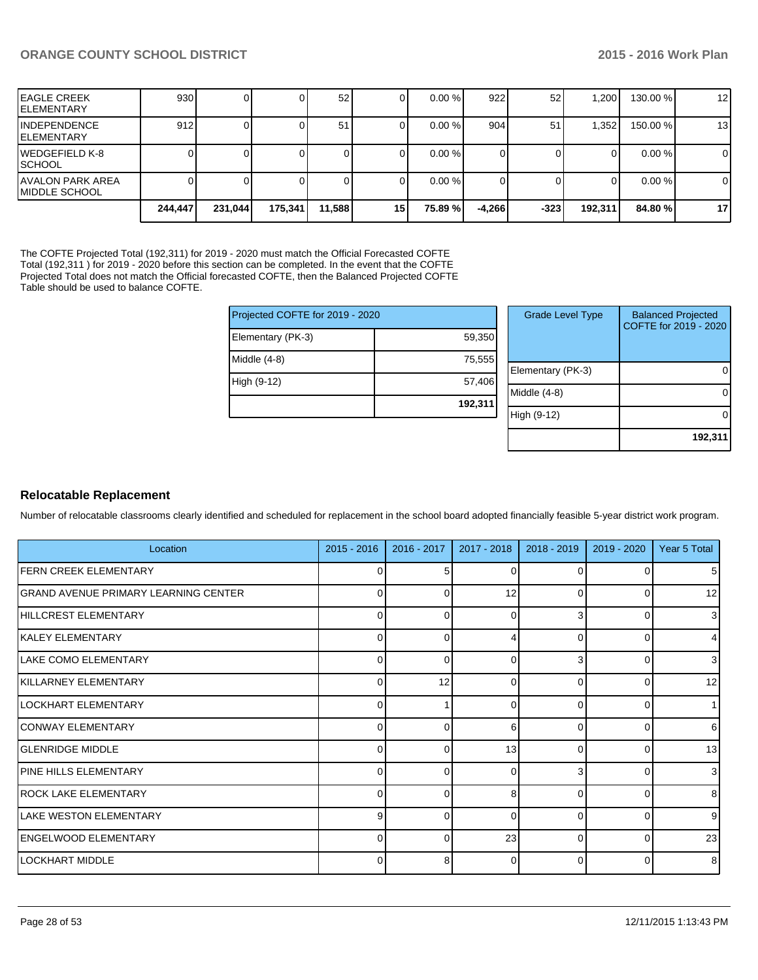| IEAGLE CREEK<br>IELEMENTARY         | 930 <sup>1</sup> |         |         | 52     |                 | $0.00 \%$ | 922      | 52     | .200    | 130.00 % | 12             |
|-------------------------------------|------------------|---------|---------|--------|-----------------|-----------|----------|--------|---------|----------|----------------|
| IINDEPENDENCE<br>IELEMENTARY        | 912              |         |         | 51     | υı              | $0.00\%$  | 904      | 51     | .352    | 150.00 % | 13             |
| IWEDGEFIELD K-8<br>ISCHOOL          |                  |         |         |        |                 | $0.00\%$  |          |        |         | $0.00\%$ | $\overline{0}$ |
| IAVALON PARK AREA<br>IMIDDLE SCHOOL |                  |         |         |        |                 | $0.00 \%$ |          |        |         | $0.00\%$ | $\overline{0}$ |
|                                     | 244.447          | 231,044 | 175,341 | 11,588 | 15 <sup>1</sup> | 75.89 %l  | $-4.266$ | $-323$ | 192,311 | 84.80 %  | 17             |

The COFTE Projected Total (192,311) for 2019 - 2020 must match the Official Forecasted COFTE Total (192,311 ) for 2019 - 2020 before this section can be completed. In the event that the COFTE Projected Total does not match the Official forecasted COFTE, then the Balanced Projected COFTE Table should be used to balance COFTE.

| Projected COFTE for 2019 - 2020 |  |  |  |  |  |  |
|---------------------------------|--|--|--|--|--|--|
| 59,350                          |  |  |  |  |  |  |
| 75,555                          |  |  |  |  |  |  |
| 57,406                          |  |  |  |  |  |  |
| 192,311                         |  |  |  |  |  |  |
|                                 |  |  |  |  |  |  |

| <b>Grade Level Type</b> | <b>Balanced Projected</b><br>COFTE for 2019 - 2020 |
|-------------------------|----------------------------------------------------|
| Elementary (PK-3)       |                                                    |
| Middle $(4-8)$          |                                                    |
| High (9-12)             |                                                    |
|                         | 192,311                                            |

### **Relocatable Replacement**

Number of relocatable classrooms clearly identified and scheduled for replacement in the school board adopted financially feasible 5-year district work program.

| Location                             | $2015 - 2016$  | $2016 - 2017$ | $2017 - 2018$ | $2018 - 2019$ | 2019 - 2020 | Year 5 Total   |
|--------------------------------------|----------------|---------------|---------------|---------------|-------------|----------------|
| <b>FERN CREEK ELEMENTARY</b>         | 0              |               | C             |               |             | 5 <sub>l</sub> |
| GRAND AVENUE PRIMARY LEARNING CENTER | $\overline{0}$ | 0             | 12            | $\Omega$      |             | 12             |
| HILLCREST ELEMENTARY                 | 0              |               | <sup>n</sup>  |               |             | $\overline{3}$ |
| KALEY ELEMENTARY                     | $\Omega$       | 0             |               | 0             |             | $\overline{4}$ |
| LAKE COMO ELEMENTARY                 | 0              |               | C             | 3             |             | 3 <sup>l</sup> |
| KILLARNEY ELEMENTARY                 | $\overline{0}$ | 12            | $\Omega$      | $\Omega$      |             | 12             |
| LOCKHART ELEMENTARY                  | $\Omega$       |               | C             | U             |             |                |
| CONWAY ELEMENTARY                    | $\overline{0}$ | 0             | 6             | $\Omega$      | 0           | $6 \mid$       |
| <b>GLENRIDGE MIDDLE</b>              | $\Omega$       |               | 13            | $\Omega$      |             | 13             |
| <b>PINE HILLS ELEMENTARY</b>         | $\Omega$       | 0             | $\Omega$      | 3             |             | $\overline{3}$ |
| <b>ROCK LAKE ELEMENTARY</b>          | 0              | ∩             | 8             | $\Omega$      |             | 8 <sup>1</sup> |
| <b>I</b> LAKE WESTON ELEMENTARY      | 9 <sup>1</sup> | 0             | $\Omega$      | $\Omega$      | $\Omega$    | 9 <sub>l</sub> |
| ENGELWOOD ELEMENTARY                 | $\Omega$       | $\Omega$      | 23            | $\Omega$      | ∩           | 23             |
| ILOCKHART MIDDLE                     | $\Omega$       | 8             | $\Omega$      | $\Omega$      |             | 8 <sup>1</sup> |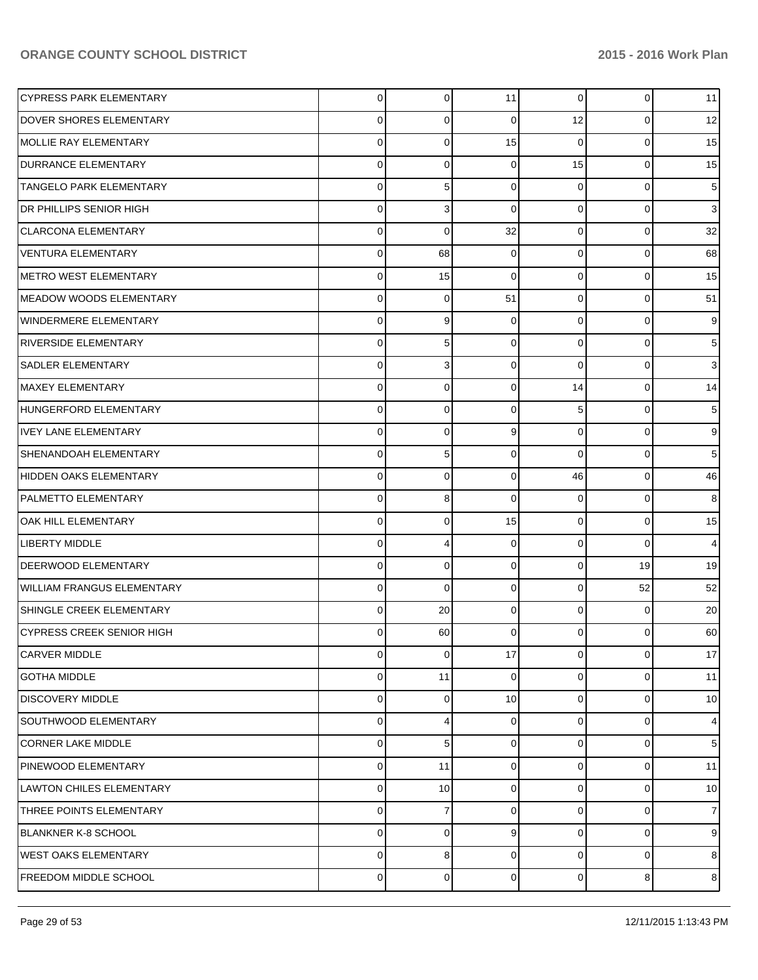| <b>CYPRESS PARK ELEMENTARY</b>    | $\mathbf 0$ | $\overline{0}$ | 11          | $\overline{0}$ | 0              | 11 |
|-----------------------------------|-------------|----------------|-------------|----------------|----------------|----|
| DOVER SHORES ELEMENTARY           | 0           | 0              | 0           | 12             | $\overline{0}$ | 12 |
| MOLLIE RAY ELEMENTARY             | $\mathbf 0$ | 0              | 15          | $\Omega$       | $\Omega$       | 15 |
| <b>DURRANCE ELEMENTARY</b>        | $\mathbf 0$ | 0              | $\mathbf 0$ | 15             | 0              | 15 |
| <b>TANGELO PARK ELEMENTARY</b>    | $\mathbf 0$ | 5              | 0           | $\Omega$       | 0              | 5  |
| DR PHILLIPS SENIOR HIGH           | $\mathbf 0$ | 3              | $\mathbf 0$ | $\mathbf 0$    | 0              | 3  |
| <b>CLARCONA ELEMENTARY</b>        | $\mathbf 0$ | 0              | 32          | $\mathbf 0$    | 0              | 32 |
| <b>VENTURA ELEMENTARY</b>         | $\mathbf 0$ | 68             | 0           | $\mathbf 0$    | 0              | 68 |
| <b>METRO WEST ELEMENTARY</b>      | $\mathbf 0$ | 15             | $\mathbf 0$ | $\Omega$       | 0              | 15 |
| <b>MEADOW WOODS ELEMENTARY</b>    | $\mathbf 0$ | 0              | 51          | $\mathbf 0$    | 0              | 51 |
| <b>WINDERMERE ELEMENTARY</b>      | $\mathbf 0$ | 9              | $\mathbf 0$ | $\Omega$       | 0              |    |
| <b>RIVERSIDE ELEMENTARY</b>       | $\mathbf 0$ | 5              | 0           | $\mathbf 0$    | 0              | 5  |
| <b>SADLER ELEMENTARY</b>          | $\mathbf 0$ | 3              | 0           | $\Omega$       | 0              | 3  |
| <b>MAXEY ELEMENTARY</b>           | $\mathbf 0$ | 0              | 0           | 14             | 0              | 14 |
| HUNGERFORD ELEMENTARY             | $\mathbf 0$ | 0              | 0           | 5              | 0              | 5  |
| <b>IVEY LANE ELEMENTARY</b>       | $\mathbf 0$ | 0              | 9           | $\mathbf 0$    | 0              | 9  |
| SHENANDOAH ELEMENTARY             | $\mathbf 0$ | 5              | $\mathbf 0$ | $\Omega$       | 0              | 5  |
| <b>HIDDEN OAKS ELEMENTARY</b>     | $\mathbf 0$ | 0              | 0           | 46             | 0              | 46 |
| PALMETTO ELEMENTARY               | $\mathbf 0$ | 8              | $\mathbf 0$ | $\Omega$       | 0              | 8  |
| OAK HILL ELEMENTARY               | $\mathbf 0$ | 0              | 15          | $\mathbf 0$    | 0              | 15 |
| <b>LIBERTY MIDDLE</b>             | $\mathbf 0$ | 4              | $\mathbf 0$ | $\Omega$       | $\Omega$       | 4  |
| <b>DEERWOOD ELEMENTARY</b>        | $\mathbf 0$ | 0              | $\mathbf 0$ | $\mathbf 0$    | 19             | 19 |
| <b>WILLIAM FRANGUS ELEMENTARY</b> | $\mathbf 0$ | 0              | 0           | $\Omega$       | 52             | 52 |
| SHINGLE CREEK ELEMENTARY          | $\mathbf 0$ | 20             | 0           | $\mathbf 0$    | 0              | 20 |
| <b>CYPRESS CREEK SENIOR HIGH</b>  | 0           | 60             | 0           | $\Omega$       | 0              | 60 |
| <b>CARVER MIDDLE</b>              | $\mathbf 0$ | 0              | 17          | $\overline{0}$ | $\overline{0}$ | 17 |
| <b>GOTHA MIDDLE</b>               | 0           | 11             | $\mathbf 0$ | 0              | 0              | 11 |
| <b>DISCOVERY MIDDLE</b>           | $\mathbf 0$ | 0              | 10          | 0              | 0              | 10 |
| SOUTHWOOD ELEMENTARY              | $\mathbf 0$ | 4              | $\mathbf 0$ | 0              | 0              | 4  |
| <b>CORNER LAKE MIDDLE</b>         | $\mathbf 0$ | 5              | 0           | $\Omega$       | 0              | 5  |
| PINEWOOD ELEMENTARY               | $\mathbf 0$ | 11             | $\mathbf 0$ | 0              | 0              | 11 |
| <b>LAWTON CHILES ELEMENTARY</b>   | $\mathbf 0$ | 10             | 0           | $\Omega$       | 0              | 10 |
| THREE POINTS ELEMENTARY           | $\mathbf 0$ | 7              | 0           | 0              | 0              | 7  |
| <b>BLANKNER K-8 SCHOOL</b>        | 0           | 0              | 9           | 0              | 0              | 9  |
| <b>WEST OAKS ELEMENTARY</b>       | $\mathbf 0$ | 8              | $\mathbf 0$ | 0              | 0              | 8  |
| FREEDOM MIDDLE SCHOOL             | $\mathbf 0$ | 0              | $\mathbf 0$ | $\mathbf 0$    | 8              | 8  |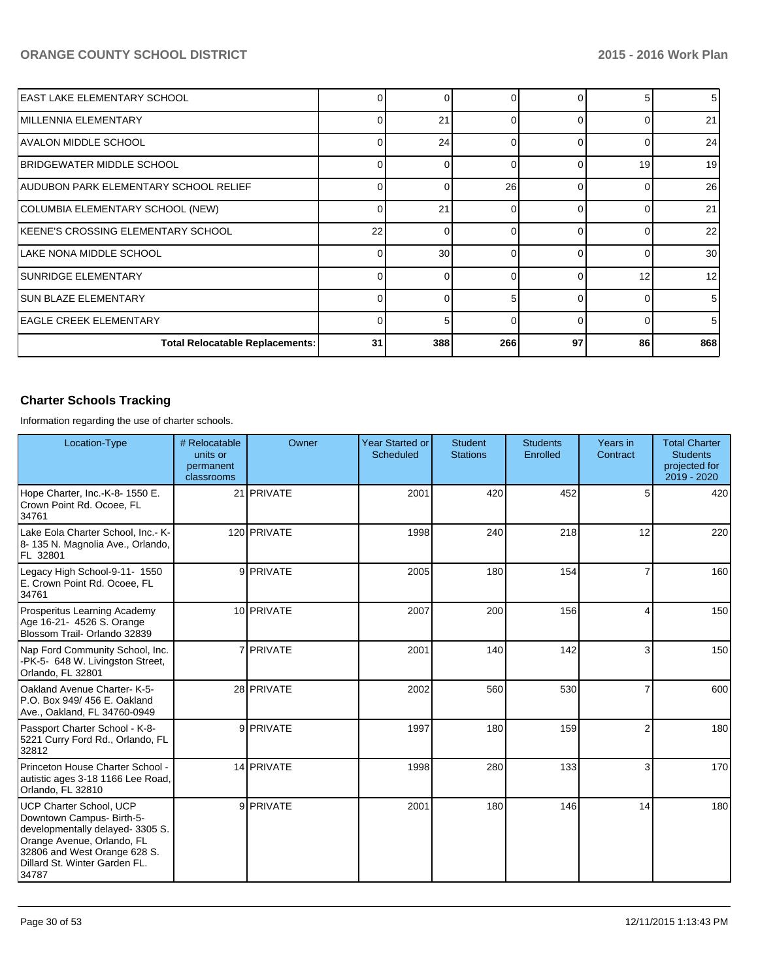| IEAST LAKE ELEMENTARY SCHOOL           |    | <sup>0</sup> |     |        |    | 5 <sub>l</sub>  |
|----------------------------------------|----|--------------|-----|--------|----|-----------------|
| IMILLENNIA ELEMENTARY                  | U  | 21           | ∩   | U      |    | 21              |
| IAVALON MIDDLE SCHOOL                  |    | 24           | U   |        |    | 24              |
| IBRIDGEWATER MIDDLE SCHOOL             | C  |              | ∩   |        | 19 | 19 <sup>l</sup> |
| AUDUBON PARK ELEMENTARY SCHOOL RELIEF  | O  | <sup>0</sup> | 26  |        |    | 26              |
| COLUMBIA ELEMENTARY SCHOOL (NEW)       | O  | 21           | ∩   |        |    | 21              |
| KEENE'S CROSSING ELEMENTARY SCHOOL     | 22 | U            |     |        |    | 22              |
| LAKE NONA MIDDLE SCHOOL                |    | 30           |     |        |    | 30 <sup>1</sup> |
| <b>SUNRIDGE ELEMENTARY</b>             |    |              |     |        | 12 | 12 <sub>l</sub> |
| <b>SUN BLAZE ELEMENTARY</b>            |    | $\Omega$     |     | $\cap$ |    | 5 <sub>l</sub>  |
| lEAGLE CREEK ELEMENTARY                | C  | 5            | n   |        |    | 5 <sub>l</sub>  |
| <b>Total Relocatable Replacements:</b> | 31 | 388          | 266 | 97     | 86 | 868             |

# **Charter Schools Tracking**

Information regarding the use of charter schools.

| Location-Type                                                                                                                                                                                           | # Relocatable<br>units or<br>permanent<br>classrooms | Owner       | <b>Year Started or</b><br><b>Scheduled</b> | <b>Student</b><br><b>Stations</b> | <b>Students</b><br>Enrolled | Years in<br>Contract | <b>Total Charter</b><br><b>Students</b><br>projected for<br>2019 - 2020 |
|---------------------------------------------------------------------------------------------------------------------------------------------------------------------------------------------------------|------------------------------------------------------|-------------|--------------------------------------------|-----------------------------------|-----------------------------|----------------------|-------------------------------------------------------------------------|
| Hope Charter, Inc.-K-8- 1550 E.<br>Crown Point Rd. Ocoee, FL<br>34761                                                                                                                                   |                                                      | 21 PRIVATE  | 2001                                       | 420                               | 452                         | 5                    | 420                                                                     |
| Lake Eola Charter School, Inc.- K-<br>8-135 N. Magnolia Ave., Orlando,<br>FL 32801                                                                                                                      |                                                      | 120 PRIVATE | 1998                                       | 240                               | 218                         | 12                   | 220                                                                     |
| Legacy High School-9-11- 1550<br>E. Crown Point Rd. Ocoee, FL<br>34761                                                                                                                                  |                                                      | 9 PRIVATE   | 2005                                       | 180                               | 154                         | $\overline{7}$       | 160                                                                     |
| Prosperitus Learning Academy<br>Age 16-21- 4526 S. Orange<br>Blossom Trail- Orlando 32839                                                                                                               |                                                      | 10 PRIVATE  | 2007                                       | 200                               | 156                         | 4                    | 150                                                                     |
| Nap Ford Community School, Inc.<br>-PK-5- 648 W. Livingston Street,<br>Orlando, FL 32801                                                                                                                |                                                      | 7 PRIVATE   | 2001                                       | 140                               | 142                         | 3                    | 150                                                                     |
| Oakland Avenue Charter-K-5-<br>P.O. Box 949/456 E. Oakland<br>Ave., Oakland, FL 34760-0949                                                                                                              |                                                      | 28 PRIVATE  | 2002                                       | 560                               | 530                         | 7                    | 600                                                                     |
| Passport Charter School - K-8-<br>5221 Curry Ford Rd., Orlando, FL<br>32812                                                                                                                             |                                                      | 9 PRIVATE   | 1997                                       | 180                               | 159                         | $\overline{2}$       | 180                                                                     |
| Princeton House Charter School -<br>autistic ages 3-18 1166 Lee Road,<br>Orlando, FL 32810                                                                                                              |                                                      | 14 PRIVATE  | 1998                                       | 280                               | 133                         | 3                    | 170                                                                     |
| <b>UCP Charter School, UCP</b><br>Downtown Campus- Birth-5-<br>developmentally delayed- 3305 S.<br>Orange Avenue, Orlando, FL<br>32806 and West Orange 628 S.<br>Dillard St. Winter Garden FL.<br>34787 |                                                      | 9 PRIVATE   | 2001                                       | 180                               | 146                         | 14                   | 180                                                                     |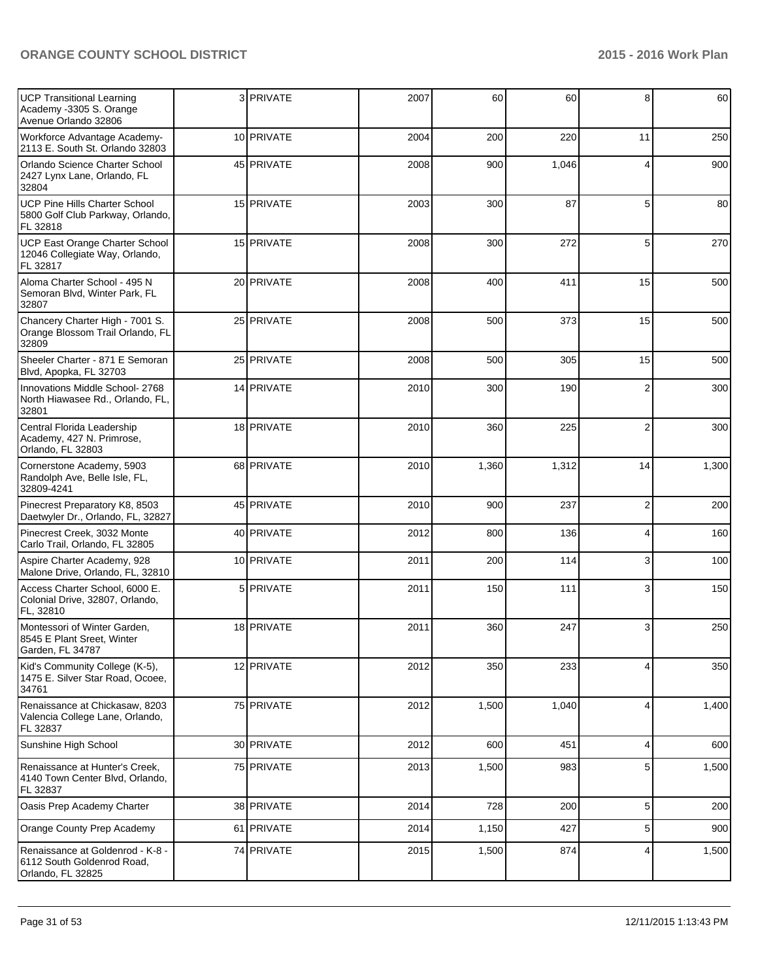| UCP Transitional Learning<br>Academy -3305 S. Orange<br>Avenue Orlando 32806         | 3 PRIVATE  | 2007 | 60    | 60    | 8              | 60    |
|--------------------------------------------------------------------------------------|------------|------|-------|-------|----------------|-------|
| Workforce Advantage Academy-<br>2113 E. South St. Orlando 32803                      | 10 PRIVATE | 2004 | 200   | 220   | 11             | 250   |
| Orlando Science Charter School<br>2427 Lynx Lane, Orlando, FL<br>32804               | 45 PRIVATE | 2008 | 900   | 1,046 | 4              | 900   |
| <b>UCP Pine Hills Charter School</b><br>5800 Golf Club Parkway, Orlando,<br>FL 32818 | 15 PRIVATE | 2003 | 300   | 87    | 5              | 80    |
| UCP East Orange Charter School<br>12046 Collegiate Way, Orlando,<br>FL 32817         | 15 PRIVATE | 2008 | 300   | 272   | 5              | 270   |
| Aloma Charter School - 495 N<br>Semoran Blvd, Winter Park, FL<br>32807               | 20 PRIVATE | 2008 | 400   | 411   | 15             | 500   |
| Chancery Charter High - 7001 S.<br>Orange Blossom Trail Orlando, FL<br>32809         | 25 PRIVATE | 2008 | 500   | 373   | 15             | 500   |
| Sheeler Charter - 871 E Semoran<br>Blvd, Apopka, FL 32703                            | 25 PRIVATE | 2008 | 500   | 305   | 15             | 500   |
| Innovations Middle School- 2768<br>North Hiawasee Rd., Orlando, FL,<br>32801         | 14 PRIVATE | 2010 | 300   | 190   | $\overline{2}$ | 300   |
| Central Florida Leadership<br>Academy, 427 N. Primrose,<br>Orlando, FL 32803         | 18 PRIVATE | 2010 | 360   | 225   | $\overline{2}$ | 300   |
| Cornerstone Academy, 5903<br>Randolph Ave, Belle Isle, FL,<br>32809-4241             | 68 PRIVATE | 2010 | 1,360 | 1,312 | 14             | 1,300 |
| Pinecrest Preparatory K8, 8503<br>Daetwyler Dr., Orlando, FL, 32827                  | 45 PRIVATE | 2010 | 900   | 237   | $\overline{2}$ | 200   |
| Pinecrest Creek, 3032 Monte<br>Carlo Trail, Orlando, FL 32805                        | 40 PRIVATE | 2012 | 800   | 136   | 4              | 160   |
| Aspire Charter Academy, 928<br>Malone Drive, Orlando, FL, 32810                      | 10 PRIVATE | 2011 | 200   | 114   | 3              | 100   |
| Access Charter School, 6000 E.<br>Colonial Drive, 32807, Orlando,<br>FL, 32810       | 5 PRIVATE  | 2011 | 150   | 111   | 3              | 150   |
| Montessori of Winter Garden,<br>8545 E Plant Sreet, Winter<br>Garden, FL 34787       | 18 PRIVATE | 2011 | 360   | 247   | 3              | 250   |
| Kid's Community College (K-5),<br>1475 E. Silver Star Road, Ocoee,<br>34761          | 12 PRIVATE | 2012 | 350   | 233   | 4              | 350   |
| Renaissance at Chickasaw, 8203<br>Valencia College Lane, Orlando,<br>FL 32837        | 75 PRIVATE | 2012 | 1,500 | 1,040 | 4              | 1,400 |
| Sunshine High School                                                                 | 30 PRIVATE | 2012 | 600   | 451   | 4              | 600   |
| Renaissance at Hunter's Creek,<br>4140 Town Center Blvd, Orlando,<br>FL 32837        | 75 PRIVATE | 2013 | 1,500 | 983   | 5              | 1,500 |
| Oasis Prep Academy Charter                                                           | 38 PRIVATE | 2014 | 728   | 200   | 5              | 200   |
| Orange County Prep Academy                                                           | 61 PRIVATE | 2014 | 1,150 | 427   | 5              | 900   |
| Renaissance at Goldenrod - K-8 -<br>6112 South Goldenrod Road,<br>Orlando, FL 32825  | 74 PRIVATE | 2015 | 1,500 | 874   | 4              | 1,500 |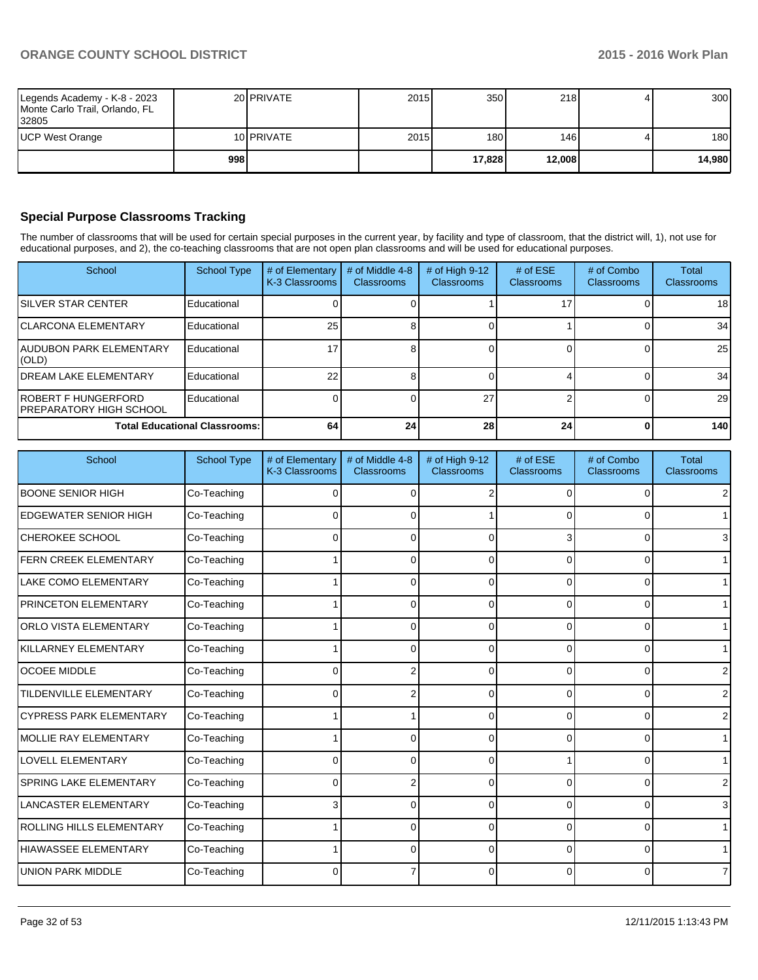|                                                                         | 998 |                     |      | 17.828           | 12,008 | 14,980 |
|-------------------------------------------------------------------------|-----|---------------------|------|------------------|--------|--------|
| UCP West Orange                                                         |     | 10 <b>I</b> PRIVATE | 2015 | 180 <sup>1</sup> | 146    | 180    |
| Legends Academy - K-8 - 2023<br>Monte Carlo Trail, Orlando, FL<br>32805 |     | 20 <b>IPRIVATE</b>  | 2015 | 350              | 218    | 300    |

### **Special Purpose Classrooms Tracking**

The number of classrooms that will be used for certain special purposes in the current year, by facility and type of classroom, that the district will, 1), not use for educational purposes, and 2), the co-teaching classrooms that are not open plan classrooms and will be used for educational purposes.

| School                                           | <b>School Type</b> | # of Elementary<br>K-3 Classrooms | # of Middle 4-8<br><b>Classrooms</b> | # of High $9-12$<br><b>Classrooms</b> | # of $ESE$<br>Classrooms | # of Combo<br><b>Classrooms</b> | Total<br><b>Classrooms</b> |
|--------------------------------------------------|--------------------|-----------------------------------|--------------------------------------|---------------------------------------|--------------------------|---------------------------------|----------------------------|
| <b>ISILVER STAR CENTER</b>                       | Educational        |                                   |                                      |                                       |                          |                                 | 18 <sup>l</sup>            |
| <b>ICLARCONA ELEMENTARY</b>                      | Educational        | 25                                |                                      |                                       |                          |                                 | 34                         |
| IAUDUBON PARK ELEMENTARY<br>(OLD)                | Educational        |                                   |                                      |                                       |                          |                                 | 25                         |
| <b>IDREAM LAKE ELEMENTARY</b>                    | Educational        | 22                                |                                      |                                       |                          |                                 | 34                         |
| IROBERT F HUNGERFORD<br>IPREPARATORY HIGH SCHOOL | Educational        |                                   |                                      | 27                                    |                          |                                 | 29                         |
| <b>Total Educational Classrooms:</b>             |                    | 64                                | 24 <sub>l</sub>                      | 28                                    | 24                       |                                 | 140                        |

| School                         | <b>School Type</b> | # of Elementary<br>K-3 Classrooms | # of Middle 4-8<br>Classrooms | # of High 9-12<br><b>Classrooms</b> | # of ESE<br><b>Classrooms</b> | # of Combo<br>Classrooms | <b>Total</b><br><b>Classrooms</b> |
|--------------------------------|--------------------|-----------------------------------|-------------------------------|-------------------------------------|-------------------------------|--------------------------|-----------------------------------|
| <b>BOONE SENIOR HIGH</b>       | Co-Teaching        | 0                                 | ∩                             | 2                                   | ∩                             | <sup>0</sup>             |                                   |
| <b>EDGEWATER SENIOR HIGH</b>   | Co-Teaching        | ΩI                                |                               |                                     |                               | U                        |                                   |
| <b>CHEROKEE SCHOOL</b>         | Co-Teaching        | 0                                 |                               |                                     |                               |                          | 3                                 |
| <b>FERN CREEK ELEMENTARY</b>   | Co-Teaching        |                                   |                               | O                                   |                               | O                        |                                   |
| <b>LAKE COMO ELEMENTARY</b>    | Co-Teaching        |                                   | n                             | 0                                   | $\Omega$                      | $\Omega$                 |                                   |
| PRINCETON ELEMENTARY           | Co-Teaching        |                                   | U                             | $\Omega$                            | $\Omega$                      | $\Omega$                 |                                   |
| <b>ORLO VISTA ELEMENTARY</b>   | Co-Teaching        |                                   | U                             | 0                                   | O                             | $\Omega$                 |                                   |
| KILLARNEY ELEMENTARY           | Co-Teaching        |                                   | 0                             | 0                                   | ∩                             | 0                        |                                   |
| <b>OCOEE MIDDLE</b>            | Co-Teaching        | Οl                                | 2                             | 0                                   | $\Omega$                      | $\Omega$                 |                                   |
| <b>TILDENVILLE ELEMENTARY</b>  | Co-Teaching        | Οl                                | 2                             | 0                                   | $\Omega$                      | $\Omega$                 |                                   |
| <b>CYPRESS PARK ELEMENTARY</b> | Co-Teaching        |                                   |                               | 0                                   | 0                             | $\Omega$                 |                                   |
| <b>I</b> MOLLIE RAY ELEMENTARY | Co-Teaching        |                                   |                               | 0                                   | ∩                             | 0                        |                                   |
| <b>LOVELL ELEMENTARY</b>       | Co-Teaching        | 0                                 |                               | U                                   |                               | 0                        |                                   |
| SPRING LAKE ELEMENTARY         | Co-Teaching        | 0                                 |                               | U                                   |                               | O                        |                                   |
| <b>LANCASTER ELEMENTARY</b>    | Co-Teaching        | 3                                 |                               | O                                   | ∩                             | $\Omega$                 |                                   |
| ROLLING HILLS ELEMENTARY       | Co-Teaching        |                                   | n                             | 0                                   | ∩                             | $\Omega$                 |                                   |
| <b>HIAWASSEE ELEMENTARY</b>    | Co-Teaching        |                                   | n                             | O                                   | ∩                             | 0                        |                                   |
| <b>UNION PARK MIDDLE</b>       | Co-Teaching        | ΩI                                |                               | O                                   | $\Omega$                      | $\Omega$                 |                                   |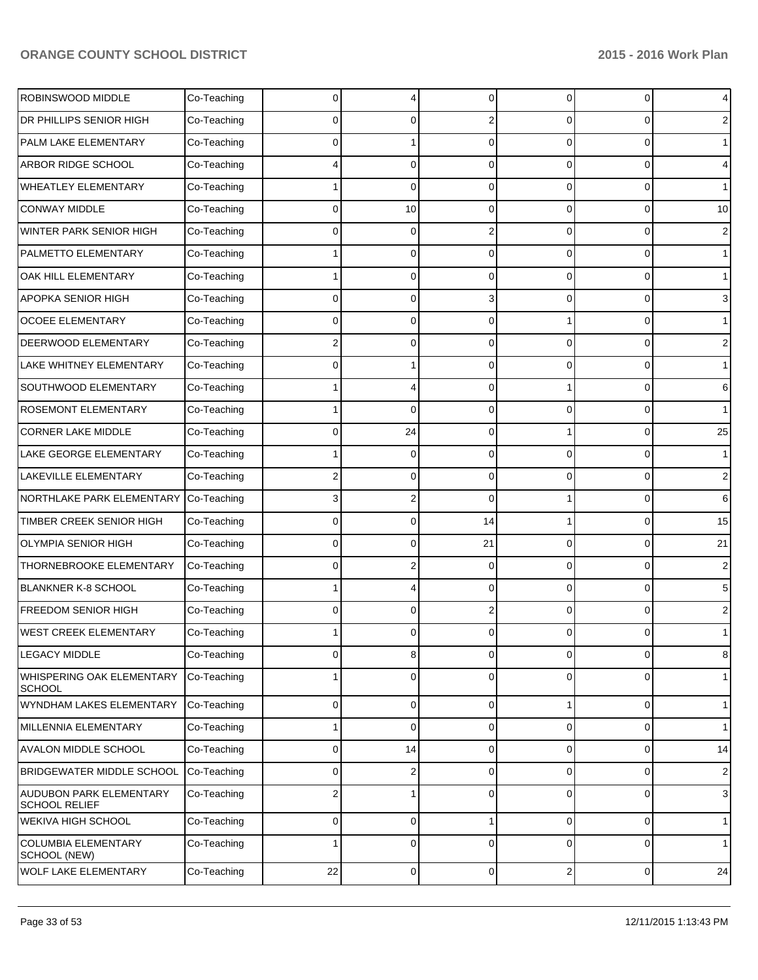| ROBINSWOOD MIDDLE                               | Co-Teaching | 0              |          | $\Omega$       | 0              | $\overline{0}$ | 4              |
|-------------------------------------------------|-------------|----------------|----------|----------------|----------------|----------------|----------------|
| DR PHILLIPS SENIOR HIGH                         | Co-Teaching | 0              | U        | 2              | 0              | $\Omega$       | 2              |
| PALM LAKE ELEMENTARY                            | Co-Teaching | $\Omega$       |          | $\Omega$       | 0              | $\Omega$       | $\mathbf 1$    |
| ARBOR RIDGE SCHOOL                              | Co-Teaching | 4              | $\Omega$ | $\Omega$       | 0              | $\Omega$       | 4              |
| WHEATLEY ELEMENTARY                             | Co-Teaching |                | 0        | $\Omega$       | 0              | $\Omega$       | $\mathbf 1$    |
| <b>CONWAY MIDDLE</b>                            | Co-Teaching | 0              | 10       | $\Omega$       | 0              | $\Omega$       | 10             |
| WINTER PARK SENIOR HIGH                         | Co-Teaching | $\Omega$       | $\Omega$ | 2              | 0              | $\Omega$       | 2              |
| PALMETTO ELEMENTARY                             | Co-Teaching |                | $\Omega$ | $\Omega$       | 0              | $\overline{0}$ | 1              |
| OAK HILL ELEMENTARY                             | Co-Teaching |                | 0        | $\Omega$       | 0              | $\overline{0}$ | $\mathbf 1$    |
| APOPKA SENIOR HIGH                              | Co-Teaching | $\Omega$       | 0        | 3              | 0              | $\Omega$       | 3              |
| <b>OCOEE ELEMENTARY</b>                         | Co-Teaching | $\Omega$       | 0        | $\Omega$       |                | $\Omega$       | $\mathbf 1$    |
| DEERWOOD ELEMENTARY                             | Co-Teaching | 2              | $\Omega$ | $\Omega$       | 0              | $\overline{0}$ | $\overline{2}$ |
| LAKE WHITNEY ELEMENTARY                         | Co-Teaching | $\Omega$       |          | $\Omega$       | 0              | $\overline{0}$ | $\mathbf 1$    |
| SOUTHWOOD ELEMENTARY                            | Co-Teaching |                |          | $\Omega$       |                | $\Omega$       | 6              |
| <b>ROSEMONT ELEMENTARY</b>                      | Co-Teaching |                | 0        | $\Omega$       | 0              | $\Omega$       | 1              |
| <b>CORNER LAKE MIDDLE</b>                       | Co-Teaching | 0              | 24       | $\Omega$       |                | $\overline{0}$ | 25             |
| LAKE GEORGE ELEMENTARY                          | Co-Teaching |                | $\Omega$ | $\Omega$       | 0              | $\overline{0}$ | 1              |
| LAKEVILLE ELEMENTARY                            | Co-Teaching | 2              | 0        | $\Omega$       | 0              | $\Omega$       | 2              |
| NORTHLAKE PARK ELEMENTARY                       | Co-Teaching | 3              | 2        | $\Omega$       |                | $\Omega$       | 6              |
| TIMBER CREEK SENIOR HIGH                        | Co-Teaching | $\Omega$       | $\Omega$ | 14             |                | $\overline{0}$ | 15             |
| <b>OLYMPIA SENIOR HIGH</b>                      | Co-Teaching | 0              | 0        | 21             | 0              | $\overline{0}$ | 21             |
| THORNEBROOKE ELEMENTARY                         | Co-Teaching | 0              |          | $\Omega$       | 0              | $\overline{0}$ | 2              |
| BLANKNER K-8 SCHOOL                             | Co-Teaching |                |          | $\Omega$       | 0              | $\Omega$       | 5              |
| FREEDOM SENIOR HIGH                             | Co-Teaching | 0              | $\Omega$ | 2              | 0              | $\Omega$       | 2              |
| WEST CREEK ELEMENTARY                           | Co-Teaching |                |          |                |                | 0              | 1              |
| <b>LEGACY MIDDLE</b>                            | Co-Teaching | $\overline{0}$ | 8        | $\overline{0}$ | $\overline{0}$ | $\overline{0}$ | 8              |
| WHISPERING OAK ELEMENTARY<br><b>SCHOOL</b>      | Co-Teaching |                | 0        | $\Omega$       | 0              | $\overline{0}$ | 1              |
| WYNDHAM LAKES ELEMENTARY                        | Co-Teaching | 0              | 0        | $\mathbf 0$    | 1              | $\overline{0}$ | $\mathbf{1}$   |
| MILLENNIA ELEMENTARY                            | Co-Teaching | 1              | 0        | $\mathbf 0$    | $\overline{0}$ | $\mathbf 0$    | $\mathbf{1}$   |
| <b>AVALON MIDDLE SCHOOL</b>                     | Co-Teaching | 0              | 14       | $\mathbf 0$    | $\overline{0}$ | $\overline{0}$ | 14             |
| <b>BRIDGEWATER MIDDLE SCHOOL</b>                | Co-Teaching | 0              | 2        | $\mathbf 0$    | $\overline{0}$ | 0              | $\sqrt{2}$     |
| AUDUBON PARK ELEMENTARY<br><b>SCHOOL RELIEF</b> | Co-Teaching | 2              |          | $\mathbf 0$    | $\overline{0}$ | 0              | $\mathbf{3}$   |
| <b>WEKIVA HIGH SCHOOL</b>                       | Co-Teaching | 0              | 0        |                | $\overline{0}$ | $\overline{0}$ | $\mathbf{1}$   |
| <b>COLUMBIA ELEMENTARY</b><br>SCHOOL (NEW)      | Co-Teaching | 1              | 0        | $\Omega$       | $\overline{0}$ | 0              | $\mathbf{1}$   |
| <b>WOLF LAKE ELEMENTARY</b>                     | Co-Teaching | 22             | 0        | 0              | $\mathbf{2}$   | $\overline{0}$ | 24             |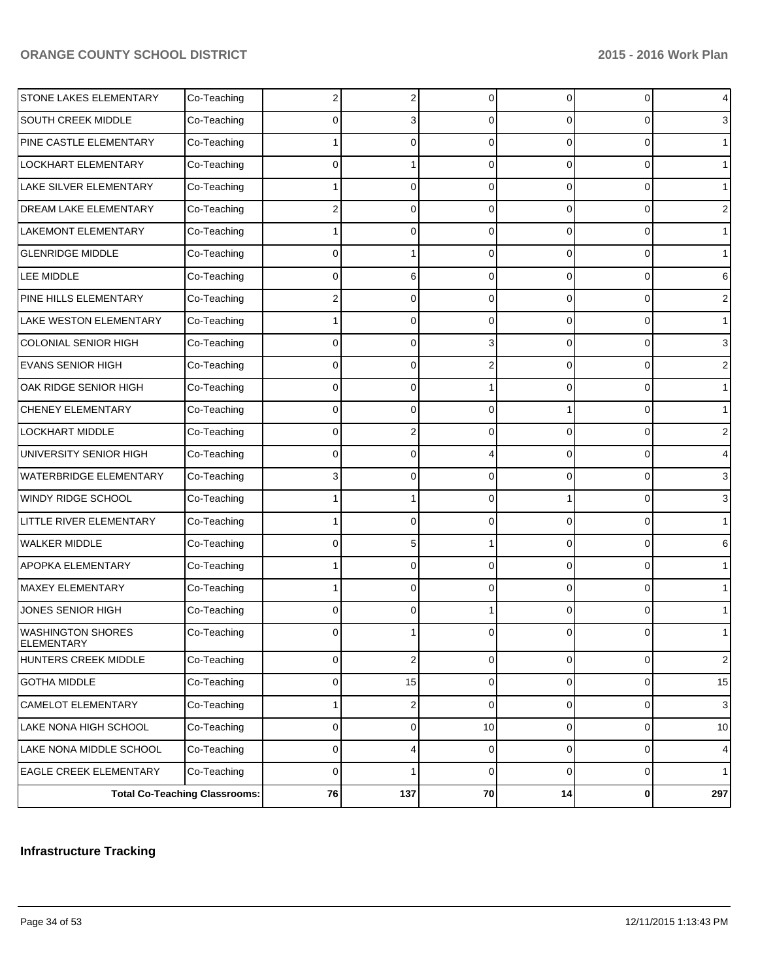|                                        | <b>Total Co-Teaching Classrooms:</b> | ${\bf 76}$   | 137            | 70             | 14             | $\mathbf{0}$   | 297            |
|----------------------------------------|--------------------------------------|--------------|----------------|----------------|----------------|----------------|----------------|
| <b>EAGLE CREEK ELEMENTARY</b>          | Co-Teaching                          | 0            | 1              | $\mathbf 0$    | 0              | $\overline{0}$ | $\mathbf{1}$   |
| LAKE NONA MIDDLE SCHOOL                | Co-Teaching                          | 0            | 4              | $\mathbf 0$    | 0              | $\overline{0}$ | $\overline{4}$ |
| LAKE NONA HIGH SCHOOL                  | Co-Teaching                          | 0            | 0              | 10             | $\overline{0}$ | $\overline{0}$ | 10             |
| CAMELOT ELEMENTARY                     | Co-Teaching                          | 1            | 2              | $\mathbf 0$    | 0              | $\overline{0}$ | $\mathbf{3}$   |
| <b>GOTHA MIDDLE</b>                    | Co-Teaching                          | 0            | 15             | $\overline{0}$ | $\overline{0}$ | $\overline{0}$ | 15             |
| HUNTERS CREEK MIDDLE                   | Co-Teaching                          | 0            | $\overline{2}$ | $\mathbf 0$    | 0              | $\overline{0}$ | $\overline{2}$ |
| <b>WASHINGTON SHORES</b><br>ELEMENTARY | Co-Teaching                          |              |                |                |                | 0              |                |
| JONES SENIOR HIGH                      | Co-Teaching                          | $\Omega$     | 0              |                | 0              | $\Omega$       |                |
| <b>MAXEY ELEMENTARY</b>                | Co-Teaching                          |              | 0              | $\Omega$       | $\Omega$       | $\Omega$       | 1              |
| APOPKA ELEMENTARY                      | Co-Teaching                          |              | 0              | $\Omega$       | 0              | 0              |                |
| <b>WALKER MIDDLE</b>                   | Co-Teaching                          | <sup>0</sup> | 5              |                | 0              | $\Omega$       | 6              |
| LITTLE RIVER ELEMENTARY                | Co-Teaching                          |              | 0              | $\Omega$       | 0              | $\Omega$       |                |
| WINDY RIDGE SCHOOL                     | Co-Teaching                          |              |                | $\Omega$       |                | $\Omega$       | 3              |
| <b>WATERBRIDGE ELEMENTARY</b>          | Co-Teaching                          | 3            | 0              | $\Omega$       | 0              | 0              | 3              |
| UNIVERSITY SENIOR HIGH                 | Co-Teaching                          | <sup>0</sup> | 0              |                | 0              | 0              |                |
| <b>LOCKHART MIDDLE</b>                 | Co-Teaching                          | $\Omega$     | 2              | $\Omega$       | 0              | $\Omega$       | 2              |
| <b>CHENEY ELEMENTARY</b>               | Co-Teaching                          | $\Omega$     | 0              | $\Omega$       |                | $\Omega$       | 1              |
| OAK RIDGE SENIOR HIGH                  | Co-Teaching                          | $\Omega$     | 0              |                | 0              | 0              | 1              |
| <b>EVANS SENIOR HIGH</b>               | Co-Teaching                          | <sup>0</sup> | 0              |                | 0              | 0              | 2              |
| <b>COLONIAL SENIOR HIGH</b>            | Co-Teaching                          | $\Omega$     | 0              | 3              | 0              | 0              | 3              |
| LAKE WESTON ELEMENTARY                 | Co-Teaching                          |              | 0              | $\Omega$       | $\Omega$       | $\Omega$       | 1              |
| PINE HILLS ELEMENTARY                  | Co-Teaching                          | 2            | 0              | $\Omega$       | 0              | 0              | 2              |
| LEE MIDDLE                             | Co-Teaching                          | <sup>0</sup> | 6              | $\Omega$       | $\Omega$       | $\Omega$       | 6              |
| <b>GLENRIDGE MIDDLE</b>                | Co-Teaching                          | $\Omega$     |                | $\Omega$       | 0              | $\Omega$       |                |
| LAKEMONT ELEMENTARY                    | Co-Teaching                          |              | O              | $\Omega$       | $\Omega$       | $\Omega$       | $\mathbf 1$    |
| DREAM LAKE ELEMENTARY                  | Co-Teaching                          | 2            | 0              | $\Omega$       | 0              | 0              | 2              |
| LAKE SILVER ELEMENTARY                 | Co-Teaching                          |              | 0              | $\Omega$       | $\Omega$       | $\Omega$       | $\mathbf 1$    |
| LOCKHART ELEMENTARY                    | Co-Teaching                          | $\Omega$     |                | $\Omega$       | $\Omega$       | $\Omega$       | 1              |
| PINE CASTLE ELEMENTARY                 | Co-Teaching                          |              | 0              | $\Omega$       | $\Omega$       | $\Omega$       | $\mathbf 1$    |
| SOUTH CREEK MIDDLE                     | Co-Teaching                          |              |                | $\Omega$       | 0              | 0              | 3              |
| STONE LAKES ELEMENTARY                 | Co-Teaching                          | 2            | 2              | $\Omega$       | 0              | $\overline{0}$ | 4              |

# **Infrastructure Tracking**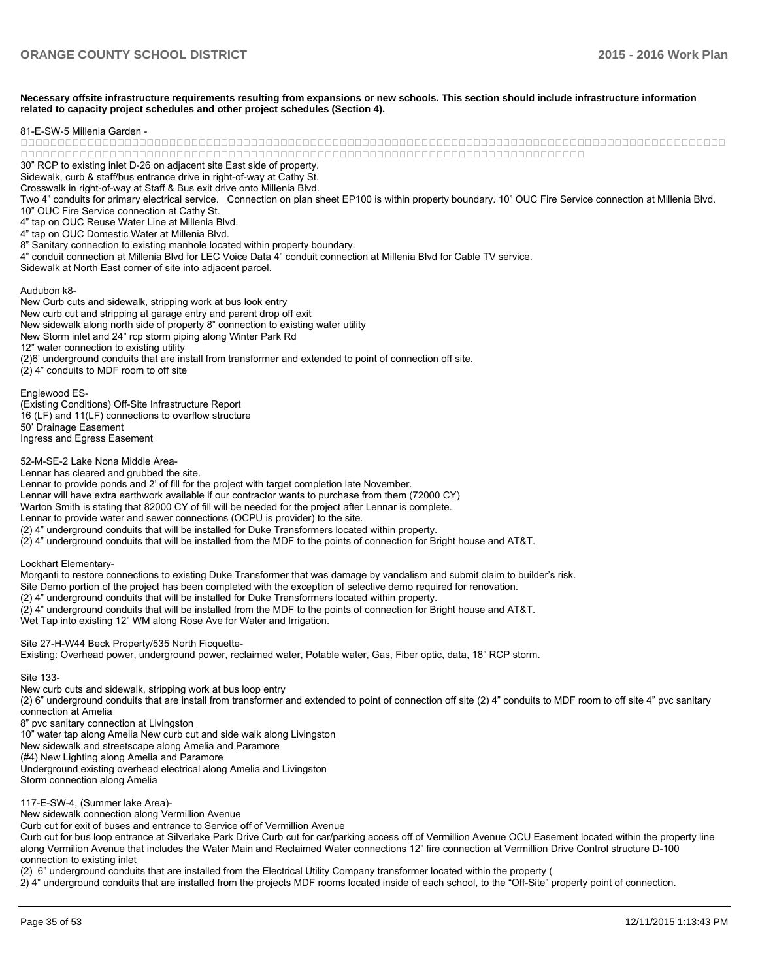**Necessary offsite infrastructure requirements resulting from expansions or new schools. This section should include infrastructure information related to capacity project schedules and other project schedules (Section 4).**

#### 81-F-SW-5 Millenia Garden -

 

30" RCP to existing inlet D-26 on adjacent site East side of property.

Sidewalk, curb & staff/bus entrance drive in right-of-way at Cathy St.

Crosswalk in right-of-way at Staff & Bus exit drive onto Millenia Blvd.

Two 4" conduits for primary electrical service. Connection on plan sheet EP100 is within property boundary. 10" OUC Fire Service connection at Millenia Blvd. 10" OUC Fire Service connection at Cathy St.

4" tap on OUC Reuse Water Line at Millenia Blyd.

4" tap on OUC Domestic Water at Millenia Blvd.

8" Sanitary connection to existing manhole located within property boundary.

4" conduit connection at Millenia Blvd for LEC Voice Data 4" conduit connection at Millenia Blvd for Cable TV service.

Sidewalk at North East corner of site into adjacent parcel.

Audubon k8-

New Curb cuts and sidewalk, stripping work at bus look entry New curb cut and stripping at garage entry and parent drop off exit New sidewalk along north side of property 8" connection to existing water utility New Storm inlet and 24" rcp storm piping along Winter Park Rd 12" water connection to existing utility  $(2)$ 6' underground conduits that are install from transformer and extended to point of connection off site.  $(2)$  4" conduits to MDF room to off site

Fnalewood FS-(Existing Conditions) Off-Site Infrastructure Report 16 (LF) and 11(LF) connections to overflow structure 50' Drainage Easement Ingress and Egress Easement

52-M-SE-2 Lake Nona Middle Area-

Lennar has cleared and grubbed the site.

Lennar to provide ponds and 2' of fill for the project with target completion late November.

Lennar will have extra earthwork available if our contractor wants to purchase from them (72000 CY)

Warton Smith is stating that 82000 CY of fill will be needed for the project after Lennar is complete.

Lennar to provide water and sewer connections (OCPU is provider) to the site.

(2) 4" underground conduits that will be installed for Duke Transformers located within property.

 $(2)$  4" underground conduits that will be installed from the MDF to the points of connection for Bright house and AT&T.

Lockhart Elementary-

Morganti to restore connections to existing Duke Transformer that was damage by vandalism and submit claim to builder's risk.

Site Demo portion of the project has been completed with the exception of selective demo required for renovation.

(2) 4" underground conduits that will be installed for Duke Transformers located within property.

(2) 4" underground conduits that will be installed from the MDF to the points of connection for Bright house and AT&T.

Wet Tap into existing 12" WM along Rose Ave for Water and Irrigation.

Site 27-H-W44 Beck Property/535 North Ficquette-

Existing: Overhead power, underground power, reclaimed water, Potable water, Gas, Fiber optic, data, 18" RCP storm.

Site 133-

New curb cuts and sidewalk, stripping work at bus loop entry

(2) 6" underground conduits that are install from transformer and extended to point of connection off site (2) 4" conduits to MDF room to off site 4" pvc sanitary connection at Amelia

8" pyc sanitary connection at Livingston

10" water tap along Amelia New curb cut and side walk along Livingston

New sidewalk and streetscape along Amelia and Paramore

(#4) New Lighting along Amelia and Paramore

Underground existing overhead electrical along Amelia and Livingston

Storm connection along Amelia

117-E-SW-4, (Summer lake Area)-

New sidewalk connection along Vermillion Avenue

Curb cut for exit of buses and entrance to Service off of Vermillion Avenue

Curb cut for bus loop entrance at Silverlake Park Drive Curb cut for car/parking access off of Vermillion Avenue OCU Easement located within the property line along Vermilion Avenue that includes the Water Main and Reclaimed Water connections 12" fire connection at Vermillion Drive Control structure D-100 connection to existing inlet

(2) 6" underground conduits that are installed from the Electrical Utility Company transformer located within the property (

 $\lambda$ <sup>T</sup> underground conduits that are installed from the projects MDF rooms located inside of each school, to the "Off-Site" property point of connection.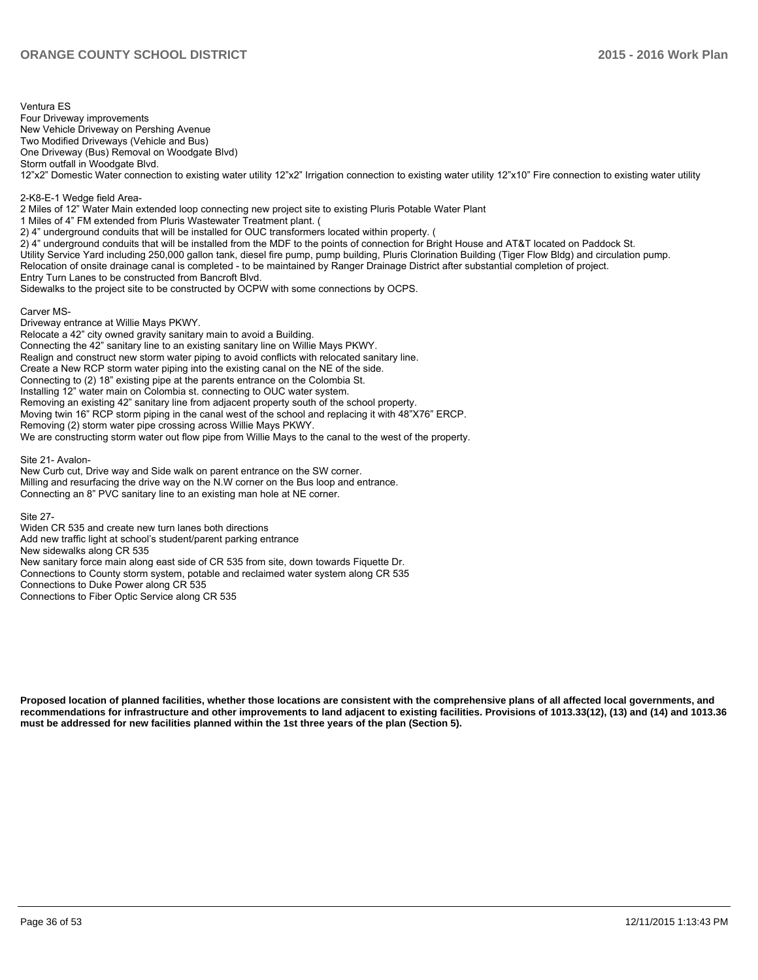Ventura ES Four Driveway improvements New Vehicle Driveway on Pershing Avenue Two Modified Driveways (Vehicle and Bus) One Driveway (Bus) Removal on Woodgate Blvd) Storm outfall in Woodgate Blvd. 12"x2" Domestic Water connection to existing water utility 12"x2" Irrigation connection to existing water utility 12"x10" Fire connection to existing water utility 2-K8-E-1 Wedge field Area-2 Miles of 12" Water Main extended loop connecting new project site to existing Pluris Potable Water Plant 1 Miles of 4" FM extended from Pluris Wastewater Treatment plant. ( 2) 4" underground conduits that will be installed for OUC transformers located within property. (  $2)$  4" underground conduits that will be installed from the MDF to the points of connection for Bright House and AT&T located on Paddock St. Utility Service Yard including 250,000 gallon tank, diesel fire pump, pump building, Pluris Clorination Building (Tiger Flow Bldg) and circulation pump. Relocation of onsite drainage canal is completed - to be maintained by Ranger Drainage District after substantial completion of project. Entry Turn Lanes to be constructed from Bancroft Blvd. Sidewalks to the project site to be constructed by OCPW with some connections by OCPS.

Carver MS-Driveway entrance at Willie Mays PKWY. Relocate a 42" city owned gravity sanitary main to avoid a Building. Connecting the 42" sanitary line to an existing sanitary line on Willie Mays PKWY. Realign and construct new storm water piping to avoid conflicts with relocated sanitary line. Create a New RCP storm water piping into the existing canal on the NE of the side. Connecting to (2) 18" existing pipe at the parents entrance on the Colombia St. Installing 12" water main on Colombia st. connecting to OUC water system. Removing an existing 42" sanitary line from adiacent property south of the school property. Moving twin 16" RCP storm piping in the canal west of the school and replacing it with 48"X76" ERCP. Removing (2) storm water pipe crossing across Willie Mays PKWY. We are constructing storm water out flow pipe from Willie Mays to the canal to the west of the property.

Site 21- Avalon-

New Curb cut. Drive way and Side walk on parent entrance on the SW corner. Milling and resurfacing the drive way on the N.W corner on the Bus loop and entrance. Connecting an 8" PVC sanitary line to an existing man hole at NE corner.

Site 27-

Widen CR 535 and create new turn lanes both directions Add new traffic light at school's student/parent parking entrance New sidewalks along CR 535 New sanitary force main along east side of CR 535 from site, down towards Figuette Dr. Connections to County storm system, potable and reclaimed water system along CR 535 Connections to Duke Power along CR 535 Connections to Fiber Optic Service along CR 535

**Proposed location of planned facilities, whether those locations are consistent with the comprehensive plans of all affected local governments, and recommendations for infrastructure and other improvements to land adjacent to existing facilities. Provisions of 1013.33(12), (13) and (14) and 1013.36 must be addressed for new facilities planned within the 1st three years of the plan (Section 5).**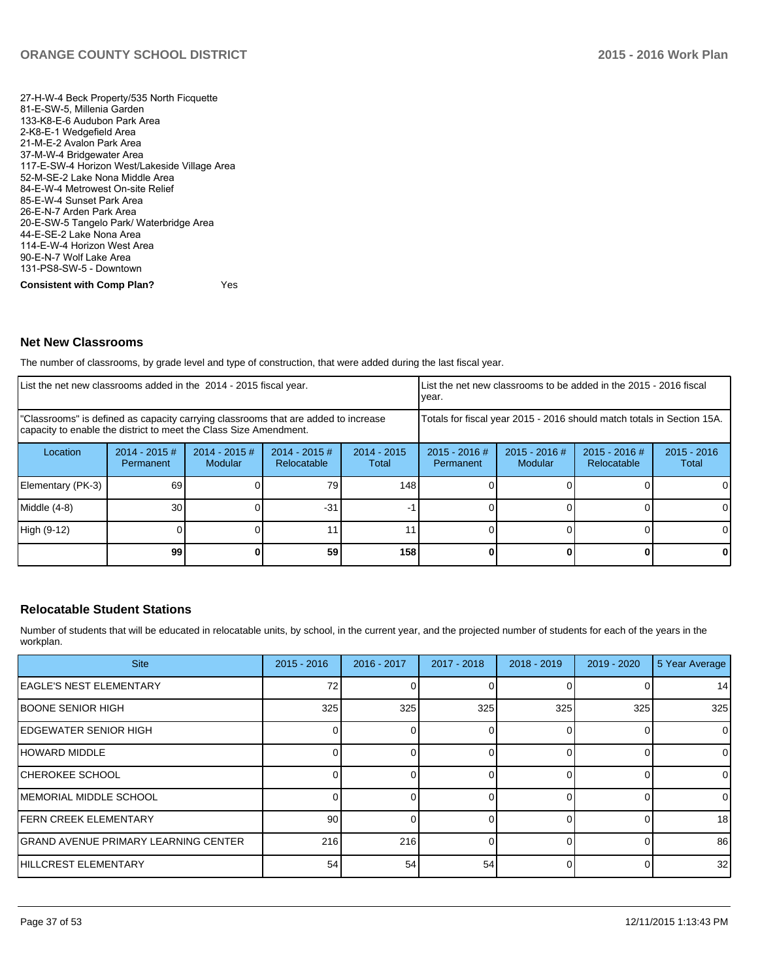27-H-W-4 Beck Property/535 North Ficquette 81-E-SW-5, Millenia Garden 133-K8-E-6 Audubon Park Area 2-K8-E-1 Wedgefield Area 21-M-E-2 Avalon Park Area 37-M-W-4 Bridgewater Area 117-E-SW-4 Horizon West/Lakeside Village Area 52-M-SE-2 Lake Nona Middle Area 84-E-W-4 Metrowest On-site Relief 85-E-W-4 Sunset Park Area 26-E-N-7 Arden Park Area 20-E-SW-5 Tangelo Park/ Waterbridge Area 44-E-SE-2 Lake Nona Area 114-E-W-4 Horizon West Area 90-E-N-7 Wolf Lake Area 131-PS8-SW-5 - Downtown **Consistent with Comp Plan?** Yes

# **Net New Classrooms**

The number of classrooms, by grade level and type of construction, that were added during the last fiscal year.

| List the net new classrooms added in the 2014 - 2015 fiscal year.                                                                                       |                                      |                            |                                                                        | List the net new classrooms to be added in the 2015 - 2016 fiscal<br>year. |                              |                                   |                                |                        |
|---------------------------------------------------------------------------------------------------------------------------------------------------------|--------------------------------------|----------------------------|------------------------------------------------------------------------|----------------------------------------------------------------------------|------------------------------|-----------------------------------|--------------------------------|------------------------|
| "Classrooms" is defined as capacity carrying classrooms that are added to increase<br>capacity to enable the district to meet the Class Size Amendment. |                                      |                            | Totals for fiscal year 2015 - 2016 should match totals in Section 15A. |                                                                            |                              |                                   |                                |                        |
| Location                                                                                                                                                | $2014 - 2015 \#$<br><b>Permanent</b> | $2014 - 2015$ #<br>Modular | $2014 - 2015$ #<br>Relocatable                                         | $2014 - 2015$<br>Total                                                     | $2015 - 2016$ #<br>Permanent | $2015 - 2016$ #<br><b>Modular</b> | $2015 - 2016$ #<br>Relocatable | $2015 - 2016$<br>Total |
| Elementary (PK-3)                                                                                                                                       | 69                                   |                            | 79                                                                     | 148                                                                        |                              |                                   |                                |                        |
| Middle (4-8)                                                                                                                                            | 30                                   |                            | $-31$                                                                  |                                                                            |                              |                                   |                                |                        |
| High (9-12)                                                                                                                                             |                                      |                            |                                                                        | 11.                                                                        |                              |                                   |                                | $\Omega$               |
|                                                                                                                                                         | 99                                   |                            | 59                                                                     | 158                                                                        |                              |                                   |                                | 0                      |

### **Relocatable Student Stations**

Number of students that will be educated in relocatable units, by school, in the current year, and the projected number of students for each of the years in the workplan.

| <b>Site</b>                                 | $2015 - 2016$ | 2016 - 2017 | 2017 - 2018 | 2018 - 2019 | 2019 - 2020 | 5 Year Average |
|---------------------------------------------|---------------|-------------|-------------|-------------|-------------|----------------|
| EAGLE'S NEST ELEMENTARY                     | 72            |             |             |             |             | 14             |
| <b>IBOONE SENIOR HIGH</b>                   | 325           | 325         | 325         | 325         | 325         | 325            |
| IEDGEWATER SENIOR HIGH                      |               |             |             |             | 0           | $\overline{0}$ |
| IHOWARD MIDDLE                              |               |             |             |             |             | $\overline{0}$ |
| ICHEROKEE SCHOOL                            |               |             |             |             | 0           | $\overline{0}$ |
| IMEMORIAL MIDDLE SCHOOL                     |               |             |             |             | $\Omega$    | $\overline{0}$ |
| <b>FERN CREEK ELEMENTARY</b>                | 90            |             |             |             | 0           | 18             |
| <b>GRAND AVENUE PRIMARY LEARNING CENTER</b> | 216           | 216         |             |             | $\Omega$    | 86             |
| <b>HILLCREST ELEMENTARY</b>                 | 54            | 54          | 54          |             | $\Omega$    | 32             |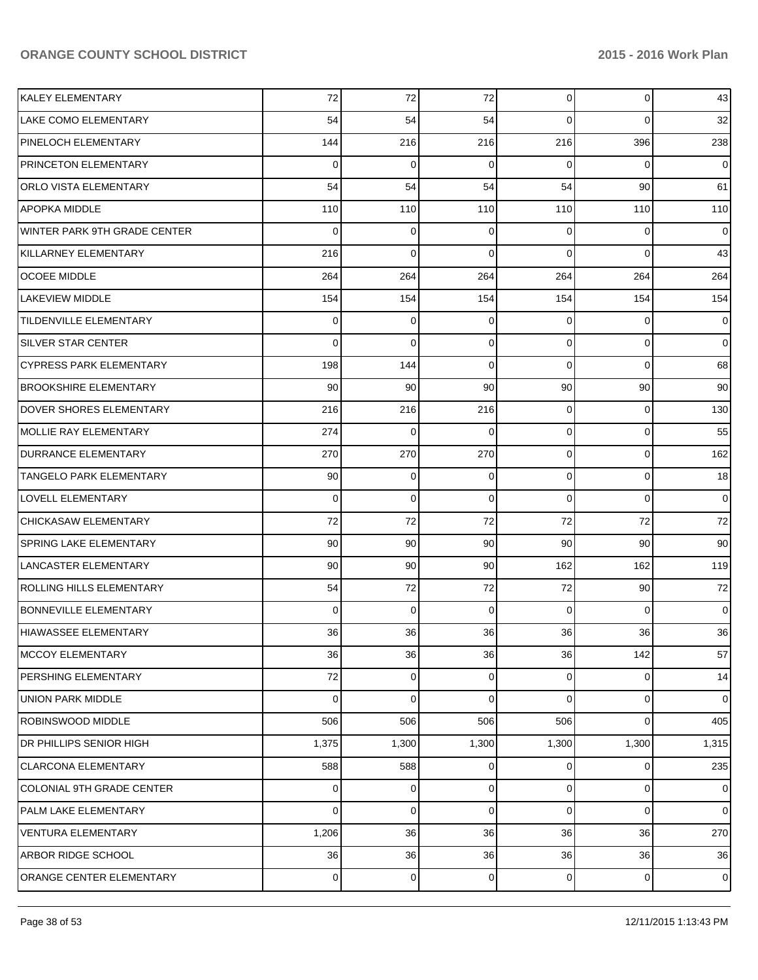| KALEY ELEMENTARY                | 72              | 72              | 72              | $\overline{0}$  | $\overline{0}$ | 43             |
|---------------------------------|-----------------|-----------------|-----------------|-----------------|----------------|----------------|
| <b>LAKE COMO ELEMENTARY</b>     | 54              | 54              | 54              | $\Omega$        | $\Omega$       | 32             |
| PINELOCH ELEMENTARY             | 144             | 216             | 216             | 216             | 396            | 238            |
| <b>PRINCETON ELEMENTARY</b>     | $\Omega$        | 0               | 0               | $\Omega$        | $\Omega$       | $\overline{0}$ |
| <b>ORLO VISTA ELEMENTARY</b>    | 54              | 54              | 54              | 54              | 90             | 61             |
| <b>APOPKA MIDDLE</b>            | 110             | 110             | 110             | 110             | 110            | 110            |
| IWINTER PARK 9TH GRADE CENTER.  | $\Omega$        | 0               | $\Omega$        | $\Omega$        | $\Omega$       | $\overline{0}$ |
| KILLARNEY ELEMENTARY            | 216             | $\Omega$        | $\Omega$        | $\Omega$        | $\Omega$       | 43             |
| <b>OCOEE MIDDLE</b>             | 264             | 264             | 264             | 264             | 264            | 264            |
| <b>LAKEVIEW MIDDLE</b>          | 154             | 154             | 154             | 154             | 154            | 154            |
| <b>TILDENVILLE ELEMENTARY</b>   | $\Omega$        | 0               | 0               | $\Omega$        | $\Omega$       | $\overline{0}$ |
| <b>SILVER STAR CENTER</b>       | $\Omega$        | $\Omega$        | $\Omega$        | $\Omega$        | $\Omega$       | $\overline{0}$ |
| <b>CYPRESS PARK ELEMENTARY</b>  | 198             | 144             | $\Omega$        | $\Omega$        | $\Omega$       | 68             |
| <b>BROOKSHIRE ELEMENTARY</b>    | 90 <sub>0</sub> | 90 <sup>°</sup> | 90              | 90 <sub>1</sub> | 90             | 90             |
| DOVER SHORES ELEMENTARY         | 216             | 216             | 216             | $\Omega$        | $\Omega$       | 130            |
| <b>MOLLIE RAY ELEMENTARY</b>    | 274             | $\mathbf 0$     | $\Omega$        | $\Omega$        | $\Omega$       | 55             |
| <b>DURRANCE ELEMENTARY</b>      | 270             | 270             | 270             | $\Omega$        | $\overline{0}$ | 162            |
| <b>TANGELO PARK ELEMENTARY</b>  | 90 <sub>0</sub> | 0               | $\mathbf 0$     | $\Omega$        | $\overline{0}$ | 18             |
| <b>LOVELL ELEMENTARY</b>        | $\Omega$        | $\Omega$        | $\Omega$        | $\Omega$        | $\Omega$       | $\overline{0}$ |
| <b>CHICKASAW ELEMENTARY</b>     | 72              | 72              | 72              | 72              | 72             | 72             |
| <b>SPRING LAKE ELEMENTARY</b>   | 90 <sub>0</sub> | 90 <sup>°</sup> | 90 <sub>1</sub> | 90              | 90             | 90             |
| <b>LANCASTER ELEMENTARY</b>     | 90 <sub>0</sub> | 90 <sup>°</sup> | 90 <sub>0</sub> | 162             | 162            | 119            |
| <b>ROLLING HILLS ELEMENTARY</b> | 54              | 72              | 72              | 72              | 90             | 72             |
| <b>BONNEVILLE ELEMENTARY</b>    | $\Omega$        | $\Omega$        | $\Omega$        | $\Omega$        | $\Omega$       | $\overline{0}$ |
| HIAWASSEE ELEMENTARY            | 36              | 36              | 36              | 36              | 36             | 36             |
| <b>MCCOY ELEMENTARY</b>         | 36              | 36              | 36              | 36              | 142            | 57             |
| PERSHING ELEMENTARY             | 72              | 0               | 0               | $\overline{0}$  | $\overline{0}$ | 14             |
| <b>UNION PARK MIDDLE</b>        | $\Omega$        | 0               | $\Omega$        | $\Omega$        | 0              | $\overline{0}$ |
| <b>ROBINSWOOD MIDDLE</b>        | 506             | 506             | 506             | 506             | $\overline{0}$ | 405            |
| DR PHILLIPS SENIOR HIGH         | 1,375           | 1,300           | 1,300           | 1,300           | 1,300          | 1,315          |
| <b>CLARCONA ELEMENTARY</b>      | 588             | 588             | 0               | $\overline{0}$  | $\overline{0}$ | 235            |
| COLONIAL 9TH GRADE CENTER       | $\Omega$        | 0               | 0               | $\Omega$        | $\mathbf 0$    | $\overline{0}$ |
| PALM LAKE ELEMENTARY            | $\Omega$        | 0               | 0               | $\Omega$        | $\mathbf 0$    | $\overline{0}$ |
| <b>VENTURA ELEMENTARY</b>       | 1,206           | 36              | 36              | 36              | 36             | 270            |
| ARBOR RIDGE SCHOOL              | 36              | 36              | 36              | 36              | 36             | 36             |
| ORANGE CENTER ELEMENTARY        | $\overline{0}$  | 0               | 0               | $\overline{0}$  | $\mathbf 0$    | $\overline{0}$ |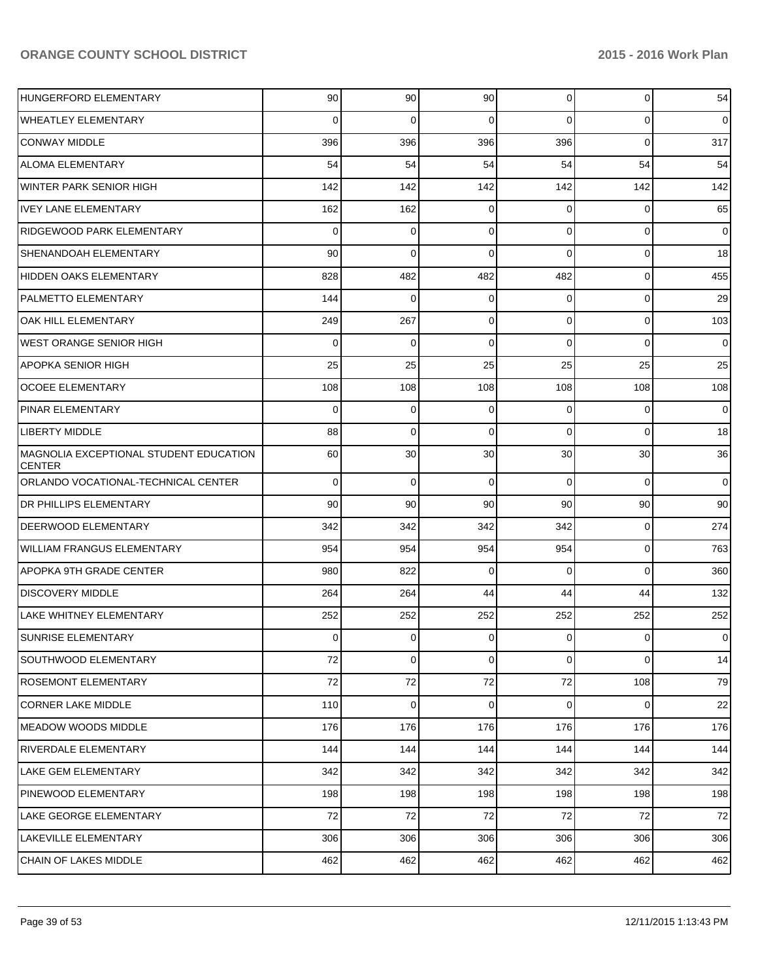| HUNGERFORD ELEMENTARY                                   | 90       | 90             | 90             | $\overline{0}$ | $\overline{0}$ | 54             |
|---------------------------------------------------------|----------|----------------|----------------|----------------|----------------|----------------|
| <b>WHEATLEY ELEMENTARY</b>                              | $\Omega$ | 0              | $\Omega$       | $\Omega$       | $\overline{0}$ | $\overline{0}$ |
| <b>CONWAY MIDDLE</b>                                    | 396      | 396            | 396            | 396            | $\overline{0}$ | 317            |
| <b>ALOMA ELEMENTARY</b>                                 | 54       | 54             | 54             | 54             | 54             | 54             |
| <b>WINTER PARK SENIOR HIGH</b>                          | 142      | 142            | 142            | 142            | 142            | 142            |
| <b>IVEY LANE ELEMENTARY</b>                             | 162      | 162            | $\mathbf 0$    | $\Omega$       | $\overline{0}$ | 65             |
| <b>RIDGEWOOD PARK ELEMENTARY</b>                        | $\Omega$ | 0              | $\Omega$       | $\Omega$       | $\overline{0}$ | $\overline{0}$ |
| SHENANDOAH ELEMENTARY                                   | 90       | 0              | $\Omega$       | $\Omega$       | $\overline{0}$ | 18             |
| HIDDEN OAKS ELEMENTARY                                  | 828      | 482            | 482            | 482            | $\overline{0}$ | 455            |
| <b>PALMETTO ELEMENTARY</b>                              | 144      | $\mathbf 0$    | $\mathbf 0$    | $\Omega$       | $\overline{0}$ | 29             |
| OAK HILL ELEMENTARY                                     | 249      | 267            | $\Omega$       | $\Omega$       | $\overline{0}$ | 103            |
| <b>WEST ORANGE SENIOR HIGH</b>                          | $\Omega$ | $\mathbf 0$    | $\Omega$       | $\Omega$       | $\mathbf 0$    | $\overline{0}$ |
| <b>APOPKA SENIOR HIGH</b>                               | 25       | 25             | 25             | 25             | 25             | 25             |
| <b>OCOEE ELEMENTARY</b>                                 | 108      | 108            | 108            | 108            | 108            | 108            |
| <b>PINAR ELEMENTARY</b>                                 | $\Omega$ | 0              | $\Omega$       | $\Omega$       | 0              | $\overline{0}$ |
| <b>LIBERTY MIDDLE</b>                                   | 88       | $\mathbf 0$    | $\Omega$       | $\Omega$       | $\overline{0}$ | 18             |
| MAGNOLIA EXCEPTIONAL STUDENT EDUCATION<br><b>CENTER</b> | 60       | 30             | 30             | 30             | 30             | 36             |
| ORLANDO VOCATIONAL-TECHNICAL CENTER                     | $\Omega$ | $\mathbf 0$    | $\mathbf 0$    | $\Omega$       | $\Omega$       | $\overline{0}$ |
| <b>DR PHILLIPS ELEMENTARY</b>                           | 90       | 90             | 90             | 90             | 90             | 90             |
| <b>DEERWOOD ELEMENTARY</b>                              | 342      | 342            | 342            | 342            | $\overline{0}$ | 274            |
| <b>WILLIAM FRANGUS ELEMENTARY</b>                       | 954      | 954            | 954            | 954            | $\overline{0}$ | 763            |
| APOPKA 9TH GRADE CENTER                                 | 980      | 822            | $\mathbf 0$    | $\Omega$       | $\Omega$       | 360            |
| <b>DISCOVERY MIDDLE</b>                                 | 264      | 264            | 44             | 44             | 44             | 132            |
| LAKE WHITNEY ELEMENTARY                                 | 252      | 252            | 252            | 252            | 252            | 252            |
| <b>SUNRISE ELEMENTARY</b>                               | 0        | 0              | $\mathbf 0$    | $\overline{0}$ | $\overline{0}$ | $\mathbf 0$    |
| <b>SOUTHWOOD ELEMENTARY</b>                             | 72       | $\overline{0}$ | $\overline{0}$ | $\overline{0}$ | $\overline{0}$ | 14             |
| <b>ROSEMONT ELEMENTARY</b>                              | 72       | 72             | 72             | 72             | 108            | 79             |
| CORNER LAKE MIDDLE                                      | 110      | $\overline{0}$ | $\mathbf 0$    | $\overline{0}$ | $\overline{0}$ | 22             |
| MEADOW WOODS MIDDLE                                     | 176      | 176            | 176            | 176            | 176            | 176            |
| <b>RIVERDALE ELEMENTARY</b>                             | 144      | 144            | 144            | 144            | 144            | 144            |
| LAKE GEM ELEMENTARY                                     | 342      | 342            | 342            | 342            | 342            | 342            |
| <b>PINEWOOD ELEMENTARY</b>                              | 198      | 198            | 198            | 198            | 198            | 198            |
| LAKE GEORGE ELEMENTARY                                  | 72       | 72             | 72             | 72             | 72             | 72             |
| LAKEVILLE ELEMENTARY                                    | 306      | 306            | 306            | 306            | 306            | 306            |
| <b>CHAIN OF LAKES MIDDLE</b>                            | 462      | 462            | 462            | 462            | 462            | 462            |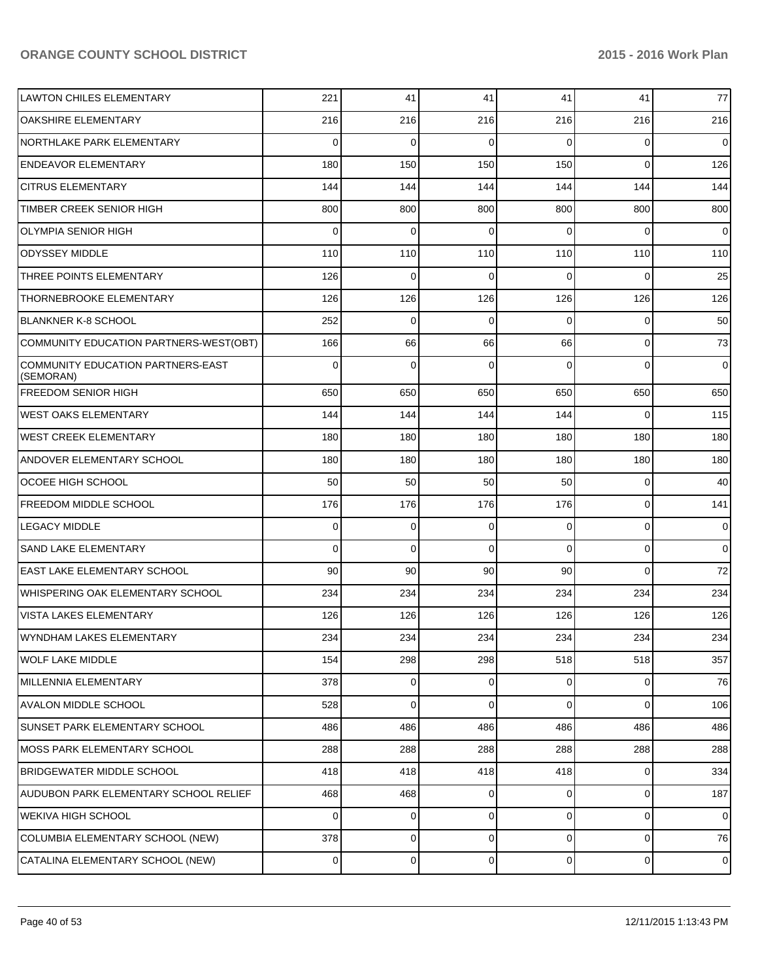| <b>LAWTON CHILES ELEMENTARY</b>                | 221            | 41          | 41       | 41             | 41             | 77             |
|------------------------------------------------|----------------|-------------|----------|----------------|----------------|----------------|
| <b>OAKSHIRE ELEMENTARY</b>                     | 216            | 216         | 216      | 216            | 216            | 216            |
| NORTHLAKE PARK ELEMENTARY                      | 0              | 0           | 0        | $\Omega$       | 0              | $\overline{0}$ |
| <b>ENDEAVOR ELEMENTARY</b>                     | 180            | 150         | 150      | 150            | $\Omega$       | 126            |
| <b>CITRUS ELEMENTARY</b>                       | 144            | 144         | 144      | 144            | 144            | 144            |
| TIMBER CREEK SENIOR HIGH                       | 800            | 800         | 800      | 800            | 800            | 800            |
| OLYMPIA SENIOR HIGH                            | 0              | 0           | 0        | 0              | 0              | $\overline{0}$ |
| <b>ODYSSEY MIDDLE</b>                          | 110            | 110         | 110      | 110            | 110            | 110            |
| THREE POINTS ELEMENTARY                        | 126            | 0           | 0        | 0              | 0              | 25             |
| THORNEBROOKE ELEMENTARY                        | 126            | 126         | 126      | 126            | 126            | 126            |
| <b>BLANKNER K-8 SCHOOL</b>                     | 252            | 0           | 0        | 0              | 0              | 50             |
| COMMUNITY EDUCATION PARTNERS-WEST(OBT)         | 166            | 66          | 66       | 66             | 0              | 73             |
| COMMUNITY EDUCATION PARTNERS-EAST<br>(SEMORAN) | 0              | $\Omega$    | 0        | 0              | 0              | $\overline{0}$ |
| <b>FREEDOM SENIOR HIGH</b>                     | 650            | 650         | 650      | 650            | 650            | 650            |
| <b>WEST OAKS ELEMENTARY</b>                    | 144            | 144         | 144      | 144            | $\Omega$       | 115            |
| IWEST CREEK ELEMENTARY                         | 180            | 180         | 180      | 180            | 180            | 180            |
| ANDOVER ELEMENTARY SCHOOL                      | 180            | 180         | 180      | 180            | 180            | 180            |
| <b>OCOEE HIGH SCHOOL</b>                       | 50             | 50          | 50       | 50             | $\Omega$       | 40             |
| <b>FREEDOM MIDDLE SCHOOL</b>                   | 176            | 176         | 176      | 176            | $\overline{0}$ | 141            |
| <b>LEGACY MIDDLE</b>                           | $\Omega$       | $\mathbf 0$ | 0        | $\overline{0}$ | $\mathbf 0$    | $\overline{0}$ |
| <b>SAND LAKE ELEMENTARY</b>                    | 0              | $\mathbf 0$ | $\Omega$ | $\Omega$       | $\overline{0}$ | $\overline{0}$ |
| <b>EAST LAKE ELEMENTARY SCHOOL</b>             | 90             | 90          | 90       | 90             | $\Omega$       | 72             |
| <b>WHISPERING OAK ELEMENTARY SCHOOL</b>        | 234            | 234         | 234      | 234            | 234            | 234            |
| <b>VISTA LAKES ELEMENTARY</b>                  | 126            | 126         | 126      | 126            | 126            | 126            |
| IWYNDHAM LAKES ELEMENTARY                      | 234            | 234         | 234      | 234            | 234            | 234            |
| WOLF LAKE MIDDLE                               | 154            | 298         | 298      | 518            | 518            | 357            |
| MILLENNIA ELEMENTARY                           | 378            | $\mathbf 0$ | 0        | $\overline{0}$ | $\overline{0}$ | 76             |
| <b>AVALON MIDDLE SCHOOL</b>                    | 528            | $\mathbf 0$ | 0        | $\overline{0}$ | $\overline{0}$ | 106            |
| <b>SUNSET PARK ELEMENTARY SCHOOL</b>           | 486            | 486         | 486      | 486            | 486            | 486            |
| <b>MOSS PARK ELEMENTARY SCHOOL</b>             | 288            | 288         | 288      | 288            | 288            | 288            |
| <b>BRIDGEWATER MIDDLE SCHOOL</b>               | 418            | 418         | 418      | 418            | $\overline{0}$ | 334            |
| AUDUBON PARK ELEMENTARY SCHOOL RELIEF          | 468            | 468         | 0        | $\overline{0}$ | $\overline{0}$ | 187            |
| <b>WEKIVA HIGH SCHOOL</b>                      | $\Omega$       | $\mathbf 0$ | 0        | $\overline{0}$ | $\overline{0}$ | $\overline{0}$ |
| COLUMBIA ELEMENTARY SCHOOL (NEW)               | 378            | $\mathbf 0$ | 0        | $\overline{0}$ | $\overline{0}$ | 76             |
| CATALINA ELEMENTARY SCHOOL (NEW)               | $\overline{0}$ | 0           | 0        | $\overline{0}$ | $\mathbf 0$    | $\overline{0}$ |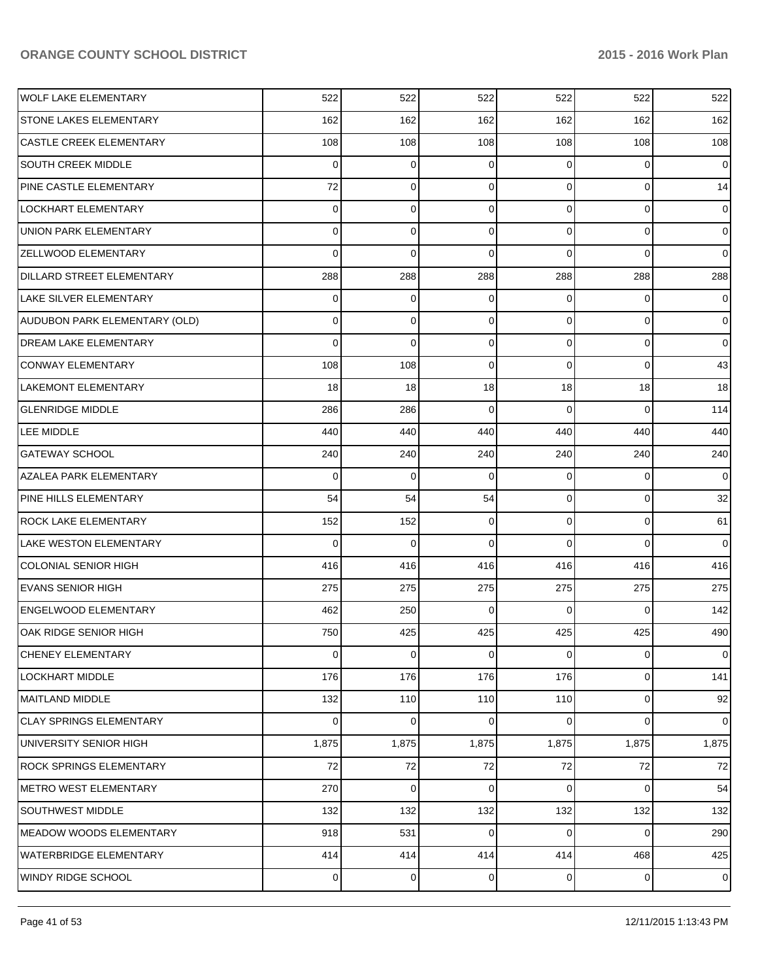| lwolf lake elementary            | 522            | 522         | 522            | 522            | 522            | 522            |
|----------------------------------|----------------|-------------|----------------|----------------|----------------|----------------|
| STONE LAKES ELEMENTARY           | 162            | 162         | 162            | 162            | 162            | 162            |
| <b>CASTLE CREEK ELEMENTARY</b>   | 108            | 108         | 108            | 108            | 108            | 108            |
| <b>SOUTH CREEK MIDDLE</b>        | 0              | $\mathbf 0$ | $\mathbf 0$    | $\overline{0}$ | $\overline{0}$ | $\overline{0}$ |
| <b>PINE CASTLE ELEMENTARY</b>    | 72             | 0           | $\mathbf 0$    | $\overline{0}$ | $\overline{0}$ | 14             |
| <b>LOCKHART ELEMENTARY</b>       | 0              | $\mathbf 0$ | $\mathbf 0$    | $\overline{0}$ | $\overline{0}$ | $\mathbf 0$    |
| <b>UNION PARK ELEMENTARY</b>     | 0              | $\mathbf 0$ | $\mathbf 0$    | $\overline{0}$ | $\overline{0}$ | $\overline{0}$ |
| ZELLWOOD ELEMENTARY              | 0              | 0           | $\Omega$       | $\Omega$       | $\overline{0}$ | $\overline{0}$ |
| <b>DILLARD STREET ELEMENTARY</b> | 288            | 288         | 288            | 288            | 288            | 288            |
| LAKE SILVER ELEMENTARY           | 0              | 0           | $\mathbf 0$    | 0              | 0              | $\mathbf 0$    |
| AUDUBON PARK ELEMENTARY (OLD)    | 0              | $\mathbf 0$ | $\mathbf 0$    | $\overline{0}$ | $\overline{0}$ | $\overline{0}$ |
| DREAM LAKE ELEMENTARY            | 0              | 0           | $\mathbf 0$    | $\overline{0}$ | $\mathbf{0}$   | $\overline{0}$ |
| <b>CONWAY ELEMENTARY</b>         | 108            | 108         | $\Omega$       | $\Omega$       | $\overline{0}$ | 43             |
| LAKEMONT ELEMENTARY              | 18             | 18          | 18             | 18             | 18             | 18             |
| <b>GLENRIDGE MIDDLE</b>          | 286            | 286         | $\Omega$       | $\Omega$       | $\Omega$       | 114            |
| LEE MIDDLE                       | 440            | 440         | 440            | 440            | 440            | 440            |
| <b>GATEWAY SCHOOL</b>            | 240            | 240         | 240            | 240            | 240            | 240            |
| AZALEA PARK ELEMENTARY           | 0              | $\mathbf 0$ | $\mathbf 0$    | 0              | 0              | $\mathbf 0$    |
| <b>PINE HILLS ELEMENTARY</b>     | 54             | 54          | 54             | $\overline{0}$ | $\overline{0}$ | 32             |
| <b>ROCK LAKE ELEMENTARY</b>      | 152            | 152         | $\mathbf 0$    | $\overline{0}$ | $\overline{0}$ | 61             |
| <b>LAKE WESTON ELEMENTARY</b>    | 0              | $\Omega$    | $\Omega$       | $\Omega$       | $\Omega$       | $\overline{0}$ |
| <b>COLONIAL SENIOR HIGH</b>      | 416            | 416         | 416            | 416            | 416            | 416            |
| <b>EVANS SENIOR HIGH</b>         | 275            | 275         | 275            | 275            | 275            | 275            |
| ENGELWOOD ELEMENTARY             | 462            | 250         | $\Omega$       | $\Omega$       | $\overline{0}$ | 142            |
| OAK RIDGE SENIOR HIGH            | 750            | 425         | 425            | 425            | 425            | 490            |
| <b>CHENEY ELEMENTARY</b>         | $\overline{0}$ | 0           | $\overline{0}$ | $\overline{0}$ | $\circ$        | $\pmb{0}$      |
| <b>LOCKHART MIDDLE</b>           | 176            | 176         | 176            | 176            | $\overline{0}$ | 141            |
| MAITLAND MIDDLE                  | 132            | 110         | 110            | 110            | $\overline{0}$ | 92             |
| <b>CLAY SPRINGS ELEMENTARY</b>   | 0              | $\mathbf 0$ | $\Omega$       | $\overline{0}$ | $\overline{0}$ | $\overline{0}$ |
| UNIVERSITY SENIOR HIGH           | 1,875          | 1,875       | 1,875          | 1,875          | 1,875          | 1,875          |
| ROCK SPRINGS ELEMENTARY          | 72             | 72          | 72             | 72             | 72             | 72             |
| <b>METRO WEST ELEMENTARY</b>     | 270            | $\mathbf 0$ | $\Omega$       | $\overline{0}$ | $\overline{0}$ | 54             |
| <b>SOUTHWEST MIDDLE</b>          | 132            | 132         | 132            | 132            | 132            | 132            |
| MEADOW WOODS ELEMENTARY          | 918            | 531         | 0              | $\overline{0}$ | $\mathbf 0$    | 290            |
| WATERBRIDGE ELEMENTARY           | 414            | 414         | 414            | 414            | 468            | 425            |
| <b>WINDY RIDGE SCHOOL</b>        | $\overline{0}$ | 0           | 0              | $\overline{0}$ | $\overline{0}$ | $\mathbf 0$    |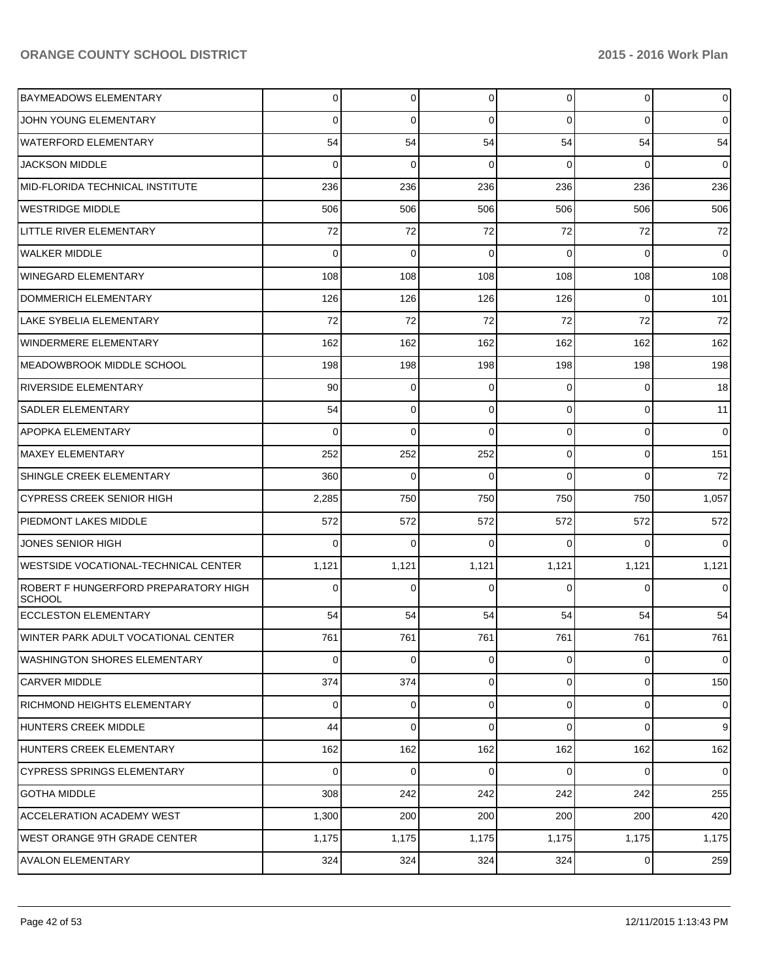| <b>BAYMEADOWS ELEMENTARY</b>                   | 0        | $\overline{0}$ | $\overline{0}$ | $\overline{0}$ | $\overline{0}$ | $\overline{0}$ |
|------------------------------------------------|----------|----------------|----------------|----------------|----------------|----------------|
| <b>JOHN YOUNG ELEMENTARY</b>                   | 0        | 0              | $\Omega$       | $\Omega$       | $\Omega$       | $\overline{0}$ |
| WATERFORD ELEMENTARY                           | 54       | 54             | 54             | 54             | 54             | 54             |
| <b>JACKSON MIDDLE</b>                          | 0        | $\Omega$       | $\Omega$       | $\Omega$       | $\Omega$       | $\overline{0}$ |
| MID-FLORIDA TECHNICAL INSTITUTE                | 236      | 236            | 236            | 236            | 236            | 236            |
| WESTRIDGE MIDDLE                               | 506      | 506            | 506            | 506            | 506            | 506            |
| LITTLE RIVER ELEMENTARY                        | 72       | 72             | 72             | 72             | 72             | 72             |
| WALKER MIDDLE                                  | 0        | $\mathbf 0$    | 0              | $\Omega$       | $\Omega$       | $\overline{0}$ |
| WINEGARD ELEMENTARY                            | 108      | 108            | 108            | 108            | 108            | 108            |
| DOMMERICH ELEMENTARY                           | 126      | 126            | 126            | 126            | $\Omega$       | 101            |
| <b>LAKE SYBELIA ELEMENTARY</b>                 | 72       | 72             | 72             | 72             | 72             | 72             |
| <b>WINDERMERE ELEMENTARY</b>                   | 162      | 162            | 162            | 162            | 162            | 162            |
| MEADOWBROOK MIDDLE SCHOOL                      | 198      | 198            | 198            | 198            | 198            | 198            |
| <b>RIVERSIDE ELEMENTARY</b>                    | 90       | $\Omega$       | 0              | $\Omega$       | $\overline{0}$ | 18             |
| <b>SADLER ELEMENTARY</b>                       | 54       | $\Omega$       | $\Omega$       | $\Omega$       | $\Omega$       | 11             |
| <b>APOPKA ELEMENTARY</b>                       | $\Omega$ | $\Omega$       | $\Omega$       | $\Omega$       | $\overline{0}$ | $\overline{0}$ |
| <b>MAXEY ELEMENTARY</b>                        | 252      | 252            | 252            | $\Omega$       | $\Omega$       | 151            |
| SHINGLE CREEK ELEMENTARY                       | 360      | $\Omega$       | $\Omega$       | $\Omega$       | $\Omega$       | 72             |
| <b>CYPRESS CREEK SENIOR HIGH</b>               | 2,285    | 750            | 750            | 750            | 750            | 1,057          |
| PIEDMONT LAKES MIDDLE                          | 572      | 572            | 572            | 572            | 572            | 572            |
| JONES SENIOR HIGH                              | 0        | $\Omega$       | $\Omega$       | $\Omega$       | $\Omega$       | $\Omega$       |
| <b>WESTSIDE VOCATIONAL-TECHNICAL CENTER</b>    | 1,121    | 1,121          | 1,121          | 1,121          | 1,121          | 1,121          |
| ROBERT F HUNGERFORD PREPARATORY HIGH<br>SCHOOL | 0        | $\Omega$       | $\Omega$       | 0              | $\Omega$       | $\overline{0}$ |
| <b>ECCLESTON ELEMENTARY</b>                    | 54       | 54             | 54             | 54             | 54             | 54             |
| WINTER PARK ADULT VOCATIONAL CENTER            | 761      | 761            | 761            | 761            | 761            | 761            |
| IWASHINGTON SHORES ELEMENTARY                  | 0        | 0              | $\overline{0}$ | $\overline{0}$ | $\overline{0}$ | $\overline{0}$ |
| <b>CARVER MIDDLE</b>                           | 374      | 374            | $\overline{0}$ | $\overline{0}$ | $\overline{0}$ | 150            |
| <b>RICHMOND HEIGHTS ELEMENTARY</b>             | 0        | $\overline{0}$ | $\mathbf 0$    | $\overline{0}$ | $\overline{0}$ | $\mathbf 0$    |
| HUNTERS CREEK MIDDLE                           | 44       | 0              | $\Omega$       | $\Omega$       | $\overline{0}$ | $\overline{9}$ |
| HUNTERS CREEK ELEMENTARY                       | 162      | 162            | 162            | 162            | 162            | 162            |
| <b>CYPRESS SPRINGS ELEMENTARY</b>              | 0        | 0              | $\mathbf 0$    | $\overline{0}$ | $\overline{0}$ | $\overline{0}$ |
| <b>GOTHA MIDDLE</b>                            | 308      | 242            | 242            | 242            | 242            | 255            |
| <b>ACCELERATION ACADEMY WEST</b>               | 1,300    | 200            | 200            | 200            | 200            | 420            |
| IWEST ORANGE 9TH GRADE CENTER                  | 1,175    | 1,175          | 1,175          | 1,175          | 1,175          | 1,175          |
| <b>AVALON ELEMENTARY</b>                       | 324      | 324            | 324            | 324            | $\overline{0}$ | 259            |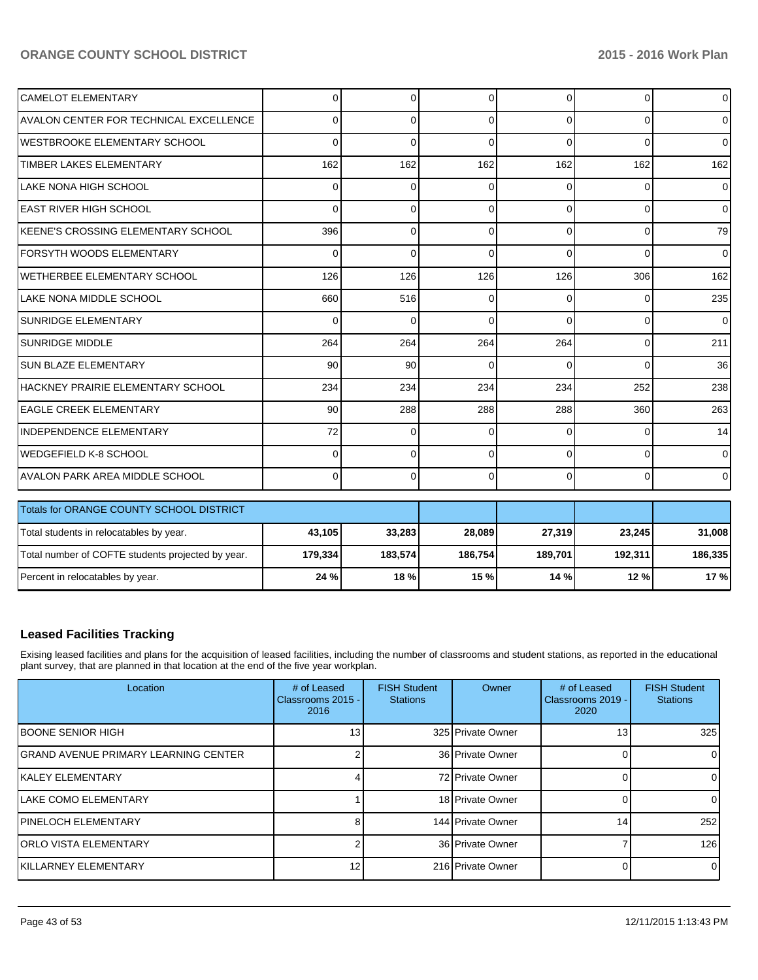| <b>CAMELOT ELEMENTARY</b>                         | $\Omega$ | 0        | ∩        | 0        | $\overline{0}$ | $\overline{0}$ |
|---------------------------------------------------|----------|----------|----------|----------|----------------|----------------|
| <b>AVALON CENTER FOR TECHNICAL EXCELLENCE</b>     | U        | 0        | ∩        | $\Omega$ | $\Omega$       | $\Omega$       |
| <b>WESTBROOKE ELEMENTARY SCHOOL</b>               | $\Omega$ | 0        | $\Omega$ | $\Omega$ | $\Omega$       | $\mathbf{0}$   |
| <b>TIMBER LAKES ELEMENTARY</b>                    | 162      | 162      | 162      | 162      | 162            | 162            |
| LAKE NONA HIGH SCHOOL                             | $\Omega$ | 0        | $\Omega$ | 0        | $\Omega$       | $\overline{0}$ |
| IEAST RIVER HIGH SCHOOL                           | $\Omega$ | $\Omega$ | $\Omega$ | $\Omega$ | $\Omega$       | $\overline{0}$ |
| IKEENE'S CROSSING ELEMENTARY SCHOOL               | 396      | 0        | $\Omega$ | $\Omega$ | $\Omega$       | 79             |
| <b>IFORSYTH WOODS ELEMENTARY</b>                  | $\Omega$ | $\Omega$ | $\Omega$ | $\Omega$ | $\Omega$       | $\mathbf{0}$   |
| IWETHERBEE ELEMENTARY SCHOOL                      | 126      | 126      | 126      | 126      | 306            | 162            |
| ILAKE NONA MIDDLE SCHOOL                          | 660      | 516      | C        | 0        | 0              | 235            |
| <b>SUNRIDGE ELEMENTARY</b>                        | $\Omega$ | 0        | $\Omega$ | $\Omega$ | $\Omega$       | $\Omega$       |
| <b>SUNRIDGE MIDDLE</b>                            | 264      | 264      | 264      | 264      | $\overline{0}$ | 211            |
| <b>SUN BLAZE ELEMENTARY</b>                       | 90       | 90       | $\Omega$ | $\Omega$ | $\Omega$       | 36             |
| IHACKNEY PRAIRIE ELEMENTARY SCHOOL                | 234      | 234      | 234      | 234      | 252            | 238            |
| <b>LEAGLE CREEK ELEMENTARY</b>                    | 90       | 288      | 288      | 288      | 360            | 263            |
| INDEPENDENCE ELEMENTARY                           | 72       | 0        | $\Omega$ | $\Omega$ | 0              | 14             |
| WEDGEFIELD K-8 SCHOOL                             | $\Omega$ | 0        | $\Omega$ | $\Omega$ | $\Omega$       | $\Omega$       |
| <b>AVALON PARK AREA MIDDLE SCHOOL</b>             | $\Omega$ | 0        | $\Omega$ | $\Omega$ | $\overline{0}$ | $\overline{0}$ |
|                                                   |          |          |          |          |                |                |
| Totals for ORANGE COUNTY SCHOOL DISTRICT          |          |          |          |          |                |                |
| Total students in relocatables by year.           | 43,105   | 33,283   | 28,089   | 27,319   | 23,245         | 31,008         |
| Total number of COFTE students projected by year. | 179.334  | 183.574  | 186.754  | 189.701  | 192,311        | 186,335        |

### **Leased Facilities Tracking**

Exising leased facilities and plans for the acquisition of leased facilities, including the number of classrooms and student stations, as reported in the educational plant survey, that are planned in that location at the end of the five year workplan.

Percent in relocatables by year. **24 % 18 % 15 % 14 % 12 % 17 %**

| Location                              | # of Leased<br>Classrooms 2015 -<br>2016 | <b>FISH Student</b><br><b>Stations</b> | Owner             | # of Leased<br>Classrooms 2019 -<br>2020 | <b>FISH Student</b><br><b>Stations</b> |
|---------------------------------------|------------------------------------------|----------------------------------------|-------------------|------------------------------------------|----------------------------------------|
| <b>IBOONE SENIOR HIGH</b>             | 131                                      |                                        | 325 Private Owner | 13                                       | 325                                    |
| IGRAND AVENUE PRIMARY LEARNING CENTER |                                          |                                        | 36 Private Owner  |                                          |                                        |
| IKALEY ELEMENTARY                     |                                          |                                        | 72 Private Owner  |                                          |                                        |
| <b>ILAKE COMO ELEMENTARY</b>          |                                          |                                        | 18 Private Owner  |                                          |                                        |
| <b>IPINELOCH ELEMENTARY</b>           |                                          |                                        | 144 Private Owner | 14                                       | 252                                    |
| <b>ORLO VISTA ELEMENTARY</b>          |                                          |                                        | 36 Private Owner  |                                          | 126                                    |
| <b>IKILLARNEY ELEMENTARY</b>          | 12 <sub>1</sub>                          |                                        | 216 Private Owner |                                          |                                        |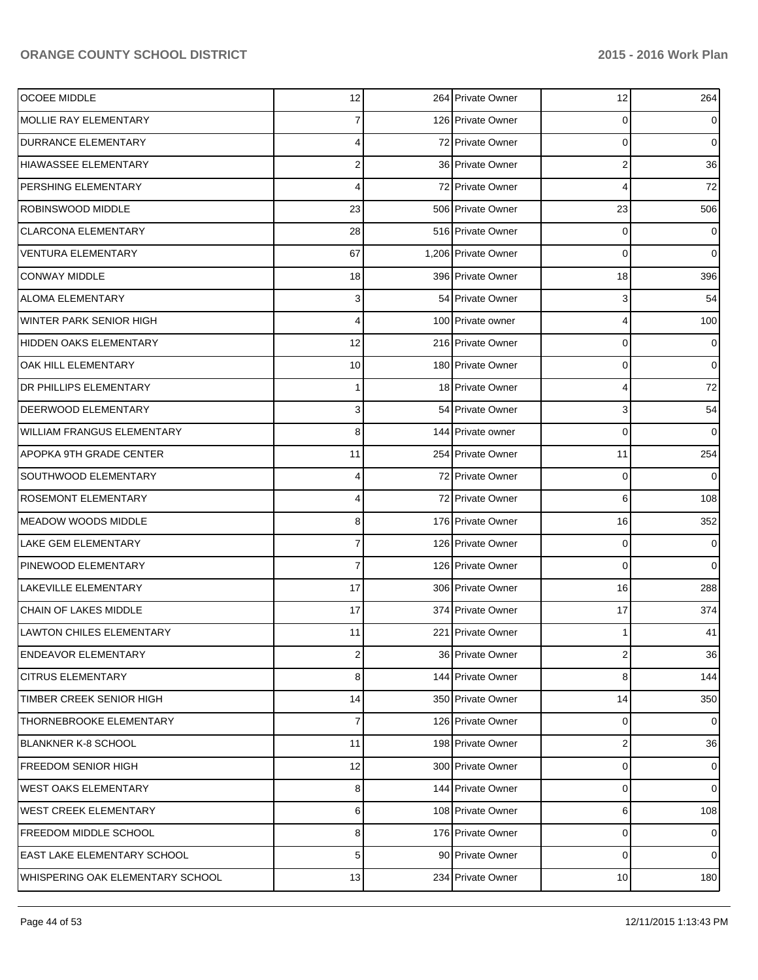| <b>OCOEE MIDDLE</b>               | 12                      | 264 Private Owner   | 12                      | 264            |
|-----------------------------------|-------------------------|---------------------|-------------------------|----------------|
| <b>MOLLIE RAY ELEMENTARY</b>      |                         | 126 Private Owner   | 0                       | $\overline{0}$ |
| <b>DURRANCE ELEMENTARY</b>        | 4                       | 72 Private Owner    | 0                       | $\overline{0}$ |
| <b>HIAWASSEE ELEMENTARY</b>       | $\mathbf{2}$            | 36 Private Owner    | 2                       | 36             |
| PERSHING ELEMENTARY               | 4                       | 72 Private Owner    | 4                       | 72             |
| ROBINSWOOD MIDDLE                 | 23                      | 506 Private Owner   | 23                      | 506            |
| <b>CLARCONA ELEMENTARY</b>        | 28                      | 516 Private Owner   | 0                       | $\overline{0}$ |
| <b>VENTURA ELEMENTARY</b>         | 67                      | 1.206 Private Owner | 0                       | $\overline{0}$ |
| <b>CONWAY MIDDLE</b>              | 18                      | 396 Private Owner   | 18                      | 396            |
| <b>ALOMA ELEMENTARY</b>           | $\overline{\mathbf{3}}$ | 54 Private Owner    | 3                       | 54             |
| WINTER PARK SENIOR HIGH           | 4                       | 100 Private owner   | 4                       | 100            |
| <b>HIDDEN OAKS ELEMENTARY</b>     | 12                      | 216 Private Owner   | 0                       | $\overline{0}$ |
| OAK HILL ELEMENTARY               | 10 <sup>1</sup>         | 180 Private Owner   | 0                       | $\overline{0}$ |
| <b>DR PHILLIPS ELEMENTARY</b>     | 1                       | 18 Private Owner    | 4                       | 72             |
| DEERWOOD ELEMENTARY               | $\overline{\mathbf{3}}$ | 54 Private Owner    | 3                       | 54             |
| <b>WILLIAM FRANGUS ELEMENTARY</b> | 8                       | 144 Private owner   | 0                       | $\overline{0}$ |
| <b>APOPKA 9TH GRADE CENTER</b>    | 11                      | 254 Private Owner   | 11                      | 254            |
| SOUTHWOOD ELEMENTARY              | 4                       | 72 Private Owner    | 0                       | $\overline{0}$ |
| ROSEMONT ELEMENTARY               | 4                       | 72 Private Owner    | 6                       | 108            |
| <b>MEADOW WOODS MIDDLE</b>        | 8                       | 176 Private Owner   | 16                      | 352            |
| LAKE GEM ELEMENTARY               | 7                       | 126 Private Owner   | 0                       | $\overline{0}$ |
| PINEWOOD ELEMENTARY               | 7                       | 126 Private Owner   | 0                       | $\overline{0}$ |
| <b>LAKEVILLE ELEMENTARY</b>       | 17                      | 306 Private Owner   | 16                      | 288            |
| CHAIN OF LAKES MIDDLE             | 17                      | 374 Private Owner   | 17                      | 374            |
| <b>LAWTON CHILES ELEMENTARY</b>   | 11                      | 221 Private Owner   | 1                       | 41             |
| <b>ENDEAVOR ELEMENTARY</b>        | 2                       | 36 Private Owner    | 2                       | 36             |
| <b>CITRUS ELEMENTARY</b>          | 8 <sup>1</sup>          | 144 Private Owner   | 8                       | 144            |
| TIMBER CREEK SENIOR HIGH          | 14                      | 350 Private Owner   | 14                      | 350            |
| THORNEBROOKE ELEMENTARY           | 7                       | 126 Private Owner   | 0                       | $\overline{0}$ |
| <b>BLANKNER K-8 SCHOOL</b>        | 11                      | 198 Private Owner   | $\overline{\mathbf{c}}$ | 36             |
| <b>FREEDOM SENIOR HIGH</b>        | 12                      | 300 Private Owner   | 0                       | $\overline{0}$ |
| <b>WEST OAKS ELEMENTARY</b>       | 8                       | 144 Private Owner   | 0                       | $\overline{0}$ |
| <b>WEST CREEK ELEMENTARY</b>      | 6 <sup>1</sup>          | 108 Private Owner   | 6                       | 108            |
| FREEDOM MIDDLE SCHOOL             | 8                       | 176 Private Owner   | 0                       | $\overline{0}$ |
| EAST LAKE ELEMENTARY SCHOOL       | 5                       | 90 Private Owner    | 0                       | $\overline{0}$ |
| WHISPERING OAK ELEMENTARY SCHOOL  | 13                      | 234 Private Owner   | 10                      | 180            |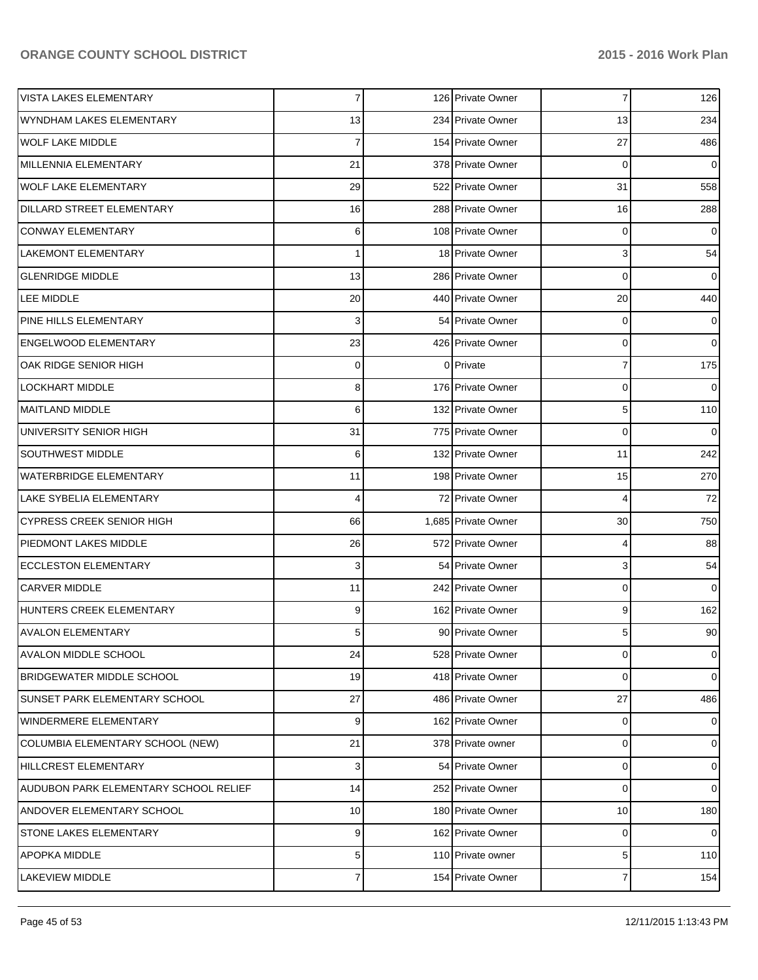| <b>VISTA LAKES ELEMENTARY</b>         | $\overline{7}$ | 126 Private Owner   | 7  | 126            |
|---------------------------------------|----------------|---------------------|----|----------------|
| WYNDHAM LAKES ELEMENTARY              | 13             | 234 Private Owner   | 13 | 234            |
| <b>WOLF LAKE MIDDLE</b>               | $\overline{7}$ | 154 Private Owner   | 27 | 486            |
| MILLENNIA ELEMENTARY                  | 21             | 378 Private Owner   | 0  | $\overline{0}$ |
| <b>WOLF LAKE ELEMENTARY</b>           | 29             | 522 Private Owner   | 31 | 558            |
| DILLARD STREET ELEMENTARY             | 16             | 288 Private Owner   | 16 | 288            |
| <b>CONWAY ELEMENTARY</b>              | 6              | 108 Private Owner   | 0  | $\overline{0}$ |
| LAKEMONT ELEMENTARY                   | 1              | 18 Private Owner    | 3  | 54             |
| <b>GLENRIDGE MIDDLE</b>               | 13             | 286 Private Owner   | 0  | $\overline{0}$ |
| LEE MIDDLE                            | 20             | 440 Private Owner   | 20 | 440            |
| PINE HILLS ELEMENTARY                 | 3              | 54 Private Owner    | 0  | $\overline{0}$ |
| <b>ENGELWOOD ELEMENTARY</b>           | 23             | 426 Private Owner   | 0  | $\overline{0}$ |
| OAK RIDGE SENIOR HIGH                 | 0              | 0 Private           | 7  | 175            |
| <b>LOCKHART MIDDLE</b>                | 8              | 176 Private Owner   | 0  | $\overline{0}$ |
| <b>MAITLAND MIDDLE</b>                | 6              | 132 Private Owner   | 5  | 110            |
| UNIVERSITY SENIOR HIGH                | 31             | 775 Private Owner   | 0  | $\overline{0}$ |
| <b>SOUTHWEST MIDDLE</b>               | 6              | 132 Private Owner   | 11 | 242            |
| <b>WATERBRIDGE ELEMENTARY</b>         | 11             | 198 Private Owner   | 15 | 270            |
| <b>LAKE SYBELIA ELEMENTARY</b>        | 4              | 72 Private Owner    | 4  | 72             |
| <b>CYPRESS CREEK SENIOR HIGH</b>      | 66             | 1,685 Private Owner | 30 | 750            |
| PIEDMONT LAKES MIDDLE                 | 26             | 572 Private Owner   | 4  | 88             |
| <b>ECCLESTON ELEMENTARY</b>           | 3              | 54 Private Owner    | 3  | 54             |
| <b>CARVER MIDDLE</b>                  | 11             | 242 Private Owner   | 0  | $\overline{0}$ |
| HUNTERS CREEK ELEMENTARY              | 9              | 162 Private Owner   | 9  | 162            |
| <b>AVALON ELEMENTARY</b>              | 5              | 90 Private Owner    | 5  | 90             |
| <b>AVALON MIDDLE SCHOOL</b>           | 24             | 528 Private Owner   | 0  | $\overline{0}$ |
| <b>BRIDGEWATER MIDDLE SCHOOL</b>      | 19             | 418 Private Owner   | 0  | $\overline{0}$ |
| SUNSET PARK ELEMENTARY SCHOOL         | 27             | 486 Private Owner   | 27 | 486            |
| WINDERMERE ELEMENTARY                 | 9              | 162 Private Owner   | 0  | $\overline{0}$ |
| COLUMBIA ELEMENTARY SCHOOL (NEW)      | 21             | 378 Private owner   | 0  | $\overline{0}$ |
| HILLCREST ELEMENTARY                  | 3              | 54 Private Owner    | 0  | $\overline{0}$ |
| AUDUBON PARK ELEMENTARY SCHOOL RELIEF | 14             | 252 Private Owner   | 0  | $\overline{0}$ |
| ANDOVER ELEMENTARY SCHOOL             | 10             | 180 Private Owner   | 10 | 180            |
| <b>STONE LAKES ELEMENTARY</b>         | 9              | 162 Private Owner   | 0  | $\overline{0}$ |
| APOPKA MIDDLE                         | 5 <sup>1</sup> | 110 Private owner   | 5  | 110            |
| <b>LAKEVIEW MIDDLE</b>                | $\overline{7}$ | 154 Private Owner   | 7  | 154            |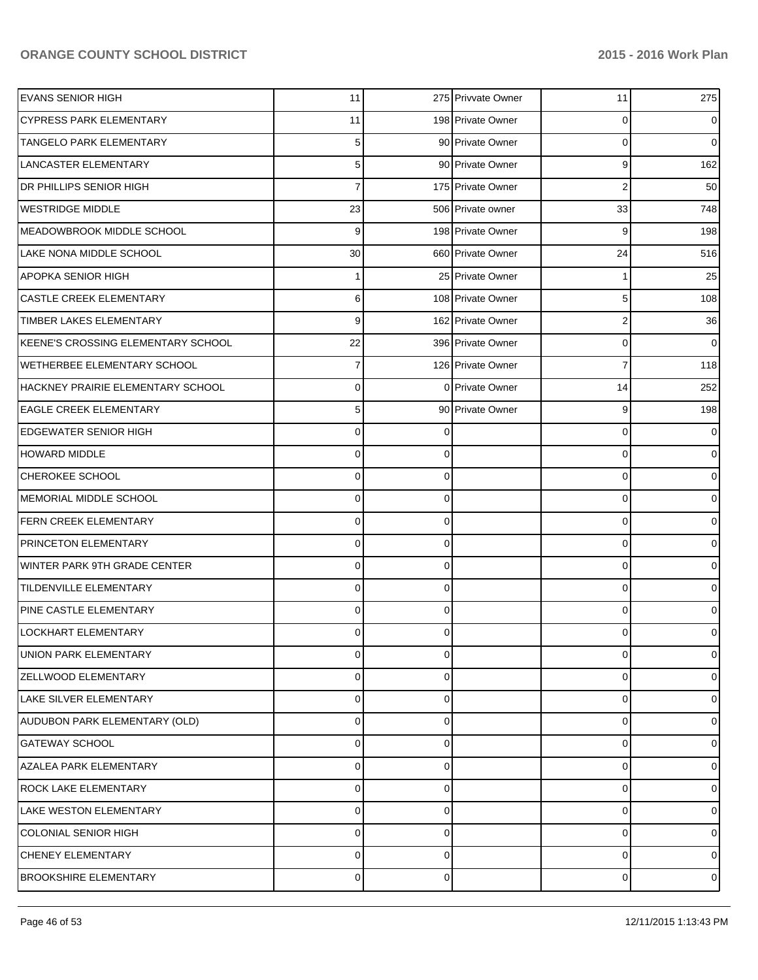| <b>EVANS SENIOR HIGH</b>            | 11          |          | 275 Privvate Owner | 11 | 275            |
|-------------------------------------|-------------|----------|--------------------|----|----------------|
| <b>CYPRESS PARK ELEMENTARY</b>      | 11          |          | 198 Private Owner  | 0  | $\overline{0}$ |
| <b>TANGELO PARK ELEMENTARY</b>      | 5           |          | 90 Private Owner   | 0  | $\overline{0}$ |
| <b>LANCASTER ELEMENTARY</b>         | 5           |          | 90 Private Owner   | 9  | 162            |
| <b>DR PHILLIPS SENIOR HIGH</b>      |             |          | 175 Private Owner  | 2  | 50             |
| <b>WESTRIDGE MIDDLE</b>             | 23          |          | 506 Private owner  | 33 | 748            |
| MEADOWBROOK MIDDLE SCHOOL           | 9           |          | 198 Private Owner  | 9  | 198            |
| LAKE NONA MIDDLE SCHOOL             | 30          |          | 660 Private Owner  | 24 | 516            |
| <b>APOPKA SENIOR HIGH</b>           |             |          | 25 Private Owner   |    | 25             |
| <b>CASTLE CREEK ELEMENTARY</b>      | 6           |          | 108 Private Owner  | 5  | 108            |
| TIMBER LAKES ELEMENTARY             | 9           |          | 162 Private Owner  | 2  | 36             |
| KEENE'S CROSSING ELEMENTARY SCHOOL  | 22          |          | 396 Private Owner  | 0  | $\overline{0}$ |
| <b>WETHERBEE ELEMENTARY SCHOOL</b>  | 7           |          | 126 Private Owner  | 7  | 118            |
| HACKNEY PRAIRIE ELEMENTARY SCHOOL   | 0           |          | 0 Private Owner    | 14 | 252            |
| <b>EAGLE CREEK ELEMENTARY</b>       | 5           |          | 90 Private Owner   | 9  | 198            |
| <b>EDGEWATER SENIOR HIGH</b>        | 0           | 0        |                    | 0  | $\overline{0}$ |
| <b>HOWARD MIDDLE</b>                | 0           | 0        |                    | 0  | $\mathbf 0$    |
| CHEROKEE SCHOOL                     | 0           | 0        |                    | 0  | $\mathbf 0$    |
| MEMORIAL MIDDLE SCHOOL              | 0           | 0        |                    | 0  | $\mathbf 0$    |
| FERN CREEK ELEMENTARY               | 0           | 0        |                    | 0  | $\mathbf 0$    |
| PRINCETON ELEMENTARY                | 0           | 0        |                    | 0  | $\mathbf 0$    |
| <b>WINTER PARK 9TH GRADE CENTER</b> | 0           | 0        |                    | 0  | $\mathbf 0$    |
| <b>TILDENVILLE ELEMENTARY</b>       | 0           | 0        |                    | 0  | $\overline{0}$ |
| PINE CASTLE ELEMENTARY              | 0           | 0        |                    | 0  | $\overline{0}$ |
| <b>LOCKHART ELEMENTARY</b>          | 0           | 0        |                    | 0  | $\overline{0}$ |
| UNION PARK ELEMENTARY               | 0           | $\Omega$ |                    | 0  | $\overline{0}$ |
| <b>ZELLWOOD ELEMENTARY</b>          | 0           | 0        |                    | 0  | 01             |
| LAKE SILVER ELEMENTARY              | 0           | 0        |                    | 0  | 0              |
| AUDUBON PARK ELEMENTARY (OLD)       | $\mathbf 0$ | 0        |                    | 0  | 01             |
| <b>GATEWAY SCHOOL</b>               | 0           | 0        |                    | 0  | 01             |
| <b>AZALEA PARK ELEMENTARY</b>       | $\mathbf 0$ | 0        |                    | 0  | 0              |
| <b>ROCK LAKE ELEMENTARY</b>         | 0           | 0        |                    | 0  | 0              |
| LAKE WESTON ELEMENTARY              | $\mathbf 0$ | 0        |                    | 0  | 01             |
| <b>COLONIAL SENIOR HIGH</b>         | 0           | 0        |                    | 0  | 0              |
| CHENEY ELEMENTARY                   | 0           | 0        |                    | 0  | 0              |
| <b>BROOKSHIRE ELEMENTARY</b>        | $\pmb{0}$   | 0        |                    | 0  | $\circ$        |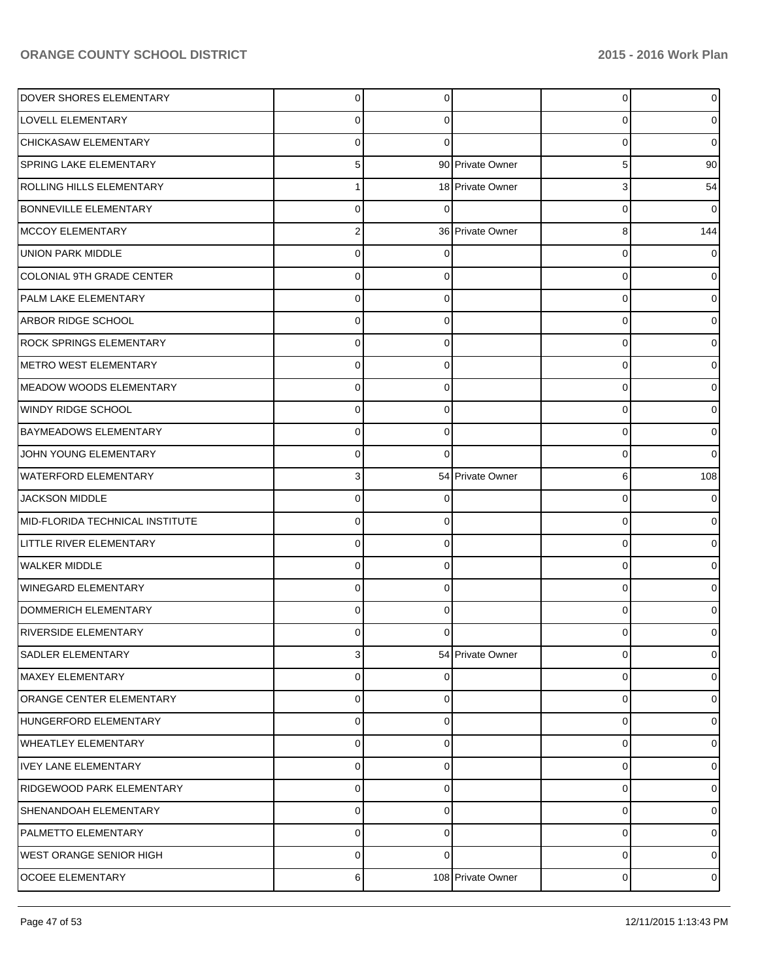| DOVER SHORES ELEMENTARY          | $\mathbf 0$ | 0 |                   | $\overline{0}$ | 0              |
|----------------------------------|-------------|---|-------------------|----------------|----------------|
| LOVELL ELEMENTARY                | 0           | 0 |                   | 0              | 0              |
| CHICKASAW ELEMENTARY             | $\Omega$    | 0 |                   | 0              | 0              |
| SPRING LAKE ELEMENTARY           | 5           |   | 90 Private Owner  | 5              | 90             |
| ROLLING HILLS ELEMENTARY         |             |   | 18 Private Owner  | 3              | 54             |
| <b>BONNEVILLE ELEMENTARY</b>     | 0           | 0 |                   | 0              | 0              |
| <b>MCCOY ELEMENTARY</b>          | 2           |   | 36 Private Owner  | 8              | 144            |
| <b>UNION PARK MIDDLE</b>         | $\Omega$    |   |                   | 0              |                |
| <b>COLONIAL 9TH GRADE CENTER</b> | $\Omega$    |   |                   | 0              | o              |
| PALM LAKE ELEMENTARY             | $\Omega$    | 0 |                   | 0              | 0              |
| <b>ARBOR RIDGE SCHOOL</b>        | $\Omega$    | 0 |                   | 0              |                |
| <b>ROCK SPRINGS ELEMENTARY</b>   | $\Omega$    | 0 |                   | 0              | o              |
| <b>METRO WEST ELEMENTARY</b>     | $\Omega$    | 0 |                   | 0              |                |
| <b>MEADOW WOODS ELEMENTARY</b>   | $\Omega$    | 0 |                   | 0              | 0              |
| <b>WINDY RIDGE SCHOOL</b>        | $\Omega$    | 0 |                   | 0              | o              |
| <b>BAYMEADOWS ELEMENTARY</b>     | $\Omega$    | 0 |                   | 0              | 0              |
| JOHN YOUNG ELEMENTARY            | $\Omega$    | ∩ |                   | 0              | 0              |
| <b>WATERFORD ELEMENTARY</b>      | 3           |   | 54 Private Owner  | 6              | 108            |
| <b>JACKSON MIDDLE</b>            | 0           |   |                   | 0              |                |
| MID-FLORIDA TECHNICAL INSTITUTE  | $\Omega$    | 0 |                   | 0              | 0              |
| <b>LITTLE RIVER ELEMENTARY</b>   | 0           | 0 |                   | 0              | o              |
| <b>WALKER MIDDLE</b>             | $\Omega$    | 0 |                   | 0              | o              |
| <b>WINEGARD ELEMENTARY</b>       | $\Omega$    |   |                   | 0              |                |
| DOMMERICH ELEMENTARY             | $\Omega$    | 0 |                   | 0              |                |
| <b>RIVERSIDE ELEMENTARY</b>      |             |   |                   | 0              |                |
| SADLER ELEMENTARY                | 3           |   | 54 Private Owner  | 0              | 0              |
| <b>MAXEY ELEMENTARY</b>          | $\mathbf 0$ | O |                   | 0              | 0              |
| ORANGE CENTER ELEMENTARY         | $\mathbf 0$ | 0 |                   | 0              | 0              |
| HUNGERFORD ELEMENTARY            | $\mathbf 0$ | 0 |                   | 0              | 0              |
| <b>WHEATLEY ELEMENTARY</b>       | $\mathbf 0$ | 0 |                   | 0              | 0              |
| <b>IVEY LANE ELEMENTARY</b>      | $\mathbf 0$ | 0 |                   | 0              | 0              |
| RIDGEWOOD PARK ELEMENTARY        | $\mathbf 0$ | 0 |                   | 0              | 0              |
| SHENANDOAH ELEMENTARY            | $\mathbf 0$ | 0 |                   | 0              | 0              |
| PALMETTO ELEMENTARY              | 0           | 0 |                   | 0              | 0              |
| <b>WEST ORANGE SENIOR HIGH</b>   | $\mathbf 0$ | 0 |                   | 0              | 0              |
| <b>OCOEE ELEMENTARY</b>          | 6           |   | 108 Private Owner | 0              | $\overline{0}$ |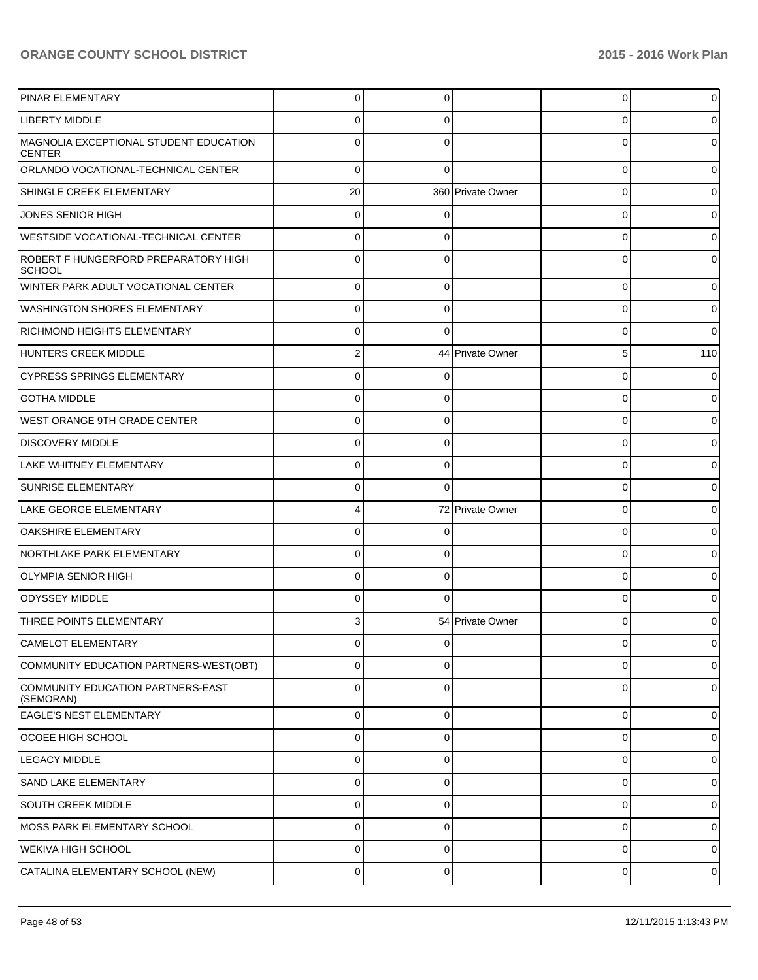| <b>PINAR ELEMENTARY</b>                                 | $\Omega$    |          |                   | 0        | 01             |
|---------------------------------------------------------|-------------|----------|-------------------|----------|----------------|
| LIBERTY MIDDLE                                          |             |          |                   | U        | 0              |
| MAGNOLIA EXCEPTIONAL STUDENT EDUCATION<br><b>CENTER</b> |             |          |                   | U        | 0              |
| ORLANDO VOCATIONAL-TECHNICAL CENTER                     | $\Omega$    |          |                   | 0        | 0              |
| SHINGLE CREEK ELEMENTARY                                | 20          |          | 360 Private Owner | 0        | 0              |
| JONES SENIOR HIGH                                       | $\Omega$    |          |                   | 0        | 0              |
| <b>WESTSIDE VOCATIONAL-TECHNICAL CENTER</b>             | $\Omega$    | 0        |                   | 0        | 0              |
| ROBERT F HUNGERFORD PREPARATORY HIGH<br><b>SCHOOL</b>   | $\Omega$    |          |                   | 0        | 0              |
| WINTER PARK ADULT VOCATIONAL CENTER                     | $\Omega$    | $\Omega$ |                   | $\Omega$ | 0              |
| WASHINGTON SHORES ELEMENTARY                            | $\Omega$    | 0        |                   | 0        | 0              |
| RICHMOND HEIGHTS ELEMENTARY                             | $\Omega$    | 0        |                   | $\Omega$ | 0              |
| HUNTERS CREEK MIDDLE                                    | 2           |          | 44 Private Owner  | 5        | 110            |
| <b>CYPRESS SPRINGS ELEMENTARY</b>                       | $\Omega$    | 0        |                   | 0        | 0              |
| <b>GOTHA MIDDLE</b>                                     | $\Omega$    | 0        |                   | 0        | $\overline{0}$ |
| WEST ORANGE 9TH GRADE CENTER                            | $\Omega$    | 0        |                   | 0        | 0              |
| <b>DISCOVERY MIDDLE</b>                                 | 0           | 0        |                   | 0        | 0              |
| LAKE WHITNEY ELEMENTARY                                 | 0           | 0        |                   | 0        | 0              |
| <b>SUNRISE ELEMENTARY</b>                               | 0           | 0        |                   | 0        | 0              |
| LAKE GEORGE ELEMENTARY                                  |             |          | 72 Private Owner  | 0        | 0              |
| <b>OAKSHIRE ELEMENTARY</b>                              | 0           | 0        |                   | 0        | 0              |
| NORTHLAKE PARK ELEMENTARY                               | 0           | 0        |                   | 0        | 0              |
| OLYMPIA SENIOR HIGH                                     | 0           | 0        |                   | 0        | 0              |
| <b>ODYSSEY MIDDLE</b>                                   | 0           |          |                   | $\Omega$ |                |
| THREE POINTS ELEMENTARY                                 |             |          | 54 Private Owner  | 0        |                |
| CAMELOT ELEMENTARY                                      | U           | U        |                   | U        | υı             |
| COMMUNITY EDUCATION PARTNERS-WEST(OBT)                  | $\mathbf 0$ | 0        |                   | 0        | $\overline{0}$ |
| COMMUNITY EDUCATION PARTNERS-EAST<br>(SEMORAN)          | $\mathbf 0$ | 0        |                   | 0        | 0              |
| <b>EAGLE'S NEST ELEMENTARY</b>                          | $\mathbf 0$ | $\Omega$ |                   | 0        | $\overline{0}$ |
| OCOEE HIGH SCHOOL                                       | $\mathbf 0$ | $\Omega$ |                   | 0        | $\overline{0}$ |
| <b>LEGACY MIDDLE</b>                                    | $\mathbf 0$ | $\Omega$ |                   | 0        | $\overline{0}$ |
| <b>SAND LAKE ELEMENTARY</b>                             | $\mathbf 0$ | $\Omega$ |                   | 0        | $\overline{0}$ |
| <b>SOUTH CREEK MIDDLE</b>                               | $\mathbf 0$ | $\Omega$ |                   | 0        | 0              |
| MOSS PARK ELEMENTARY SCHOOL                             | $\mathbf 0$ | $\Omega$ |                   | 0        | $\overline{0}$ |
| <b>WEKIVA HIGH SCHOOL</b>                               | $\mathbf 0$ | $\Omega$ |                   | 0        | $\overline{0}$ |
| CATALINA ELEMENTARY SCHOOL (NEW)                        | $\pmb{0}$   | 0        |                   | 0        | $\overline{0}$ |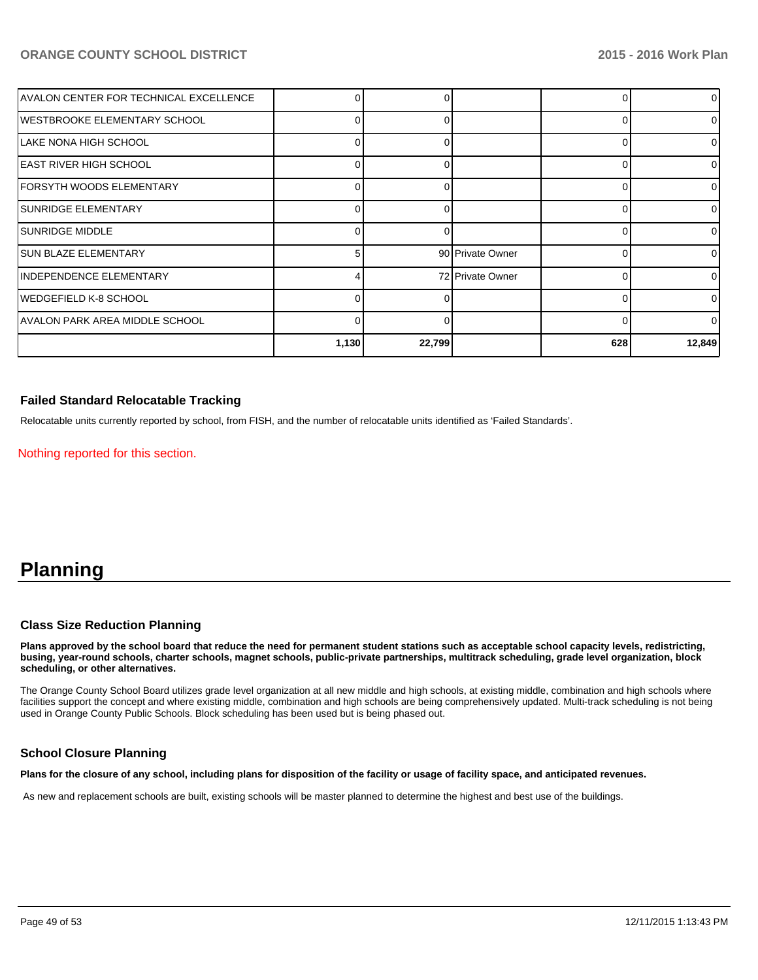| AVALON CENTER FOR TECHNICAL EXCELLENCE |          |        |                  |     | $\overline{0}$ |
|----------------------------------------|----------|--------|------------------|-----|----------------|
| WESTBROOKE ELEMENTARY SCHOOL           | ∩        |        |                  |     | $\overline{0}$ |
| ILAKE NONA HIGH SCHOOL                 |          |        |                  |     | $\Omega$       |
| EAST RIVER HIGH SCHOOL                 |          |        |                  |     | ΩI             |
| IFORSYTH WOODS ELEMENTARY              |          |        |                  |     | 01             |
| <b>ISUNRIDGE ELEMENTARY</b>            | $\Omega$ |        |                  |     | 01             |
| ISUNRIDGE MIDDLE                       |          |        |                  |     | $\overline{0}$ |
| ISUN BLAZE ELEMENTARY                  | 5        |        | 90 Private Owner |     | $\Omega$       |
| <b>INDEPENDENCE ELEMENTARY</b>         |          |        | 72 Private Owner |     | $\Omega$       |
| IWEDGEFIELD K-8 SCHOOL                 |          |        |                  |     | $\Omega$       |
| IAVALON PARK AREA MIDDLE SCHOOL        |          |        |                  |     | $\Omega$       |
|                                        | 1,130    | 22,799 |                  | 628 | 12,849         |

### **Failed Standard Relocatable Tracking**

Relocatable units currently reported by school, from FISH, and the number of relocatable units identified as 'Failed Standards'.

Nothing reported for this section.

# **Planning**

### **Class Size Reduction Planning**

**Plans approved by the school board that reduce the need for permanent student stations such as acceptable school capacity levels, redistricting, busing, year-round schools, charter schools, magnet schools, public-private partnerships, multitrack scheduling, grade level organization, block scheduling, or other alternatives.**

The Orange County School Board utilizes grade level organization at all new middle and high schools, at existing middle, combination and high schools where facilities support the concept and where existing middle, combination and high schools are being comprehensively updated. Multi-track scheduling is not being used in Orange County Public Schools. Block scheduling has been used but is being phased out.

### **School Closure Planning**

**Plans for the closure of any school, including plans for disposition of the facility or usage of facility space, and anticipated revenues.**

As new and replacement schools are built, existing schools will be master planned to determine the highest and best use of the buildings.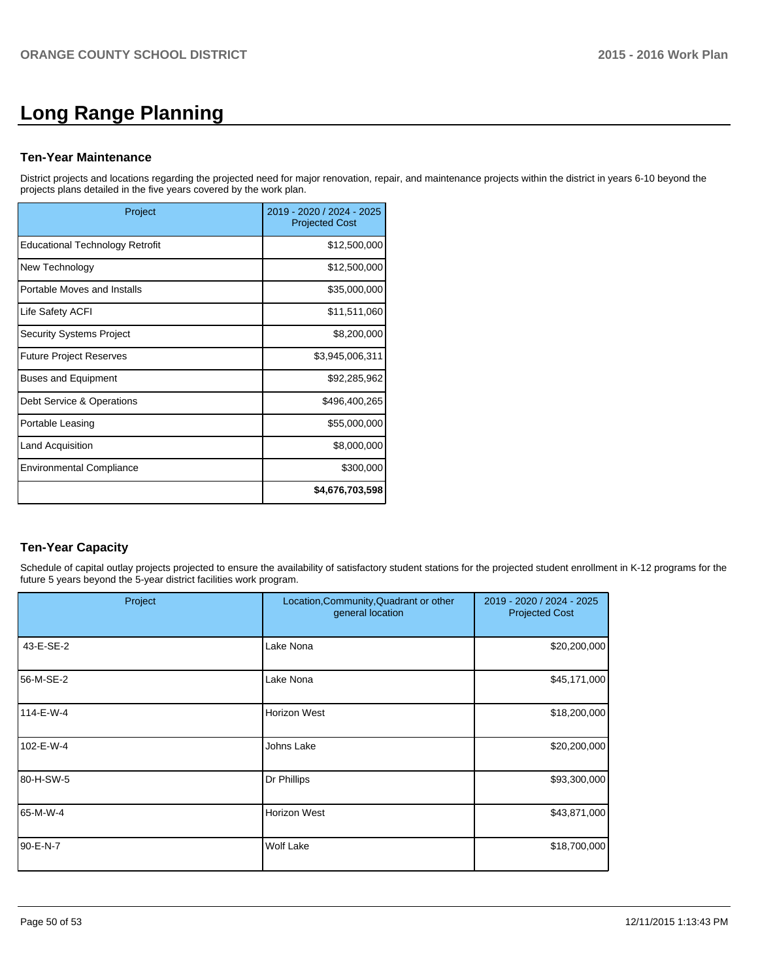# **Long Range Planning**

### **Ten-Year Maintenance**

District projects and locations regarding the projected need for major renovation, repair, and maintenance projects within the district in years 6-10 beyond the projects plans detailed in the five years covered by the work plan.

| Project                                | 2019 - 2020 / 2024 - 2025<br><b>Projected Cost</b> |
|----------------------------------------|----------------------------------------------------|
| <b>Educational Technology Retrofit</b> | \$12,500,000                                       |
| New Technology                         | \$12,500,000                                       |
| Portable Moves and Installs            | \$35,000,000                                       |
| Life Safety ACFI                       | \$11,511,060                                       |
| <b>Security Systems Project</b>        | \$8,200,000                                        |
| <b>Future Project Reserves</b>         | \$3,945,006,311                                    |
| <b>Buses and Equipment</b>             | \$92,285,962                                       |
| Debt Service & Operations              | \$496,400,265                                      |
| Portable Leasing                       | \$55,000,000                                       |
| Land Acquisition                       | \$8,000,000                                        |
| <b>Environmental Compliance</b>        | \$300,000                                          |
|                                        | \$4,676,703,598                                    |

# **Ten-Year Capacity**

Schedule of capital outlay projects projected to ensure the availability of satisfactory student stations for the projected student enrollment in K-12 programs for the future 5 years beyond the 5-year district facilities work program.

| Project   | Location, Community, Quadrant or other<br>general location | 2019 - 2020 / 2024 - 2025<br><b>Projected Cost</b> |
|-----------|------------------------------------------------------------|----------------------------------------------------|
| 43-E-SE-2 | Lake Nona                                                  | \$20,200,000                                       |
| 56-M-SE-2 | Lake Nona                                                  | \$45,171,000                                       |
| 114-E-W-4 | <b>Horizon West</b>                                        | \$18,200,000                                       |
| 102-E-W-4 | Johns Lake                                                 | \$20,200,000                                       |
| 80-H-SW-5 | Dr Phillips                                                | \$93,300,000                                       |
| 65-M-W-4  | <b>Horizon West</b>                                        | \$43,871,000                                       |
| 90-E-N-7  | Wolf Lake                                                  | \$18,700,000                                       |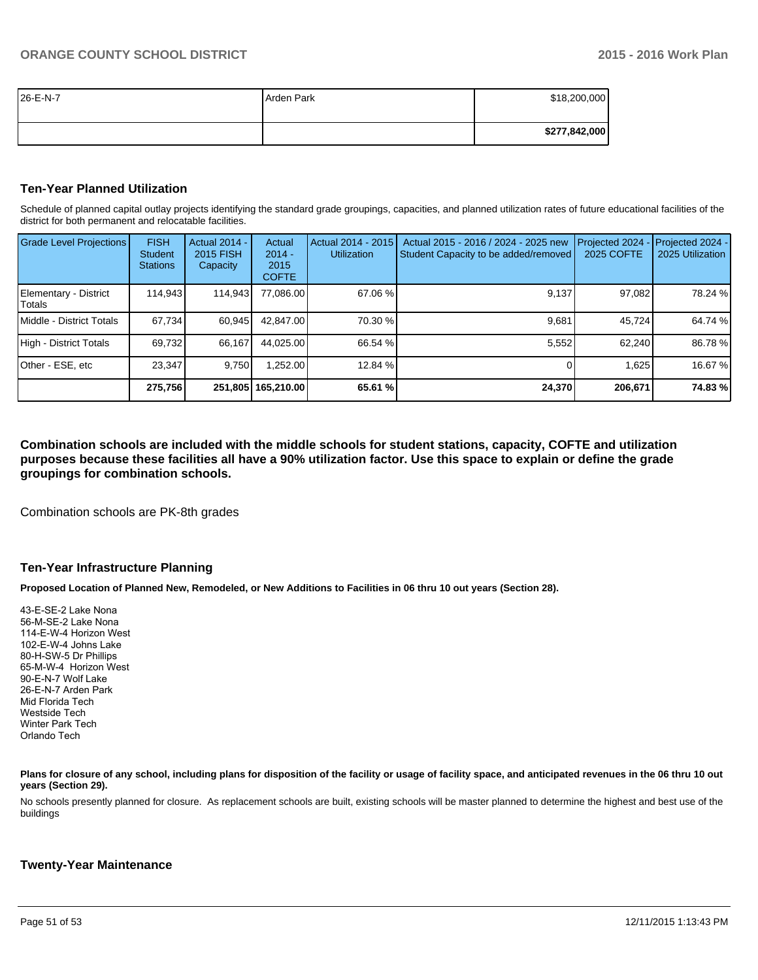| 26-E-N-7 | Arden Park | \$18,200,000  |
|----------|------------|---------------|
|          |            |               |
|          |            | \$277,842,000 |

### **Ten-Year Planned Utilization**

Schedule of planned capital outlay projects identifying the standard grade groupings, capacities, and planned utilization rates of future educational facilities of the district for both permanent and relocatable facilities.

| <b>Grade Level Projections</b>    | <b>FISH</b><br>Student<br><b>Stations</b> | Actual 2014 -<br><b>2015 FISH</b><br>Capacity | Actual<br>$2014 -$<br>2015<br><b>COFTE</b> | Actual 2014 - 2015<br><b>Utilization</b> | Actual 2015 - 2016 / 2024 - 2025 new<br>Student Capacity to be added/removed | Projected 2024<br>2025 COFTE | Projected 2024 -<br>2025 Utilization |
|-----------------------------------|-------------------------------------------|-----------------------------------------------|--------------------------------------------|------------------------------------------|------------------------------------------------------------------------------|------------------------------|--------------------------------------|
| Elementary - District<br>l Totals | 114,943                                   | 114,943                                       | 77,086.00                                  | 67.06 %                                  | 9,137                                                                        | 97,082                       | 78.24 %                              |
| Middle - District Totals          | 67.734                                    | 60.945                                        | 42.847.00                                  | 70.30 %                                  | 9.681                                                                        | 45.724                       | 64.74 %                              |
| High - District Totals            | 69,732                                    | 66.167                                        | 44.025.00                                  | 66.54 %                                  | 5,552                                                                        | 62.240                       | 86.78 %                              |
| Other - ESE, etc                  | 23.347                                    | 9.750                                         | ,252.00                                    | 12.84 %                                  |                                                                              | 1,625                        | 16.67 %                              |
|                                   | 275,756                                   |                                               | 251,805   165,210.00                       | 65.61 %                                  | 24,370                                                                       | 206,671                      | 74.83%                               |

**Combination schools are included with the middle schools for student stations, capacity, COFTE and utilization purposes because these facilities all have a 90% utilization factor. Use this space to explain or define the grade groupings for combination schools.**

Combination schools are PK-8th grades

### **Ten-Year Infrastructure Planning**

**Proposed Location of Planned New, Remodeled, or New Additions to Facilities in 06 thru 10 out years (Section 28).**

43-E-SE-2 Lake Nona 56-M-SE-2 Lake Nona 114-E-W-4 Horizon West 102-E-W-4 Johns Lake 80-H-SW-5 Dr Phillips 65-M-W-4 Horizon West 90-E-N-7 Wolf Lake 26-E-N-7 Arden Park Mid Florida Tech Westside Tech Winter Park Tech Orlando Tech

Plans for closure of any school, including plans for disposition of the facility or usage of facility space, and anticipated revenues in the 06 thru 10 out **years (Section 29).**

No schools presently planned for closure. As replacement schools are built, existing schools will be master planned to determine the highest and best use of the buildings

### **Twenty-Year Maintenance**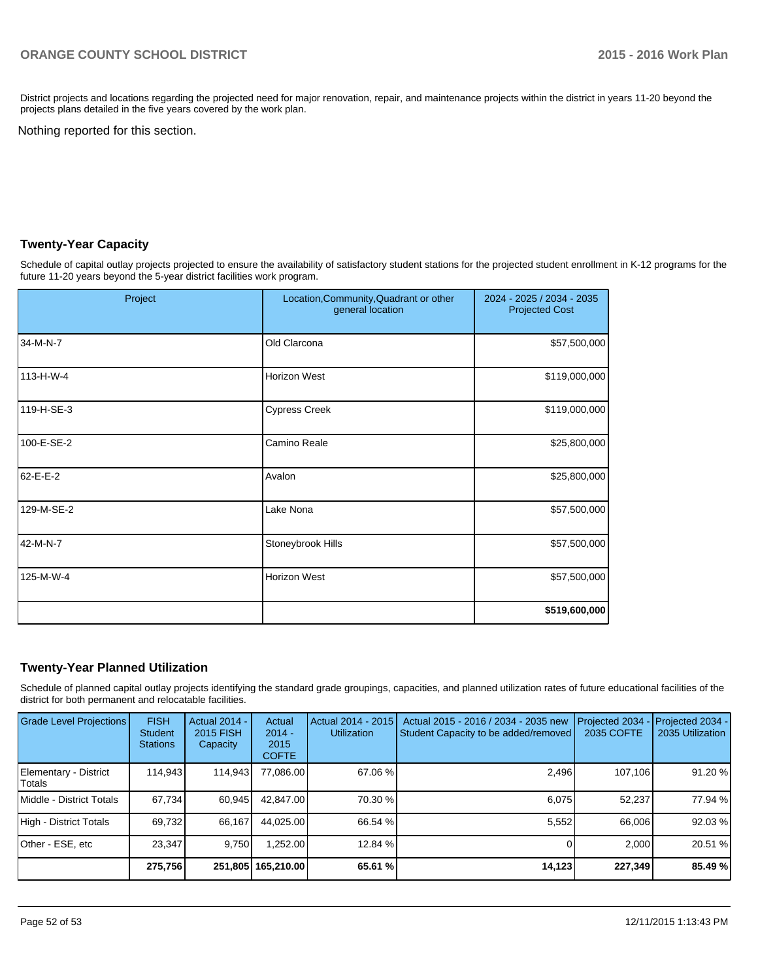District projects and locations regarding the projected need for major renovation, repair, and maintenance projects within the district in years 11-20 beyond the projects plans detailed in the five years covered by the work plan.

Nothing reported for this section.

### **Twenty-Year Capacity**

Schedule of capital outlay projects projected to ensure the availability of satisfactory student stations for the projected student enrollment in K-12 programs for the future 11-20 years beyond the 5-year district facilities work program.

| Project    | Location, Community, Quadrant or other<br>general location | 2024 - 2025 / 2034 - 2035<br><b>Projected Cost</b> |
|------------|------------------------------------------------------------|----------------------------------------------------|
| 34-M-N-7   | Old Clarcona                                               | \$57,500,000                                       |
| 113-H-W-4  | Horizon West                                               | \$119,000,000                                      |
| 119-H-SE-3 | <b>Cypress Creek</b>                                       | \$119,000,000                                      |
| 100-E-SE-2 | Camino Reale                                               | \$25,800,000                                       |
| 62-E-E-2   | Avalon                                                     | \$25,800,000                                       |
| 129-M-SE-2 | Lake Nona                                                  | \$57,500,000                                       |
| 42-M-N-7   | Stoneybrook Hills                                          | \$57,500,000                                       |
| 125-M-W-4  | Horizon West                                               | \$57,500,000                                       |
|            |                                                            | \$519,600,000                                      |

### **Twenty-Year Planned Utilization**

Schedule of planned capital outlay projects identifying the standard grade groupings, capacities, and planned utilization rates of future educational facilities of the district for both permanent and relocatable facilities.

| <b>Grade Level Projections</b>  | <b>FISH</b><br><b>Student</b><br><b>Stations</b> | <b>Actual 2014 -</b><br>2015 FISH<br>Capacity | Actual<br>$2014 -$<br>2015<br><b>COFTE</b> | Actual 2014 - 2015<br><b>Utilization</b> | Actual 2015 - 2016 / 2034 - 2035 new<br>Student Capacity to be added/removed | Projected 2034<br>2035 COFTE | Projected 2034 -<br>2035 Utilization |
|---------------------------------|--------------------------------------------------|-----------------------------------------------|--------------------------------------------|------------------------------------------|------------------------------------------------------------------------------|------------------------------|--------------------------------------|
| Elementary - District<br>Totals | 114.943                                          | 114,943                                       | 77,086.00                                  | $67.06\%$                                | 2,496                                                                        | 107,106                      | 91.20 %                              |
| Middle - District Totals        | 67.734                                           | 60,945                                        | 42.847.00                                  | 70.30 %                                  | 6.075                                                                        | 52.237                       | 77.94 %                              |
| High - District Totals          | 69,732                                           | 66,167                                        | 44.025.00                                  | 66.54 %                                  | 5,552                                                                        | 66.006                       | 92.03 %                              |
| Other - ESE, etc                | 23.347                                           | 9.750                                         | 1.252.00                                   | 12.84 %                                  |                                                                              | 2.000                        | 20.51 %                              |
|                                 | 275,756                                          |                                               | 251,805   165,210.00                       | 65.61 %                                  | 14,123                                                                       | 227,349                      | 85.49 %                              |